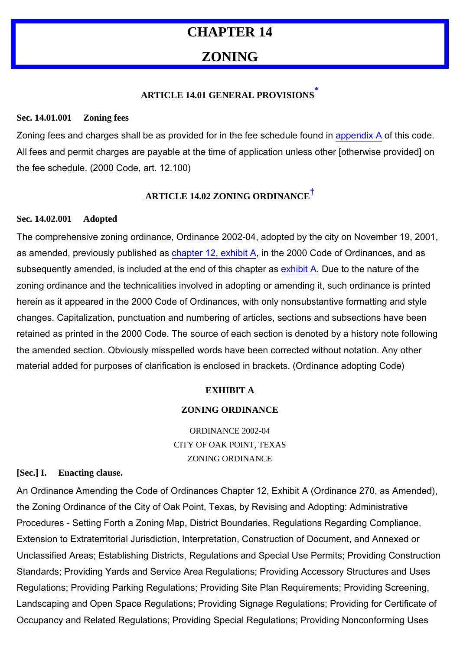# **CHAPTER 14**

# **ZONING**

# **ARTICLE 14.01 GENERAL PROVISIONS \***

#### **Sec. 14.01.001 Zoning fees**

Zoning fees and charges shall be as provided for in the fee schedule found in appendix A of this code. All fees and permit charges are payable at the time of application unless other [otherwise provided] on the fee schedule. (2000 Code, art. 12.100)

# **ARTICLE 14.02 ZONING ORDINANCE†**

#### **Sec. 14.02.001 Adopted**

The comprehensive zoning ordinance, Ordinance 2002-04, adopted by the city on November 19, 2001, as amended, previously published as chapter 12, exhibit A, in the 2000 Code of Ordinances, and as subsequently amended, is included at the end of this chapter as exhibit A. Due to the nature of the zoning ordinance and the technicalities involved in adopting or amending it, such ordinance is printed herein as it appeared in the 2000 Code of Ordinances, with only nonsubstantive formatting and style changes. Capitalization, punctuation and numbering of articles, sections and subsections have been retained as printed in the 2000 Code. The source of each section is denoted by a history note following the amended section. Obviously misspelled words have been corrected without notation. Any other material added for purposes of clarification is enclosed in brackets. (Ordinance adopting Code)

#### **EXHIBIT A**

#### **ZONING ORDINANCE**

ORDINANCE 2002-04 CITY OF OAK POINT, TEXAS ZONING ORDINANCE

### **[Sec.] I. Enacting clause.**

An Ordinance Amending the Code of Ordinances Chapter 12, Exhibit A (Ordinance 270, as Amended), the Zoning Ordinance of the City of Oak Point, Texas, by Revising and Adopting: Administrative Procedures - Setting Forth a Zoning Map, District Boundaries, Regulations Regarding Compliance, Extension to Extraterritorial Jurisdiction, Interpretation, Construction of Document, and Annexed or Unclassified Areas; Establishing Districts, Regulations and Special Use Permits; Providing Construction Standards; Providing Yards and Service Area Regulations; Providing Accessory Structures and Uses Regulations; Providing Parking Regulations; Providing Site Plan Requirements; Providing Screening, Landscaping and Open Space Regulations; Providing Signage Regulations; Providing for Certificate of Occupancy and Related Regulations; Providing Special Regulations; Providing Nonconforming Uses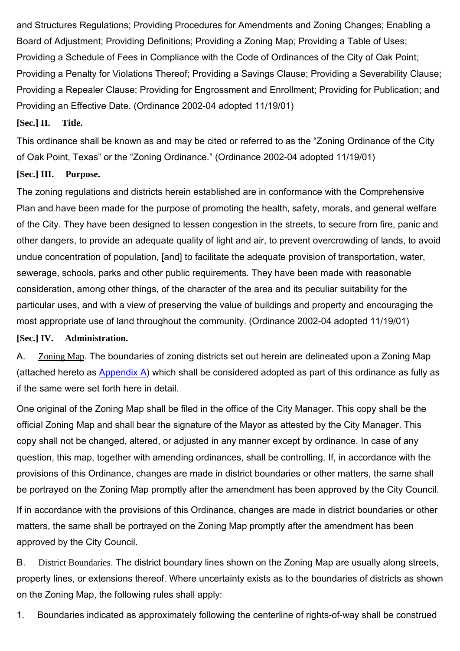and Structures Regulations; Providing Procedures for Amendments and Zoning Changes; Enabling a Board of Adjustment; Providing Definitions; Providing a Zoning Map; Providing a Table of Uses; Providing a Schedule of Fees in Compliance with the Code of Ordinances of the City of Oak Point; Providing a Penalty for Violations Thereof; Providing a Savings Clause; Providing a Severability Clause; Providing a Repealer Clause; Providing for Engrossment and Enrollment; Providing for Publication; and Providing an Effective Date. (Ordinance 2002-04 adopted 11/19/01)

## **[Sec.] II. Title.**

This ordinance shall be known as and may be cited or referred to as the "Zoning Ordinance of the City of Oak Point, Texas" or the "Zoning Ordinance." (Ordinance 2002-04 adopted 11/19/01)

## **[Sec.] III. Purpose.**

The zoning regulations and districts herein established are in conformance with the Comprehensive Plan and have been made for the purpose of promoting the health, safety, morals, and general welfare of the City. They have been designed to lessen congestion in the streets, to secure from fire, panic and other dangers, to provide an adequate quality of light and air, to prevent overcrowding of lands, to avoid undue concentration of population, [and] to facilitate the adequate provision of transportation, water, sewerage, schools, parks and other public requirements. They have been made with reasonable consideration, among other things, of the character of the area and its peculiar suitability for the particular uses, and with a view of preserving the value of buildings and property and encouraging the most appropriate use of land throughout the community. (Ordinance 2002-04 adopted 11/19/01)

## **[Sec.] IV. Administration.**

A. Zoning Map. The boundaries of zoning districts set out herein are delineated upon a Zoning Map (attached hereto as Appendix A) which shall be considered adopted as part of this ordinance as fully as if the same were set forth here in detail.

One original of the Zoning Map shall be filed in the office of the City Manager. This copy shall be the official Zoning Map and shall bear the signature of the Mayor as attested by the City Manager. This copy shall not be changed, altered, or adjusted in any manner except by ordinance. In case of any question, this map, together with amending ordinances, shall be controlling. If, in accordance with the provisions of this Ordinance, changes are made in district boundaries or other matters, the same shall be portrayed on the Zoning Map promptly after the amendment has been approved by the City Council.

If in accordance with the provisions of this Ordinance, changes are made in district boundaries or other matters, the same shall be portrayed on the Zoning Map promptly after the amendment has been approved by the City Council.

B. District Boundaries. The district boundary lines shown on the Zoning Map are usually along streets, property lines, or extensions thereof. Where uncertainty exists as to the boundaries of districts as shown on the Zoning Map, the following rules shall apply:

1. Boundaries indicated as approximately following the centerline of rights-of-way shall be construed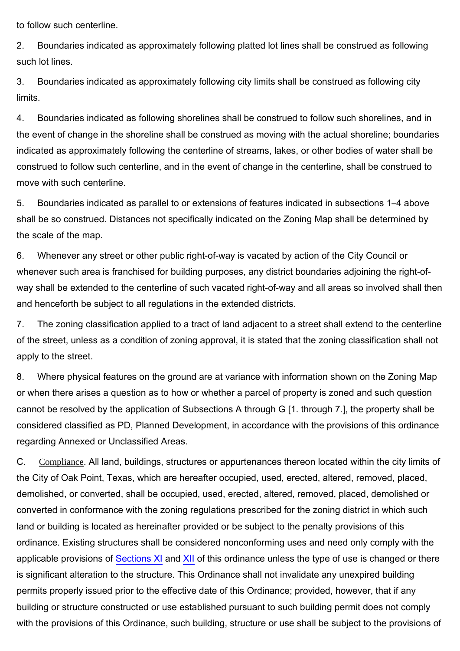to follow such centerline.

2. Boundaries indicated as approximately following platted lot lines shall be construed as following such lot lines.

3. Boundaries indicated as approximately following city limits shall be construed as following city limits.

4. Boundaries indicated as following shorelines shall be construed to follow such shorelines, and in the event of change in the shoreline shall be construed as moving with the actual shoreline; boundaries indicated as approximately following the centerline of streams, lakes, or other bodies of water shall be construed to follow such centerline, and in the event of change in the centerline, shall be construed to move with such centerline.

5. Boundaries indicated as parallel to or extensions of features indicated in subsections 1–4 above shall be so construed. Distances not specifically indicated on the Zoning Map shall be determined by the scale of the map.

6. Whenever any street or other public right-of-way is vacated by action of the City Council or whenever such area is franchised for building purposes, any district boundaries adjoining the right-ofway shall be extended to the centerline of such vacated right-of-way and all areas so involved shall then and henceforth be subject to all regulations in the extended districts.

7. The zoning classification applied to a tract of land adjacent to a street shall extend to the centerline of the street, unless as a condition of zoning approval, it is stated that the zoning classification shall not apply to the street.

8. Where physical features on the ground are at variance with information shown on the Zoning Map or when there arises a question as to how or whether a parcel of property is zoned and such question cannot be resolved by the application of Subsections A through G [1. through 7.], the property shall be considered classified as PD, Planned Development, in accordance with the provisions of this ordinance regarding Annexed or Unclassified Areas.

C. Compliance. All land, buildings, structures or appurtenances thereon located within the city limits of the City of Oak Point, Texas, which are hereafter occupied, used, erected, altered, removed, placed, demolished, or converted, shall be occupied, used, erected, altered, removed, placed, demolished or converted in conformance with the zoning regulations prescribed for the zoning district in which such land or building is located as hereinafter provided or be subject to the penalty provisions of this ordinance. Existing structures shall be considered nonconforming uses and need only comply with the applicable provisions of Sections XI and XII of this ordinance unless the type of use is changed or there is significant alteration to the structure. This Ordinance shall not invalidate any unexpired building permits properly issued prior to the effective date of this Ordinance; provided, however, that if any building or structure constructed or use established pursuant to such building permit does not comply with the provisions of this Ordinance, such building, structure or use shall be subject to the provisions of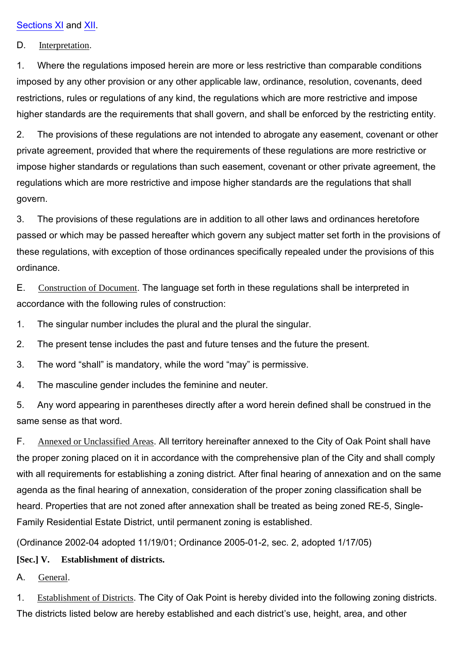# Sections XI and XII.

D. Interpretation.

1. Where the regulations imposed herein are more or less restrictive than comparable conditions imposed by any other provision or any other applicable law, ordinance, resolution, covenants, deed restrictions, rules or regulations of any kind, the regulations which are more restrictive and impose higher standards are the requirements that shall govern, and shall be enforced by the restricting entity.

2. The provisions of these regulations are not intended to abrogate any easement, covenant or other private agreement, provided that where the requirements of these regulations are more restrictive or impose higher standards or regulations than such easement, covenant or other private agreement, the regulations which are more restrictive and impose higher standards are the regulations that shall govern.

3. The provisions of these regulations are in addition to all other laws and ordinances heretofore passed or which may be passed hereafter which govern any subject matter set forth in the provisions of these regulations, with exception of those ordinances specifically repealed under the provisions of this ordinance.

E. Construction of Document. The language set forth in these regulations shall be interpreted in accordance with the following rules of construction:

1. The singular number includes the plural and the plural the singular.

2. The present tense includes the past and future tenses and the future the present.

3. The word "shall" is mandatory, while the word "may" is permissive.

4. The masculine gender includes the feminine and neuter.

5. Any word appearing in parentheses directly after a word herein defined shall be construed in the same sense as that word.

F. Annexed or Unclassified Areas. All territory hereinafter annexed to the City of Oak Point shall have the proper zoning placed on it in accordance with the comprehensive plan of the City and shall comply with all requirements for establishing a zoning district. After final hearing of annexation and on the same agenda as the final hearing of annexation, consideration of the proper zoning classification shall be heard. Properties that are not zoned after annexation shall be treated as being zoned RE-5, Single-Family Residential Estate District, until permanent zoning is established.

(Ordinance 2002-04 adopted 11/19/01; Ordinance 2005-01-2, sec. 2, adopted 1/17/05)

# **[Sec.] V. Establishment of districts.**

A. General.

1. Establishment of Districts. The City of Oak Point is hereby divided into the following zoning districts. The districts listed below are hereby established and each district's use, height, area, and other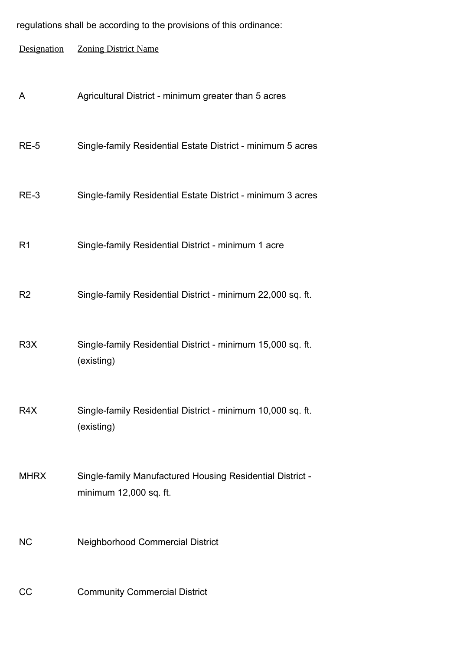regulations shall be according to the provisions of this ordinance:

Designation **Zoning District Name** 

| A                | Agricultural District - minimum greater than 5 acres                                |
|------------------|-------------------------------------------------------------------------------------|
| <b>RE-5</b>      | Single-family Residential Estate District - minimum 5 acres                         |
| $RE-3$           | Single-family Residential Estate District - minimum 3 acres                         |
| R <sub>1</sub>   | Single-family Residential District - minimum 1 acre                                 |
| R <sub>2</sub>   | Single-family Residential District - minimum 22,000 sq. ft.                         |
| R <sub>3</sub> X | Single-family Residential District - minimum 15,000 sq. ft.<br>(existing)           |
| R <sub>4</sub> X | Single-family Residential District - minimum 10,000 sq. ft.<br>(existing)           |
| <b>MHRX</b>      | Single-family Manufactured Housing Residential District -<br>minimum 12,000 sq. ft. |
| <b>NC</b>        | <b>Neighborhood Commercial District</b>                                             |
| СC               | <b>Community Commercial District</b>                                                |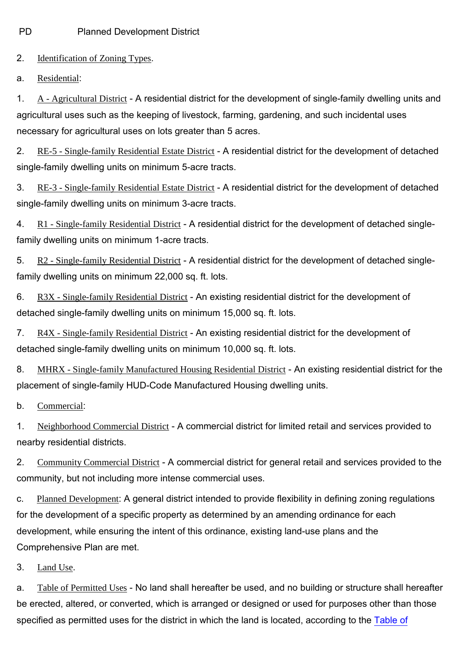PD Planned Development District

2. Identification of Zoning Types.

a. Residential:

1. A - Agricultural District - A residential district for the development of single-family dwelling units and agricultural uses such as the keeping of livestock, farming, gardening, and such incidental uses necessary for agricultural uses on lots greater than 5 acres.

2. RE-5 - Single-family Residential Estate District - A residential district for the development of detached single-family dwelling units on minimum 5-acre tracts.

3. RE-3 - Single-family Residential Estate District - A residential district for the development of detached single-family dwelling units on minimum 3-acre tracts.

4. R1 - Single-family Residential District - A residential district for the development of detached singlefamily dwelling units on minimum 1-acre tracts.

5. R2 - Single-family Residential District - A residential district for the development of detached singlefamily dwelling units on minimum 22,000 sq. ft. lots.

6. R3X - Single-family Residential District - An existing residential district for the development of detached single-family dwelling units on minimum 15,000 sq. ft. lots.

7. R4X - Single-family Residential District - An existing residential district for the development of detached single-family dwelling units on minimum 10,000 sq. ft. lots.

8. MHRX - Single-family Manufactured Housing Residential District - An existing residential district for the placement of single-family HUD-Code Manufactured Housing dwelling units.

b. Commercial:

1. Neighborhood Commercial District - A commercial district for limited retail and services provided to nearby residential districts.

2. Community Commercial District - A commercial district for general retail and services provided to the community, but not including more intense commercial uses.

c. Planned Development: A general district intended to provide flexibility in defining zoning regulations for the development of a specific property as determined by an amending ordinance for each development, while ensuring the intent of this ordinance, existing land-use plans and the Comprehensive Plan are met.

3. Land Use.

a. Table of Permitted Uses - No land shall hereafter be used, and no building or structure shall hereafter be erected, altered, or converted, which is arranged or designed or used for purposes other than those specified as permitted uses for the district in which the land is located, according to the Table of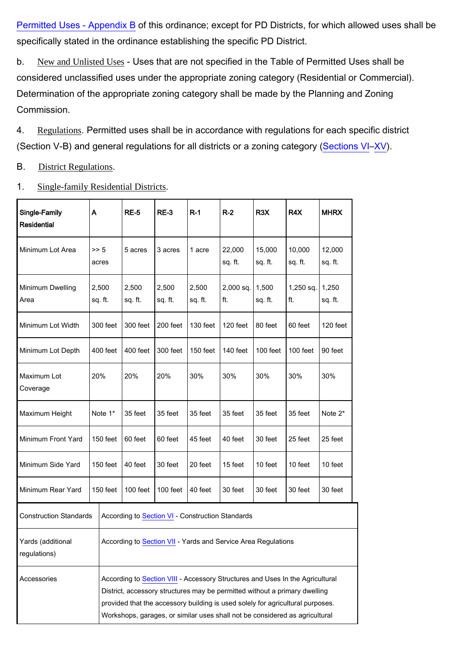Permitted Uses - Appendix B of this ordinance; except for PD Districts, for which allowed uses shall be specifically stated in the ordinance establishing the specific PD District.

b. New and Unlisted Uses - Uses that are not specified in the Table of Permitted Uses shall be considered unclassified uses under the appropriate zoning category (Residential or Commercial). Determination of the appropriate zoning category shall be made by the Planning and Zoning Commission.

4. Regulations. Permitted uses shall be in accordance with regulations for each specific district (Section V-B) and general regulations for all districts or a zoning category (Sections VI–XV).

B. District Regulations.

1. Single-family Residential Districts.

| Single-Family<br><b>Residential</b>                                                                | A                | <b>RE-5</b>                                                                                                                                                                                                                                                                                                                  | <b>RE-3</b>      | $R-1$            | $R-2$              | R <sub>3</sub> X  | R <sub>4</sub> X   | <b>MHRX</b>       |
|----------------------------------------------------------------------------------------------------|------------------|------------------------------------------------------------------------------------------------------------------------------------------------------------------------------------------------------------------------------------------------------------------------------------------------------------------------------|------------------|------------------|--------------------|-------------------|--------------------|-------------------|
| Minimum Lot Area                                                                                   | >> 5<br>acres    | 5 acres                                                                                                                                                                                                                                                                                                                      | 3 acres          | 1 acre           | 22,000<br>sq. ft.  | 15,000<br>sq. ft. | 10,000<br>sq. ft.  | 12,000<br>sq. ft. |
| Minimum Dwelling<br>Area                                                                           | 2,500<br>sq. ft. | 2,500<br>sq. ft.                                                                                                                                                                                                                                                                                                             | 2,500<br>sq. ft. | 2,500<br>sq. ft. | $2,000$ sq.<br>ft. | 1,500<br>sq. ft.  | $1,250$ sq.<br>ft. | 1,250<br>sq. ft.  |
| Minimum Lot Width                                                                                  | 300 feet         | 300 feet                                                                                                                                                                                                                                                                                                                     | 200 feet         | 130 feet         | 120 feet           | 80 feet           | 60 feet            | 120 feet          |
| Minimum Lot Depth                                                                                  | 400 feet         | 400 feet                                                                                                                                                                                                                                                                                                                     | 300 feet         | $150$ feet       | 140 feet           | 100 feet          | $100$ feet         | 90 feet           |
| Maximum Lot<br>Coverage                                                                            | 20%              | 20%                                                                                                                                                                                                                                                                                                                          | 20%              | 30%              | 30%                | 30%               | 30%                | 30%               |
| Maximum Height                                                                                     | Note 1*          | 35 feet                                                                                                                                                                                                                                                                                                                      | 35 feet          | 35 feet          | 35 feet            | 35 feet           | 35 feet            | Note 2*           |
| Minimum Front Yard                                                                                 | 150 feet         | 60 feet                                                                                                                                                                                                                                                                                                                      | 60 feet          | 45 feet          | 40 feet            | 30 feet           | 25 feet            | 25 feet           |
| Minimum Side Yard                                                                                  | 150 feet         | 40 feet                                                                                                                                                                                                                                                                                                                      | 30 feet          | 20 feet          | 15 feet            | 10 feet           | 10 feet            | 10 feet           |
| Minimum Rear Yard                                                                                  | 150 feet         | 100 feet                                                                                                                                                                                                                                                                                                                     | 100 feet         | 40 feet          | 30 feet            | 30 feet           | 30 feet            | 30 feet           |
| <b>Construction Standards</b>                                                                      |                  | According to Section VI - Construction Standards                                                                                                                                                                                                                                                                             |                  |                  |                    |                   |                    |                   |
| Yards (additional<br>According to Section VII - Yards and Service Area Regulations<br>regulations) |                  |                                                                                                                                                                                                                                                                                                                              |                  |                  |                    |                   |                    |                   |
| Accessories                                                                                        |                  | According to Section VIII - Accessory Structures and Uses In the Agricultural<br>District, accessory structures may be permitted without a primary dwelling<br>provided that the accessory building is used solely for agricultural purposes.<br>Workshops, garages, or similar uses shall not be considered as agricultural |                  |                  |                    |                   |                    |                   |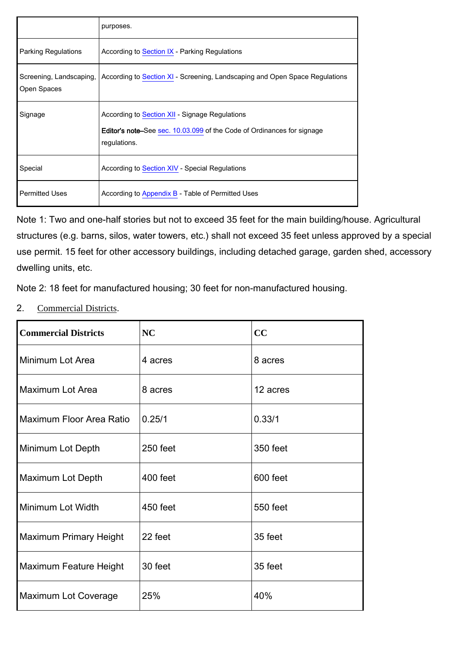|                                        | purposes.                                                                                                                                |
|----------------------------------------|------------------------------------------------------------------------------------------------------------------------------------------|
| <b>Parking Regulations</b>             | According to Section IX - Parking Regulations                                                                                            |
| Screening, Landscaping,<br>Open Spaces | According to Section XI - Screening, Landscaping and Open Space Regulations                                                              |
| Signage                                | According to Section XII - Signage Regulations<br>Editor's note-See sec. 10.03.099 of the Code of Ordinances for signage<br>regulations. |
| Special                                | According to Section XIV - Special Regulations                                                                                           |
| <b>Permitted Uses</b>                  | According to Appendix B - Table of Permitted Uses                                                                                        |

Note 1: Two and one-half stories but not to exceed 35 feet for the main building/house. Agricultural structures (e.g. barns, silos, water towers, etc.) shall not exceed 35 feet unless approved by a special use permit. 15 feet for other accessory buildings, including detached garage, garden shed, accessory dwelling units, etc.

Note 2: 18 feet for manufactured housing; 30 feet for non-manufactured housing.

2. Commercial Districts.

| <b>Commercial Districts</b>   | NC       | CC       |
|-------------------------------|----------|----------|
| Minimum Lot Area              | 4 acres  | 8 acres  |
| Maximum Lot Area              | 8 acres  | 12 acres |
| Maximum Floor Area Ratio      | 0.25/1   | 0.33/1   |
| Minimum Lot Depth             | 250 feet | 350 feet |
| <b>Maximum Lot Depth</b>      | 400 feet | 600 feet |
| Minimum Lot Width             | 450 feet | 550 feet |
| <b>Maximum Primary Height</b> | 22 feet  | 35 feet  |
| Maximum Feature Height        | 30 feet  | 35 feet  |
| <b>Maximum Lot Coverage</b>   | 25%      | 40%      |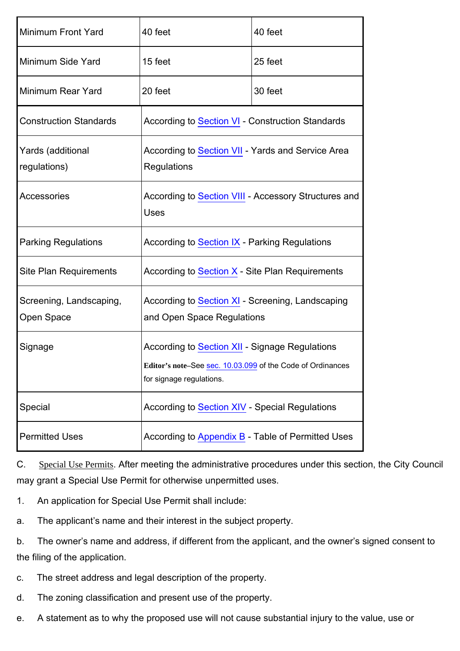| Minimum Front Yard                    | 40 feet                                                                                                                                  | 40 feet |  |  |
|---------------------------------------|------------------------------------------------------------------------------------------------------------------------------------------|---------|--|--|
| Minimum Side Yard                     | 15 feet                                                                                                                                  | 25 feet |  |  |
| Minimum Rear Yard                     | 20 feet                                                                                                                                  | 30 feet |  |  |
| <b>Construction Standards</b>         | <b>According to Section VI - Construction Standards</b>                                                                                  |         |  |  |
| Yards (additional<br>regulations)     | According to Section VII - Yards and Service Area<br>Regulations                                                                         |         |  |  |
| Accessories                           | According to Section VIII - Accessory Structures and<br><b>Uses</b>                                                                      |         |  |  |
| <b>Parking Regulations</b>            | According to Section IX - Parking Regulations                                                                                            |         |  |  |
| <b>Site Plan Requirements</b>         | According to Section X - Site Plan Requirements                                                                                          |         |  |  |
| Screening, Landscaping,<br>Open Space | According to Section XI - Screening, Landscaping<br>and Open Space Regulations                                                           |         |  |  |
| Signage                               | According to Section XII - Signage Regulations<br>Editor's note-See sec. 10.03.099 of the Code of Ordinances<br>for signage regulations. |         |  |  |
| Special                               | <b>According to Section XIV - Special Regulations</b>                                                                                    |         |  |  |
| <b>Permitted Uses</b>                 | According to Appendix B - Table of Permitted Uses                                                                                        |         |  |  |

C. Special Use Permits. After meeting the administrative procedures under this section, the City Council may grant a Special Use Permit for otherwise unpermitted uses.

1. An application for Special Use Permit shall include:

a. The applicant's name and their interest in the subject property.

b. The owner's name and address, if different from the applicant, and the owner's signed consent to the filing of the application.

- c. The street address and legal description of the property.
- d. The zoning classification and present use of the property.
- e. A statement as to why the proposed use will not cause substantial injury to the value, use or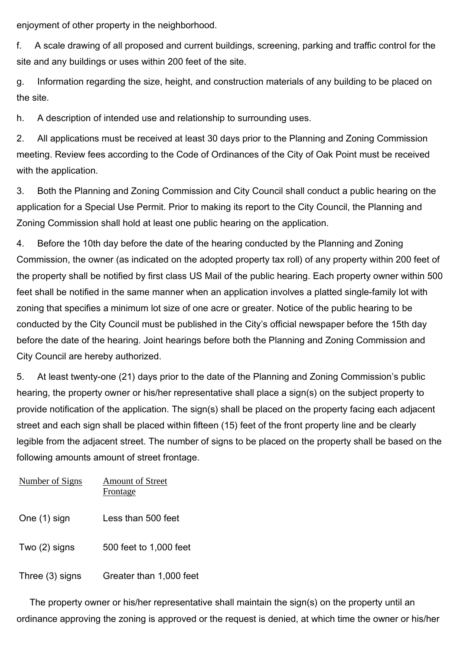enjoyment of other property in the neighborhood.

f. A scale drawing of all proposed and current buildings, screening, parking and traffic control for the site and any buildings or uses within 200 feet of the site.

g. Information regarding the size, height, and construction materials of any building to be placed on the site.

h. A description of intended use and relationship to surrounding uses.

2. All applications must be received at least 30 days prior to the Planning and Zoning Commission meeting. Review fees according to the Code of Ordinances of the City of Oak Point must be received with the application.

3. Both the Planning and Zoning Commission and City Council shall conduct a public hearing on the application for a Special Use Permit. Prior to making its report to the City Council, the Planning and Zoning Commission shall hold at least one public hearing on the application.

4. Before the 10th day before the date of the hearing conducted by the Planning and Zoning Commission, the owner (as indicated on the adopted property tax roll) of any property within 200 feet of the property shall be notified by first class US Mail of the public hearing. Each property owner within 500 feet shall be notified in the same manner when an application involves a platted single-family lot with zoning that specifies a minimum lot size of one acre or greater. Notice of the public hearing to be conducted by the City Council must be published in the City's official newspaper before the 15th day before the date of the hearing. Joint hearings before both the Planning and Zoning Commission and City Council are hereby authorized.

5. At least twenty-one (21) days prior to the date of the Planning and Zoning Commission's public hearing, the property owner or his/her representative shall place a sign(s) on the subject property to provide notification of the application. The sign(s) shall be placed on the property facing each adjacent street and each sign shall be placed within fifteen (15) feet of the front property line and be clearly legible from the adjacent street. The number of signs to be placed on the property shall be based on the following amounts amount of street frontage.

| Number of Signs | <b>Amount of Street</b><br>Frontage |
|-----------------|-------------------------------------|
| One (1) sign    | Less than 500 feet                  |
| Two $(2)$ signs | 500 feet to 1,000 feet              |
| Three (3) signs | Greater than 1,000 feet             |

The property owner or his/her representative shall maintain the sign(s) on the property until an ordinance approving the zoning is approved or the request is denied, at which time the owner or his/her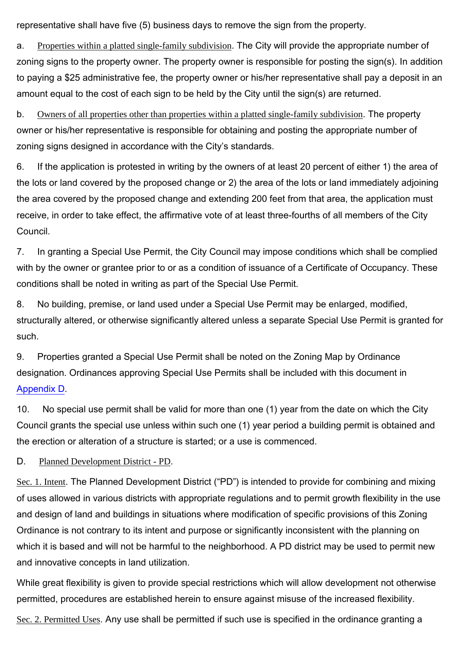representative shall have five (5) business days to remove the sign from the property.

a. Properties within a platted single-family subdivision. The City will provide the appropriate number of zoning signs to the property owner. The property owner is responsible for posting the sign(s). In addition to paying a \$25 administrative fee, the property owner or his/her representative shall pay a deposit in an amount equal to the cost of each sign to be held by the City until the sign(s) are returned.

b. Owners of all properties other than properties within a platted single-family subdivision. The property owner or his/her representative is responsible for obtaining and posting the appropriate number of zoning signs designed in accordance with the City's standards.

6. If the application is protested in writing by the owners of at least 20 percent of either 1) the area of the lots or land covered by the proposed change or 2) the area of the lots or land immediately adjoining the area covered by the proposed change and extending 200 feet from that area, the application must receive, in order to take effect, the affirmative vote of at least three-fourths of all members of the City Council.

7. In granting a Special Use Permit, the City Council may impose conditions which shall be complied with by the owner or grantee prior to or as a condition of issuance of a Certificate of Occupancy. These conditions shall be noted in writing as part of the Special Use Permit.

8. No building, premise, or land used under a Special Use Permit may be enlarged, modified, structurally altered, or otherwise significantly altered unless a separate Special Use Permit is granted for such.

9. Properties granted a Special Use Permit shall be noted on the Zoning Map by Ordinance designation. Ordinances approving Special Use Permits shall be included with this document in Appendix D.

10. No special use permit shall be valid for more than one (1) year from the date on which the City Council grants the special use unless within such one (1) year period a building permit is obtained and the erection or alteration of a structure is started; or a use is commenced.

## D. Planned Development District - PD.

Sec. 1. Intent. The Planned Development District ("PD") is intended to provide for combining and mixing of uses allowed in various districts with appropriate regulations and to permit growth flexibility in the use and design of land and buildings in situations where modification of specific provisions of this Zoning Ordinance is not contrary to its intent and purpose or significantly inconsistent with the planning on which it is based and will not be harmful to the neighborhood. A PD district may be used to permit new and innovative concepts in land utilization.

While great flexibility is given to provide special restrictions which will allow development not otherwise permitted, procedures are established herein to ensure against misuse of the increased flexibility.

Sec. 2. Permitted Uses. Any use shall be permitted if such use is specified in the ordinance granting a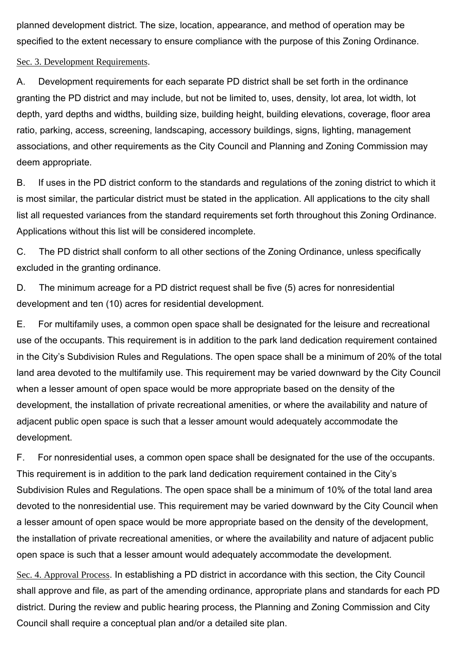planned development district. The size, location, appearance, and method of operation may be specified to the extent necessary to ensure compliance with the purpose of this Zoning Ordinance.

## Sec. 3. Development Requirements.

A. Development requirements for each separate PD district shall be set forth in the ordinance granting the PD district and may include, but not be limited to, uses, density, lot area, lot width, lot depth, yard depths and widths, building size, building height, building elevations, coverage, floor area ratio, parking, access, screening, landscaping, accessory buildings, signs, lighting, management associations, and other requirements as the City Council and Planning and Zoning Commission may deem appropriate.

B. If uses in the PD district conform to the standards and regulations of the zoning district to which it is most similar, the particular district must be stated in the application. All applications to the city shall list all requested variances from the standard requirements set forth throughout this Zoning Ordinance. Applications without this list will be considered incomplete.

C. The PD district shall conform to all other sections of the Zoning Ordinance, unless specifically excluded in the granting ordinance.

D. The minimum acreage for a PD district request shall be five (5) acres for nonresidential development and ten (10) acres for residential development.

E. For multifamily uses, a common open space shall be designated for the leisure and recreational use of the occupants. This requirement is in addition to the park land dedication requirement contained in the City's Subdivision Rules and Regulations. The open space shall be a minimum of 20% of the total land area devoted to the multifamily use. This requirement may be varied downward by the City Council when a lesser amount of open space would be more appropriate based on the density of the development, the installation of private recreational amenities, or where the availability and nature of adjacent public open space is such that a lesser amount would adequately accommodate the development.

F. For nonresidential uses, a common open space shall be designated for the use of the occupants. This requirement is in addition to the park land dedication requirement contained in the City's Subdivision Rules and Regulations. The open space shall be a minimum of 10% of the total land area devoted to the nonresidential use. This requirement may be varied downward by the City Council when a lesser amount of open space would be more appropriate based on the density of the development, the installation of private recreational amenities, or where the availability and nature of adjacent public open space is such that a lesser amount would adequately accommodate the development.

Sec. 4. Approval Process. In establishing a PD district in accordance with this section, the City Council shall approve and file, as part of the amending ordinance, appropriate plans and standards for each PD district. During the review and public hearing process, the Planning and Zoning Commission and City Council shall require a conceptual plan and/or a detailed site plan.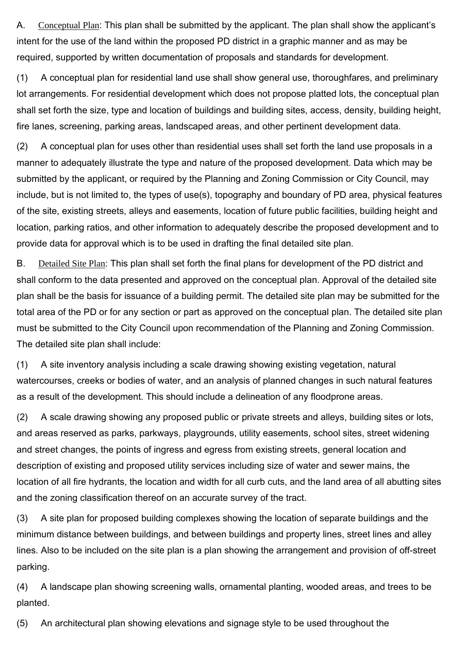A. Conceptual Plan: This plan shall be submitted by the applicant. The plan shall show the applicant's intent for the use of the land within the proposed PD district in a graphic manner and as may be required, supported by written documentation of proposals and standards for development.

(1) A conceptual plan for residential land use shall show general use, thoroughfares, and preliminary lot arrangements. For residential development which does not propose platted lots, the conceptual plan shall set forth the size, type and location of buildings and building sites, access, density, building height, fire lanes, screening, parking areas, landscaped areas, and other pertinent development data.

(2) A conceptual plan for uses other than residential uses shall set forth the land use proposals in a manner to adequately illustrate the type and nature of the proposed development. Data which may be submitted by the applicant, or required by the Planning and Zoning Commission or City Council, may include, but is not limited to, the types of use(s), topography and boundary of PD area, physical features of the site, existing streets, alleys and easements, location of future public facilities, building height and location, parking ratios, and other information to adequately describe the proposed development and to provide data for approval which is to be used in drafting the final detailed site plan.

B. Detailed Site Plan: This plan shall set forth the final plans for development of the PD district and shall conform to the data presented and approved on the conceptual plan. Approval of the detailed site plan shall be the basis for issuance of a building permit. The detailed site plan may be submitted for the total area of the PD or for any section or part as approved on the conceptual plan. The detailed site plan must be submitted to the City Council upon recommendation of the Planning and Zoning Commission. The detailed site plan shall include:

(1) A site inventory analysis including a scale drawing showing existing vegetation, natural watercourses, creeks or bodies of water, and an analysis of planned changes in such natural features as a result of the development. This should include a delineation of any floodprone areas.

(2) A scale drawing showing any proposed public or private streets and alleys, building sites or lots, and areas reserved as parks, parkways, playgrounds, utility easements, school sites, street widening and street changes, the points of ingress and egress from existing streets, general location and description of existing and proposed utility services including size of water and sewer mains, the location of all fire hydrants, the location and width for all curb cuts, and the land area of all abutting sites and the zoning classification thereof on an accurate survey of the tract.

(3) A site plan for proposed building complexes showing the location of separate buildings and the minimum distance between buildings, and between buildings and property lines, street lines and alley lines. Also to be included on the site plan is a plan showing the arrangement and provision of off-street parking.

(4) A landscape plan showing screening walls, ornamental planting, wooded areas, and trees to be planted.

(5) An architectural plan showing elevations and signage style to be used throughout the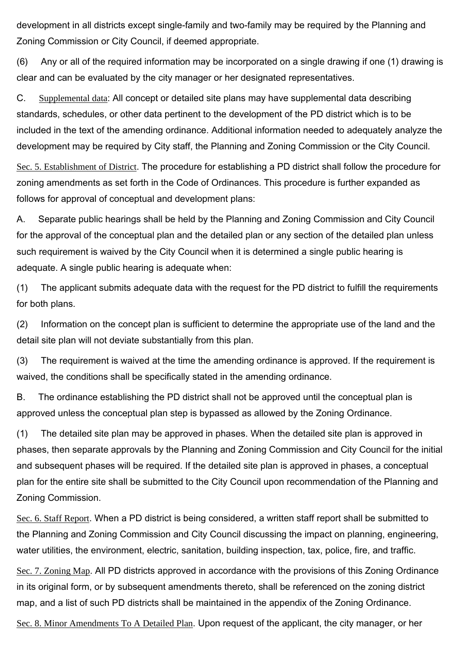development in all districts except single-family and two-family may be required by the Planning and Zoning Commission or City Council, if deemed appropriate.

(6) Any or all of the required information may be incorporated on a single drawing if one (1) drawing is clear and can be evaluated by the city manager or her designated representatives.

C. Supplemental data: All concept or detailed site plans may have supplemental data describing standards, schedules, or other data pertinent to the development of the PD district which is to be included in the text of the amending ordinance. Additional information needed to adequately analyze the development may be required by City staff, the Planning and Zoning Commission or the City Council.

Sec. 5. Establishment of District. The procedure for establishing a PD district shall follow the procedure for zoning amendments as set forth in the Code of Ordinances. This procedure is further expanded as follows for approval of conceptual and development plans:

A. Separate public hearings shall be held by the Planning and Zoning Commission and City Council for the approval of the conceptual plan and the detailed plan or any section of the detailed plan unless such requirement is waived by the City Council when it is determined a single public hearing is adequate. A single public hearing is adequate when:

(1) The applicant submits adequate data with the request for the PD district to fulfill the requirements for both plans.

(2) Information on the concept plan is sufficient to determine the appropriate use of the land and the detail site plan will not deviate substantially from this plan.

(3) The requirement is waived at the time the amending ordinance is approved. If the requirement is waived, the conditions shall be specifically stated in the amending ordinance.

B. The ordinance establishing the PD district shall not be approved until the conceptual plan is approved unless the conceptual plan step is bypassed as allowed by the Zoning Ordinance.

(1) The detailed site plan may be approved in phases. When the detailed site plan is approved in phases, then separate approvals by the Planning and Zoning Commission and City Council for the initial and subsequent phases will be required. If the detailed site plan is approved in phases, a conceptual plan for the entire site shall be submitted to the City Council upon recommendation of the Planning and Zoning Commission.

Sec. 6. Staff Report. When a PD district is being considered, a written staff report shall be submitted to the Planning and Zoning Commission and City Council discussing the impact on planning, engineering, water utilities, the environment, electric, sanitation, building inspection, tax, police, fire, and traffic.

Sec. 7. Zoning Map. All PD districts approved in accordance with the provisions of this Zoning Ordinance in its original form, or by subsequent amendments thereto, shall be referenced on the zoning district map, and a list of such PD districts shall be maintained in the appendix of the Zoning Ordinance.

Sec. 8. Minor Amendments To A Detailed Plan. Upon request of the applicant, the city manager, or her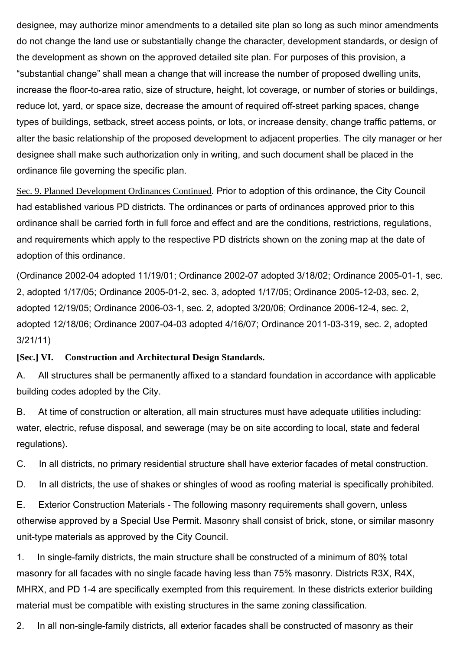designee, may authorize minor amendments to a detailed site plan so long as such minor amendments do not change the land use or substantially change the character, development standards, or design of the development as shown on the approved detailed site plan. For purposes of this provision, a "substantial change" shall mean a change that will increase the number of proposed dwelling units, increase the floor-to-area ratio, size of structure, height, lot coverage, or number of stories or buildings, reduce lot, yard, or space size, decrease the amount of required off-street parking spaces, change types of buildings, setback, street access points, or lots, or increase density, change traffic patterns, or alter the basic relationship of the proposed development to adjacent properties. The city manager or her designee shall make such authorization only in writing, and such document shall be placed in the ordinance file governing the specific plan.

Sec. 9. Planned Development Ordinances Continued. Prior to adoption of this ordinance, the City Council had established various PD districts. The ordinances or parts of ordinances approved prior to this ordinance shall be carried forth in full force and effect and are the conditions, restrictions, regulations, and requirements which apply to the respective PD districts shown on the zoning map at the date of adoption of this ordinance.

(Ordinance 2002-04 adopted 11/19/01; Ordinance 2002-07 adopted 3/18/02; Ordinance 2005-01-1, sec. 2, adopted 1/17/05; Ordinance 2005-01-2, sec. 3, adopted 1/17/05; Ordinance 2005-12-03, sec. 2, adopted 12/19/05; Ordinance 2006-03-1, sec. 2, adopted 3/20/06; Ordinance 2006-12-4, sec. 2, adopted 12/18/06; Ordinance 2007-04-03 adopted 4/16/07; Ordinance 2011-03-319, sec. 2, adopted 3/21/11)

## **[Sec.] VI. Construction and Architectural Design Standards.**

A. All structures shall be permanently affixed to a standard foundation in accordance with applicable building codes adopted by the City.

B. At time of construction or alteration, all main structures must have adequate utilities including: water, electric, refuse disposal, and sewerage (may be on site according to local, state and federal regulations).

C. In all districts, no primary residential structure shall have exterior facades of metal construction.

D. In all districts, the use of shakes or shingles of wood as roofing material is specifically prohibited.

E. Exterior Construction Materials - The following masonry requirements shall govern, unless otherwise approved by a Special Use Permit. Masonry shall consist of brick, stone, or similar masonry unit-type materials as approved by the City Council.

1. In single-family districts, the main structure shall be constructed of a minimum of 80% total masonry for all facades with no single facade having less than 75% masonry. Districts R3X, R4X, MHRX, and PD 1-4 are specifically exempted from this requirement. In these districts exterior building material must be compatible with existing structures in the same zoning classification.

2. In all non-single-family districts, all exterior facades shall be constructed of masonry as their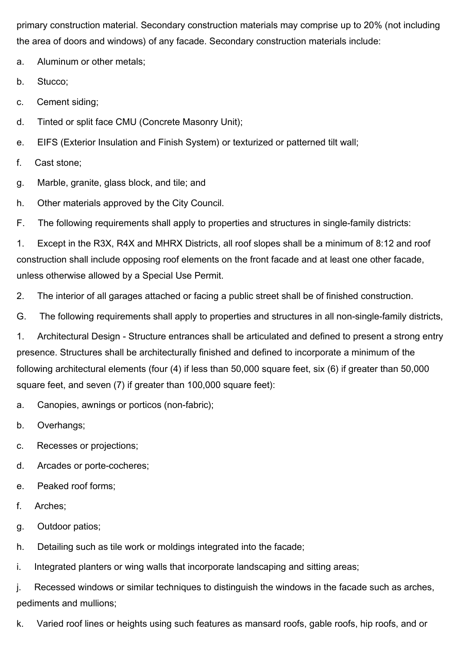primary construction material. Secondary construction materials may comprise up to 20% (not including the area of doors and windows) of any facade. Secondary construction materials include:

a. Aluminum or other metals;

- b. Stucco;
- c. Cement siding;
- d. Tinted or split face CMU (Concrete Masonry Unit);
- e. EIFS (Exterior Insulation and Finish System) or texturized or patterned tilt wall;
- f. Cast stone;
- g. Marble, granite, glass block, and tile; and
- h. Other materials approved by the City Council.

F. The following requirements shall apply to properties and structures in single-family districts:

1. Except in the R3X, R4X and MHRX Districts, all roof slopes shall be a minimum of 8:12 and roof construction shall include opposing roof elements on the front facade and at least one other facade, unless otherwise allowed by a Special Use Permit.

2. The interior of all garages attached or facing a public street shall be of finished construction.

G. The following requirements shall apply to properties and structures in all non-single-family districts,

1. Architectural Design - Structure entrances shall be articulated and defined to present a strong entry presence. Structures shall be architecturally finished and defined to incorporate a minimum of the following architectural elements (four (4) if less than 50,000 square feet, six (6) if greater than 50,000 square feet, and seven (7) if greater than 100,000 square feet):

a. Canopies, awnings or porticos (non-fabric);

b. Overhangs;

- c. Recesses or projections;
- d. Arcades or porte-cocheres;
- e. Peaked roof forms;
- f. Arches;
- g. Outdoor patios;

h. Detailing such as tile work or moldings integrated into the facade;

i. Integrated planters or wing walls that incorporate landscaping and sitting areas;

j. Recessed windows or similar techniques to distinguish the windows in the facade such as arches, pediments and mullions;

k. Varied roof lines or heights using such features as mansard roofs, gable roofs, hip roofs, and or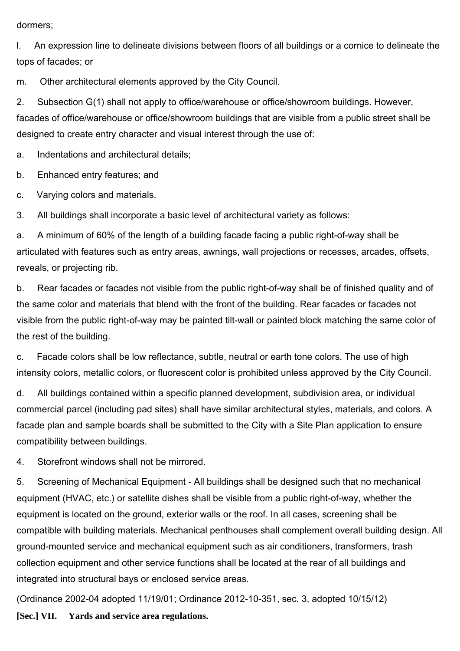dormers;

l. An expression line to delineate divisions between floors of all buildings or a cornice to delineate the tops of facades; or

m. Other architectural elements approved by the City Council.

2. Subsection G(1) shall not apply to office/warehouse or office/showroom buildings. However, facades of office/warehouse or office/showroom buildings that are visible from a public street shall be designed to create entry character and visual interest through the use of:

a. Indentations and architectural details;

b. Enhanced entry features; and

c. Varying colors and materials.

3. All buildings shall incorporate a basic level of architectural variety as follows:

a. A minimum of 60% of the length of a building facade facing a public right-of-way shall be articulated with features such as entry areas, awnings, wall projections or recesses, arcades, offsets, reveals, or projecting rib.

b. Rear facades or facades not visible from the public right-of-way shall be of finished quality and of the same color and materials that blend with the front of the building. Rear facades or facades not visible from the public right-of-way may be painted tilt-wall or painted block matching the same color of the rest of the building.

c. Facade colors shall be low reflectance, subtle, neutral or earth tone colors. The use of high intensity colors, metallic colors, or fluorescent color is prohibited unless approved by the City Council.

d. All buildings contained within a specific planned development, subdivision area, or individual commercial parcel (including pad sites) shall have similar architectural styles, materials, and colors. A facade plan and sample boards shall be submitted to the City with a Site Plan application to ensure compatibility between buildings.

4. Storefront windows shall not be mirrored.

5. Screening of Mechanical Equipment - All buildings shall be designed such that no mechanical equipment (HVAC, etc.) or satellite dishes shall be visible from a public right-of-way, whether the equipment is located on the ground, exterior walls or the roof. In all cases, screening shall be compatible with building materials. Mechanical penthouses shall complement overall building design. All ground-mounted service and mechanical equipment such as air conditioners, transformers, trash collection equipment and other service functions shall be located at the rear of all buildings and integrated into structural bays or enclosed service areas.

(Ordinance 2002-04 adopted 11/19/01; Ordinance 2012-10-351, sec. 3, adopted 10/15/12) **[Sec.] VII. Yards and service area regulations.**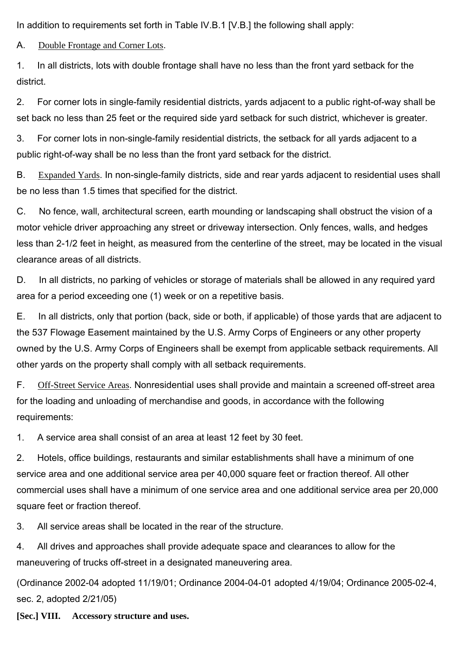In addition to requirements set forth in Table IV.B.1 [V.B.] the following shall apply:

A. Double Frontage and Corner Lots.

1. In all districts, lots with double frontage shall have no less than the front yard setback for the district.

2. For corner lots in single-family residential districts, yards adjacent to a public right-of-way shall be set back no less than 25 feet or the required side yard setback for such district, whichever is greater.

3. For corner lots in non-single-family residential districts, the setback for all yards adjacent to a public right-of-way shall be no less than the front yard setback for the district.

B. Expanded Yards. In non-single-family districts, side and rear yards adjacent to residential uses shall be no less than 1.5 times that specified for the district.

C. No fence, wall, architectural screen, earth mounding or landscaping shall obstruct the vision of a motor vehicle driver approaching any street or driveway intersection. Only fences, walls, and hedges less than 2-1/2 feet in height, as measured from the centerline of the street, may be located in the visual clearance areas of all districts.

D. In all districts, no parking of vehicles or storage of materials shall be allowed in any required yard area for a period exceeding one (1) week or on a repetitive basis.

E. In all districts, only that portion (back, side or both, if applicable) of those yards that are adjacent to the 537 Flowage Easement maintained by the U.S. Army Corps of Engineers or any other property owned by the U.S. Army Corps of Engineers shall be exempt from applicable setback requirements. All other yards on the property shall comply with all setback requirements.

F. Off-Street Service Areas. Nonresidential uses shall provide and maintain a screened off-street area for the loading and unloading of merchandise and goods, in accordance with the following requirements:

1. A service area shall consist of an area at least 12 feet by 30 feet.

2. Hotels, office buildings, restaurants and similar establishments shall have a minimum of one service area and one additional service area per 40,000 square feet or fraction thereof. All other commercial uses shall have a minimum of one service area and one additional service area per 20,000 square feet or fraction thereof.

3. All service areas shall be located in the rear of the structure.

4. All drives and approaches shall provide adequate space and clearances to allow for the maneuvering of trucks off-street in a designated maneuvering area.

(Ordinance 2002-04 adopted 11/19/01; Ordinance 2004-04-01 adopted 4/19/04; Ordinance 2005-02-4, sec. 2, adopted 2/21/05)

**[Sec.] VIII. Accessory structure and uses.**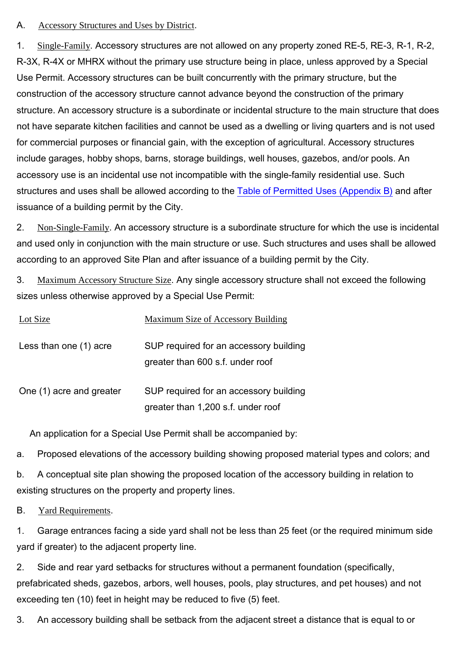## A. Accessory Structures and Uses by District.

1. Single-Family. Accessory structures are not allowed on any property zoned RE-5, RE-3, R-1, R-2, R-3X, R-4X or MHRX without the primary use structure being in place, unless approved by a Special Use Permit. Accessory structures can be built concurrently with the primary structure, but the construction of the accessory structure cannot advance beyond the construction of the primary structure. An accessory structure is a subordinate or incidental structure to the main structure that does not have separate kitchen facilities and cannot be used as a dwelling or living quarters and is not used for commercial purposes or financial gain, with the exception of agricultural. Accessory structures include garages, hobby shops, barns, storage buildings, well houses, gazebos, and/or pools. An accessory use is an incidental use not incompatible with the single-family residential use. Such structures and uses shall be allowed according to the Table of Permitted Uses (Appendix B) and after issuance of a building permit by the City.

2. Non-Single-Family. An accessory structure is a subordinate structure for which the use is incidental and used only in conjunction with the main structure or use. Such structures and uses shall be allowed according to an approved Site Plan and after issuance of a building permit by the City.

3. Maximum Accessory Structure Size. Any single accessory structure shall not exceed the following sizes unless otherwise approved by a Special Use Permit:

| Lot Size                 | Maximum Size of Accessory Building                                           |
|--------------------------|------------------------------------------------------------------------------|
| Less than one (1) acre   | SUP required for an accessory building<br>greater than 600 s.f. under roof   |
| One (1) acre and greater | SUP required for an accessory building<br>greater than 1,200 s.f. under roof |

An application for a Special Use Permit shall be accompanied by:

a. Proposed elevations of the accessory building showing proposed material types and colors; and

b. A conceptual site plan showing the proposed location of the accessory building in relation to existing structures on the property and property lines.

# B. Yard Requirements.

1. Garage entrances facing a side yard shall not be less than 25 feet (or the required minimum side yard if greater) to the adjacent property line.

2. Side and rear yard setbacks for structures without a permanent foundation (specifically, prefabricated sheds, gazebos, arbors, well houses, pools, play structures, and pet houses) and not exceeding ten (10) feet in height may be reduced to five (5) feet.

3. An accessory building shall be setback from the adjacent street a distance that is equal to or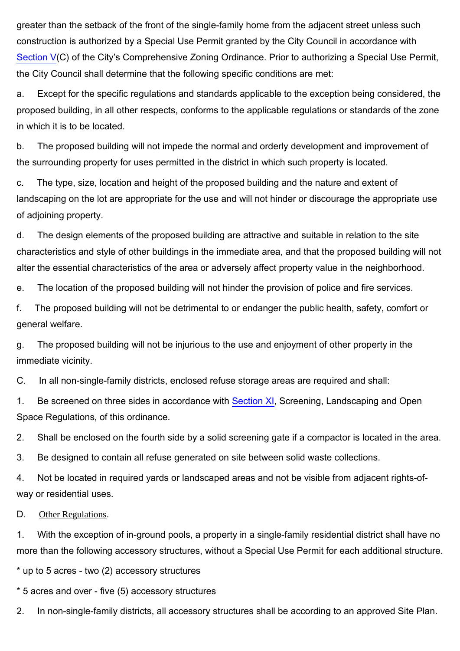greater than the setback of the front of the single-family home from the adjacent street unless such construction is authorized by a Special Use Permit granted by the City Council in accordance with Section V(C) of the City's Comprehensive Zoning Ordinance. Prior to authorizing a Special Use Permit, the City Council shall determine that the following specific conditions are met:

a. Except for the specific regulations and standards applicable to the exception being considered, the proposed building, in all other respects, conforms to the applicable regulations or standards of the zone in which it is to be located.

b. The proposed building will not impede the normal and orderly development and improvement of the surrounding property for uses permitted in the district in which such property is located.

c. The type, size, location and height of the proposed building and the nature and extent of landscaping on the lot are appropriate for the use and will not hinder or discourage the appropriate use of adjoining property.

d. The design elements of the proposed building are attractive and suitable in relation to the site characteristics and style of other buildings in the immediate area, and that the proposed building will not alter the essential characteristics of the area or adversely affect property value in the neighborhood.

e. The location of the proposed building will not hinder the provision of police and fire services.

f. The proposed building will not be detrimental to or endanger the public health, safety, comfort or general welfare.

g. The proposed building will not be injurious to the use and enjoyment of other property in the immediate vicinity.

C. In all non-single-family districts, enclosed refuse storage areas are required and shall:

1. Be screened on three sides in accordance with Section XI, Screening, Landscaping and Open Space Regulations, of this ordinance.

2. Shall be enclosed on the fourth side by a solid screening gate if a compactor is located in the area.

3. Be designed to contain all refuse generated on site between solid waste collections.

4. Not be located in required yards or landscaped areas and not be visible from adjacent rights-ofway or residential uses.

D. Other Regulations.

1. With the exception of in-ground pools, a property in a single-family residential district shall have no more than the following accessory structures, without a Special Use Permit for each additional structure.

\* up to 5 acres - two (2) accessory structures

\* 5 acres and over - five (5) accessory structures

2. In non-single-family districts, all accessory structures shall be according to an approved Site Plan.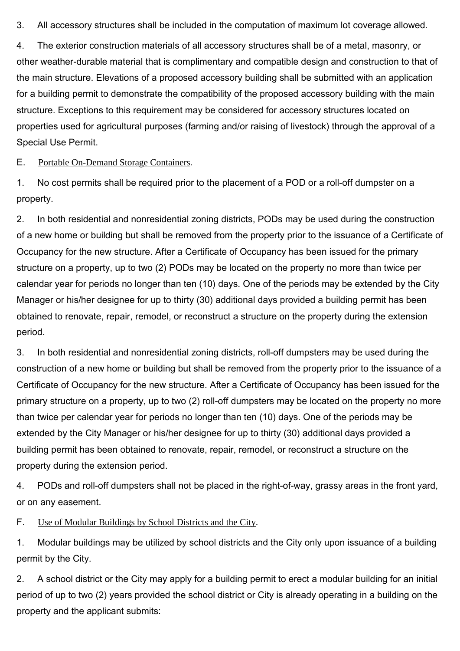3. All accessory structures shall be included in the computation of maximum lot coverage allowed.

4. The exterior construction materials of all accessory structures shall be of a metal, masonry, or other weather-durable material that is complimentary and compatible design and construction to that of the main structure. Elevations of a proposed accessory building shall be submitted with an application for a building permit to demonstrate the compatibility of the proposed accessory building with the main structure. Exceptions to this requirement may be considered for accessory structures located on properties used for agricultural purposes (farming and/or raising of livestock) through the approval of a Special Use Permit.

## E. Portable On-Demand Storage Containers.

1. No cost permits shall be required prior to the placement of a POD or a roll-off dumpster on a property.

2. In both residential and nonresidential zoning districts, PODs may be used during the construction of a new home or building but shall be removed from the property prior to the issuance of a Certificate of Occupancy for the new structure. After a Certificate of Occupancy has been issued for the primary structure on a property, up to two (2) PODs may be located on the property no more than twice per calendar year for periods no longer than ten (10) days. One of the periods may be extended by the City Manager or his/her designee for up to thirty (30) additional days provided a building permit has been obtained to renovate, repair, remodel, or reconstruct a structure on the property during the extension period.

3. In both residential and nonresidential zoning districts, roll-off dumpsters may be used during the construction of a new home or building but shall be removed from the property prior to the issuance of a Certificate of Occupancy for the new structure. After a Certificate of Occupancy has been issued for the primary structure on a property, up to two (2) roll-off dumpsters may be located on the property no more than twice per calendar year for periods no longer than ten (10) days. One of the periods may be extended by the City Manager or his/her designee for up to thirty (30) additional days provided a building permit has been obtained to renovate, repair, remodel, or reconstruct a structure on the property during the extension period.

4. PODs and roll-off dumpsters shall not be placed in the right-of-way, grassy areas in the front yard, or on any easement.

F. Use of Modular Buildings by School Districts and the City.

1. Modular buildings may be utilized by school districts and the City only upon issuance of a building permit by the City.

2. A school district or the City may apply for a building permit to erect a modular building for an initial period of up to two (2) years provided the school district or City is already operating in a building on the property and the applicant submits: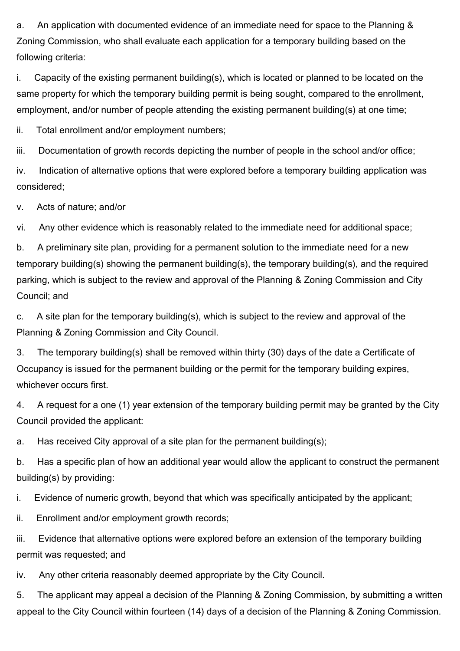a. An application with documented evidence of an immediate need for space to the Planning & Zoning Commission, who shall evaluate each application for a temporary building based on the following criteria:

i. Capacity of the existing permanent building(s), which is located or planned to be located on the same property for which the temporary building permit is being sought, compared to the enrollment, employment, and/or number of people attending the existing permanent building(s) at one time;

ii. Total enrollment and/or employment numbers;

iii. Documentation of growth records depicting the number of people in the school and/or office;

iv. Indication of alternative options that were explored before a temporary building application was considered;

v. Acts of nature; and/or

vi. Any other evidence which is reasonably related to the immediate need for additional space;

b. A preliminary site plan, providing for a permanent solution to the immediate need for a new temporary building(s) showing the permanent building(s), the temporary building(s), and the required parking, which is subject to the review and approval of the Planning & Zoning Commission and City Council; and

c. A site plan for the temporary building(s), which is subject to the review and approval of the Planning & Zoning Commission and City Council.

3. The temporary building(s) shall be removed within thirty (30) days of the date a Certificate of Occupancy is issued for the permanent building or the permit for the temporary building expires, whichever occurs first.

4. A request for a one (1) year extension of the temporary building permit may be granted by the City Council provided the applicant:

a. Has received City approval of a site plan for the permanent building(s);

b. Has a specific plan of how an additional year would allow the applicant to construct the permanent building(s) by providing:

i. Evidence of numeric growth, beyond that which was specifically anticipated by the applicant;

ii. Enrollment and/or employment growth records;

iii. Evidence that alternative options were explored before an extension of the temporary building permit was requested; and

iv. Any other criteria reasonably deemed appropriate by the City Council.

5. The applicant may appeal a decision of the Planning & Zoning Commission, by submitting a written appeal to the City Council within fourteen (14) days of a decision of the Planning & Zoning Commission.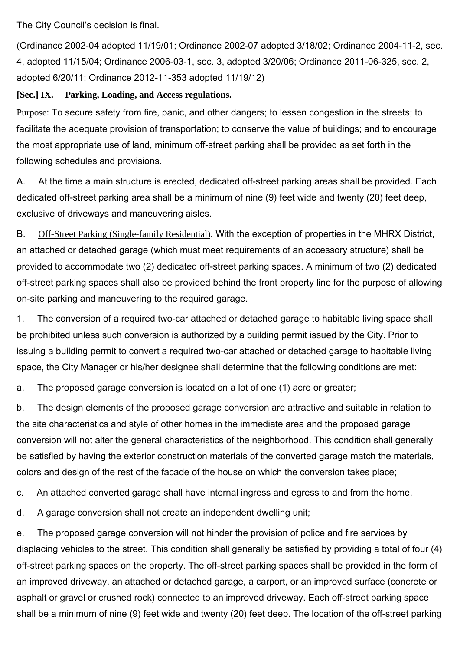The City Council's decision is final.

(Ordinance 2002-04 adopted 11/19/01; Ordinance 2002-07 adopted 3/18/02; Ordinance 2004-11-2, sec. 4, adopted 11/15/04; Ordinance 2006-03-1, sec. 3, adopted 3/20/06; Ordinance 2011-06-325, sec. 2, adopted 6/20/11; Ordinance 2012-11-353 adopted 11/19/12)

**[Sec.] IX. Parking, Loading, and Access regulations.**

Purpose: To secure safety from fire, panic, and other dangers; to lessen congestion in the streets; to facilitate the adequate provision of transportation; to conserve the value of buildings; and to encourage the most appropriate use of land, minimum off-street parking shall be provided as set forth in the following schedules and provisions.

A. At the time a main structure is erected, dedicated off-street parking areas shall be provided. Each dedicated off-street parking area shall be a minimum of nine (9) feet wide and twenty (20) feet deep, exclusive of driveways and maneuvering aisles.

B. Off-Street Parking (Single-family Residential). With the exception of properties in the MHRX District, an attached or detached garage (which must meet requirements of an accessory structure) shall be provided to accommodate two (2) dedicated off-street parking spaces. A minimum of two (2) dedicated off-street parking spaces shall also be provided behind the front property line for the purpose of allowing on-site parking and maneuvering to the required garage.

1. The conversion of a required two-car attached or detached garage to habitable living space shall be prohibited unless such conversion is authorized by a building permit issued by the City. Prior to issuing a building permit to convert a required two-car attached or detached garage to habitable living space, the City Manager or his/her designee shall determine that the following conditions are met:

a. The proposed garage conversion is located on a lot of one (1) acre or greater;

b. The design elements of the proposed garage conversion are attractive and suitable in relation to the site characteristics and style of other homes in the immediate area and the proposed garage conversion will not alter the general characteristics of the neighborhood. This condition shall generally be satisfied by having the exterior construction materials of the converted garage match the materials, colors and design of the rest of the facade of the house on which the conversion takes place;

c. An attached converted garage shall have internal ingress and egress to and from the home.

d. A garage conversion shall not create an independent dwelling unit;

e. The proposed garage conversion will not hinder the provision of police and fire services by displacing vehicles to the street. This condition shall generally be satisfied by providing a total of four (4) off-street parking spaces on the property. The off-street parking spaces shall be provided in the form of an improved driveway, an attached or detached garage, a carport, or an improved surface (concrete or asphalt or gravel or crushed rock) connected to an improved driveway. Each off-street parking space shall be a minimum of nine (9) feet wide and twenty (20) feet deep. The location of the off-street parking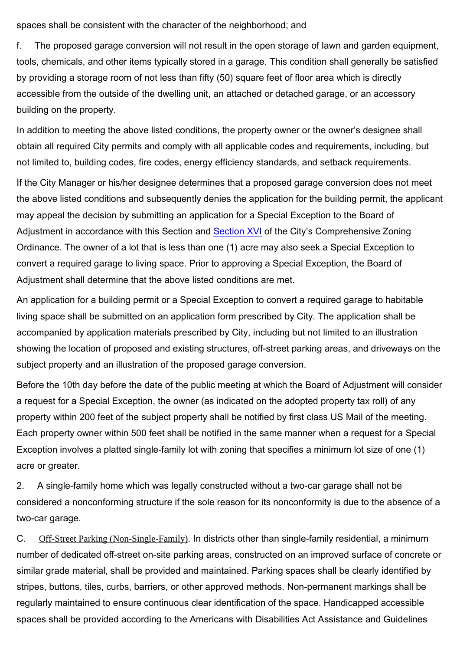spaces shall be consistent with the character of the neighborhood; and

f. The proposed garage conversion will not result in the open storage of lawn and garden equipment, tools, chemicals, and other items typically stored in a garage. This condition shall generally be satisfied by providing a storage room of not less than fifty (50) square feet of floor area which is directly accessible from the outside of the dwelling unit, an attached or detached garage, or an accessory building on the property.

In addition to meeting the above listed conditions, the property owner or the owner's designee shall obtain all required City permits and comply with all applicable codes and requirements, including, but not limited to, building codes, fire codes, energy efficiency standards, and setback requirements.

If the City Manager or his/her designee determines that a proposed garage conversion does not meet the above listed conditions and subsequently denies the application for the building permit, the applicant may appeal the decision by submitting an application for a Special Exception to the Board of Adjustment in accordance with this Section and Section XVI of the City's Comprehensive Zoning Ordinance. The owner of a lot that is less than one (1) acre may also seek a Special Exception to convert a required garage to living space. Prior to approving a Special Exception, the Board of Adjustment shall determine that the above listed conditions are met.

An application for a building permit or a Special Exception to convert a required garage to habitable living space shall be submitted on an application form prescribed by City. The application shall be accompanied by application materials prescribed by City, including but not limited to an illustration showing the location of proposed and existing structures, off-street parking areas, and driveways on the subject property and an illustration of the proposed garage conversion.

Before the 10th day before the date of the public meeting at which the Board of Adjustment will consider a request for a Special Exception, the owner (as indicated on the adopted property tax roll) of any property within 200 feet of the subject property shall be notified by first class US Mail of the meeting. Each property owner within 500 feet shall be notified in the same manner when a request for a Special Exception involves a platted single-family lot with zoning that specifies a minimum lot size of one (1) acre or greater.

2. A single-family home which was legally constructed without a two-car garage shall not be considered a nonconforming structure if the sole reason for its nonconformity is due to the absence of a two-car garage.

C. Off-Street Parking (Non-Single-Family). In districts other than single-family residential, a minimum number of dedicated off-street on-site parking areas, constructed on an improved surface of concrete or similar grade material, shall be provided and maintained. Parking spaces shall be clearly identified by stripes, buttons, tiles, curbs, barriers, or other approved methods. Non-permanent markings shall be regularly maintained to ensure continuous clear identification of the space. Handicapped accessible spaces shall be provided according to the Americans with Disabilities Act Assistance and Guidelines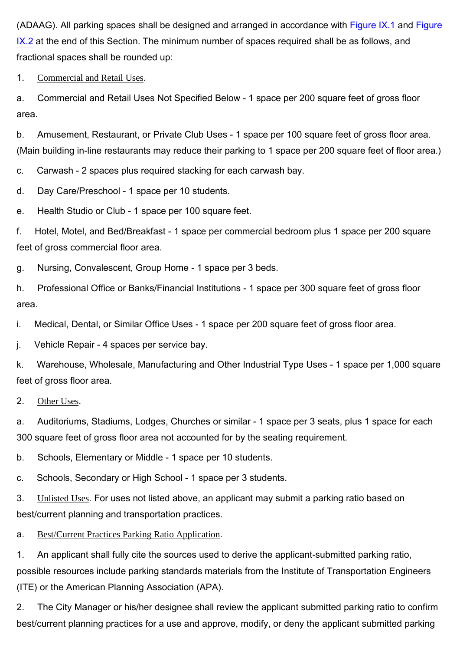(ADAAG). All parking spaces shall be designed and arranged in accordance with Figure IX.1 and Figure IX.2 at the end of this Section. The minimum number of spaces required shall be as follows, and fractional spaces shall be rounded up:

1. Commercial and Retail Uses.

a. Commercial and Retail Uses Not Specified Below - 1 space per 200 square feet of gross floor area.

b. Amusement, Restaurant, or Private Club Uses - 1 space per 100 square feet of gross floor area. (Main building in-line restaurants may reduce their parking to 1 space per 200 square feet of floor area.)

c. Carwash - 2 spaces plus required stacking for each carwash bay.

d. Day Care/Preschool - 1 space per 10 students.

e. Health Studio or Club - 1 space per 100 square feet.

f. Hotel, Motel, and Bed/Breakfast - 1 space per commercial bedroom plus 1 space per 200 square feet of gross commercial floor area.

g. Nursing, Convalescent, Group Home - 1 space per 3 beds.

h. Professional Office or Banks/Financial Institutions - 1 space per 300 square feet of gross floor area.

i. Medical, Dental, or Similar Office Uses - 1 space per 200 square feet of gross floor area.

j. Vehicle Repair - 4 spaces per service bay.

k. Warehouse, Wholesale, Manufacturing and Other Industrial Type Uses - 1 space per 1,000 square feet of gross floor area.

## 2. Other Uses.

a. Auditoriums, Stadiums, Lodges, Churches or similar - 1 space per 3 seats, plus 1 space for each 300 square feet of gross floor area not accounted for by the seating requirement.

b. Schools, Elementary or Middle - 1 space per 10 students.

c. Schools, Secondary or High School - 1 space per 3 students.

3. Unlisted Uses. For uses not listed above, an applicant may submit a parking ratio based on best/current planning and transportation practices.

a. Best/Current Practices Parking Ratio Application.

1. An applicant shall fully cite the sources used to derive the applicant-submitted parking ratio, possible resources include parking standards materials from the Institute of Transportation Engineers (ITE) or the American Planning Association (APA).

2. The City Manager or his/her designee shall review the applicant submitted parking ratio to confirm best/current planning practices for a use and approve, modify, or deny the applicant submitted parking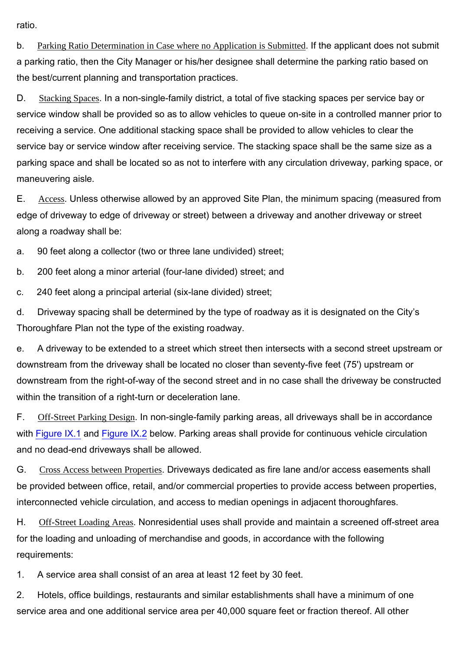ratio.

b. Parking Ratio Determination in Case where no Application is Submitted. If the applicant does not submit a parking ratio, then the City Manager or his/her designee shall determine the parking ratio based on the best/current planning and transportation practices.

D. Stacking Spaces. In a non-single-family district, a total of five stacking spaces per service bay or service window shall be provided so as to allow vehicles to queue on-site in a controlled manner prior to receiving a service. One additional stacking space shall be provided to allow vehicles to clear the service bay or service window after receiving service. The stacking space shall be the same size as a parking space and shall be located so as not to interfere with any circulation driveway, parking space, or maneuvering aisle.

E. Access. Unless otherwise allowed by an approved Site Plan, the minimum spacing (measured from edge of driveway to edge of driveway or street) between a driveway and another driveway or street along a roadway shall be:

a. 90 feet along a collector (two or three lane undivided) street;

- b. 200 feet along a minor arterial (four-lane divided) street; and
- c. 240 feet along a principal arterial (six-lane divided) street;

d. Driveway spacing shall be determined by the type of roadway as it is designated on the City's Thoroughfare Plan not the type of the existing roadway.

e. A driveway to be extended to a street which street then intersects with a second street upstream or downstream from the driveway shall be located no closer than seventy-five feet (75') upstream or downstream from the right-of-way of the second street and in no case shall the driveway be constructed within the transition of a right-turn or deceleration lane.

F. Off-Street Parking Design. In non-single-family parking areas, all driveways shall be in accordance with Figure IX.1 and Figure IX.2 below. Parking areas shall provide for continuous vehicle circulation and no dead-end driveways shall be allowed.

G. Cross Access between Properties. Driveways dedicated as fire lane and/or access easements shall be provided between office, retail, and/or commercial properties to provide access between properties, interconnected vehicle circulation, and access to median openings in adjacent thoroughfares.

H. Off-Street Loading Areas. Nonresidential uses shall provide and maintain a screened off-street area for the loading and unloading of merchandise and goods, in accordance with the following requirements:

1. A service area shall consist of an area at least 12 feet by 30 feet.

2. Hotels, office buildings, restaurants and similar establishments shall have a minimum of one service area and one additional service area per 40,000 square feet or fraction thereof. All other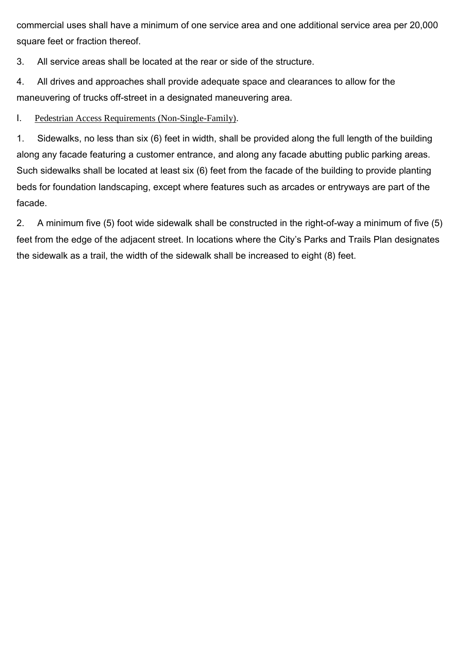commercial uses shall have a minimum of one service area and one additional service area per 20,000 square feet or fraction thereof.

3. All service areas shall be located at the rear or side of the structure.

4. All drives and approaches shall provide adequate space and clearances to allow for the maneuvering of trucks off-street in a designated maneuvering area.

I. Pedestrian Access Requirements (Non-Single-Family).

1. Sidewalks, no less than six (6) feet in width, shall be provided along the full length of the building along any facade featuring a customer entrance, and along any facade abutting public parking areas. Such sidewalks shall be located at least six (6) feet from the facade of the building to provide planting beds for foundation landscaping, except where features such as arcades or entryways are part of the facade.

2. A minimum five (5) foot wide sidewalk shall be constructed in the right-of-way a minimum of five (5) feet from the edge of the adjacent street. In locations where the City's Parks and Trails Plan designates the sidewalk as a trail, the width of the sidewalk shall be increased to eight (8) feet.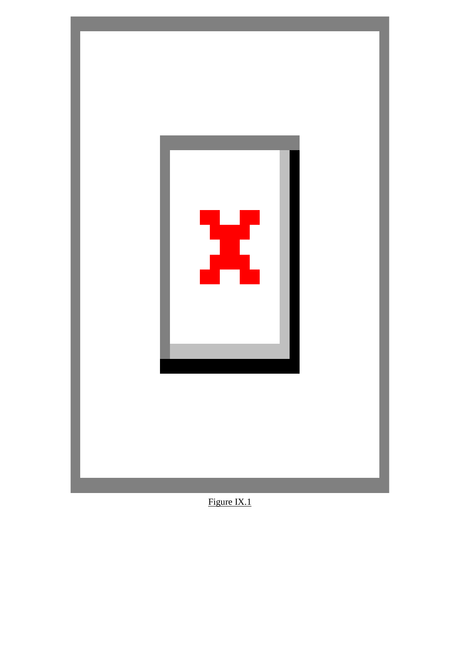

Figure IX.1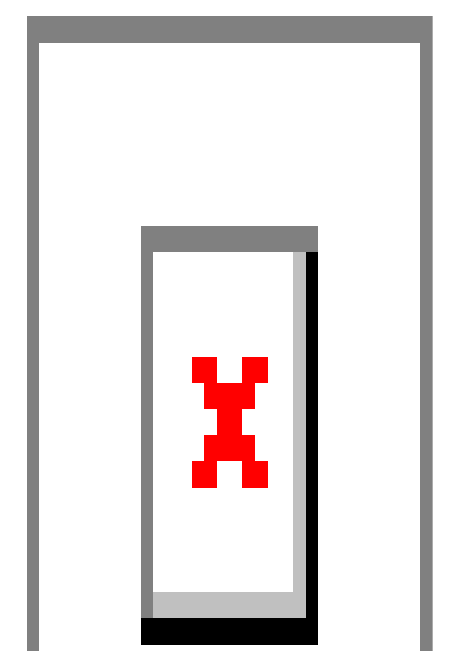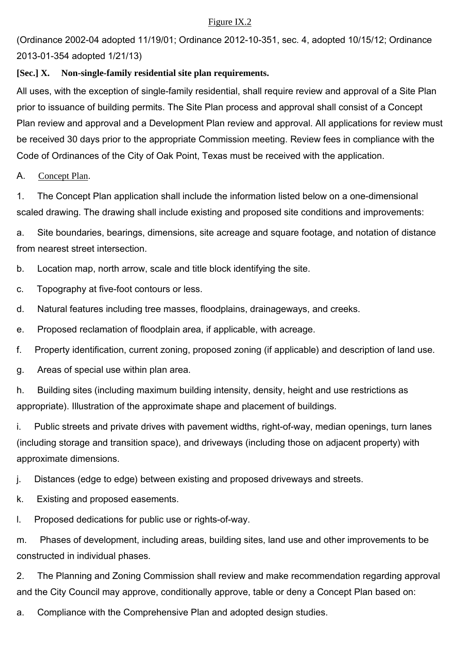## Figure IX.2

(Ordinance 2002-04 adopted 11/19/01; Ordinance 2012-10-351, sec. 4, adopted 10/15/12; Ordinance 2013-01-354 adopted 1/21/13)

## **[Sec.] X. Non-single-family residential site plan requirements.**

All uses, with the exception of single-family residential, shall require review and approval of a Site Plan prior to issuance of building permits. The Site Plan process and approval shall consist of a Concept Plan review and approval and a Development Plan review and approval. All applications for review must be received 30 days prior to the appropriate Commission meeting. Review fees in compliance with the Code of Ordinances of the City of Oak Point, Texas must be received with the application.

## A. Concept Plan.

1. The Concept Plan application shall include the information listed below on a one-dimensional scaled drawing. The drawing shall include existing and proposed site conditions and improvements:

a. Site boundaries, bearings, dimensions, site acreage and square footage, and notation of distance from nearest street intersection.

b. Location map, north arrow, scale and title block identifying the site.

c. Topography at five-foot contours or less.

d. Natural features including tree masses, floodplains, drainageways, and creeks.

e. Proposed reclamation of floodplain area, if applicable, with acreage.

f. Property identification, current zoning, proposed zoning (if applicable) and description of land use.

g. Areas of special use within plan area.

h. Building sites (including maximum building intensity, density, height and use restrictions as appropriate). Illustration of the approximate shape and placement of buildings.

i. Public streets and private drives with pavement widths, right-of-way, median openings, turn lanes (including storage and transition space), and driveways (including those on adjacent property) with approximate dimensions.

j. Distances (edge to edge) between existing and proposed driveways and streets.

k. Existing and proposed easements.

l. Proposed dedications for public use or rights-of-way.

m. Phases of development, including areas, building sites, land use and other improvements to be constructed in individual phases.

2. The Planning and Zoning Commission shall review and make recommendation regarding approval and the City Council may approve, conditionally approve, table or deny a Concept Plan based on:

a. Compliance with the Comprehensive Plan and adopted design studies.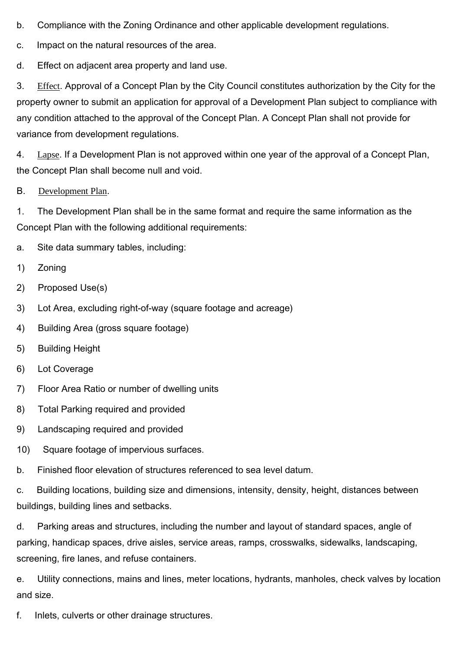b. Compliance with the Zoning Ordinance and other applicable development regulations.

c. Impact on the natural resources of the area.

d. Effect on adjacent area property and land use.

3. Effect. Approval of a Concept Plan by the City Council constitutes authorization by the City for the property owner to submit an application for approval of a Development Plan subject to compliance with any condition attached to the approval of the Concept Plan. A Concept Plan shall not provide for variance from development regulations.

4. Lapse. If a Development Plan is not approved within one year of the approval of a Concept Plan, the Concept Plan shall become null and void.

B. Development Plan.

1. The Development Plan shall be in the same format and require the same information as the Concept Plan with the following additional requirements:

a. Site data summary tables, including:

# 1) Zoning

- 2) Proposed Use(s)
- 3) Lot Area, excluding right-of-way (square footage and acreage)
- 4) Building Area (gross square footage)
- 5) Building Height
- 6) Lot Coverage
- 7) Floor Area Ratio or number of dwelling units
- 8) Total Parking required and provided
- 9) Landscaping required and provided
- 10) Square footage of impervious surfaces.
- b. Finished floor elevation of structures referenced to sea level datum.

c. Building locations, building size and dimensions, intensity, density, height, distances between buildings, building lines and setbacks.

d. Parking areas and structures, including the number and layout of standard spaces, angle of parking, handicap spaces, drive aisles, service areas, ramps, crosswalks, sidewalks, landscaping, screening, fire lanes, and refuse containers.

e. Utility connections, mains and lines, meter locations, hydrants, manholes, check valves by location and size.

f. Inlets, culverts or other drainage structures.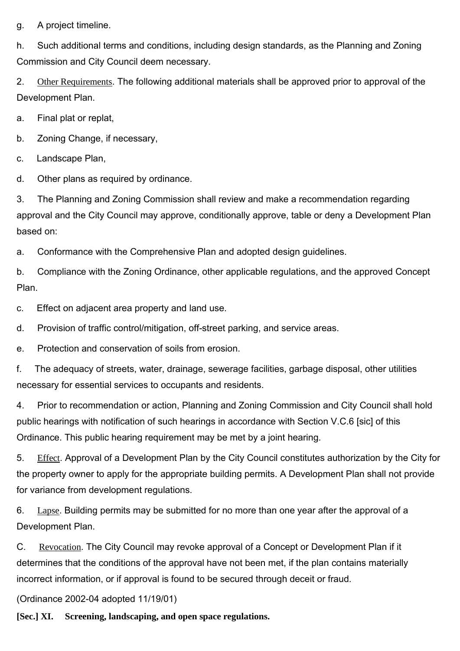g. A project timeline.

h. Such additional terms and conditions, including design standards, as the Planning and Zoning Commission and City Council deem necessary.

2. Other Requirements. The following additional materials shall be approved prior to approval of the Development Plan.

a. Final plat or replat,

b. Zoning Change, if necessary,

c. Landscape Plan,

d. Other plans as required by ordinance.

3. The Planning and Zoning Commission shall review and make a recommendation regarding approval and the City Council may approve, conditionally approve, table or deny a Development Plan based on:

a. Conformance with the Comprehensive Plan and adopted design guidelines.

b. Compliance with the Zoning Ordinance, other applicable regulations, and the approved Concept Plan.

c. Effect on adjacent area property and land use.

d. Provision of traffic control/mitigation, off-street parking, and service areas.

e. Protection and conservation of soils from erosion.

f. The adequacy of streets, water, drainage, sewerage facilities, garbage disposal, other utilities necessary for essential services to occupants and residents.

4. Prior to recommendation or action, Planning and Zoning Commission and City Council shall hold public hearings with notification of such hearings in accordance with Section V.C.6 [sic] of this Ordinance. This public hearing requirement may be met by a joint hearing.

5. Effect. Approval of a Development Plan by the City Council constitutes authorization by the City for the property owner to apply for the appropriate building permits. A Development Plan shall not provide for variance from development regulations.

6. Lapse. Building permits may be submitted for no more than one year after the approval of a Development Plan.

C. Revocation. The City Council may revoke approval of a Concept or Development Plan if it determines that the conditions of the approval have not been met, if the plan contains materially incorrect information, or if approval is found to be secured through deceit or fraud.

(Ordinance 2002-04 adopted 11/19/01)

**[Sec.] XI. Screening, landscaping, and open space regulations.**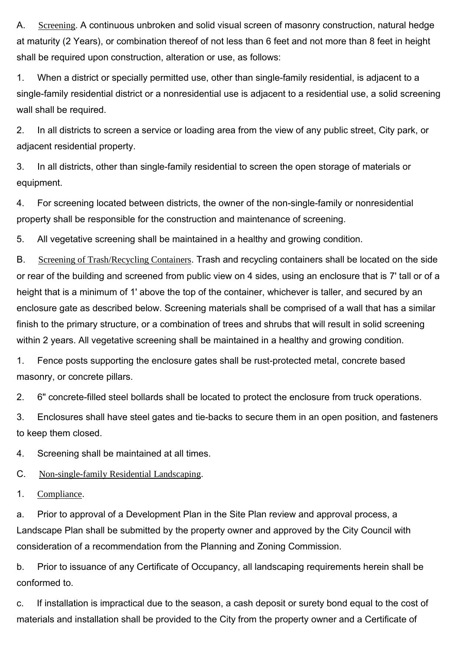A. Screening. A continuous unbroken and solid visual screen of masonry construction, natural hedge at maturity (2 Years), or combination thereof of not less than 6 feet and not more than 8 feet in height shall be required upon construction, alteration or use, as follows:

1. When a district or specially permitted use, other than single-family residential, is adjacent to a single-family residential district or a nonresidential use is adjacent to a residential use, a solid screening wall shall be required.

2. In all districts to screen a service or loading area from the view of any public street, City park, or adjacent residential property.

3. In all districts, other than single-family residential to screen the open storage of materials or equipment.

4. For screening located between districts, the owner of the non-single-family or nonresidential property shall be responsible for the construction and maintenance of screening.

5. All vegetative screening shall be maintained in a healthy and growing condition.

B. Screening of Trash/Recycling Containers. Trash and recycling containers shall be located on the side or rear of the building and screened from public view on 4 sides, using an enclosure that is 7' tall or of a height that is a minimum of 1' above the top of the container, whichever is taller, and secured by an enclosure gate as described below. Screening materials shall be comprised of a wall that has a similar finish to the primary structure, or a combination of trees and shrubs that will result in solid screening within 2 years. All vegetative screening shall be maintained in a healthy and growing condition.

1. Fence posts supporting the enclosure gates shall be rust-protected metal, concrete based masonry, or concrete pillars.

2. 6" concrete-filled steel bollards shall be located to protect the enclosure from truck operations.

3. Enclosures shall have steel gates and tie-backs to secure them in an open position, and fasteners to keep them closed.

4. Screening shall be maintained at all times.

C. Non-single-family Residential Landscaping.

1. Compliance.

a. Prior to approval of a Development Plan in the Site Plan review and approval process, a Landscape Plan shall be submitted by the property owner and approved by the City Council with consideration of a recommendation from the Planning and Zoning Commission.

b. Prior to issuance of any Certificate of Occupancy, all landscaping requirements herein shall be conformed to.

c. If installation is impractical due to the season, a cash deposit or surety bond equal to the cost of materials and installation shall be provided to the City from the property owner and a Certificate of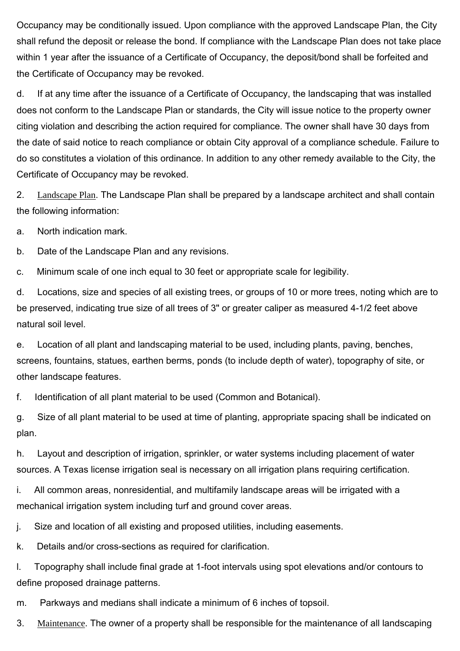Occupancy may be conditionally issued. Upon compliance with the approved Landscape Plan, the City shall refund the deposit or release the bond. If compliance with the Landscape Plan does not take place within 1 year after the issuance of a Certificate of Occupancy, the deposit/bond shall be forfeited and the Certificate of Occupancy may be revoked.

d. If at any time after the issuance of a Certificate of Occupancy, the landscaping that was installed does not conform to the Landscape Plan or standards, the City will issue notice to the property owner citing violation and describing the action required for compliance. The owner shall have 30 days from the date of said notice to reach compliance or obtain City approval of a compliance schedule. Failure to do so constitutes a violation of this ordinance. In addition to any other remedy available to the City, the Certificate of Occupancy may be revoked.

2. Landscape Plan. The Landscape Plan shall be prepared by a landscape architect and shall contain the following information:

a. North indication mark.

b. Date of the Landscape Plan and any revisions.

c. Minimum scale of one inch equal to 30 feet or appropriate scale for legibility.

d. Locations, size and species of all existing trees, or groups of 10 or more trees, noting which are to be preserved, indicating true size of all trees of 3" or greater caliper as measured 4-1/2 feet above natural soil level.

e. Location of all plant and landscaping material to be used, including plants, paving, benches, screens, fountains, statues, earthen berms, ponds (to include depth of water), topography of site, or other landscape features.

f. Identification of all plant material to be used (Common and Botanical).

g. Size of all plant material to be used at time of planting, appropriate spacing shall be indicated on plan.

h. Layout and description of irrigation, sprinkler, or water systems including placement of water sources. A Texas license irrigation seal is necessary on all irrigation plans requiring certification.

i. All common areas, nonresidential, and multifamily landscape areas will be irrigated with a mechanical irrigation system including turf and ground cover areas.

j. Size and location of all existing and proposed utilities, including easements.

k. Details and/or cross-sections as required for clarification.

l. Topography shall include final grade at 1-foot intervals using spot elevations and/or contours to define proposed drainage patterns.

m. Parkways and medians shall indicate a minimum of 6 inches of topsoil.

3. Maintenance. The owner of a property shall be responsible for the maintenance of all landscaping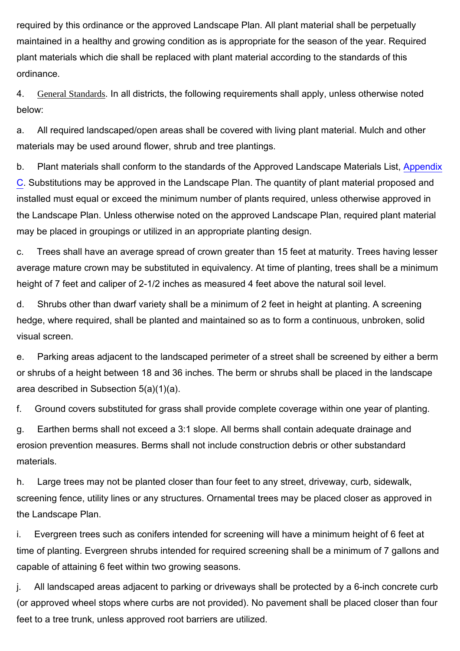required by this ordinance or the approved Landscape Plan. All plant material shall be perpetually maintained in a healthy and growing condition as is appropriate for the season of the year. Required plant materials which die shall be replaced with plant material according to the standards of this ordinance.

4. General Standards. In all districts, the following requirements shall apply, unless otherwise noted below:

a. All required landscaped/open areas shall be covered with living plant material. Mulch and other materials may be used around flower, shrub and tree plantings.

b. Plant materials shall conform to the standards of the Approved Landscape Materials List, Appendix C. Substitutions may be approved in the Landscape Plan. The quantity of plant material proposed and installed must equal or exceed the minimum number of plants required, unless otherwise approved in the Landscape Plan. Unless otherwise noted on the approved Landscape Plan, required plant material may be placed in groupings or utilized in an appropriate planting design.

c. Trees shall have an average spread of crown greater than 15 feet at maturity. Trees having lesser average mature crown may be substituted in equivalency. At time of planting, trees shall be a minimum height of 7 feet and caliper of 2-1/2 inches as measured 4 feet above the natural soil level.

d. Shrubs other than dwarf variety shall be a minimum of 2 feet in height at planting. A screening hedge, where required, shall be planted and maintained so as to form a continuous, unbroken, solid visual screen.

e. Parking areas adjacent to the landscaped perimeter of a street shall be screened by either a berm or shrubs of a height between 18 and 36 inches. The berm or shrubs shall be placed in the landscape area described in Subsection 5(a)(1)(a).

f. Ground covers substituted for grass shall provide complete coverage within one year of planting.

g. Earthen berms shall not exceed a 3:1 slope. All berms shall contain adequate drainage and erosion prevention measures. Berms shall not include construction debris or other substandard materials.

h. Large trees may not be planted closer than four feet to any street, driveway, curb, sidewalk, screening fence, utility lines or any structures. Ornamental trees may be placed closer as approved in the Landscape Plan.

i. Evergreen trees such as conifers intended for screening will have a minimum height of 6 feet at time of planting. Evergreen shrubs intended for required screening shall be a minimum of 7 gallons and capable of attaining 6 feet within two growing seasons.

j. All landscaped areas adjacent to parking or driveways shall be protected by a 6-inch concrete curb (or approved wheel stops where curbs are not provided). No pavement shall be placed closer than four feet to a tree trunk, unless approved root barriers are utilized.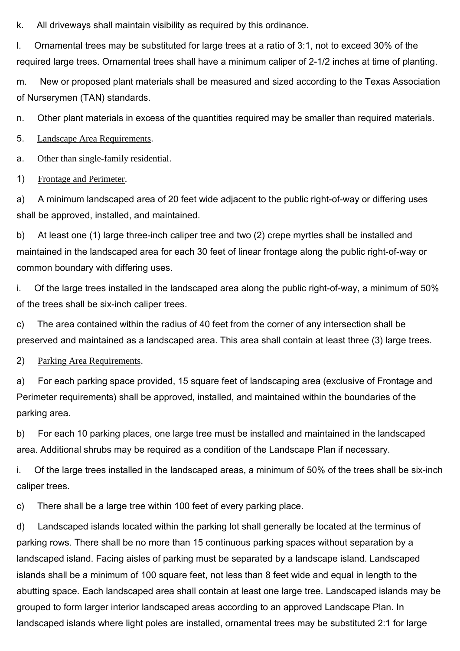k. All driveways shall maintain visibility as required by this ordinance.

l. Ornamental trees may be substituted for large trees at a ratio of 3:1, not to exceed 30% of the required large trees. Ornamental trees shall have a minimum caliper of 2-1/2 inches at time of planting.

m. New or proposed plant materials shall be measured and sized according to the Texas Association of Nurserymen (TAN) standards.

n. Other plant materials in excess of the quantities required may be smaller than required materials.

5. Landscape Area Requirements.

a. Other than single-family residential.

1) Frontage and Perimeter.

a) A minimum landscaped area of 20 feet wide adjacent to the public right-of-way or differing uses shall be approved, installed, and maintained.

b) At least one (1) large three-inch caliper tree and two (2) crepe myrtles shall be installed and maintained in the landscaped area for each 30 feet of linear frontage along the public right-of-way or common boundary with differing uses.

i. Of the large trees installed in the landscaped area along the public right-of-way, a minimum of 50% of the trees shall be six-inch caliper trees.

c) The area contained within the radius of 40 feet from the corner of any intersection shall be preserved and maintained as a landscaped area. This area shall contain at least three (3) large trees.

2) Parking Area Requirements.

a) For each parking space provided, 15 square feet of landscaping area (exclusive of Frontage and Perimeter requirements) shall be approved, installed, and maintained within the boundaries of the parking area.

b) For each 10 parking places, one large tree must be installed and maintained in the landscaped area. Additional shrubs may be required as a condition of the Landscape Plan if necessary.

i. Of the large trees installed in the landscaped areas, a minimum of 50% of the trees shall be six-inch caliper trees.

c) There shall be a large tree within 100 feet of every parking place.

d) Landscaped islands located within the parking lot shall generally be located at the terminus of parking rows. There shall be no more than 15 continuous parking spaces without separation by a landscaped island. Facing aisles of parking must be separated by a landscape island. Landscaped islands shall be a minimum of 100 square feet, not less than 8 feet wide and equal in length to the abutting space. Each landscaped area shall contain at least one large tree. Landscaped islands may be grouped to form larger interior landscaped areas according to an approved Landscape Plan. In landscaped islands where light poles are installed, ornamental trees may be substituted 2:1 for large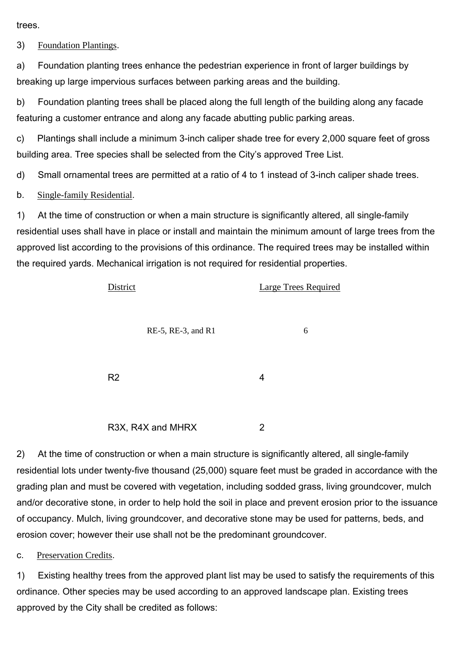trees.

3) Foundation Plantings.

a) Foundation planting trees enhance the pedestrian experience in front of larger buildings by breaking up large impervious surfaces between parking areas and the building.

b) Foundation planting trees shall be placed along the full length of the building along any facade featuring a customer entrance and along any facade abutting public parking areas.

c) Plantings shall include a minimum 3-inch caliper shade tree for every 2,000 square feet of gross building area. Tree species shall be selected from the City's approved Tree List.

d) Small ornamental trees are permitted at a ratio of 4 to 1 instead of 3-inch caliper shade trees.

### b. Single-family Residential.

1) At the time of construction or when a main structure is significantly altered, all single-family residential uses shall have in place or install and maintain the minimum amount of large trees from the approved list according to the provisions of this ordinance. The required trees may be installed within the required yards. Mechanical irrigation is not required for residential properties.

| District           | <b>Large Trees Required</b> |
|--------------------|-----------------------------|
| RE-5, RE-3, and R1 | 6                           |
| R <sub>2</sub>     | 4                           |
| R3X, R4X and MHRX  | 2                           |

2) At the time of construction or when a main structure is significantly altered, all single-family residential lots under twenty-five thousand (25,000) square feet must be graded in accordance with the grading plan and must be covered with vegetation, including sodded grass, living groundcover, mulch and/or decorative stone, in order to help hold the soil in place and prevent erosion prior to the issuance of occupancy. Mulch, living groundcover, and decorative stone may be used for patterns, beds, and erosion cover; however their use shall not be the predominant groundcover.

c. Preservation Credits.

1) Existing healthy trees from the approved plant list may be used to satisfy the requirements of this ordinance. Other species may be used according to an approved landscape plan. Existing trees approved by the City shall be credited as follows: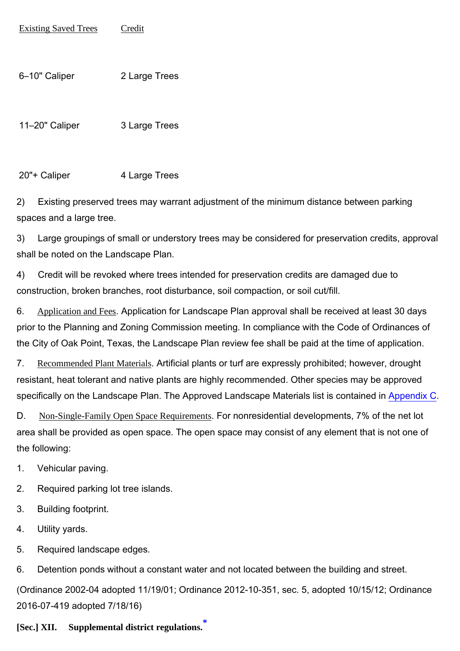6–10" Caliper 2 Large Trees

11–20" Caliper 3 Large Trees

20"+ Caliper 4 Large Trees

2) Existing preserved trees may warrant adjustment of the minimum distance between parking spaces and a large tree.

3) Large groupings of small or understory trees may be considered for preservation credits, approval shall be noted on the Landscape Plan.

4) Credit will be revoked where trees intended for preservation credits are damaged due to construction, broken branches, root disturbance, soil compaction, or soil cut/fill.

6. Application and Fees. Application for Landscape Plan approval shall be received at least 30 days prior to the Planning and Zoning Commission meeting. In compliance with the Code of Ordinances of the City of Oak Point, Texas, the Landscape Plan review fee shall be paid at the time of application.

7. Recommended Plant Materials. Artificial plants or turf are expressly prohibited; however, drought resistant, heat tolerant and native plants are highly recommended. Other species may be approved specifically on the Landscape Plan. The Approved Landscape Materials list is contained in Appendix C.

D. Non-Single-Family Open Space Requirements. For nonresidential developments, 7% of the net lot area shall be provided as open space. The open space may consist of any element that is not one of the following:

- 1. Vehicular paving.
- 2. Required parking lot tree islands.
- 3. Building footprint.
- 4. Utility yards.
- 5. Required landscape edges.

6. Detention ponds without a constant water and not located between the building and street. (Ordinance 2002-04 adopted 11/19/01; Ordinance 2012-10-351, sec. 5, adopted 10/15/12; Ordinance 2016-07-419 adopted 7/18/16)

**[Sec.] XII. Supplemental district regulations. \***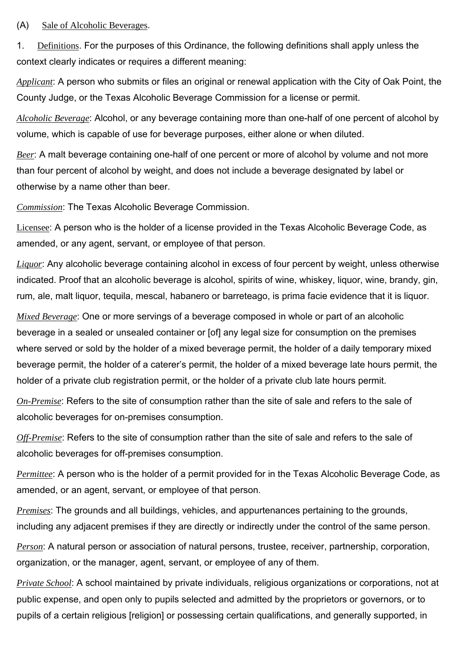### (A) Sale of Alcoholic Beverages.

1. Definitions. For the purposes of this Ordinance, the following definitions shall apply unless the context clearly indicates or requires a different meaning:

*Applicant*: A person who submits or files an original or renewal application with the City of Oak Point, the County Judge, or the Texas Alcoholic Beverage Commission for a license or permit.

*Alcoholic Beverage*: Alcohol, or any beverage containing more than one-half of one percent of alcohol by volume, which is capable of use for beverage purposes, either alone or when diluted.

*Beer*: A malt beverage containing one-half of one percent or more of alcohol by volume and not more than four percent of alcohol by weight, and does not include a beverage designated by label or otherwise by a name other than beer.

*Commission*: The Texas Alcoholic Beverage Commission.

Licensee: A person who is the holder of a license provided in the Texas Alcoholic Beverage Code, as amended, or any agent, servant, or employee of that person.

*Liquor*: Any alcoholic beverage containing alcohol in excess of four percent by weight, unless otherwise indicated. Proof that an alcoholic beverage is alcohol, spirits of wine, whiskey, liquor, wine, brandy, gin, rum, ale, malt liquor, tequila, mescal, habanero or barreteago, is prima facie evidence that it is liquor.

*Mixed Beverage*: One or more servings of a beverage composed in whole or part of an alcoholic beverage in a sealed or unsealed container or [of] any legal size for consumption on the premises where served or sold by the holder of a mixed beverage permit, the holder of a daily temporary mixed beverage permit, the holder of a caterer's permit, the holder of a mixed beverage late hours permit, the holder of a private club registration permit, or the holder of a private club late hours permit.

*On-Premise*: Refers to the site of consumption rather than the site of sale and refers to the sale of alcoholic beverages for on-premises consumption.

*Off-Premise*: Refers to the site of consumption rather than the site of sale and refers to the sale of alcoholic beverages for off-premises consumption.

*Permittee*: A person who is the holder of a permit provided for in the Texas Alcoholic Beverage Code, as amended, or an agent, servant, or employee of that person.

*Premises*: The grounds and all buildings, vehicles, and appurtenances pertaining to the grounds, including any adjacent premises if they are directly or indirectly under the control of the same person.

*Person*: A natural person or association of natural persons, trustee, receiver, partnership, corporation, organization, or the manager, agent, servant, or employee of any of them.

*Private School*: A school maintained by private individuals, religious organizations or corporations, not at public expense, and open only to pupils selected and admitted by the proprietors or governors, or to pupils of a certain religious [religion] or possessing certain qualifications, and generally supported, in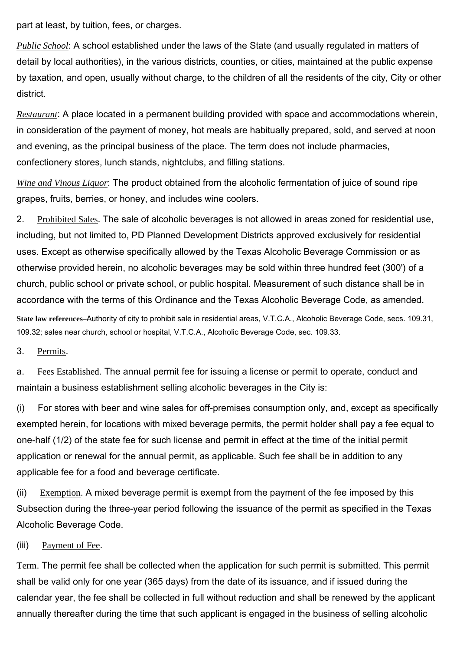part at least, by tuition, fees, or charges.

*Public School*: A school established under the laws of the State (and usually regulated in matters of detail by local authorities), in the various districts, counties, or cities, maintained at the public expense by taxation, and open, usually without charge, to the children of all the residents of the city, City or other district.

*Restaurant*: A place located in a permanent building provided with space and accommodations wherein, in consideration of the payment of money, hot meals are habitually prepared, sold, and served at noon and evening, as the principal business of the place. The term does not include pharmacies, confectionery stores, lunch stands, nightclubs, and filling stations.

*Wine and Vinous Liquor*: The product obtained from the alcoholic fermentation of juice of sound ripe grapes, fruits, berries, or honey, and includes wine coolers.

2. Prohibited Sales. The sale of alcoholic beverages is not allowed in areas zoned for residential use, including, but not limited to, PD Planned Development Districts approved exclusively for residential uses. Except as otherwise specifically allowed by the Texas Alcoholic Beverage Commission or as otherwise provided herein, no alcoholic beverages may be sold within three hundred feet (300') of a church, public school or private school, or public hospital. Measurement of such distance shall be in accordance with the terms of this Ordinance and the Texas Alcoholic Beverage Code, as amended.

**State law references–**Authority of city to prohibit sale in residential areas, V.T.C.A., Alcoholic Beverage Code, secs. 109.31, 109.32; sales near church, school or hospital, V.T.C.A., Alcoholic Beverage Code, sec. 109.33.

3. Permits.

a. Fees Established. The annual permit fee for issuing a license or permit to operate, conduct and maintain a business establishment selling alcoholic beverages in the City is:

(i) For stores with beer and wine sales for off-premises consumption only, and, except as specifically exempted herein, for locations with mixed beverage permits, the permit holder shall pay a fee equal to one-half (1/2) of the state fee for such license and permit in effect at the time of the initial permit application or renewal for the annual permit, as applicable. Such fee shall be in addition to any applicable fee for a food and beverage certificate.

(ii) Exemption. A mixed beverage permit is exempt from the payment of the fee imposed by this Subsection during the three-year period following the issuance of the permit as specified in the Texas Alcoholic Beverage Code.

#### (iii) Payment of Fee.

Term. The permit fee shall be collected when the application for such permit is submitted. This permit shall be valid only for one year (365 days) from the date of its issuance, and if issued during the calendar year, the fee shall be collected in full without reduction and shall be renewed by the applicant annually thereafter during the time that such applicant is engaged in the business of selling alcoholic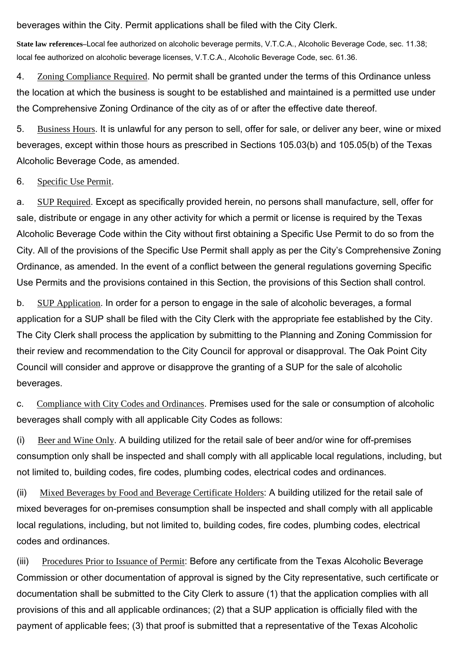beverages within the City. Permit applications shall be filed with the City Clerk.

**State law references–**Local fee authorized on alcoholic beverage permits, V.T.C.A., Alcoholic Beverage Code, sec. 11.38; local fee authorized on alcoholic beverage licenses, V.T.C.A., Alcoholic Beverage Code, sec. 61.36.

4. Zoning Compliance Required. No permit shall be granted under the terms of this Ordinance unless the location at which the business is sought to be established and maintained is a permitted use under the Comprehensive Zoning Ordinance of the city as of or after the effective date thereof.

5. Business Hours. It is unlawful for any person to sell, offer for sale, or deliver any beer, wine or mixed beverages, except within those hours as prescribed in Sections 105.03(b) and 105.05(b) of the Texas Alcoholic Beverage Code, as amended.

#### 6. Specific Use Permit.

a. SUP Required. Except as specifically provided herein, no persons shall manufacture, sell, offer for sale, distribute or engage in any other activity for which a permit or license is required by the Texas Alcoholic Beverage Code within the City without first obtaining a Specific Use Permit to do so from the City. All of the provisions of the Specific Use Permit shall apply as per the City's Comprehensive Zoning Ordinance, as amended. In the event of a conflict between the general regulations governing Specific Use Permits and the provisions contained in this Section, the provisions of this Section shall control.

b. SUP Application. In order for a person to engage in the sale of alcoholic beverages, a formal application for a SUP shall be filed with the City Clerk with the appropriate fee established by the City. The City Clerk shall process the application by submitting to the Planning and Zoning Commission for their review and recommendation to the City Council for approval or disapproval. The Oak Point City Council will consider and approve or disapprove the granting of a SUP for the sale of alcoholic beverages.

c. Compliance with City Codes and Ordinances. Premises used for the sale or consumption of alcoholic beverages shall comply with all applicable City Codes as follows:

(i) Beer and Wine Only. A building utilized for the retail sale of beer and/or wine for off-premises consumption only shall be inspected and shall comply with all applicable local regulations, including, but not limited to, building codes, fire codes, plumbing codes, electrical codes and ordinances.

(ii) Mixed Beverages by Food and Beverage Certificate Holders: A building utilized for the retail sale of mixed beverages for on-premises consumption shall be inspected and shall comply with all applicable local regulations, including, but not limited to, building codes, fire codes, plumbing codes, electrical codes and ordinances.

(iii) Procedures Prior to Issuance of Permit: Before any certificate from the Texas Alcoholic Beverage Commission or other documentation of approval is signed by the City representative, such certificate or documentation shall be submitted to the City Clerk to assure (1) that the application complies with all provisions of this and all applicable ordinances; (2) that a SUP application is officially filed with the payment of applicable fees; (3) that proof is submitted that a representative of the Texas Alcoholic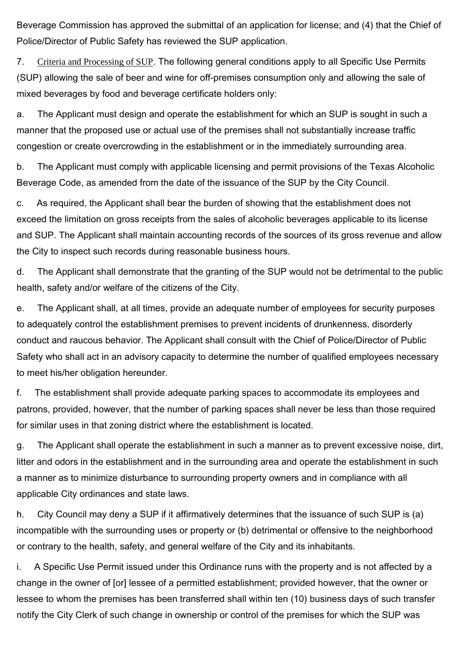Beverage Commission has approved the submittal of an application for license; and (4) that the Chief of Police/Director of Public Safety has reviewed the SUP application.

7. Criteria and Processing of SUP. The following general conditions apply to all Specific Use Permits (SUP) allowing the sale of beer and wine for off-premises consumption only and allowing the sale of mixed beverages by food and beverage certificate holders only:

a. The Applicant must design and operate the establishment for which an SUP is sought in such a manner that the proposed use or actual use of the premises shall not substantially increase traffic congestion or create overcrowding in the establishment or in the immediately surrounding area.

b. The Applicant must comply with applicable licensing and permit provisions of the Texas Alcoholic Beverage Code, as amended from the date of the issuance of the SUP by the City Council.

c. As required, the Applicant shall bear the burden of showing that the establishment does not exceed the limitation on gross receipts from the sales of alcoholic beverages applicable to its license and SUP. The Applicant shall maintain accounting records of the sources of its gross revenue and allow the City to inspect such records during reasonable business hours.

d. The Applicant shall demonstrate that the granting of the SUP would not be detrimental to the public health, safety and/or welfare of the citizens of the City.

e. The Applicant shall, at all times, provide an adequate number of employees for security purposes to adequately control the establishment premises to prevent incidents of drunkenness, disorderly conduct and raucous behavior. The Applicant shall consult with the Chief of Police/Director of Public Safety who shall act in an advisory capacity to determine the number of qualified employees necessary to meet his/her obligation hereunder.

f. The establishment shall provide adequate parking spaces to accommodate its employees and patrons, provided, however, that the number of parking spaces shall never be less than those required for similar uses in that zoning district where the establishment is located.

g. The Applicant shall operate the establishment in such a manner as to prevent excessive noise, dirt, litter and odors in the establishment and in the surrounding area and operate the establishment in such a manner as to minimize disturbance to surrounding property owners and in compliance with all applicable City ordinances and state laws.

h. City Council may deny a SUP if it affirmatively determines that the issuance of such SUP is (a) incompatible with the surrounding uses or property or (b) detrimental or offensive to the neighborhood or contrary to the health, safety, and general welfare of the City and its inhabitants.

i. A Specific Use Permit issued under this Ordinance runs with the property and is not affected by a change in the owner of [or] lessee of a permitted establishment; provided however, that the owner or lessee to whom the premises has been transferred shall within ten (10) business days of such transfer notify the City Clerk of such change in ownership or control of the premises for which the SUP was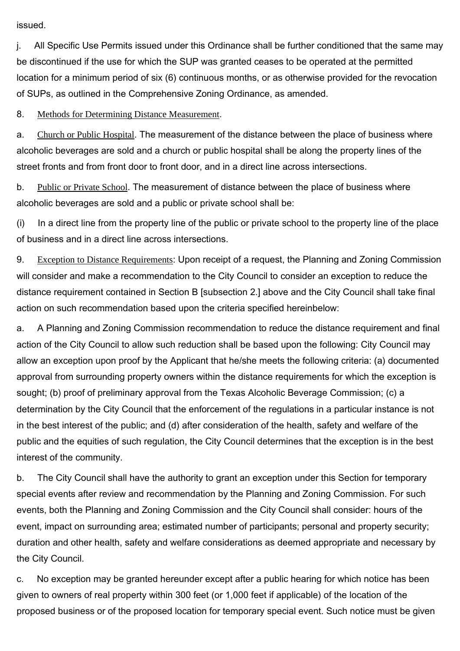#### issued.

j. All Specific Use Permits issued under this Ordinance shall be further conditioned that the same may be discontinued if the use for which the SUP was granted ceases to be operated at the permitted location for a minimum period of six (6) continuous months, or as otherwise provided for the revocation of SUPs, as outlined in the Comprehensive Zoning Ordinance, as amended.

8. Methods for Determining Distance Measurement.

a. Church or Public Hospital. The measurement of the distance between the place of business where alcoholic beverages are sold and a church or public hospital shall be along the property lines of the street fronts and from front door to front door, and in a direct line across intersections.

b. Public or Private School. The measurement of distance between the place of business where alcoholic beverages are sold and a public or private school shall be:

(i) In a direct line from the property line of the public or private school to the property line of the place of business and in a direct line across intersections.

9. Exception to Distance Requirements: Upon receipt of a request, the Planning and Zoning Commission will consider and make a recommendation to the City Council to consider an exception to reduce the distance requirement contained in Section B [subsection 2.] above and the City Council shall take final action on such recommendation based upon the criteria specified hereinbelow:

a. A Planning and Zoning Commission recommendation to reduce the distance requirement and final action of the City Council to allow such reduction shall be based upon the following: City Council may allow an exception upon proof by the Applicant that he/she meets the following criteria: (a) documented approval from surrounding property owners within the distance requirements for which the exception is sought; (b) proof of preliminary approval from the Texas Alcoholic Beverage Commission; (c) a determination by the City Council that the enforcement of the regulations in a particular instance is not in the best interest of the public; and (d) after consideration of the health, safety and welfare of the public and the equities of such regulation, the City Council determines that the exception is in the best interest of the community.

b. The City Council shall have the authority to grant an exception under this Section for temporary special events after review and recommendation by the Planning and Zoning Commission. For such events, both the Planning and Zoning Commission and the City Council shall consider: hours of the event, impact on surrounding area; estimated number of participants; personal and property security; duration and other health, safety and welfare considerations as deemed appropriate and necessary by the City Council.

c. No exception may be granted hereunder except after a public hearing for which notice has been given to owners of real property within 300 feet (or 1,000 feet if applicable) of the location of the proposed business or of the proposed location for temporary special event. Such notice must be given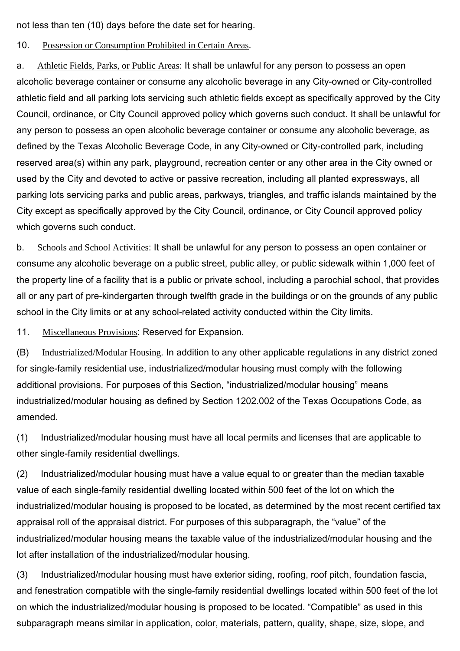not less than ten (10) days before the date set for hearing.

#### 10. Possession or Consumption Prohibited in Certain Areas.

a. Athletic Fields, Parks, or Public Areas: It shall be unlawful for any person to possess an open alcoholic beverage container or consume any alcoholic beverage in any City-owned or City-controlled athletic field and all parking lots servicing such athletic fields except as specifically approved by the City Council, ordinance, or City Council approved policy which governs such conduct. It shall be unlawful for any person to possess an open alcoholic beverage container or consume any alcoholic beverage, as defined by the Texas Alcoholic Beverage Code, in any City-owned or City-controlled park, including reserved area(s) within any park, playground, recreation center or any other area in the City owned or used by the City and devoted to active or passive recreation, including all planted expressways, all parking lots servicing parks and public areas, parkways, triangles, and traffic islands maintained by the City except as specifically approved by the City Council, ordinance, or City Council approved policy which governs such conduct.

b. Schools and School Activities: It shall be unlawful for any person to possess an open container or consume any alcoholic beverage on a public street, public alley, or public sidewalk within 1,000 feet of the property line of a facility that is a public or private school, including a parochial school, that provides all or any part of pre-kindergarten through twelfth grade in the buildings or on the grounds of any public school in the City limits or at any school-related activity conducted within the City limits.

11. Miscellaneous Provisions: Reserved for Expansion.

(B) Industrialized/Modular Housing. In addition to any other applicable regulations in any district zoned for single-family residential use, industrialized/modular housing must comply with the following additional provisions. For purposes of this Section, "industrialized/modular housing" means industrialized/modular housing as defined by Section 1202.002 of the Texas Occupations Code, as amended.

(1) Industrialized/modular housing must have all local permits and licenses that are applicable to other single-family residential dwellings.

(2) Industrialized/modular housing must have a value equal to or greater than the median taxable value of each single-family residential dwelling located within 500 feet of the lot on which the industrialized/modular housing is proposed to be located, as determined by the most recent certified tax appraisal roll of the appraisal district. For purposes of this subparagraph, the "value" of the industrialized/modular housing means the taxable value of the industrialized/modular housing and the lot after installation of the industrialized/modular housing.

(3) Industrialized/modular housing must have exterior siding, roofing, roof pitch, foundation fascia, and fenestration compatible with the single-family residential dwellings located within 500 feet of the lot on which the industrialized/modular housing is proposed to be located. "Compatible" as used in this subparagraph means similar in application, color, materials, pattern, quality, shape, size, slope, and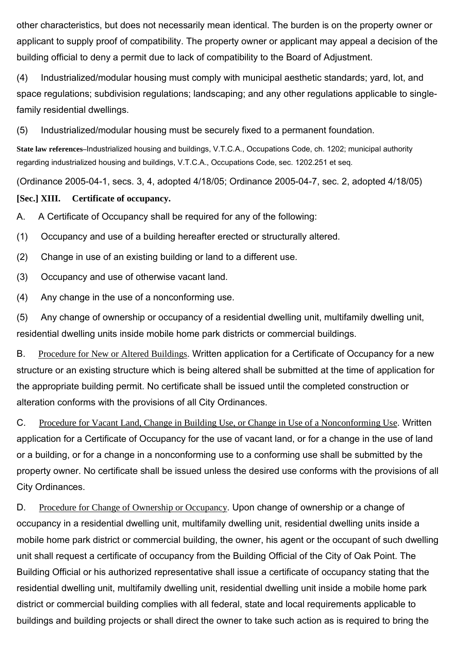other characteristics, but does not necessarily mean identical. The burden is on the property owner or applicant to supply proof of compatibility. The property owner or applicant may appeal a decision of the building official to deny a permit due to lack of compatibility to the Board of Adjustment.

(4) Industrialized/modular housing must comply with municipal aesthetic standards; yard, lot, and space regulations; subdivision regulations; landscaping; and any other regulations applicable to singlefamily residential dwellings.

(5) Industrialized/modular housing must be securely fixed to a permanent foundation.

**State law references–**Industrialized housing and buildings, V.T.C.A., Occupations Code, ch. 1202; municipal authority regarding industrialized housing and buildings, V.T.C.A., Occupations Code, sec. 1202.251 et seq.

(Ordinance 2005-04-1, secs. 3, 4, adopted 4/18/05; Ordinance 2005-04-7, sec. 2, adopted 4/18/05)

# **[Sec.] XIII. Certificate of occupancy.**

A. A Certificate of Occupancy shall be required for any of the following:

- (1) Occupancy and use of a building hereafter erected or structurally altered.
- (2) Change in use of an existing building or land to a different use.
- (3) Occupancy and use of otherwise vacant land.
- (4) Any change in the use of a nonconforming use.

(5) Any change of ownership or occupancy of a residential dwelling unit, multifamily dwelling unit, residential dwelling units inside mobile home park districts or commercial buildings.

B. Procedure for New or Altered Buildings. Written application for a Certificate of Occupancy for a new structure or an existing structure which is being altered shall be submitted at the time of application for the appropriate building permit. No certificate shall be issued until the completed construction or alteration conforms with the provisions of all City Ordinances.

C. Procedure for Vacant Land, Change in Building Use, or Change in Use of a Nonconforming Use. Written application for a Certificate of Occupancy for the use of vacant land, or for a change in the use of land or a building, or for a change in a nonconforming use to a conforming use shall be submitted by the property owner. No certificate shall be issued unless the desired use conforms with the provisions of all City Ordinances.

D. Procedure for Change of Ownership or Occupancy. Upon change of ownership or a change of occupancy in a residential dwelling unit, multifamily dwelling unit, residential dwelling units inside a mobile home park district or commercial building, the owner, his agent or the occupant of such dwelling unit shall request a certificate of occupancy from the Building Official of the City of Oak Point. The Building Official or his authorized representative shall issue a certificate of occupancy stating that the residential dwelling unit, multifamily dwelling unit, residential dwelling unit inside a mobile home park district or commercial building complies with all federal, state and local requirements applicable to buildings and building projects or shall direct the owner to take such action as is required to bring the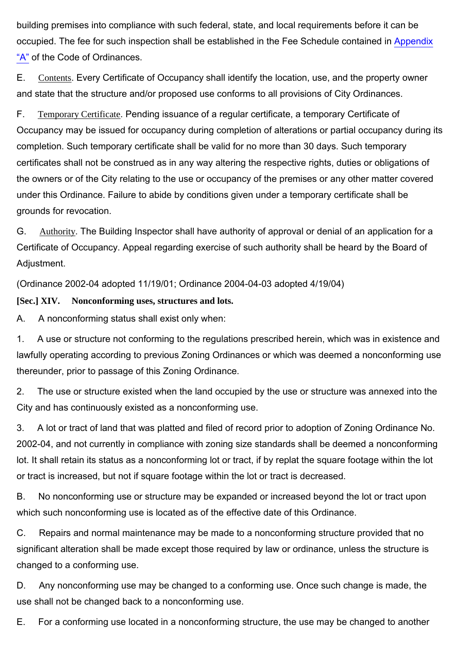building premises into compliance with such federal, state, and local requirements before it can be occupied. The fee for such inspection shall be established in the Fee Schedule contained in Appendix "A" of the Code of Ordinances.

E. Contents. Every Certificate of Occupancy shall identify the location, use, and the property owner and state that the structure and/or proposed use conforms to all provisions of City Ordinances.

F. Temporary Certificate. Pending issuance of a regular certificate, a temporary Certificate of Occupancy may be issued for occupancy during completion of alterations or partial occupancy during its completion. Such temporary certificate shall be valid for no more than 30 days. Such temporary certificates shall not be construed as in any way altering the respective rights, duties or obligations of the owners or of the City relating to the use or occupancy of the premises or any other matter covered under this Ordinance. Failure to abide by conditions given under a temporary certificate shall be grounds for revocation.

G. Authority. The Building Inspector shall have authority of approval or denial of an application for a Certificate of Occupancy. Appeal regarding exercise of such authority shall be heard by the Board of Adjustment.

(Ordinance 2002-04 adopted 11/19/01; Ordinance 2004-04-03 adopted 4/19/04)

### **[Sec.] XIV. Nonconforming uses, structures and lots.**

A. A nonconforming status shall exist only when:

1. A use or structure not conforming to the regulations prescribed herein, which was in existence and lawfully operating according to previous Zoning Ordinances or which was deemed a nonconforming use thereunder, prior to passage of this Zoning Ordinance.

2. The use or structure existed when the land occupied by the use or structure was annexed into the City and has continuously existed as a nonconforming use.

3. A lot or tract of land that was platted and filed of record prior to adoption of Zoning Ordinance No. 2002-04, and not currently in compliance with zoning size standards shall be deemed a nonconforming lot. It shall retain its status as a nonconforming lot or tract, if by replat the square footage within the lot or tract is increased, but not if square footage within the lot or tract is decreased.

B. No nonconforming use or structure may be expanded or increased beyond the lot or tract upon which such nonconforming use is located as of the effective date of this Ordinance.

C. Repairs and normal maintenance may be made to a nonconforming structure provided that no significant alteration shall be made except those required by law or ordinance, unless the structure is changed to a conforming use.

D. Any nonconforming use may be changed to a conforming use. Once such change is made, the use shall not be changed back to a nonconforming use.

E. For a conforming use located in a nonconforming structure, the use may be changed to another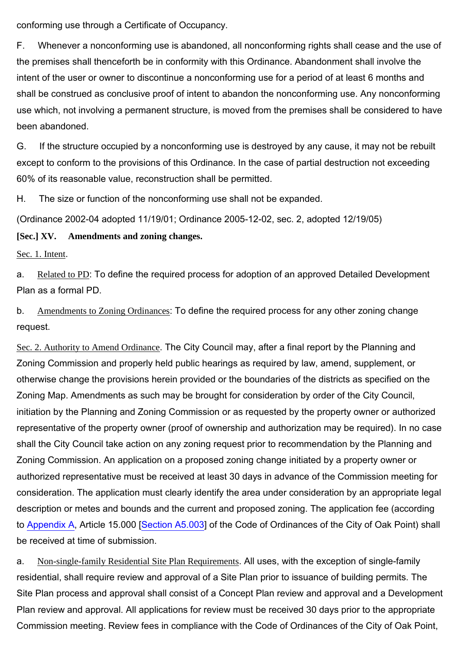conforming use through a Certificate of Occupancy.

F. Whenever a nonconforming use is abandoned, all nonconforming rights shall cease and the use of the premises shall thenceforth be in conformity with this Ordinance. Abandonment shall involve the intent of the user or owner to discontinue a nonconforming use for a period of at least 6 months and shall be construed as conclusive proof of intent to abandon the nonconforming use. Any nonconforming use which, not involving a permanent structure, is moved from the premises shall be considered to have been abandoned.

G. If the structure occupied by a nonconforming use is destroyed by any cause, it may not be rebuilt except to conform to the provisions of this Ordinance. In the case of partial destruction not exceeding 60% of its reasonable value, reconstruction shall be permitted.

H. The size or function of the nonconforming use shall not be expanded.

(Ordinance 2002-04 adopted 11/19/01; Ordinance 2005-12-02, sec. 2, adopted 12/19/05)

**[Sec.] XV. Amendments and zoning changes.**

Sec. 1. Intent.

a. Related to PD: To define the required process for adoption of an approved Detailed Development Plan as a formal PD.

b. Amendments to Zoning Ordinances: To define the required process for any other zoning change request.

Sec. 2. Authority to Amend Ordinance. The City Council may, after a final report by the Planning and Zoning Commission and properly held public hearings as required by law, amend, supplement, or otherwise change the provisions herein provided or the boundaries of the districts as specified on the Zoning Map. Amendments as such may be brought for consideration by order of the City Council, initiation by the Planning and Zoning Commission or as requested by the property owner or authorized representative of the property owner (proof of ownership and authorization may be required). In no case shall the City Council take action on any zoning request prior to recommendation by the Planning and Zoning Commission. An application on a proposed zoning change initiated by a property owner or authorized representative must be received at least 30 days in advance of the Commission meeting for consideration. The application must clearly identify the area under consideration by an appropriate legal description or metes and bounds and the current and proposed zoning. The application fee (according to Appendix A, Article 15.000 [Section A5.003] of the Code of Ordinances of the City of Oak Point) shall be received at time of submission.

a. Non-single-family Residential Site Plan Requirements. All uses, with the exception of single-family residential, shall require review and approval of a Site Plan prior to issuance of building permits. The Site Plan process and approval shall consist of a Concept Plan review and approval and a Development Plan review and approval. All applications for review must be received 30 days prior to the appropriate Commission meeting. Review fees in compliance with the Code of Ordinances of the City of Oak Point,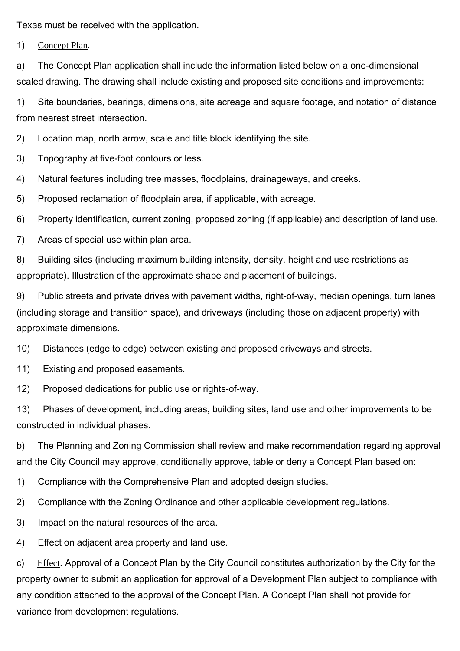Texas must be received with the application.

1) Concept Plan.

a) The Concept Plan application shall include the information listed below on a one-dimensional scaled drawing. The drawing shall include existing and proposed site conditions and improvements:

1) Site boundaries, bearings, dimensions, site acreage and square footage, and notation of distance from nearest street intersection.

2) Location map, north arrow, scale and title block identifying the site.

3) Topography at five-foot contours or less.

4) Natural features including tree masses, floodplains, drainageways, and creeks.

5) Proposed reclamation of floodplain area, if applicable, with acreage.

6) Property identification, current zoning, proposed zoning (if applicable) and description of land use.

7) Areas of special use within plan area.

8) Building sites (including maximum building intensity, density, height and use restrictions as appropriate). Illustration of the approximate shape and placement of buildings.

9) Public streets and private drives with pavement widths, right-of-way, median openings, turn lanes (including storage and transition space), and driveways (including those on adjacent property) with approximate dimensions.

10) Distances (edge to edge) between existing and proposed driveways and streets.

11) Existing and proposed easements.

12) Proposed dedications for public use or rights-of-way.

13) Phases of development, including areas, building sites, land use and other improvements to be constructed in individual phases.

b) The Planning and Zoning Commission shall review and make recommendation regarding approval and the City Council may approve, conditionally approve, table or deny a Concept Plan based on:

1) Compliance with the Comprehensive Plan and adopted design studies.

2) Compliance with the Zoning Ordinance and other applicable development regulations.

3) Impact on the natural resources of the area.

4) Effect on adjacent area property and land use.

c) Effect. Approval of a Concept Plan by the City Council constitutes authorization by the City for the property owner to submit an application for approval of a Development Plan subject to compliance with any condition attached to the approval of the Concept Plan. A Concept Plan shall not provide for variance from development regulations.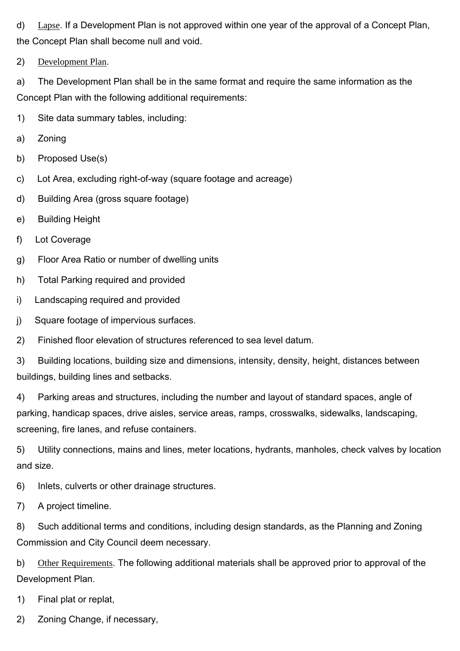d) Lapse. If a Development Plan is not approved within one year of the approval of a Concept Plan, the Concept Plan shall become null and void.

2) Development Plan.

a) The Development Plan shall be in the same format and require the same information as the Concept Plan with the following additional requirements:

- 1) Site data summary tables, including:
- a) Zoning
- b) Proposed Use(s)
- c) Lot Area, excluding right-of-way (square footage and acreage)
- d) Building Area (gross square footage)
- e) Building Height
- f) Lot Coverage
- g) Floor Area Ratio or number of dwelling units
- h) Total Parking required and provided
- i) Landscaping required and provided
- j) Square footage of impervious surfaces.

2) Finished floor elevation of structures referenced to sea level datum.

3) Building locations, building size and dimensions, intensity, density, height, distances between buildings, building lines and setbacks.

4) Parking areas and structures, including the number and layout of standard spaces, angle of parking, handicap spaces, drive aisles, service areas, ramps, crosswalks, sidewalks, landscaping, screening, fire lanes, and refuse containers.

5) Utility connections, mains and lines, meter locations, hydrants, manholes, check valves by location and size.

6) Inlets, culverts or other drainage structures.

7) A project timeline.

8) Such additional terms and conditions, including design standards, as the Planning and Zoning Commission and City Council deem necessary.

b) Other Requirements. The following additional materials shall be approved prior to approval of the Development Plan.

1) Final plat or replat,

2) Zoning Change, if necessary,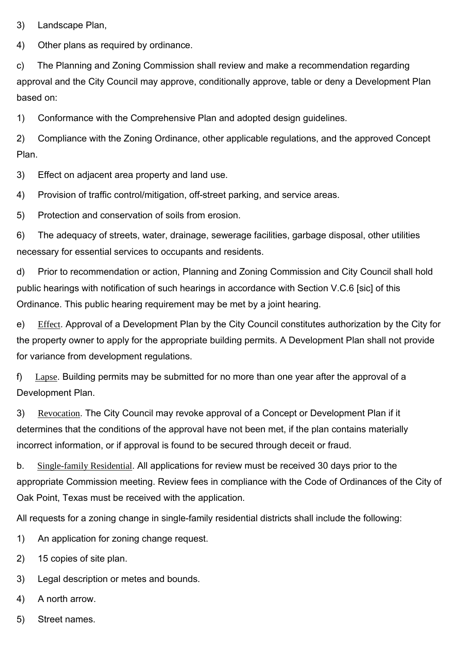3) Landscape Plan,

4) Other plans as required by ordinance.

c) The Planning and Zoning Commission shall review and make a recommendation regarding approval and the City Council may approve, conditionally approve, table or deny a Development Plan based on:

1) Conformance with the Comprehensive Plan and adopted design guidelines.

2) Compliance with the Zoning Ordinance, other applicable regulations, and the approved Concept Plan.

3) Effect on adjacent area property and land use.

4) Provision of traffic control/mitigation, off-street parking, and service areas.

5) Protection and conservation of soils from erosion.

6) The adequacy of streets, water, drainage, sewerage facilities, garbage disposal, other utilities necessary for essential services to occupants and residents.

d) Prior to recommendation or action, Planning and Zoning Commission and City Council shall hold public hearings with notification of such hearings in accordance with Section V.C.6 [sic] of this Ordinance. This public hearing requirement may be met by a joint hearing.

e) Effect. Approval of a Development Plan by the City Council constitutes authorization by the City for the property owner to apply for the appropriate building permits. A Development Plan shall not provide for variance from development regulations.

f) Lapse. Building permits may be submitted for no more than one year after the approval of a Development Plan.

3) Revocation. The City Council may revoke approval of a Concept or Development Plan if it determines that the conditions of the approval have not been met, if the plan contains materially incorrect information, or if approval is found to be secured through deceit or fraud.

b. Single-family Residential. All applications for review must be received 30 days prior to the appropriate Commission meeting. Review fees in compliance with the Code of Ordinances of the City of Oak Point, Texas must be received with the application.

All requests for a zoning change in single-family residential districts shall include the following:

- 1) An application for zoning change request.
- 2) 15 copies of site plan.
- 3) Legal description or metes and bounds.
- 4) A north arrow.
- 5) Street names.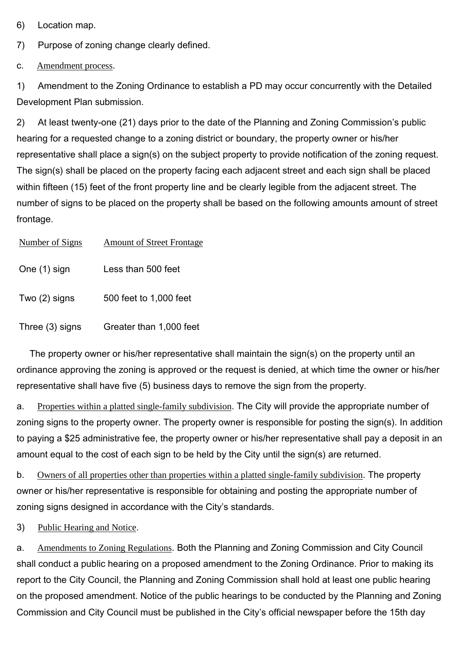6) Location map.

7) Purpose of zoning change clearly defined.

c. Amendment process.

1) Amendment to the Zoning Ordinance to establish a PD may occur concurrently with the Detailed Development Plan submission.

2) At least twenty-one (21) days prior to the date of the Planning and Zoning Commission's public hearing for a requested change to a zoning district or boundary, the property owner or his/her representative shall place a sign(s) on the subject property to provide notification of the zoning request. The sign(s) shall be placed on the property facing each adjacent street and each sign shall be placed within fifteen (15) feet of the front property line and be clearly legible from the adjacent street. The number of signs to be placed on the property shall be based on the following amounts amount of street frontage.

| Number of Signs | <b>Amount of Street Frontage</b> |
|-----------------|----------------------------------|
| One (1) sign    | Less than 500 feet               |
| Two $(2)$ signs | 500 feet to 1,000 feet           |
| Three (3) signs | Greater than 1,000 feet          |

The property owner or his/her representative shall maintain the sign(s) on the property until an ordinance approving the zoning is approved or the request is denied, at which time the owner or his/her representative shall have five (5) business days to remove the sign from the property.

a. Properties within a platted single-family subdivision. The City will provide the appropriate number of zoning signs to the property owner. The property owner is responsible for posting the sign(s). In addition to paying a \$25 administrative fee, the property owner or his/her representative shall pay a deposit in an amount equal to the cost of each sign to be held by the City until the sign(s) are returned.

b. Owners of all properties other than properties within a platted single-family subdivision. The property owner or his/her representative is responsible for obtaining and posting the appropriate number of zoning signs designed in accordance with the City's standards.

3) Public Hearing and Notice.

a. Amendments to Zoning Regulations. Both the Planning and Zoning Commission and City Council shall conduct a public hearing on a proposed amendment to the Zoning Ordinance. Prior to making its report to the City Council, the Planning and Zoning Commission shall hold at least one public hearing on the proposed amendment. Notice of the public hearings to be conducted by the Planning and Zoning Commission and City Council must be published in the City's official newspaper before the 15th day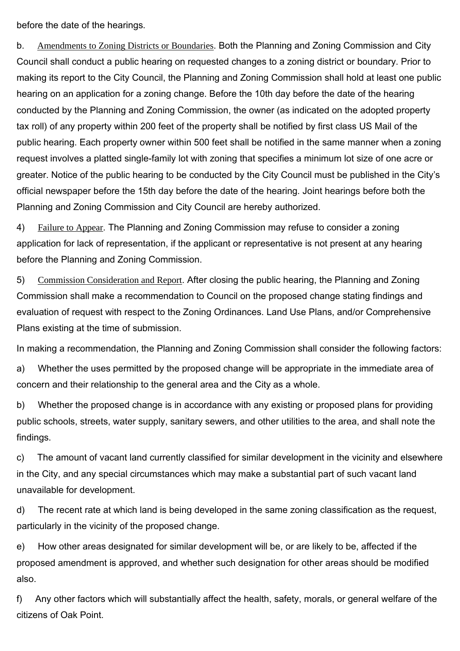before the date of the hearings.

b. Amendments to Zoning Districts or Boundaries. Both the Planning and Zoning Commission and City Council shall conduct a public hearing on requested changes to a zoning district or boundary. Prior to making its report to the City Council, the Planning and Zoning Commission shall hold at least one public hearing on an application for a zoning change. Before the 10th day before the date of the hearing conducted by the Planning and Zoning Commission, the owner (as indicated on the adopted property tax roll) of any property within 200 feet of the property shall be notified by first class US Mail of the public hearing. Each property owner within 500 feet shall be notified in the same manner when a zoning request involves a platted single-family lot with zoning that specifies a minimum lot size of one acre or greater. Notice of the public hearing to be conducted by the City Council must be published in the City's official newspaper before the 15th day before the date of the hearing. Joint hearings before both the Planning and Zoning Commission and City Council are hereby authorized.

4) Failure to Appear. The Planning and Zoning Commission may refuse to consider a zoning application for lack of representation, if the applicant or representative is not present at any hearing before the Planning and Zoning Commission.

5) Commission Consideration and Report. After closing the public hearing, the Planning and Zoning Commission shall make a recommendation to Council on the proposed change stating findings and evaluation of request with respect to the Zoning Ordinances. Land Use Plans, and/or Comprehensive Plans existing at the time of submission.

In making a recommendation, the Planning and Zoning Commission shall consider the following factors:

a) Whether the uses permitted by the proposed change will be appropriate in the immediate area of concern and their relationship to the general area and the City as a whole.

b) Whether the proposed change is in accordance with any existing or proposed plans for providing public schools, streets, water supply, sanitary sewers, and other utilities to the area, and shall note the findings.

c) The amount of vacant land currently classified for similar development in the vicinity and elsewhere in the City, and any special circumstances which may make a substantial part of such vacant land unavailable for development.

d) The recent rate at which land is being developed in the same zoning classification as the request, particularly in the vicinity of the proposed change.

e) How other areas designated for similar development will be, or are likely to be, affected if the proposed amendment is approved, and whether such designation for other areas should be modified also.

f) Any other factors which will substantially affect the health, safety, morals, or general welfare of the citizens of Oak Point.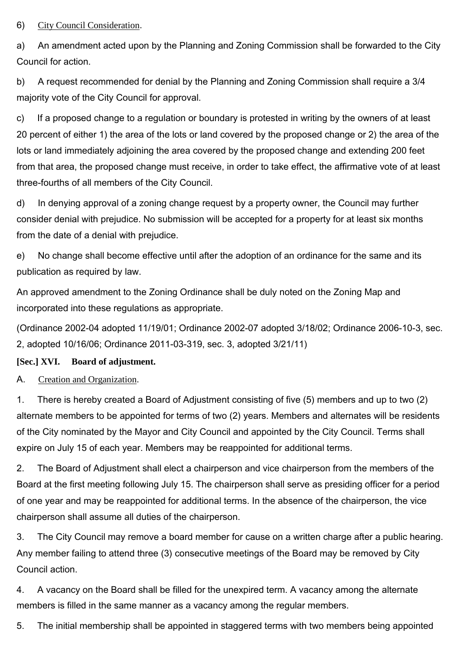# 6) City Council Consideration.

a) An amendment acted upon by the Planning and Zoning Commission shall be forwarded to the City Council for action.

b) A request recommended for denial by the Planning and Zoning Commission shall require a 3/4 majority vote of the City Council for approval.

c) If a proposed change to a regulation or boundary is protested in writing by the owners of at least 20 percent of either 1) the area of the lots or land covered by the proposed change or 2) the area of the lots or land immediately adjoining the area covered by the proposed change and extending 200 feet from that area, the proposed change must receive, in order to take effect, the affirmative vote of at least three-fourths of all members of the City Council.

d) In denying approval of a zoning change request by a property owner, the Council may further consider denial with prejudice. No submission will be accepted for a property for at least six months from the date of a denial with prejudice.

e) No change shall become effective until after the adoption of an ordinance for the same and its publication as required by law.

An approved amendment to the Zoning Ordinance shall be duly noted on the Zoning Map and incorporated into these regulations as appropriate.

(Ordinance 2002-04 adopted 11/19/01; Ordinance 2002-07 adopted 3/18/02; Ordinance 2006-10-3, sec. 2, adopted 10/16/06; Ordinance 2011-03-319, sec. 3, adopted 3/21/11)

# **[Sec.] XVI. Board of adjustment.**

A. Creation and Organization.

1. There is hereby created a Board of Adjustment consisting of five (5) members and up to two (2) alternate members to be appointed for terms of two (2) years. Members and alternates will be residents of the City nominated by the Mayor and City Council and appointed by the City Council. Terms shall expire on July 15 of each year. Members may be reappointed for additional terms.

2. The Board of Adjustment shall elect a chairperson and vice chairperson from the members of the Board at the first meeting following July 15. The chairperson shall serve as presiding officer for a period of one year and may be reappointed for additional terms. In the absence of the chairperson, the vice chairperson shall assume all duties of the chairperson.

3. The City Council may remove a board member for cause on a written charge after a public hearing. Any member failing to attend three (3) consecutive meetings of the Board may be removed by City Council action.

4. A vacancy on the Board shall be filled for the unexpired term. A vacancy among the alternate members is filled in the same manner as a vacancy among the regular members.

5. The initial membership shall be appointed in staggered terms with two members being appointed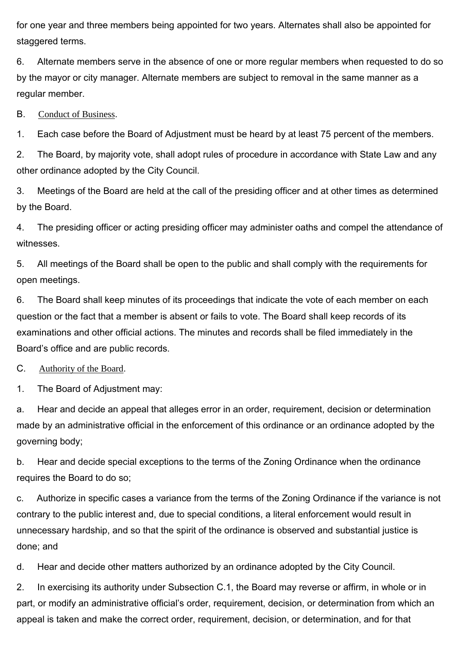for one year and three members being appointed for two years. Alternates shall also be appointed for staggered terms.

6. Alternate members serve in the absence of one or more regular members when requested to do so by the mayor or city manager. Alternate members are subject to removal in the same manner as a regular member.

B. Conduct of Business.

1. Each case before the Board of Adjustment must be heard by at least 75 percent of the members.

2. The Board, by majority vote, shall adopt rules of procedure in accordance with State Law and any other ordinance adopted by the City Council.

3. Meetings of the Board are held at the call of the presiding officer and at other times as determined by the Board.

4. The presiding officer or acting presiding officer may administer oaths and compel the attendance of witnesses.

5. All meetings of the Board shall be open to the public and shall comply with the requirements for open meetings.

6. The Board shall keep minutes of its proceedings that indicate the vote of each member on each question or the fact that a member is absent or fails to vote. The Board shall keep records of its examinations and other official actions. The minutes and records shall be filed immediately in the Board's office and are public records.

C. Authority of the Board.

1. The Board of Adjustment may:

a. Hear and decide an appeal that alleges error in an order, requirement, decision or determination made by an administrative official in the enforcement of this ordinance or an ordinance adopted by the governing body;

b. Hear and decide special exceptions to the terms of the Zoning Ordinance when the ordinance requires the Board to do so;

c. Authorize in specific cases a variance from the terms of the Zoning Ordinance if the variance is not contrary to the public interest and, due to special conditions, a literal enforcement would result in unnecessary hardship, and so that the spirit of the ordinance is observed and substantial justice is done; and

d. Hear and decide other matters authorized by an ordinance adopted by the City Council.

2. In exercising its authority under Subsection C.1, the Board may reverse or affirm, in whole or in part, or modify an administrative official's order, requirement, decision, or determination from which an appeal is taken and make the correct order, requirement, decision, or determination, and for that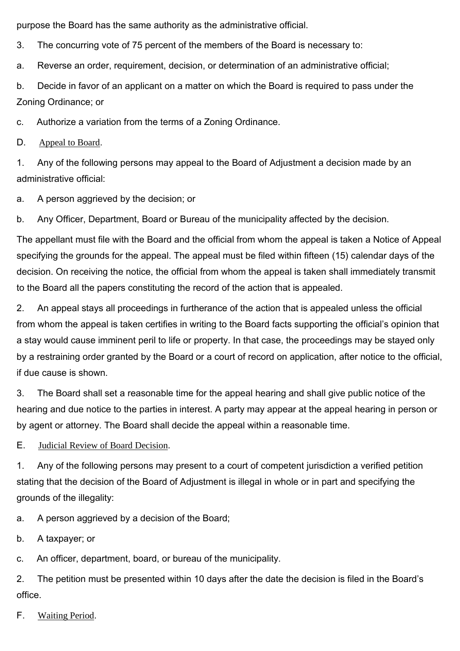purpose the Board has the same authority as the administrative official.

3. The concurring vote of 75 percent of the members of the Board is necessary to:

a. Reverse an order, requirement, decision, or determination of an administrative official;

b. Decide in favor of an applicant on a matter on which the Board is required to pass under the Zoning Ordinance; or

c. Authorize a variation from the terms of a Zoning Ordinance.

D. Appeal to Board.

1. Any of the following persons may appeal to the Board of Adjustment a decision made by an administrative official:

a. A person aggrieved by the decision; or

b. Any Officer, Department, Board or Bureau of the municipality affected by the decision.

The appellant must file with the Board and the official from whom the appeal is taken a Notice of Appeal specifying the grounds for the appeal. The appeal must be filed within fifteen (15) calendar days of the decision. On receiving the notice, the official from whom the appeal is taken shall immediately transmit to the Board all the papers constituting the record of the action that is appealed.

2. An appeal stays all proceedings in furtherance of the action that is appealed unless the official from whom the appeal is taken certifies in writing to the Board facts supporting the official's opinion that a stay would cause imminent peril to life or property. In that case, the proceedings may be stayed only by a restraining order granted by the Board or a court of record on application, after notice to the official, if due cause is shown.

3. The Board shall set a reasonable time for the appeal hearing and shall give public notice of the hearing and due notice to the parties in interest. A party may appear at the appeal hearing in person or by agent or attorney. The Board shall decide the appeal within a reasonable time.

E. Judicial Review of Board Decision.

1. Any of the following persons may present to a court of competent jurisdiction a verified petition stating that the decision of the Board of Adjustment is illegal in whole or in part and specifying the grounds of the illegality:

a. A person aggrieved by a decision of the Board;

b. A taxpayer; or

c. An officer, department, board, or bureau of the municipality.

2. The petition must be presented within 10 days after the date the decision is filed in the Board's office.

F. Waiting Period.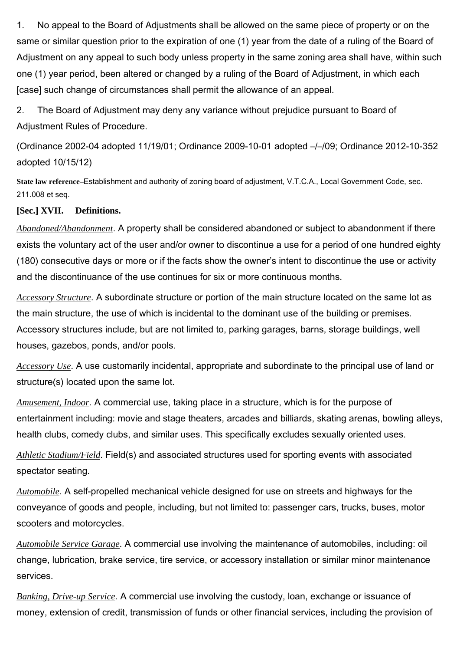1. No appeal to the Board of Adjustments shall be allowed on the same piece of property or on the same or similar question prior to the expiration of one (1) year from the date of a ruling of the Board of Adjustment on any appeal to such body unless property in the same zoning area shall have, within such one (1) year period, been altered or changed by a ruling of the Board of Adjustment, in which each [case] such change of circumstances shall permit the allowance of an appeal.

2. The Board of Adjustment may deny any variance without prejudice pursuant to Board of Adjustment Rules of Procedure.

(Ordinance 2002-04 adopted 11/19/01; Ordinance 2009-10-01 adopted –/–/09; Ordinance 2012-10-352 adopted 10/15/12)

**State law reference–**Establishment and authority of zoning board of adjustment, V.T.C.A., Local Government Code, sec. 211.008 et seq.

### **[Sec.] XVII. Definitions.**

*Abandoned/Abandonment*. A property shall be considered abandoned or subject to abandonment if there exists the voluntary act of the user and/or owner to discontinue a use for a period of one hundred eighty (180) consecutive days or more or if the facts show the owner's intent to discontinue the use or activity and the discontinuance of the use continues for six or more continuous months.

*Accessory Structure*. A subordinate structure or portion of the main structure located on the same lot as the main structure, the use of which is incidental to the dominant use of the building or premises. Accessory structures include, but are not limited to, parking garages, barns, storage buildings, well houses, gazebos, ponds, and/or pools.

*Accessory Use*. A use customarily incidental, appropriate and subordinate to the principal use of land or structure(s) located upon the same lot.

*Amusement, Indoor*. A commercial use, taking place in a structure, which is for the purpose of entertainment including: movie and stage theaters, arcades and billiards, skating arenas, bowling alleys, health clubs, comedy clubs, and similar uses. This specifically excludes sexually oriented uses.

*Athletic Stadium/Field*. Field(s) and associated structures used for sporting events with associated spectator seating.

*Automobile*. A self-propelled mechanical vehicle designed for use on streets and highways for the conveyance of goods and people, including, but not limited to: passenger cars, trucks, buses, motor scooters and motorcycles.

*Automobile Service Garage*. A commercial use involving the maintenance of automobiles, including: oil change, lubrication, brake service, tire service, or accessory installation or similar minor maintenance services.

*Banking, Drive-up Service*. A commercial use involving the custody, loan, exchange or issuance of money, extension of credit, transmission of funds or other financial services, including the provision of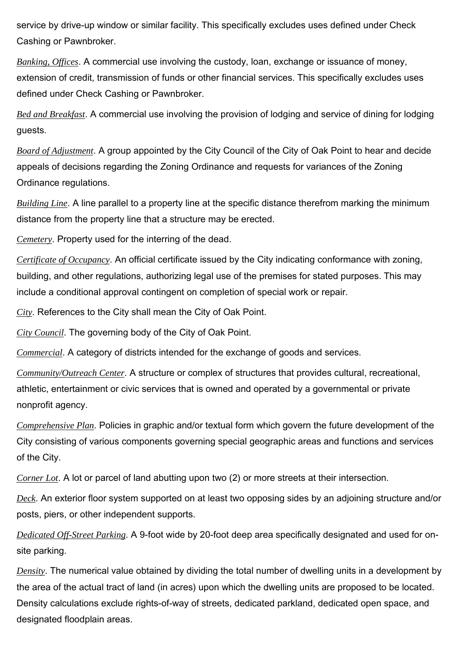service by drive-up window or similar facility. This specifically excludes uses defined under Check Cashing or Pawnbroker.

*Banking, Offices*. A commercial use involving the custody, loan, exchange or issuance of money, extension of credit, transmission of funds or other financial services. This specifically excludes uses defined under Check Cashing or Pawnbroker.

*Bed and Breakfast*. A commercial use involving the provision of lodging and service of dining for lodging guests.

*Board of Adjustment*. A group appointed by the City Council of the City of Oak Point to hear and decide appeals of decisions regarding the Zoning Ordinance and requests for variances of the Zoning Ordinance regulations.

*Building Line*. A line parallel to a property line at the specific distance therefrom marking the minimum distance from the property line that a structure may be erected.

*Cemetery*. Property used for the interring of the dead.

*Certificate of Occupancy*. An official certificate issued by the City indicating conformance with zoning, building, and other regulations, authorizing legal use of the premises for stated purposes. This may include a conditional approval contingent on completion of special work or repair.

*City*. References to the City shall mean the City of Oak Point.

*City Council*. The governing body of the City of Oak Point.

*Commercial*. A category of districts intended for the exchange of goods and services.

*Community/Outreach Center*. A structure or complex of structures that provides cultural, recreational, athletic, entertainment or civic services that is owned and operated by a governmental or private nonprofit agency.

*Comprehensive Plan*. Policies in graphic and/or textual form which govern the future development of the City consisting of various components governing special geographic areas and functions and services of the City.

*Corner Lot*. A lot or parcel of land abutting upon two (2) or more streets at their intersection.

*Deck*. An exterior floor system supported on at least two opposing sides by an adjoining structure and/or posts, piers, or other independent supports.

*Dedicated Off-Street Parking*. A 9-foot wide by 20-foot deep area specifically designated and used for onsite parking.

*Density*. The numerical value obtained by dividing the total number of dwelling units in a development by the area of the actual tract of land (in acres) upon which the dwelling units are proposed to be located. Density calculations exclude rights-of-way of streets, dedicated parkland, dedicated open space, and designated floodplain areas.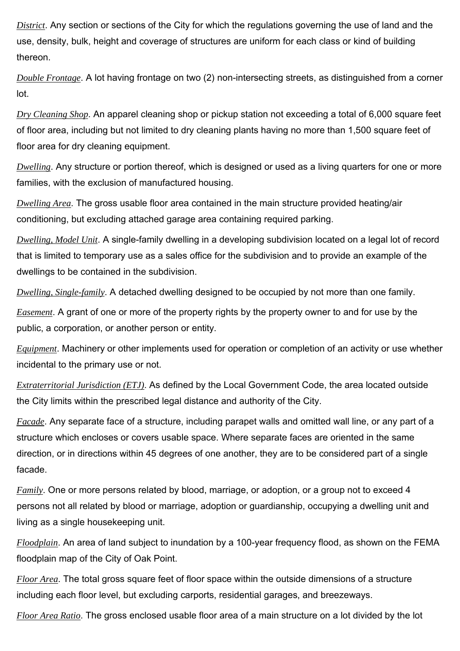*District*. Any section or sections of the City for which the regulations governing the use of land and the use, density, bulk, height and coverage of structures are uniform for each class or kind of building thereon.

*Double Frontage*. A lot having frontage on two (2) non-intersecting streets, as distinguished from a corner lot.

*Dry Cleaning Shop*. An apparel cleaning shop or pickup station not exceeding a total of 6,000 square feet of floor area, including but not limited to dry cleaning plants having no more than 1,500 square feet of floor area for dry cleaning equipment.

*Dwelling*. Any structure or portion thereof, which is designed or used as a living quarters for one or more families, with the exclusion of manufactured housing.

*Dwelling Area*. The gross usable floor area contained in the main structure provided heating/air conditioning, but excluding attached garage area containing required parking.

*Dwelling, Model Unit*. A single-family dwelling in a developing subdivision located on a legal lot of record that is limited to temporary use as a sales office for the subdivision and to provide an example of the dwellings to be contained in the subdivision.

*Dwelling, Single-family*. A detached dwelling designed to be occupied by not more than one family.

*Easement*. A grant of one or more of the property rights by the property owner to and for use by the public, a corporation, or another person or entity.

*Equipment*. Machinery or other implements used for operation or completion of an activity or use whether incidental to the primary use or not.

*Extraterritorial Jurisdiction (ETJ)*. As defined by the Local Government Code, the area located outside the City limits within the prescribed legal distance and authority of the City.

*Facade*. Any separate face of a structure, including parapet walls and omitted wall line, or any part of a structure which encloses or covers usable space. Where separate faces are oriented in the same direction, or in directions within 45 degrees of one another, they are to be considered part of a single facade.

*Family*. One or more persons related by blood, marriage, or adoption, or a group not to exceed 4 persons not all related by blood or marriage, adoption or guardianship, occupying a dwelling unit and living as a single housekeeping unit.

*Floodplain*. An area of land subject to inundation by a 100-year frequency flood, as shown on the FEMA floodplain map of the City of Oak Point.

*Floor Area*. The total gross square feet of floor space within the outside dimensions of a structure including each floor level, but excluding carports, residential garages, and breezeways.

*Floor Area Ratio*. The gross enclosed usable floor area of a main structure on a lot divided by the lot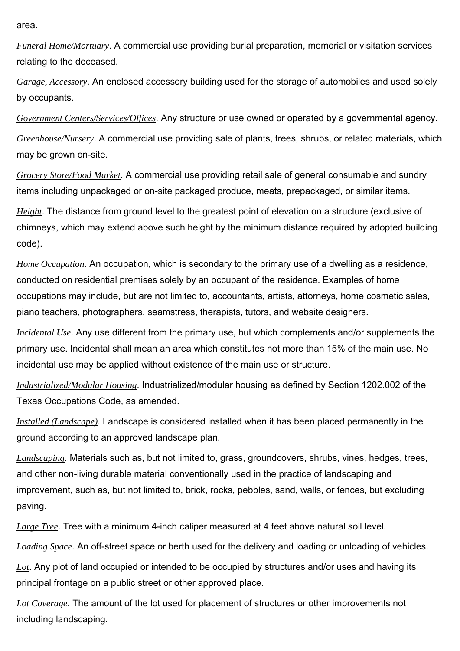area.

*Funeral Home/Mortuary*. A commercial use providing burial preparation, memorial or visitation services relating to the deceased.

*Garage, Accessory*. An enclosed accessory building used for the storage of automobiles and used solely by occupants.

*Government Centers/Services/Offices*. Any structure or use owned or operated by a governmental agency.

*Greenhouse/Nursery*. A commercial use providing sale of plants, trees, shrubs, or related materials, which may be grown on-site.

*Grocery Store/Food Market*. A commercial use providing retail sale of general consumable and sundry items including unpackaged or on-site packaged produce, meats, prepackaged, or similar items.

*Height*. The distance from ground level to the greatest point of elevation on a structure (exclusive of chimneys, which may extend above such height by the minimum distance required by adopted building code).

*Home Occupation*. An occupation, which is secondary to the primary use of a dwelling as a residence, conducted on residential premises solely by an occupant of the residence. Examples of home occupations may include, but are not limited to, accountants, artists, attorneys, home cosmetic sales, piano teachers, photographers, seamstress, therapists, tutors, and website designers.

*Incidental Use*. Any use different from the primary use, but which complements and/or supplements the primary use. Incidental shall mean an area which constitutes not more than 15% of the main use. No incidental use may be applied without existence of the main use or structure.

*Industrialized/Modular Housing*. Industrialized/modular housing as defined by Section 1202.002 of the Texas Occupations Code, as amended.

*Installed (Landscape)*. Landscape is considered installed when it has been placed permanently in the ground according to an approved landscape plan.

*Landscaping*. Materials such as, but not limited to, grass, groundcovers, shrubs, vines, hedges, trees, and other non-living durable material conventionally used in the practice of landscaping and improvement, such as, but not limited to, brick, rocks, pebbles, sand, walls, or fences, but excluding paving.

*Large Tree*. Tree with a minimum 4-inch caliper measured at 4 feet above natural soil level.

*Loading Space*. An off-street space or berth used for the delivery and loading or unloading of vehicles.

*Lot*. Any plot of land occupied or intended to be occupied by structures and/or uses and having its principal frontage on a public street or other approved place.

*Lot Coverage*. The amount of the lot used for placement of structures or other improvements not including landscaping.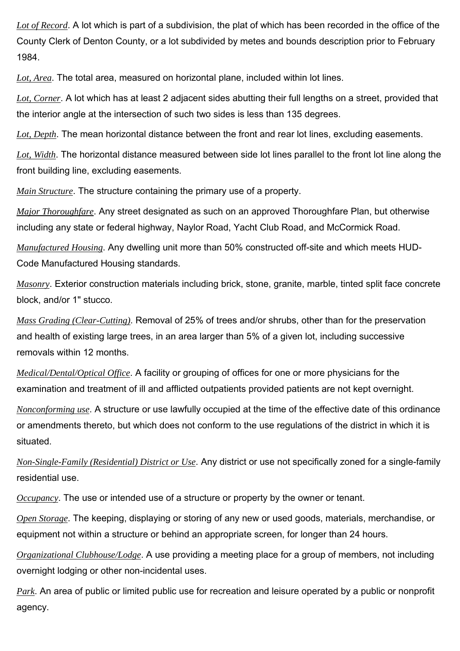*Lot of Record*. A lot which is part of a subdivision, the plat of which has been recorded in the office of the County Clerk of Denton County, or a lot subdivided by metes and bounds description prior to February 1984.

*Lot, Area*. The total area, measured on horizontal plane, included within lot lines.

*Lot, Corner*. A lot which has at least 2 adjacent sides abutting their full lengths on a street, provided that the interior angle at the intersection of such two sides is less than 135 degrees.

*Lot, Depth*. The mean horizontal distance between the front and rear lot lines, excluding easements.

*Lot, Width*. The horizontal distance measured between side lot lines parallel to the front lot line along the front building line, excluding easements.

*Main Structure*. The structure containing the primary use of a property.

*Major Thoroughfare*. Any street designated as such on an approved Thoroughfare Plan, but otherwise including any state or federal highway, Naylor Road, Yacht Club Road, and McCormick Road.

*Manufactured Housing*. Any dwelling unit more than 50% constructed off-site and which meets HUD-Code Manufactured Housing standards.

*Masonry*. Exterior construction materials including brick, stone, granite, marble, tinted split face concrete block, and/or 1" stucco.

*Mass Grading (Clear-Cutting)*. Removal of 25% of trees and/or shrubs, other than for the preservation and health of existing large trees, in an area larger than 5% of a given lot, including successive removals within 12 months.

*Medical/Dental/Optical Office*. A facility or grouping of offices for one or more physicians for the examination and treatment of ill and afflicted outpatients provided patients are not kept overnight.

*Nonconforming use*. A structure or use lawfully occupied at the time of the effective date of this ordinance or amendments thereto, but which does not conform to the use regulations of the district in which it is situated.

*Non-Single-Family (Residential) District or Use*. Any district or use not specifically zoned for a single-family residential use.

*Occupancy*. The use or intended use of a structure or property by the owner or tenant.

*Open Storage*. The keeping, displaying or storing of any new or used goods, materials, merchandise, or equipment not within a structure or behind an appropriate screen, for longer than 24 hours.

*Organizational Clubhouse/Lodge*. A use providing a meeting place for a group of members, not including overnight lodging or other non-incidental uses.

*Park*. An area of public or limited public use for recreation and leisure operated by a public or nonprofit agency.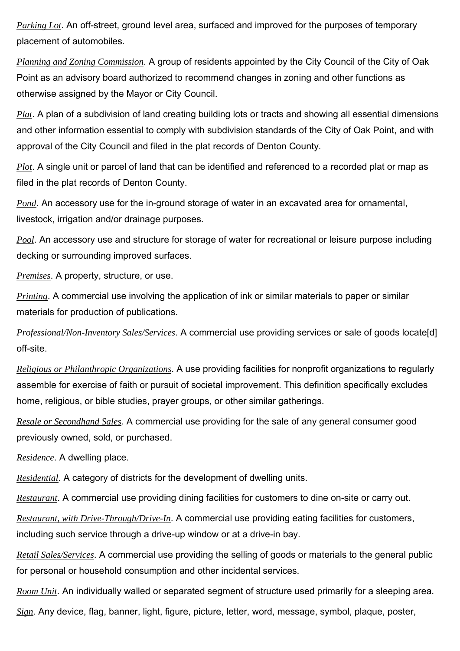*Parking Lot*. An off-street, ground level area, surfaced and improved for the purposes of temporary placement of automobiles.

*Planning and Zoning Commission*. A group of residents appointed by the City Council of the City of Oak Point as an advisory board authorized to recommend changes in zoning and other functions as otherwise assigned by the Mayor or City Council.

*Plat*. A plan of a subdivision of land creating building lots or tracts and showing all essential dimensions and other information essential to comply with subdivision standards of the City of Oak Point, and with approval of the City Council and filed in the plat records of Denton County.

*Plot*. A single unit or parcel of land that can be identified and referenced to a recorded plat or map as filed in the plat records of Denton County.

*Pond*. An accessory use for the in-ground storage of water in an excavated area for ornamental, livestock, irrigation and/or drainage purposes.

*Pool*. An accessory use and structure for storage of water for recreational or leisure purpose including decking or surrounding improved surfaces.

*Premises*. A property, structure, or use.

*Printing*. A commercial use involving the application of ink or similar materials to paper or similar materials for production of publications.

*Professional/Non-Inventory Sales/Services*. A commercial use providing services or sale of goods locate[d] off-site.

*Religious or Philanthropic Organizations*. A use providing facilities for nonprofit organizations to regularly assemble for exercise of faith or pursuit of societal improvement. This definition specifically excludes home, religious, or bible studies, prayer groups, or other similar gatherings.

*Resale or Secondhand Sales*. A commercial use providing for the sale of any general consumer good previously owned, sold, or purchased.

*Residence*. A dwelling place.

*Residential*. A category of districts for the development of dwelling units.

*Restaurant*. A commercial use providing dining facilities for customers to dine on-site or carry out.

*Restaurant, with Drive-Through/Drive-In*. A commercial use providing eating facilities for customers, including such service through a drive-up window or at a drive-in bay.

*Retail Sales/Services*. A commercial use providing the selling of goods or materials to the general public for personal or household consumption and other incidental services.

*Room Unit*. An individually walled or separated segment of structure used primarily for a sleeping area.

*Sign*. Any device, flag, banner, light, figure, picture, letter, word, message, symbol, plaque, poster,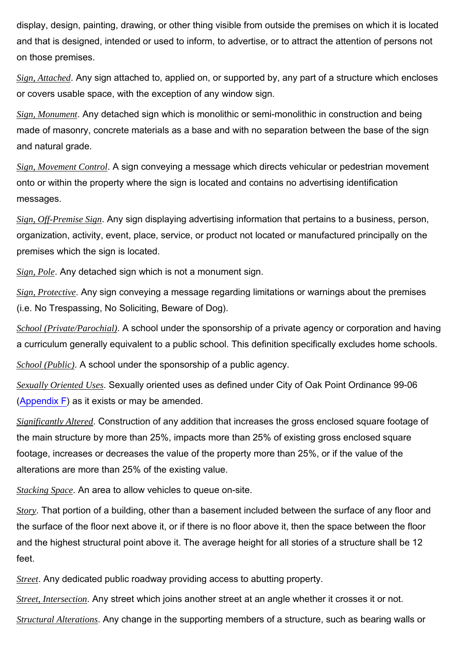display, design, painting, drawing, or other thing visible from outside the premises on which it is located and that is designed, intended or used to inform, to advertise, or to attract the attention of persons not on those premises.

*Sign, Attached*. Any sign attached to, applied on, or supported by, any part of a structure which encloses or covers usable space, with the exception of any window sign.

*Sign, Monument*. Any detached sign which is monolithic or semi-monolithic in construction and being made of masonry, concrete materials as a base and with no separation between the base of the sign and natural grade.

*Sign, Movement Control*. A sign conveying a message which directs vehicular or pedestrian movement onto or within the property where the sign is located and contains no advertising identification messages.

*Sign, Off-Premise Sign*. Any sign displaying advertising information that pertains to a business, person, organization, activity, event, place, service, or product not located or manufactured principally on the premises which the sign is located.

*Sign, Pole*. Any detached sign which is not a monument sign.

*Sign, Protective*. Any sign conveying a message regarding limitations or warnings about the premises (i.e. No Trespassing, No Soliciting, Beware of Dog).

*School (Private/Parochial)*. A school under the sponsorship of a private agency or corporation and having a curriculum generally equivalent to a public school. This definition specifically excludes home schools.

*School (Public)*. A school under the sponsorship of a public agency.

*Sexually Oriented Uses*. Sexually oriented uses as defined under City of Oak Point Ordinance 99-06 (Appendix F) as it exists or may be amended.

*Significantly Altered*. Construction of any addition that increases the gross enclosed square footage of the main structure by more than 25%, impacts more than 25% of existing gross enclosed square footage, increases or decreases the value of the property more than 25%, or if the value of the alterations are more than 25% of the existing value.

*Stacking Space*. An area to allow vehicles to queue on-site.

*Story*. That portion of a building, other than a basement included between the surface of any floor and the surface of the floor next above it, or if there is no floor above it, then the space between the floor and the highest structural point above it. The average height for all stories of a structure shall be 12 feet.

*Street*. Any dedicated public roadway providing access to abutting property.

*Street, Intersection*. Any street which joins another street at an angle whether it crosses it or not.

*Structural Alterations*. Any change in the supporting members of a structure, such as bearing walls or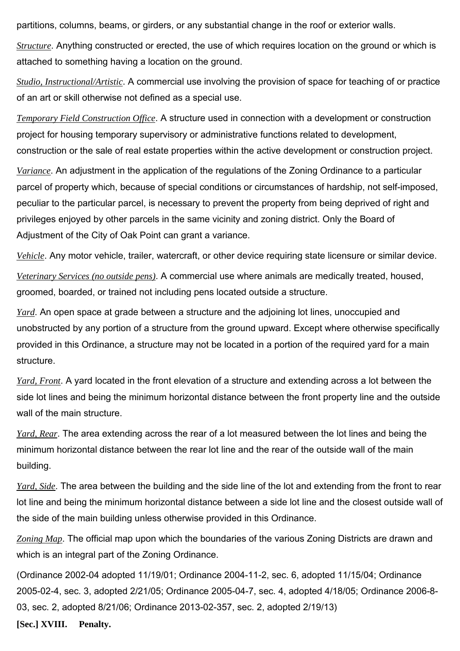partitions, columns, beams, or girders, or any substantial change in the roof or exterior walls.

*Structure*. Anything constructed or erected, the use of which requires location on the ground or which is attached to something having a location on the ground.

*Studio, Instructional/Artistic*. A commercial use involving the provision of space for teaching of or practice of an art or skill otherwise not defined as a special use.

*Temporary Field Construction Office*. A structure used in connection with a development or construction project for housing temporary supervisory or administrative functions related to development, construction or the sale of real estate properties within the active development or construction project.

*Variance*. An adjustment in the application of the regulations of the Zoning Ordinance to a particular parcel of property which, because of special conditions or circumstances of hardship, not self-imposed, peculiar to the particular parcel, is necessary to prevent the property from being deprived of right and privileges enjoyed by other parcels in the same vicinity and zoning district. Only the Board of Adjustment of the City of Oak Point can grant a variance.

*Vehicle*. Any motor vehicle, trailer, watercraft, or other device requiring state licensure or similar device.

*Veterinary Services (no outside pens)*. A commercial use where animals are medically treated, housed, groomed, boarded, or trained not including pens located outside a structure.

*Yard*. An open space at grade between a structure and the adjoining lot lines, unoccupied and unobstructed by any portion of a structure from the ground upward. Except where otherwise specifically provided in this Ordinance, a structure may not be located in a portion of the required yard for a main structure.

*Yard, Front*. A yard located in the front elevation of a structure and extending across a lot between the side lot lines and being the minimum horizontal distance between the front property line and the outside wall of the main structure.

*Yard, Rear*. The area extending across the rear of a lot measured between the lot lines and being the minimum horizontal distance between the rear lot line and the rear of the outside wall of the main building.

*Yard, Side*. The area between the building and the side line of the lot and extending from the front to rear lot line and being the minimum horizontal distance between a side lot line and the closest outside wall of the side of the main building unless otherwise provided in this Ordinance.

*Zoning Map*. The official map upon which the boundaries of the various Zoning Districts are drawn and which is an integral part of the Zoning Ordinance.

(Ordinance 2002-04 adopted 11/19/01; Ordinance 2004-11-2, sec. 6, adopted 11/15/04; Ordinance 2005-02-4, sec. 3, adopted 2/21/05; Ordinance 2005-04-7, sec. 4, adopted 4/18/05; Ordinance 2006-8- 03, sec. 2, adopted 8/21/06; Ordinance 2013-02-357, sec. 2, adopted 2/19/13) **[Sec.] XVIII. Penalty.**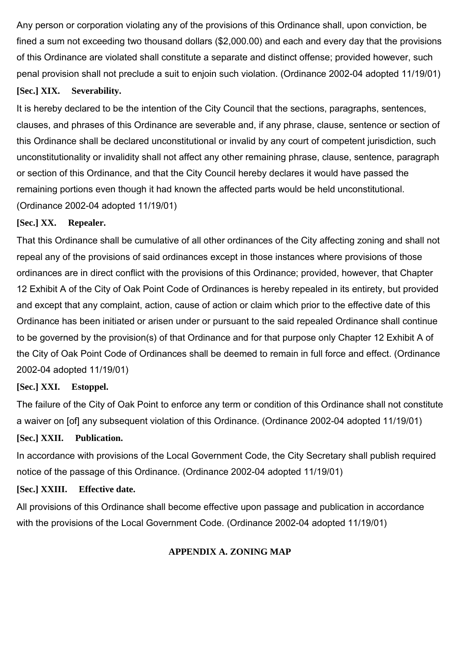Any person or corporation violating any of the provisions of this Ordinance shall, upon conviction, be fined a sum not exceeding two thousand dollars (\$2,000.00) and each and every day that the provisions of this Ordinance are violated shall constitute a separate and distinct offense; provided however, such penal provision shall not preclude a suit to enjoin such violation. (Ordinance 2002-04 adopted 11/19/01) **[Sec.] XIX. Severability.**

It is hereby declared to be the intention of the City Council that the sections, paragraphs, sentences, clauses, and phrases of this Ordinance are severable and, if any phrase, clause, sentence or section of this Ordinance shall be declared unconstitutional or invalid by any court of competent jurisdiction, such unconstitutionality or invalidity shall not affect any other remaining phrase, clause, sentence, paragraph or section of this Ordinance, and that the City Council hereby declares it would have passed the remaining portions even though it had known the affected parts would be held unconstitutional. (Ordinance 2002-04 adopted 11/19/01)

# **[Sec.] XX. Repealer.**

That this Ordinance shall be cumulative of all other ordinances of the City affecting zoning and shall not repeal any of the provisions of said ordinances except in those instances where provisions of those ordinances are in direct conflict with the provisions of this Ordinance; provided, however, that Chapter 12 Exhibit A of the City of Oak Point Code of Ordinances is hereby repealed in its entirety, but provided and except that any complaint, action, cause of action or claim which prior to the effective date of this Ordinance has been initiated or arisen under or pursuant to the said repealed Ordinance shall continue to be governed by the provision(s) of that Ordinance and for that purpose only Chapter 12 Exhibit A of the City of Oak Point Code of Ordinances shall be deemed to remain in full force and effect. (Ordinance 2002-04 adopted 11/19/01)

# **[Sec.] XXI. Estoppel.**

The failure of the City of Oak Point to enforce any term or condition of this Ordinance shall not constitute a waiver on [of] any subsequent violation of this Ordinance. (Ordinance 2002-04 adopted 11/19/01)

# **[Sec.] XXII. Publication.**

In accordance with provisions of the Local Government Code, the City Secretary shall publish required notice of the passage of this Ordinance. (Ordinance 2002-04 adopted 11/19/01)

# **[Sec.] XXIII. Effective date.**

All provisions of this Ordinance shall become effective upon passage and publication in accordance with the provisions of the Local Government Code. (Ordinance 2002-04 adopted 11/19/01)

# **APPENDIX A. ZONING MAP**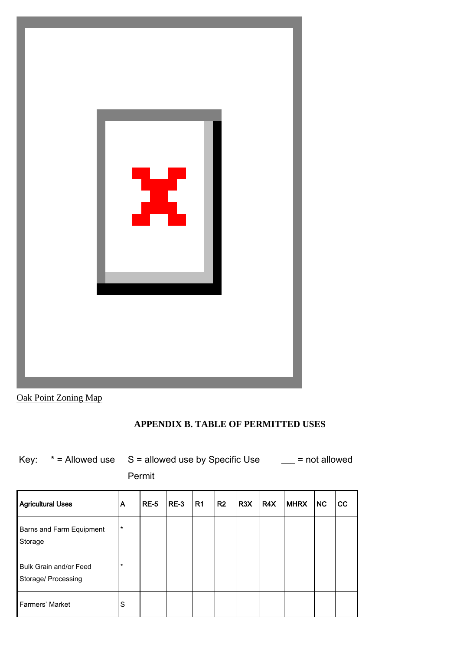

Oak Point Zoning Map

# **APPENDIX B. TABLE OF PERMITTED USES**

| Key:                                          | $*$ = Allowed use $S$ = allowed use by Specific Use $\qquad \qquad \_$ = not allowed<br>Permit |             |        |    |                |     |     |             |           |    |
|-----------------------------------------------|------------------------------------------------------------------------------------------------|-------------|--------|----|----------------|-----|-----|-------------|-----------|----|
|                                               |                                                                                                |             |        |    |                |     |     |             |           |    |
| <b>Agricultural Uses</b>                      | A                                                                                              | <b>RE-5</b> | $RE-3$ | R1 | R <sub>2</sub> | R3X | R4X | <b>MHRX</b> | <b>NC</b> | CС |
| Barns and Farm Equipment<br>Storage           | $\star$                                                                                        |             |        |    |                |     |     |             |           |    |
| Bulk Grain and/or Feed<br>Storage/ Processing | $\star$                                                                                        |             |        |    |                |     |     |             |           |    |
| <b>Farmers' Market</b>                        | S                                                                                              |             |        |    |                |     |     |             |           |    |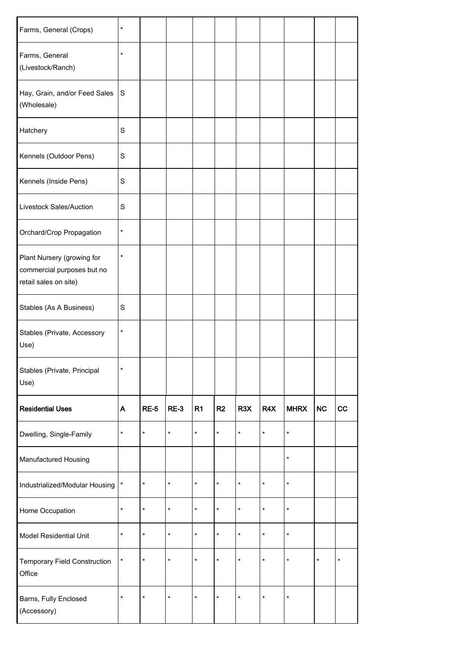| Farms, General (Crops)                                                            | $\star$     |         |         |                |         |                  |         |             |         |        |
|-----------------------------------------------------------------------------------|-------------|---------|---------|----------------|---------|------------------|---------|-------------|---------|--------|
| Farms, General<br>(Livestock/Ranch)                                               | *           |         |         |                |         |                  |         |             |         |        |
| Hay, Grain, and/or Feed Sales<br>(Wholesale)                                      | S           |         |         |                |         |                  |         |             |         |        |
| Hatchery                                                                          | $\mathbf S$ |         |         |                |         |                  |         |             |         |        |
| Kennels (Outdoor Pens)                                                            | $\mathbf S$ |         |         |                |         |                  |         |             |         |        |
| Kennels (Inside Pens)                                                             | $\mathbf S$ |         |         |                |         |                  |         |             |         |        |
| Livestock Sales/Auction                                                           | $\mathbf S$ |         |         |                |         |                  |         |             |         |        |
| Orchard/Crop Propagation                                                          | $\star$     |         |         |                |         |                  |         |             |         |        |
| Plant Nursery (growing for<br>commercial purposes but no<br>retail sales on site) | $\star$     |         |         |                |         |                  |         |             |         |        |
| Stables (As A Business)                                                           | S           |         |         |                |         |                  |         |             |         |        |
| Stables (Private, Accessory<br>Use)                                               | *           |         |         |                |         |                  |         |             |         |        |
| Stables (Private, Principal                                                       | $\star$     |         |         |                |         |                  |         |             |         |        |
| Use)                                                                              |             |         |         |                |         |                  |         |             |         |        |
| <b>Residential Uses</b>                                                           | A           | $RE-5$  | $RE-3$  | R <sub>1</sub> | R2      | R <sub>3</sub> X | R4X     | <b>MHRX</b> | NC      | cc     |
| Dwelling, Single-Family                                                           | $\star$     | $\star$ | $\star$ | $\star$        | $\star$ | $\star$          | $\star$ | $\star$     |         |        |
| Manufactured Housing                                                              |             |         |         |                |         |                  |         | $\star$     |         |        |
| Industrialized/Modular Housing                                                    | $\star$     | $\star$ | $\star$ | $\star$        | $\star$ | $\star$          | $\star$ | $\star$     |         |        |
| Home Occupation                                                                   | $\star$     | $\star$ | $\star$ | $\star$        | $\star$ | $\star$          | $\star$ | $\star$     |         |        |
| Model Residential Unit                                                            | $\star$     | $\star$ | $\star$ | $\star$        | $\star$ | $\star$          | $\star$ | $\star$     |         |        |
| <b>Temporary Field Construction</b><br>Office                                     | $\star$     | $\star$ | $\star$ | $\star$        | $\star$ | $\star$          | $\star$ | $\star$     | $\star$ | $\ast$ |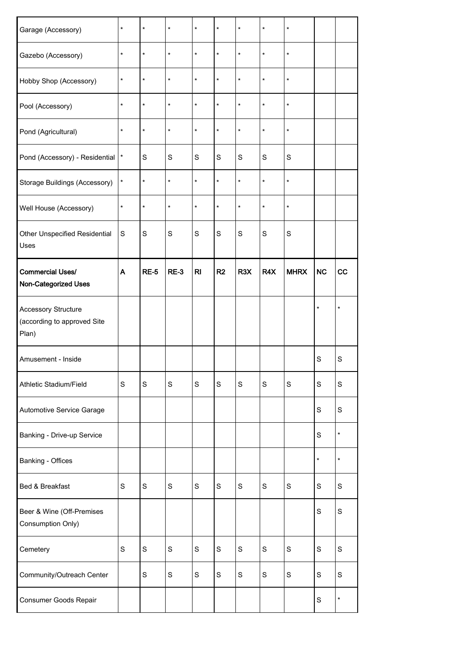| Garage (Accessory)                                                 | $\star$     | $\star$     | $\star$     | $\star$     | $\star$        | $\star$          | $\star$     | $\star$     |             |             |
|--------------------------------------------------------------------|-------------|-------------|-------------|-------------|----------------|------------------|-------------|-------------|-------------|-------------|
| Gazebo (Accessory)                                                 | $\star$     | $\star$     | $\star$     | $\star$     | $\star$        | $\star$          | $\star$     | $\star$     |             |             |
| Hobby Shop (Accessory)                                             | $\star$     | $\star$     | $\star$     | $\star$     | $\star$        | $\star$          | $\star$     | $\star$     |             |             |
| Pool (Accessory)                                                   | $\star$     | $\star$     | $\star$     | $\star$     | $\star$        | $\star$          | $\star$     | $\star$     |             |             |
| Pond (Agricultural)                                                | $\star$     | $\star$     | $\star$     | $\star$     | $\star$        | $\star$          | $\star$     | $\star$     |             |             |
| Pond (Accessory) - Residential                                     | $\star$     | $\mathbf S$ | $\mathbf S$ | $\mathbf S$ | $\mathbf S$    | S                | $\mathbf S$ | S           |             |             |
| Storage Buildings (Accessory)                                      | $\star$     | $\star$     | $\star$     | $\star$     | $\star$        | $\star$          | $\star$     | $\star$     |             |             |
| Well House (Accessory)                                             | $\star$     | $\star$     | $\star$     | $\star$     | $\star$        | $\star$          | $\star$     | $\star$     |             |             |
| <b>Other Unspecified Residential</b><br>Uses                       | $\mathsf S$ | $\mathbf S$ | $\mathbf S$ | $\mathbf S$ | $\mathbf S$    | S                | $\mathbf S$ | S           |             |             |
| <b>Commercial Uses/</b><br>Non-Categorized Uses                    | A           | <b>RE-5</b> | <b>RE-3</b> | $R_{\rm I}$ | R <sub>2</sub> | R <sub>3</sub> X | R4X         | <b>MHRX</b> | NC          | cc          |
| <b>Accessory Structure</b><br>(according to approved Site<br>Plan) |             |             |             |             |                |                  |             |             | $\star$     | $\star$     |
| Amusement - Inside                                                 |             |             |             |             |                |                  |             |             | $\mathsf S$ | S           |
| Athletic Stadium/Field                                             | $\mathsf S$ | $\mathbf S$ | S           | $\mathbb S$ | $\mathbf S$    | S                | $\mathbf S$ | S           | $\mathbf S$ | $\mathbf S$ |
| Automotive Service Garage                                          |             |             |             |             |                |                  |             |             | S           | $\mathsf S$ |
| Banking - Drive-up Service                                         |             |             |             |             |                |                  |             |             | S           | $\ast$      |
| Banking - Offices                                                  |             |             |             |             |                |                  |             |             | $\star$     | $\star$     |
| Bed & Breakfast                                                    | $\mathsf S$ | $\mathbf S$ | $\mathbf S$ | $\mathbb S$ | $\mathbf S$    | S                | $\mathbf S$ | $\mathsf S$ | S           | $\mathbf S$ |
| Beer & Wine (Off-Premises<br>Consumption Only)                     |             |             |             |             |                |                  |             |             | S           | S           |
| Cemetery                                                           | S           | $\mathbf S$ | $\mathbf S$ | $\mathbf S$ | $\mathbf S$    | S                | $\mathbf S$ | $\mathsf S$ | S           | $\mathbf S$ |
| Community/Outreach Center                                          |             | $\mathbf S$ | $\mathbf S$ | $\mathbf S$ | $\mathbf S$    | S                | $\mathbf S$ | S           | S           | S           |
| Consumer Goods Repair                                              |             |             |             |             |                |                  |             |             | S           | $\star$     |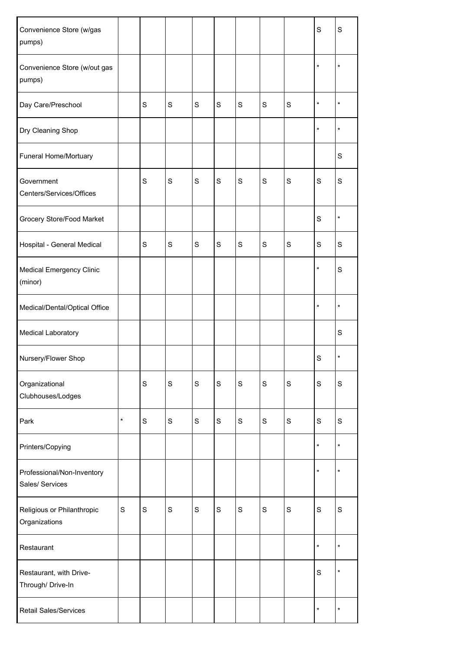| Convenience Store (w/gas<br>pumps)            |         |             |               |   |               |             |               |             | $\mathbf S$ | $\mathbf S$ |
|-----------------------------------------------|---------|-------------|---------------|---|---------------|-------------|---------------|-------------|-------------|-------------|
| Convenience Store (w/out gas<br>pumps)        |         |             |               |   |               |             |               |             | $\star$     | $\star$     |
| Day Care/Preschool                            |         | $\mathbf S$ | $\mathbf S$   | S | $\mathbf S$   | S           | S             | S           | $\star$     | $\star$     |
| Dry Cleaning Shop                             |         |             |               |   |               |             |               |             | $\star$     | $\star$     |
| <b>Funeral Home/Mortuary</b>                  |         |             |               |   |               |             |               |             |             | S           |
| Government<br>Centers/Services/Offices        |         | $\mathbf S$ | S             | S | $\mathbf S$   | $\mathbf S$ | S             | $\mathsf S$ | S           | S           |
| Grocery Store/Food Market                     |         |             |               |   |               |             |               |             | S           | $\star$     |
| Hospital - General Medical                    |         | $\mathbf S$ | $\mathbf S$   | S | $\mathbf S$   | $\mathbf S$ | $\mathsf S$   | $\mathsf S$ | S           | S           |
| <b>Medical Emergency Clinic</b><br>(minor)    |         |             |               |   |               |             |               |             | $\star$     | S           |
| Medical/Dental/Optical Office                 |         |             |               |   |               |             |               |             | $\star$     | $\star$     |
| Medical Laboratory                            |         |             |               |   |               |             |               |             |             | S           |
| Nursery/Flower Shop                           |         |             |               |   |               |             |               |             | $\mathbf S$ | $\star$     |
| Organizational<br>Clubhouses/Lodges           |         | $\mathbf S$ | $\mathbf S$   | S | $\mathbf S$   | $\mathbf S$ | $\mathbf S$   | $\mathbf S$ | $\mathbf S$ | $\mathbf S$ |
| Park                                          | $\star$ | $\mathbf S$ | $\mathbf S$   | S | $\mathbf S$   | $\mathbf S$ | $\mathsf S$   | $\mathbf S$ | $\mathbf S$ | $\mathbf S$ |
| Printers/Copying                              |         |             |               |   |               |             |               |             | $\star$     | $\star$     |
| Professional/Non-Inventory<br>Sales/ Services |         |             |               |   |               |             |               |             | $\star$     | $\star$     |
| Religious or Philanthropic<br>Organizations   | S       | $\mathbf S$ | ${\mathsf S}$ | S | ${\mathsf S}$ | $\mathbf S$ | ${\mathsf S}$ | $\mathsf S$ | $\mathbf S$ | S           |
| Restaurant                                    |         |             |               |   |               |             |               |             | $\star$     | $\star$     |
| Restaurant, with Drive-<br>Through/Drive-In   |         |             |               |   |               |             |               |             | $\mathbf S$ | $\star$     |
| <b>Retail Sales/Services</b>                  |         |             |               |   |               |             |               |             | $\star$     | $\star$     |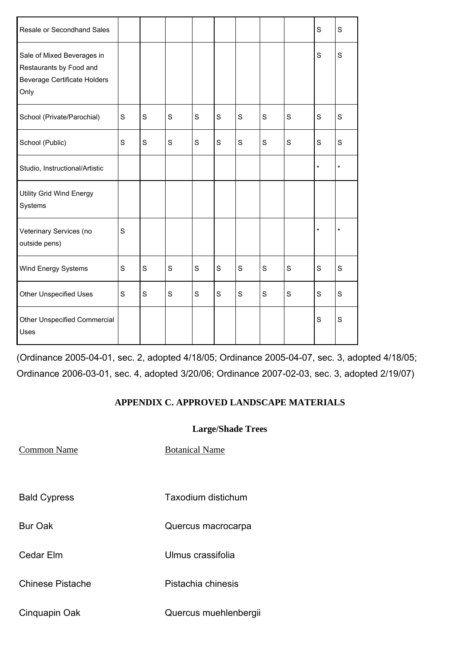| Resale or Secondhand Sales                            |             |   |              |             |             |             |   |             | S       | S           |
|-------------------------------------------------------|-------------|---|--------------|-------------|-------------|-------------|---|-------------|---------|-------------|
|                                                       |             |   |              |             |             |             |   |             |         |             |
| Sale of Mixed Beverages in<br>Restaurants by Food and |             |   |              |             |             |             |   |             | S       | $\mathbf S$ |
| <b>Beverage Certificate Holders</b><br>Only           |             |   |              |             |             |             |   |             |         |             |
| School (Private/Parochial)                            | $\mathbf S$ | S | $\mathsf{s}$ | $\mathbf S$ | S           | $\mathbf S$ | S | $\mathbf S$ | S       | S           |
| School (Public)                                       | S           | S | $\mathsf{s}$ | S           | S           | S           | S | S           | S       | S           |
| Studio, Instructional/Artistic                        |             |   |              |             |             |             |   |             | $\star$ | $\star$     |
| <b>Utility Grid Wind Energy</b><br>Systems            |             |   |              |             |             |             |   |             |         |             |
| Veterinary Services (no<br>outside pens)              | S           |   |              |             |             |             |   |             | $\star$ | $\star$     |
| Wind Energy Systems                                   | $\mathbf S$ | S | S            | S           | $\mathbf S$ | $\mathbf S$ | S | S           | S       | $\mathsf S$ |
| <b>Other Unspecified Uses</b>                         | S           | S | S            | S           | S           | S           | S | S           | S       | S           |
| <b>Other Unspecified Commercial</b><br>Uses           |             |   |              |             |             |             |   |             | S       | S           |

(Ordinance 2005-04-01, sec. 2, adopted 4/18/05; Ordinance 2005-04-07, sec. 3, adopted 4/18/05; Ordinance 2006-03-01, sec. 4, adopted 3/20/06; Ordinance 2007-02-03, sec. 3, adopted 2/19/07)

# **APPENDIX C. APPROVED LANDSCAPE MATERIALS**

# **Large/Shade Trees**

| <b>Common Name</b>      | <b>Botanical Name</b> |
|-------------------------|-----------------------|
| <b>Bald Cypress</b>     | Taxodium distichum    |
| <b>Bur Oak</b>          | Quercus macrocarpa    |
| Cedar Elm               | Ulmus crassifolia     |
| <b>Chinese Pistache</b> | Pistachia chinesis    |
| Cinquapin Oak           | Quercus muehlenbergii |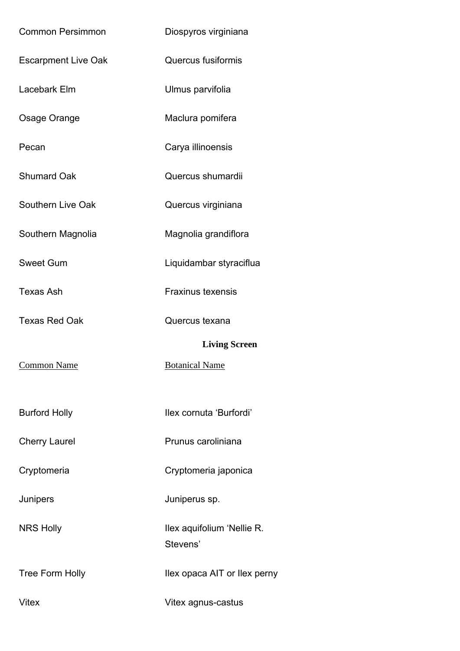| <b>Common Persimmon</b>    | Diospyros virginiana                   |
|----------------------------|----------------------------------------|
| <b>Escarpment Live Oak</b> | Quercus fusiformis                     |
| Lacebark Elm               | Ulmus parvifolia                       |
| Osage Orange               | Maclura pomifera                       |
| Pecan                      | Carya illinoensis                      |
| <b>Shumard Oak</b>         | Quercus shumardii                      |
| Southern Live Oak          | Quercus virginiana                     |
| Southern Magnolia          | Magnolia grandiflora                   |
| <b>Sweet Gum</b>           | Liquidambar styraciflua                |
| <b>Texas Ash</b>           | <b>Fraxinus texensis</b>               |
| <b>Texas Red Oak</b>       | Quercus texana                         |
|                            | <b>Living Screen</b>                   |
| <b>Common Name</b>         | <b>Botanical Name</b>                  |
|                            |                                        |
| <b>Burford Holly</b>       | llex cornuta 'Burfordi'                |
| <b>Cherry Laurel</b>       | Prunus caroliniana                     |
| Cryptomeria                | Cryptomeria japonica                   |
| Junipers                   | Juniperus sp.                          |
| <b>NRS Holly</b>           | Ilex aquifolium 'Nellie R.<br>Stevens' |
| <b>Tree Form Holly</b>     | Ilex opaca AIT or Ilex perny           |
| Vitex                      | Vitex agnus-castus                     |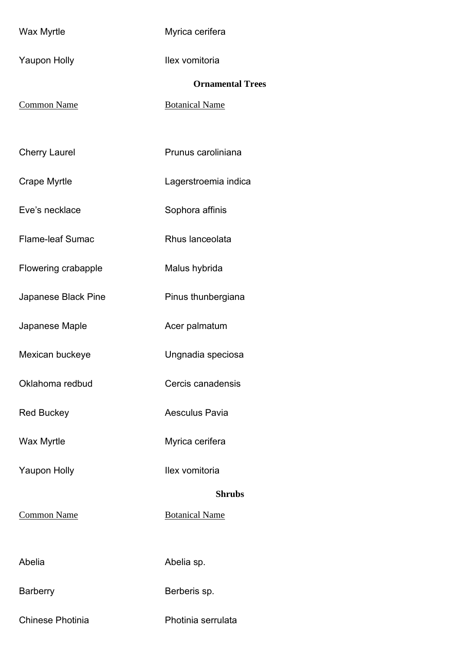| Wax Myrtle              | Myrica cerifera         |
|-------------------------|-------------------------|
| <b>Yaupon Holly</b>     | Ilex vomitoria          |
|                         | <b>Ornamental Trees</b> |
| <b>Common Name</b>      | <b>Botanical Name</b>   |
|                         |                         |
| <b>Cherry Laurel</b>    | Prunus caroliniana      |
| Crape Myrtle            | Lagerstroemia indica    |
| Eve's necklace          | Sophora affinis         |
| <b>Flame-leaf Sumac</b> | Rhus lanceolata         |
| Flowering crabapple     | Malus hybrida           |
| Japanese Black Pine     | Pinus thunbergiana      |
| Japanese Maple          | Acer palmatum           |
| Mexican buckeye         | Ungnadia speciosa       |
| Oklahoma redbud         | Cercis canadensis       |
| <b>Red Buckey</b>       | Aesculus Pavia          |
| Wax Myrtle              | Myrica cerifera         |
| <b>Yaupon Holly</b>     | Ilex vomitoria          |
|                         | <b>Shrubs</b>           |
| <b>Common Name</b>      | <b>Botanical Name</b>   |
| Abelia                  | Abelia sp.              |
| <b>Barberry</b>         | Berberis sp.            |
| Chinese Photinia        | Photinia serrulata      |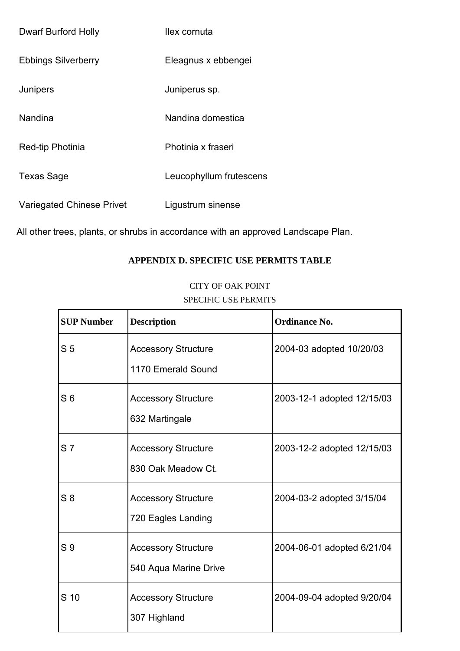| Dwarf Burford Holly        | llex cornuta            |
|----------------------------|-------------------------|
| <b>Ebbings Silverberry</b> | Eleagnus x ebbengei     |
| Junipers                   | Juniperus sp.           |
| <b>Nandina</b>             | Nandina domestica       |
| Red-tip Photinia           | Photinia x fraseri      |
| Texas Sage                 | Leucophyllum frutescens |
| Variegated Chinese Privet  | Ligustrum sinense       |

All other trees, plants, or shrubs in accordance with an approved Landscape Plan.

# **APPENDIX D. SPECIFIC USE PERMITS TABLE**

| <b>SUP Number</b> | <b>Description</b>                                  | <b>Ordinance No.</b>       |
|-------------------|-----------------------------------------------------|----------------------------|
| S <sub>5</sub>    | <b>Accessory Structure</b><br>1170 Emerald Sound    | 2004-03 adopted 10/20/03   |
| S <sub>6</sub>    | <b>Accessory Structure</b><br>632 Martingale        | 2003-12-1 adopted 12/15/03 |
| S <sub>7</sub>    | <b>Accessory Structure</b><br>830 Oak Meadow Ct.    | 2003-12-2 adopted 12/15/03 |
| $S_8$             | <b>Accessory Structure</b><br>720 Eagles Landing    | 2004-03-2 adopted 3/15/04  |
| S <sub>9</sub>    | <b>Accessory Structure</b><br>540 Aqua Marine Drive | 2004-06-01 adopted 6/21/04 |
| S 10              | <b>Accessory Structure</b><br>307 Highland          | 2004-09-04 adopted 9/20/04 |

# CITY OF OAK POINT SPECIFIC USE PERMITS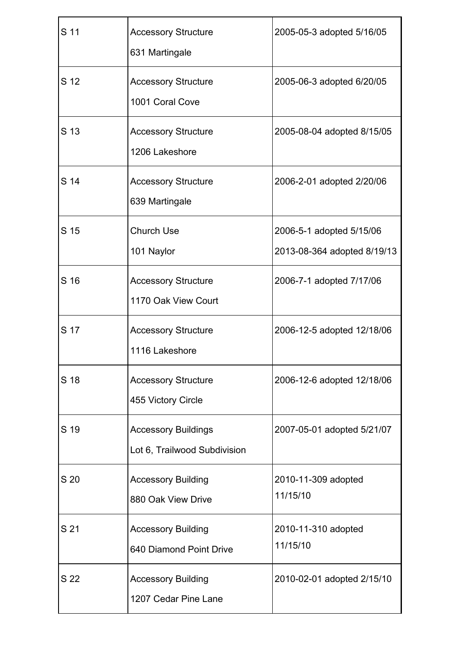| S 11 | <b>Accessory Structure</b><br>631 Martingale               | 2005-05-3 adopted 5/16/05                               |
|------|------------------------------------------------------------|---------------------------------------------------------|
| S 12 | <b>Accessory Structure</b><br>1001 Coral Cove              | 2005-06-3 adopted 6/20/05                               |
| S 13 | <b>Accessory Structure</b><br>1206 Lakeshore               | 2005-08-04 adopted 8/15/05                              |
| S 14 | <b>Accessory Structure</b><br>639 Martingale               | 2006-2-01 adopted 2/20/06                               |
| S 15 | <b>Church Use</b><br>101 Naylor                            | 2006-5-1 adopted 5/15/06<br>2013-08-364 adopted 8/19/13 |
| S 16 | <b>Accessory Structure</b><br>1170 Oak View Court          | 2006-7-1 adopted 7/17/06                                |
| S 17 | <b>Accessory Structure</b><br>1116 Lakeshore               | 2006-12-5 adopted 12/18/06                              |
| S 18 | <b>Accessory Structure</b><br>455 Victory Circle           | 2006-12-6 adopted 12/18/06                              |
| S 19 | <b>Accessory Buildings</b><br>Lot 6, Trailwood Subdivision | 2007-05-01 adopted 5/21/07                              |
| S 20 | <b>Accessory Building</b><br>880 Oak View Drive            | 2010-11-309 adopted<br>11/15/10                         |
| S 21 | <b>Accessory Building</b><br>640 Diamond Point Drive       | 2010-11-310 adopted<br>11/15/10                         |
| S 22 | <b>Accessory Building</b><br>1207 Cedar Pine Lane          | 2010-02-01 adopted 2/15/10                              |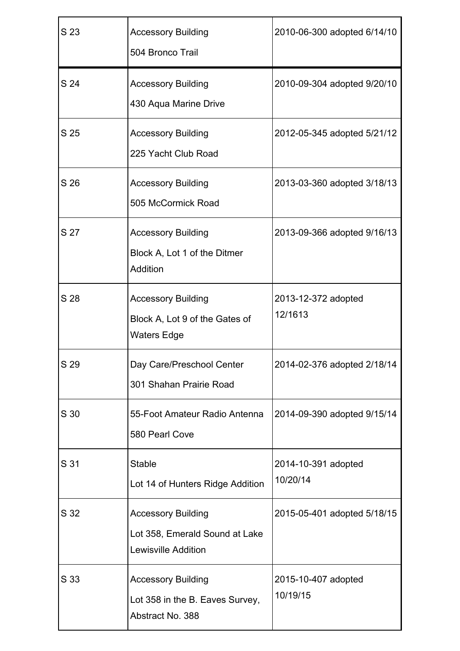| S 23 | <b>Accessory Building</b><br>504 Bronco Trail                                             | 2010-06-300 adopted 6/14/10     |
|------|-------------------------------------------------------------------------------------------|---------------------------------|
| S 24 | <b>Accessory Building</b><br>430 Aqua Marine Drive                                        | 2010-09-304 adopted 9/20/10     |
| S 25 | <b>Accessory Building</b><br>225 Yacht Club Road                                          | 2012-05-345 adopted 5/21/12     |
| S 26 | <b>Accessory Building</b><br>505 McCormick Road                                           | 2013-03-360 adopted 3/18/13     |
| S 27 | <b>Accessory Building</b><br>Block A, Lot 1 of the Ditmer<br>Addition                     | 2013-09-366 adopted 9/16/13     |
| S 28 | <b>Accessory Building</b><br>Block A, Lot 9 of the Gates of<br><b>Waters Edge</b>         | 2013-12-372 adopted<br>12/1613  |
| S 29 | Day Care/Preschool Center<br>301 Shahan Prairie Road                                      | 2014-02-376 adopted 2/18/14     |
| S 30 | 55-Foot Amateur Radio Antenna<br>580 Pearl Cove                                           | 2014-09-390 adopted 9/15/14     |
| S 31 | <b>Stable</b><br>Lot 14 of Hunters Ridge Addition                                         | 2014-10-391 adopted<br>10/20/14 |
| S 32 | <b>Accessory Building</b><br>Lot 358, Emerald Sound at Lake<br><b>Lewisville Addition</b> | 2015-05-401 adopted 5/18/15     |
| S 33 | <b>Accessory Building</b><br>Lot 358 in the B. Eaves Survey,<br>Abstract No. 388          | 2015-10-407 adopted<br>10/19/15 |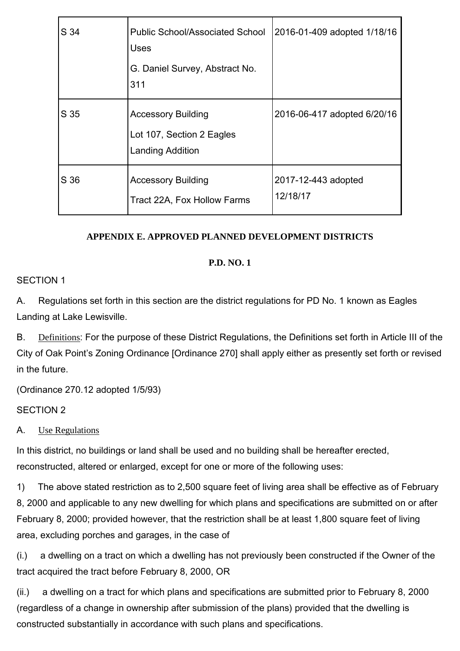| S 34 | <b>Public School/Associated School</b><br><b>Uses</b>                             | 2016-01-409 adopted 1/18/16     |
|------|-----------------------------------------------------------------------------------|---------------------------------|
|      | G. Daniel Survey, Abstract No.<br>311                                             |                                 |
| S 35 | <b>Accessory Building</b><br>Lot 107, Section 2 Eagles<br><b>Landing Addition</b> | 2016-06-417 adopted 6/20/16     |
| S 36 | <b>Accessory Building</b><br>Tract 22A, Fox Hollow Farms                          | 2017-12-443 adopted<br>12/18/17 |

# **APPENDIX E. APPROVED PLANNED DEVELOPMENT DISTRICTS**

# **P.D. NO. 1**

# SECTION 1

A. Regulations set forth in this section are the district regulations for PD No. 1 known as Eagles Landing at Lake Lewisville.

B. Definitions: For the purpose of these District Regulations, the Definitions set forth in Article III of the City of Oak Point's Zoning Ordinance [Ordinance 270] shall apply either as presently set forth or revised in the future.

(Ordinance 270.12 adopted 1/5/93)

# SECTION 2

# A. Use Regulations

In this district, no buildings or land shall be used and no building shall be hereafter erected, reconstructed, altered or enlarged, except for one or more of the following uses:

1) The above stated restriction as to 2,500 square feet of living area shall be effective as of February 8, 2000 and applicable to any new dwelling for which plans and specifications are submitted on or after February 8, 2000; provided however, that the restriction shall be at least 1,800 square feet of living area, excluding porches and garages, in the case of

(i.) a dwelling on a tract on which a dwelling has not previously been constructed if the Owner of the tract acquired the tract before February 8, 2000, OR

(ii.) a dwelling on a tract for which plans and specifications are submitted prior to February 8, 2000 (regardless of a change in ownership after submission of the plans) provided that the dwelling is constructed substantially in accordance with such plans and specifications.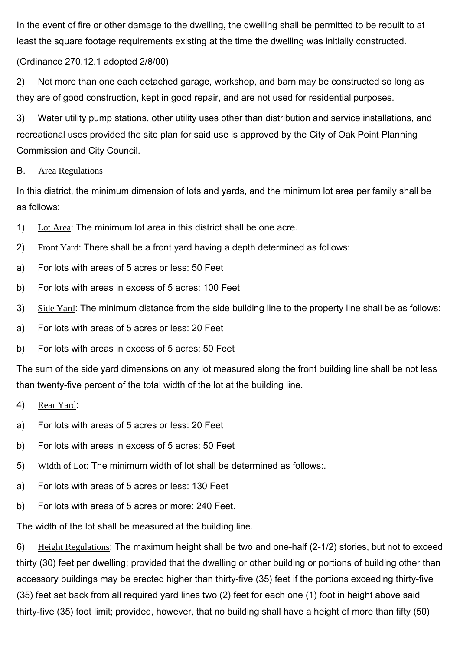In the event of fire or other damage to the dwelling, the dwelling shall be permitted to be rebuilt to at least the square footage requirements existing at the time the dwelling was initially constructed.

(Ordinance 270.12.1 adopted 2/8/00)

2) Not more than one each detached garage, workshop, and barn may be constructed so long as they are of good construction, kept in good repair, and are not used for residential purposes.

3) Water utility pump stations, other utility uses other than distribution and service installations, and recreational uses provided the site plan for said use is approved by the City of Oak Point Planning Commission and City Council.

### B. Area Regulations

In this district, the minimum dimension of lots and yards, and the minimum lot area per family shall be as follows:

- 1) Lot Area: The minimum lot area in this district shall be one acre.
- 2) Front Yard: There shall be a front yard having a depth determined as follows:
- a) For lots with areas of 5 acres or less: 50 Feet
- b) For lots with areas in excess of 5 acres: 100 Feet
- 3) Side Yard: The minimum distance from the side building line to the property line shall be as follows:
- a) For lots with areas of 5 acres or less: 20 Feet
- b) For lots with areas in excess of 5 acres: 50 Feet

The sum of the side yard dimensions on any lot measured along the front building line shall be not less than twenty-five percent of the total width of the lot at the building line.

- 4) Rear Yard:
- a) For lots with areas of 5 acres or less: 20 Feet
- b) For lots with areas in excess of 5 acres: 50 Feet
- 5) Width of Lot: The minimum width of lot shall be determined as follows:
- a) For lots with areas of 5 acres or less: 130 Feet
- b) For lots with areas of 5 acres or more: 240 Feet.

The width of the lot shall be measured at the building line.

6) Height Regulations: The maximum height shall be two and one-half (2-1/2) stories, but not to exceed thirty (30) feet per dwelling; provided that the dwelling or other building or portions of building other than accessory buildings may be erected higher than thirty-five (35) feet if the portions exceeding thirty-five (35) feet set back from all required yard lines two (2) feet for each one (1) foot in height above said thirty-five (35) foot limit; provided, however, that no building shall have a height of more than fifty (50)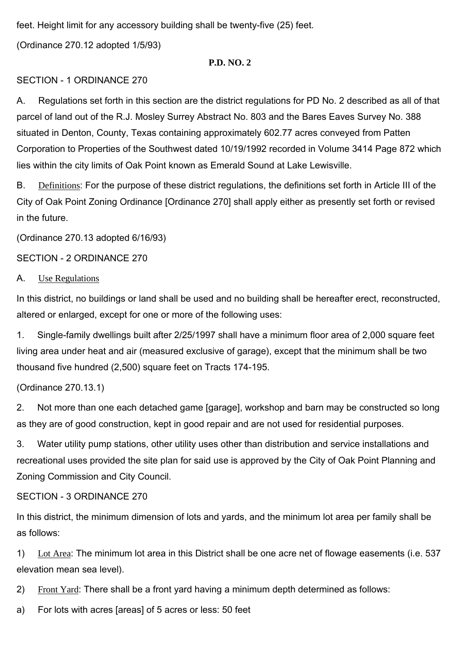feet. Height limit for any accessory building shall be twenty-five (25) feet.

(Ordinance 270.12 adopted 1/5/93)

### **P.D. NO. 2**

# SECTION - 1 ORDINANCE 270

A. Regulations set forth in this section are the district regulations for PD No. 2 described as all of that parcel of land out of the R.J. Mosley Surrey Abstract No. 803 and the Bares Eaves Survey No. 388 situated in Denton, County, Texas containing approximately 602.77 acres conveyed from Patten Corporation to Properties of the Southwest dated 10/19/1992 recorded in Volume 3414 Page 872 which lies within the city limits of Oak Point known as Emerald Sound at Lake Lewisville.

B. Definitions: For the purpose of these district regulations, the definitions set forth in Article III of the City of Oak Point Zoning Ordinance [Ordinance 270] shall apply either as presently set forth or revised in the future.

(Ordinance 270.13 adopted 6/16/93)

SECTION - 2 ORDINANCE 270

# A. Use Regulations

In this district, no buildings or land shall be used and no building shall be hereafter erect, reconstructed, altered or enlarged, except for one or more of the following uses:

1. Single-family dwellings built after 2/25/1997 shall have a minimum floor area of 2,000 square feet living area under heat and air (measured exclusive of garage), except that the minimum shall be two thousand five hundred (2,500) square feet on Tracts 174-195.

# (Ordinance 270.13.1)

2. Not more than one each detached game [garage], workshop and barn may be constructed so long as they are of good construction, kept in good repair and are not used for residential purposes.

3. Water utility pump stations, other utility uses other than distribution and service installations and recreational uses provided the site plan for said use is approved by the City of Oak Point Planning and Zoning Commission and City Council.

# SECTION - 3 ORDINANCE 270

In this district, the minimum dimension of lots and yards, and the minimum lot area per family shall be as follows:

1) Lot Area: The minimum lot area in this District shall be one acre net of flowage easements (i.e. 537 elevation mean sea level).

2) Front Yard: There shall be a front yard having a minimum depth determined as follows:

a) For lots with acres [areas] of 5 acres or less: 50 feet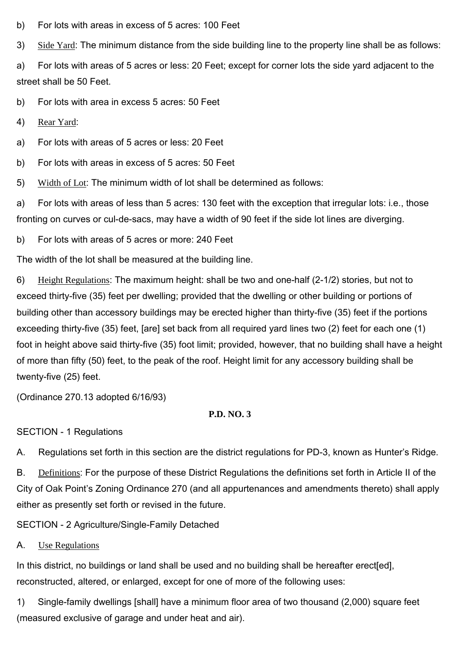b) For lots with areas in excess of 5 acres: 100 Feet

3) Side Yard: The minimum distance from the side building line to the property line shall be as follows:

a) For lots with areas of 5 acres or less: 20 Feet; except for corner lots the side yard adjacent to the street shall be 50 Feet.

b) For lots with area in excess 5 acres: 50 Feet

4) Rear Yard:

a) For lots with areas of 5 acres or less: 20 Feet

b) For lots with areas in excess of 5 acres: 50 Feet

5) Width of Lot: The minimum width of lot shall be determined as follows:

a) For lots with areas of less than 5 acres: 130 feet with the exception that irregular lots: i.e., those fronting on curves or cul-de-sacs, may have a width of 90 feet if the side lot lines are diverging.

b) For lots with areas of 5 acres or more: 240 Feet

The width of the lot shall be measured at the building line.

6) Height Regulations: The maximum height: shall be two and one-half (2-1/2) stories, but not to exceed thirty-five (35) feet per dwelling; provided that the dwelling or other building or portions of building other than accessory buildings may be erected higher than thirty-five (35) feet if the portions exceeding thirty-five (35) feet, [are] set back from all required yard lines two (2) feet for each one (1) foot in height above said thirty-five (35) foot limit; provided, however, that no building shall have a height of more than fifty (50) feet, to the peak of the roof. Height limit for any accessory building shall be twenty-five (25) feet.

(Ordinance 270.13 adopted 6/16/93)

#### **P.D. NO. 3**

#### SECTION - 1 Regulations

A. Regulations set forth in this section are the district regulations for PD-3, known as Hunter's Ridge.

B. Definitions: For the purpose of these District Regulations the definitions set forth in Article II of the City of Oak Point's Zoning Ordinance 270 (and all appurtenances and amendments thereto) shall apply either as presently set forth or revised in the future.

SECTION - 2 Agriculture/Single-Family Detached

# A. Use Regulations

In this district, no buildings or land shall be used and no building shall be hereafter erect [ed], reconstructed, altered, or enlarged, except for one of more of the following uses:

1) Single-family dwellings [shall] have a minimum floor area of two thousand (2,000) square feet (measured exclusive of garage and under heat and air).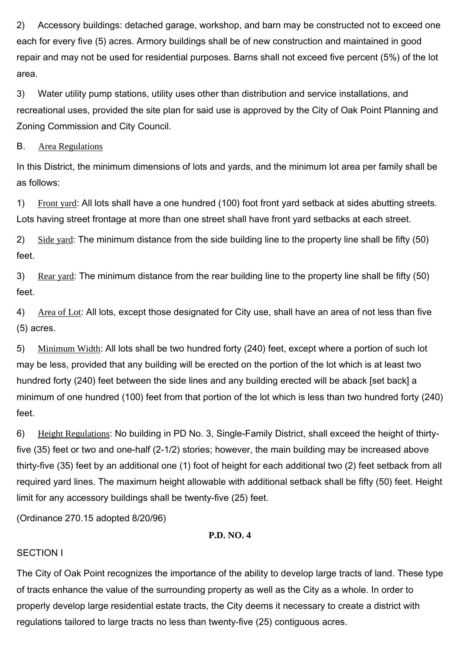2) Accessory buildings: detached garage, workshop, and barn may be constructed not to exceed one each for every five (5) acres. Armory buildings shall be of new construction and maintained in good repair and may not be used for residential purposes. Barns shall not exceed five percent (5%) of the lot area.

3) Water utility pump stations, utility uses other than distribution and service installations, and recreational uses, provided the site plan for said use is approved by the City of Oak Point Planning and Zoning Commission and City Council.

#### B. Area Regulations

In this District, the minimum dimensions of lots and yards, and the minimum lot area per family shall be as follows:

1) Front yard: All lots shall have a one hundred (100) foot front yard setback at sides abutting streets. Lots having street frontage at more than one street shall have front yard setbacks at each street.

2) Side yard: The minimum distance from the side building line to the property line shall be fifty (50) feet.

3) Rear yard: The minimum distance from the rear building line to the property line shall be fifty (50) feet.

4) Area of Lot: All lots, except those designated for City use, shall have an area of not less than five (5) acres.

5) Minimum Width: All lots shall be two hundred forty (240) feet, except where a portion of such lot may be less, provided that any building will be erected on the portion of the lot which is at least two hundred forty (240) feet between the side lines and any building erected will be aback [set back] a minimum of one hundred (100) feet from that portion of the lot which is less than two hundred forty (240) feet.

6) Height Regulations: No building in PD No. 3, Single-Family District, shall exceed the height of thirtyfive (35) feet or two and one-half (2-1/2) stories; however, the main building may be increased above thirty-five (35) feet by an additional one (1) foot of height for each additional two (2) feet setback from all required yard lines. The maximum height allowable with additional setback shall be fifty (50) feet. Height limit for any accessory buildings shall be twenty-five (25) feet.

(Ordinance 270.15 adopted 8/20/96)

#### **P.D. NO. 4**

#### SECTION I

The City of Oak Point recognizes the importance of the ability to develop large tracts of land. These type of tracts enhance the value of the surrounding property as well as the City as a whole. In order to properly develop large residential estate tracts, the City deems it necessary to create a district with regulations tailored to large tracts no less than twenty-five (25) contiguous acres.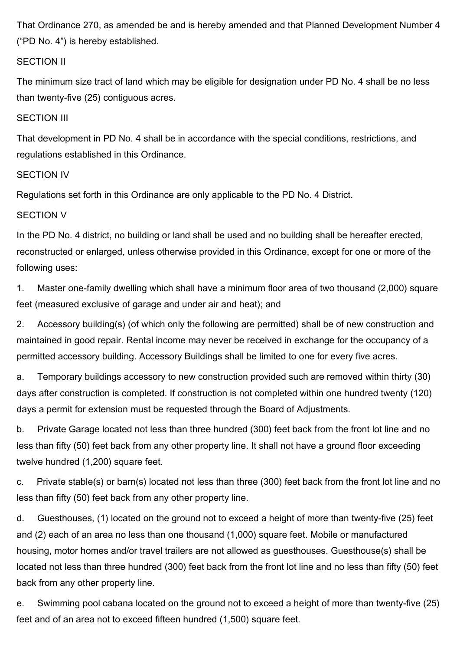That Ordinance 270, as amended be and is hereby amended and that Planned Development Number 4 ("PD No. 4") is hereby established.

#### SECTION II

The minimum size tract of land which may be eligible for designation under PD No. 4 shall be no less than twenty-five (25) contiguous acres.

### SECTION III

That development in PD No. 4 shall be in accordance with the special conditions, restrictions, and regulations established in this Ordinance.

### SECTION IV

Regulations set forth in this Ordinance are only applicable to the PD No. 4 District.

# SECTION V

In the PD No. 4 district, no building or land shall be used and no building shall be hereafter erected, reconstructed or enlarged, unless otherwise provided in this Ordinance, except for one or more of the following uses:

1. Master one-family dwelling which shall have a minimum floor area of two thousand (2,000) square feet (measured exclusive of garage and under air and heat); and

2. Accessory building(s) (of which only the following are permitted) shall be of new construction and maintained in good repair. Rental income may never be received in exchange for the occupancy of a permitted accessory building. Accessory Buildings shall be limited to one for every five acres.

a. Temporary buildings accessory to new construction provided such are removed within thirty (30) days after construction is completed. If construction is not completed within one hundred twenty (120) days a permit for extension must be requested through the Board of Adjustments.

b. Private Garage located not less than three hundred (300) feet back from the front lot line and no less than fifty (50) feet back from any other property line. It shall not have a ground floor exceeding twelve hundred (1,200) square feet.

c. Private stable(s) or barn(s) located not less than three (300) feet back from the front lot line and no less than fifty (50) feet back from any other property line.

d. Guesthouses, (1) located on the ground not to exceed a height of more than twenty-five (25) feet and (2) each of an area no less than one thousand (1,000) square feet. Mobile or manufactured housing, motor homes and/or travel trailers are not allowed as guesthouses. Guesthouse(s) shall be located not less than three hundred (300) feet back from the front lot line and no less than fifty (50) feet back from any other property line.

e. Swimming pool cabana located on the ground not to exceed a height of more than twenty-five (25) feet and of an area not to exceed fifteen hundred (1,500) square feet.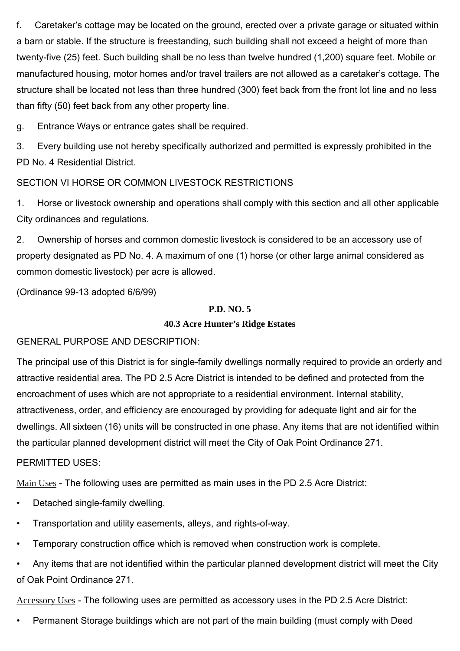f. Caretaker's cottage may be located on the ground, erected over a private garage or situated within a barn or stable. If the structure is freestanding, such building shall not exceed a height of more than twenty-five (25) feet. Such building shall be no less than twelve hundred (1,200) square feet. Mobile or manufactured housing, motor homes and/or travel trailers are not allowed as a caretaker's cottage. The structure shall be located not less than three hundred (300) feet back from the front lot line and no less than fifty (50) feet back from any other property line.

g. Entrance Ways or entrance gates shall be required.

3. Every building use not hereby specifically authorized and permitted is expressly prohibited in the PD No. 4 Residential District.

# SECTION VI HORSE OR COMMON LIVESTOCK RESTRICTIONS

1. Horse or livestock ownership and operations shall comply with this section and all other applicable City ordinances and regulations.

2. Ownership of horses and common domestic livestock is considered to be an accessory use of property designated as PD No. 4. A maximum of one (1) horse (or other large animal considered as common domestic livestock) per acre is allowed.

(Ordinance 99-13 adopted 6/6/99)

### **P.D. NO. 5**

### **40.3 Acre Hunter's Ridge Estates**

# GENERAL PURPOSE AND DESCRIPTION:

The principal use of this District is for single-family dwellings normally required to provide an orderly and attractive residential area. The PD 2.5 Acre District is intended to be defined and protected from the encroachment of uses which are not appropriate to a residential environment. Internal stability, attractiveness, order, and efficiency are encouraged by providing for adequate light and air for the dwellings. All sixteen (16) units will be constructed in one phase. Any items that are not identified within the particular planned development district will meet the City of Oak Point Ordinance 271.

# PERMITTED USES:

Main Uses - The following uses are permitted as main uses in the PD 2.5 Acre District:

- Detached single-family dwelling.
- Transportation and utility easements, alleys, and rights-of-way.
- Temporary construction office which is removed when construction work is complete.

• Any items that are not identified within the particular planned development district will meet the City of Oak Point Ordinance 271.

Accessory Uses - The following uses are permitted as accessory uses in the PD 2.5 Acre District:

• Permanent Storage buildings which are not part of the main building (must comply with Deed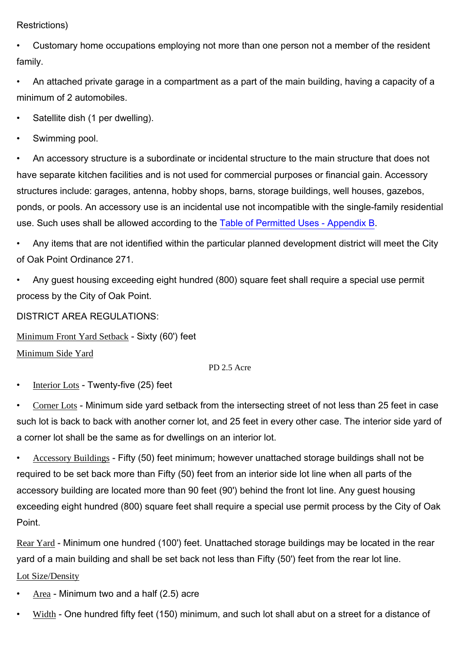Restrictions)

• Customary home occupations employing not more than one person not a member of the resident family.

• An attached private garage in a compartment as a part of the main building, having a capacity of a minimum of 2 automobiles.

Satellite dish (1 per dwelling).

Swimming pool.

• An accessory structure is a subordinate or incidental structure to the main structure that does not have separate kitchen facilities and is not used for commercial purposes or financial gain. Accessory structures include: garages, antenna, hobby shops, barns, storage buildings, well houses, gazebos, ponds, or pools. An accessory use is an incidental use not incompatible with the single-family residential use. Such uses shall be allowed according to the Table of Permitted Uses - Appendix B.

• Any items that are not identified within the particular planned development district will meet the City of Oak Point Ordinance 271.

• Any guest housing exceeding eight hundred (800) square feet shall require a special use permit process by the City of Oak Point.

DISTRICT AREA REGULATIONS:

Minimum Front Yard Setback - Sixty (60') feet Minimum Side Yard

PD 2.5 Acre

Interior Lots - Twenty-five (25) feet

• Corner Lots - Minimum side yard setback from the intersecting street of not less than 25 feet in case such lot is back to back with another corner lot, and 25 feet in every other case. The interior side yard of a corner lot shall be the same as for dwellings on an interior lot.

• Accessory Buildings - Fifty (50) feet minimum; however unattached storage buildings shall not be required to be set back more than Fifty (50) feet from an interior side lot line when all parts of the accessory building are located more than 90 feet (90') behind the front lot line. Any guest housing exceeding eight hundred (800) square feet shall require a special use permit process by the City of Oak Point.

Rear Yard - Minimum one hundred (100') feet. Unattached storage buildings may be located in the rear yard of a main building and shall be set back not less than Fifty (50') feet from the rear lot line. Lot Size/Density

- $Area$  Minimum two and a half (2.5) acre
- Width One hundred fifty feet (150) minimum, and such lot shall abut on a street for a distance of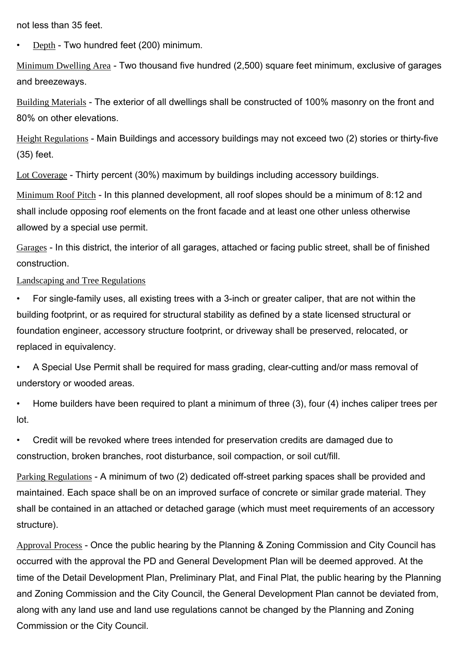not less than 35 feet.

• Depth - Two hundred feet (200) minimum.

Minimum Dwelling Area - Two thousand five hundred (2,500) square feet minimum, exclusive of garages and breezeways.

Building Materials - The exterior of all dwellings shall be constructed of 100% masonry on the front and 80% on other elevations.

Height Regulations - Main Buildings and accessory buildings may not exceed two (2) stories or thirty-five (35) feet.

Lot Coverage - Thirty percent (30%) maximum by buildings including accessory buildings.

Minimum Roof Pitch - In this planned development, all roof slopes should be a minimum of 8:12 and shall include opposing roof elements on the front facade and at least one other unless otherwise allowed by a special use permit.

Garages - In this district, the interior of all garages, attached or facing public street, shall be of finished construction.

#### Landscaping and Tree Regulations

• For single-family uses, all existing trees with a 3-inch or greater caliper, that are not within the building footprint, or as required for structural stability as defined by a state licensed structural or foundation engineer, accessory structure footprint, or driveway shall be preserved, relocated, or replaced in equivalency.

• A Special Use Permit shall be required for mass grading, clear-cutting and/or mass removal of understory or wooded areas.

• Home builders have been required to plant a minimum of three (3), four (4) inches caliper trees per lot.

• Credit will be revoked where trees intended for preservation credits are damaged due to construction, broken branches, root disturbance, soil compaction, or soil cut/fill.

Parking Regulations - A minimum of two (2) dedicated off-street parking spaces shall be provided and maintained. Each space shall be on an improved surface of concrete or similar grade material. They shall be contained in an attached or detached garage (which must meet requirements of an accessory structure).

Approval Process - Once the public hearing by the Planning & Zoning Commission and City Council has occurred with the approval the PD and General Development Plan will be deemed approved. At the time of the Detail Development Plan, Preliminary Plat, and Final Plat, the public hearing by the Planning and Zoning Commission and the City Council, the General Development Plan cannot be deviated from, along with any land use and land use regulations cannot be changed by the Planning and Zoning Commission or the City Council.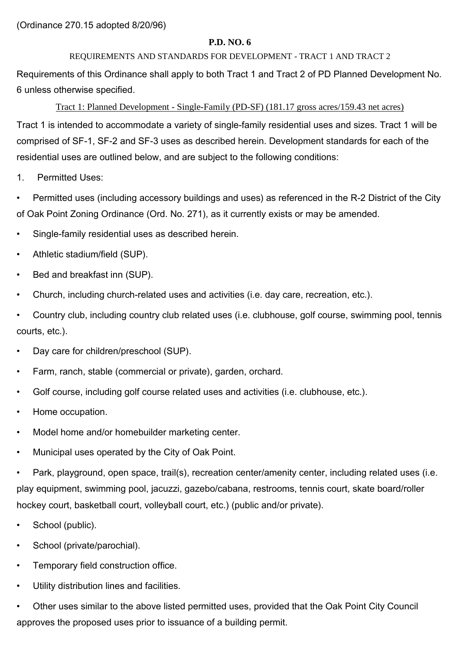# **P.D. NO. 6**

### REQUIREMENTS AND STANDARDS FOR DEVELOPMENT - TRACT 1 AND TRACT 2

Requirements of this Ordinance shall apply to both Tract 1 and Tract 2 of PD Planned Development No. 6 unless otherwise specified.

### Tract 1: Planned Development - Single-Family (PD-SF) (181.17 gross acres/159.43 net acres)

Tract 1 is intended to accommodate a variety of single-family residential uses and sizes. Tract 1 will be comprised of SF-1, SF-2 and SF-3 uses as described herein. Development standards for each of the residential uses are outlined below, and are subject to the following conditions:

1. Permitted Uses:

• Permitted uses (including accessory buildings and uses) as referenced in the R-2 District of the City of Oak Point Zoning Ordinance (Ord. No. 271), as it currently exists or may be amended.

- Single-family residential uses as described herein.
- Athletic stadium/field (SUP).
- Bed and breakfast inn (SUP).
- Church, including church-related uses and activities (i.e. day care, recreation, etc.).

• Country club, including country club related uses (i.e. clubhouse, golf course, swimming pool, tennis courts, etc.).

- Day care for children/preschool (SUP).
- Farm, ranch, stable (commercial or private), garden, orchard.
- Golf course, including golf course related uses and activities (i.e. clubhouse, etc.).
- Home occupation.
- Model home and/or homebuilder marketing center.
- Municipal uses operated by the City of Oak Point.

• Park, playground, open space, trail(s), recreation center/amenity center, including related uses (i.e. play equipment, swimming pool, jacuzzi, gazebo/cabana, restrooms, tennis court, skate board/roller hockey court, basketball court, volleyball court, etc.) (public and/or private).

- School (public).
- School (private/parochial).
- Temporary field construction office.
- Utility distribution lines and facilities.

• Other uses similar to the above listed permitted uses, provided that the Oak Point City Council approves the proposed uses prior to issuance of a building permit.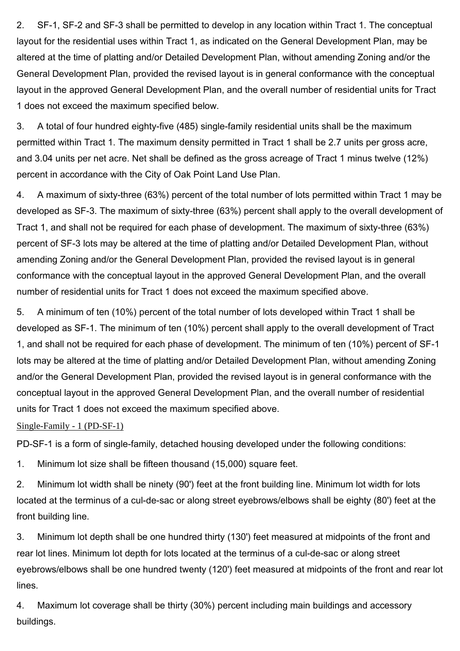2. SF-1, SF-2 and SF-3 shall be permitted to develop in any location within Tract 1. The conceptual layout for the residential uses within Tract 1, as indicated on the General Development Plan, may be altered at the time of platting and/or Detailed Development Plan, without amending Zoning and/or the General Development Plan, provided the revised layout is in general conformance with the conceptual layout in the approved General Development Plan, and the overall number of residential units for Tract 1 does not exceed the maximum specified below.

3. A total of four hundred eighty-five (485) single-family residential units shall be the maximum permitted within Tract 1. The maximum density permitted in Tract 1 shall be 2.7 units per gross acre, and 3.04 units per net acre. Net shall be defined as the gross acreage of Tract 1 minus twelve (12%) percent in accordance with the City of Oak Point Land Use Plan.

4. A maximum of sixty-three (63%) percent of the total number of lots permitted within Tract 1 may be developed as SF-3. The maximum of sixty-three (63%) percent shall apply to the overall development of Tract 1, and shall not be required for each phase of development. The maximum of sixty-three (63%) percent of SF-3 lots may be altered at the time of platting and/or Detailed Development Plan, without amending Zoning and/or the General Development Plan, provided the revised layout is in general conformance with the conceptual layout in the approved General Development Plan, and the overall number of residential units for Tract 1 does not exceed the maximum specified above.

5. A minimum of ten (10%) percent of the total number of lots developed within Tract 1 shall be developed as SF-1. The minimum of ten (10%) percent shall apply to the overall development of Tract 1, and shall not be required for each phase of development. The minimum of ten (10%) percent of SF-1 lots may be altered at the time of platting and/or Detailed Development Plan, without amending Zoning and/or the General Development Plan, provided the revised layout is in general conformance with the conceptual layout in the approved General Development Plan, and the overall number of residential units for Tract 1 does not exceed the maximum specified above.

#### Single-Family - 1 (PD-SF-1)

PD-SF-1 is a form of single-family, detached housing developed under the following conditions:

1. Minimum lot size shall be fifteen thousand (15,000) square feet.

2. Minimum lot width shall be ninety (90') feet at the front building line. Minimum lot width for lots located at the terminus of a cul-de-sac or along street eyebrows/elbows shall be eighty (80') feet at the front building line.

3. Minimum lot depth shall be one hundred thirty (130') feet measured at midpoints of the front and rear lot lines. Minimum lot depth for lots located at the terminus of a cul-de-sac or along street eyebrows/elbows shall be one hundred twenty (120') feet measured at midpoints of the front and rear lot lines.

4. Maximum lot coverage shall be thirty (30%) percent including main buildings and accessory buildings.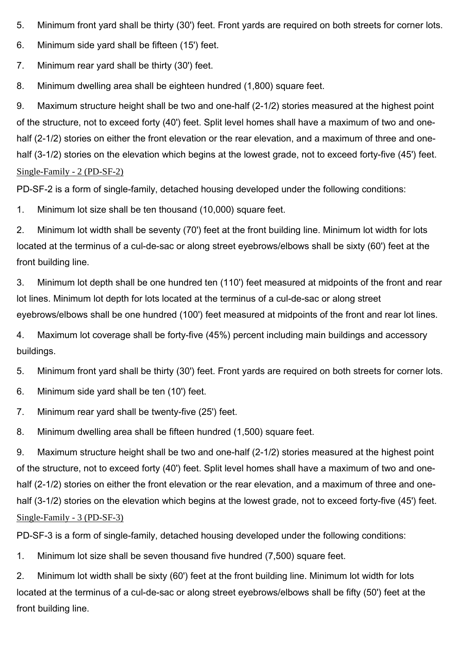- 5. Minimum front yard shall be thirty (30') feet. Front yards are required on both streets for corner lots.
- 6. Minimum side yard shall be fifteen (15') feet.
- 7. Minimum rear yard shall be thirty (30') feet.
- 8. Minimum dwelling area shall be eighteen hundred (1,800) square feet.

9. Maximum structure height shall be two and one-half (2-1/2) stories measured at the highest point of the structure, not to exceed forty (40') feet. Split level homes shall have a maximum of two and onehalf (2-1/2) stories on either the front elevation or the rear elevation, and a maximum of three and onehalf (3-1/2) stories on the elevation which begins at the lowest grade, not to exceed forty-five (45') feet. Single-Family - 2 (PD-SF-2)

PD-SF-2 is a form of single-family, detached housing developed under the following conditions:

1. Minimum lot size shall be ten thousand (10,000) square feet.

2. Minimum lot width shall be seventy (70') feet at the front building line. Minimum lot width for lots located at the terminus of a cul-de-sac or along street eyebrows/elbows shall be sixty (60') feet at the front building line.

3. Minimum lot depth shall be one hundred ten (110') feet measured at midpoints of the front and rear lot lines. Minimum lot depth for lots located at the terminus of a cul-de-sac or along street eyebrows/elbows shall be one hundred (100') feet measured at midpoints of the front and rear lot lines.

4. Maximum lot coverage shall be forty-five (45%) percent including main buildings and accessory buildings.

5. Minimum front yard shall be thirty (30') feet. Front yards are required on both streets for corner lots.

- 6. Minimum side yard shall be ten (10') feet.
- 7. Minimum rear yard shall be twenty-five (25') feet.

8. Minimum dwelling area shall be fifteen hundred (1,500) square feet.

9. Maximum structure height shall be two and one-half (2-1/2) stories measured at the highest point of the structure, not to exceed forty (40') feet. Split level homes shall have a maximum of two and onehalf (2-1/2) stories on either the front elevation or the rear elevation, and a maximum of three and onehalf (3-1/2) stories on the elevation which begins at the lowest grade, not to exceed forty-five (45') feet. Single-Family - 3 (PD-SF-3)

PD-SF-3 is a form of single-family, detached housing developed under the following conditions:

1. Minimum lot size shall be seven thousand five hundred (7,500) square feet.

2. Minimum lot width shall be sixty (60') feet at the front building line. Minimum lot width for lots located at the terminus of a cul-de-sac or along street eyebrows/elbows shall be fifty (50') feet at the front building line.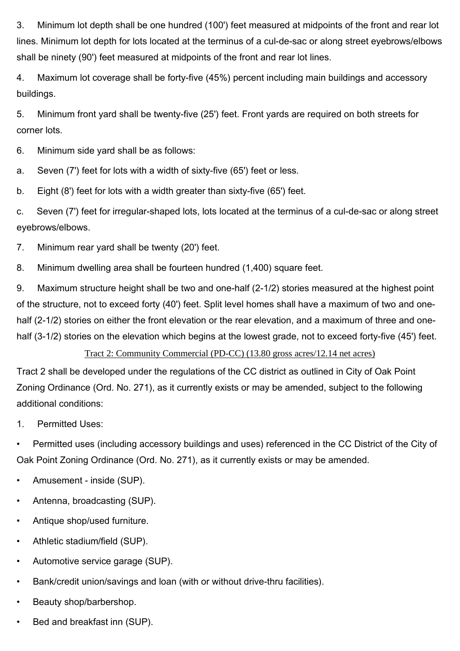3. Minimum lot depth shall be one hundred (100') feet measured at midpoints of the front and rear lot lines. Minimum lot depth for lots located at the terminus of a cul-de-sac or along street eyebrows/elbows shall be ninety (90') feet measured at midpoints of the front and rear lot lines.

4. Maximum lot coverage shall be forty-five (45%) percent including main buildings and accessory buildings.

5. Minimum front yard shall be twenty-five (25') feet. Front yards are required on both streets for corner lots.

6. Minimum side yard shall be as follows:

a. Seven (7') feet for lots with a width of sixty-five (65') feet or less.

b. Eight (8') feet for lots with a width greater than sixty-five (65') feet.

c. Seven (7') feet for irregular-shaped lots, lots located at the terminus of a cul-de-sac or along street eyebrows/elbows.

7. Minimum rear yard shall be twenty (20') feet.

8. Minimum dwelling area shall be fourteen hundred (1,400) square feet.

9. Maximum structure height shall be two and one-half (2-1/2) stories measured at the highest point of the structure, not to exceed forty (40') feet. Split level homes shall have a maximum of two and onehalf (2-1/2) stories on either the front elevation or the rear elevation, and a maximum of three and onehalf (3-1/2) stories on the elevation which begins at the lowest grade, not to exceed forty-five (45') feet.

# Tract 2: Community Commercial (PD-CC) (13.80 gross acres/12.14 net acres)

Tract 2 shall be developed under the regulations of the CC district as outlined in City of Oak Point Zoning Ordinance (Ord. No. 271), as it currently exists or may be amended, subject to the following additional conditions:

1. Permitted Uses:

• Permitted uses (including accessory buildings and uses) referenced in the CC District of the City of Oak Point Zoning Ordinance (Ord. No. 271), as it currently exists or may be amended.

- Amusement inside (SUP).
- Antenna, broadcasting (SUP).
- Antique shop/used furniture.
- Athletic stadium/field (SUP).
- Automotive service garage (SUP).
- Bank/credit union/savings and loan (with or without drive-thru facilities).
- Beauty shop/barbershop.
- Bed and breakfast inn (SUP).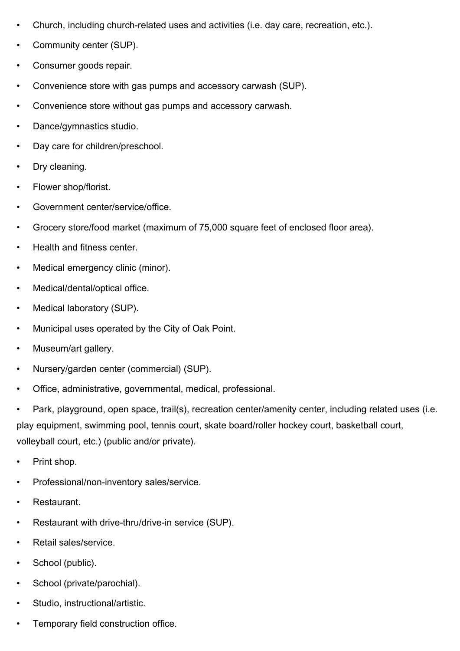- Church, including church-related uses and activities (i.e. day care, recreation, etc.).
- Community center (SUP).
- Consumer goods repair.
- Convenience store with gas pumps and accessory carwash (SUP).
- Convenience store without gas pumps and accessory carwash.
- Dance/gymnastics studio.
- Day care for children/preschool.
- Dry cleaning.
- Flower shop/florist.
- Government center/service/office.
- Grocery store/food market (maximum of 75,000 square feet of enclosed floor area).
- Health and fitness center.
- Medical emergency clinic (minor).
- Medical/dental/optical office.
- Medical laboratory (SUP).
- Municipal uses operated by the City of Oak Point.
- Museum/art gallery.
- Nursery/garden center (commercial) (SUP).
- Office, administrative, governmental, medical, professional.
- Park, playground, open space, trail(s), recreation center/amenity center, including related uses (i.e. play equipment, swimming pool, tennis court, skate board/roller hockey court, basketball court, volleyball court, etc.) (public and/or private).
- Print shop.
- Professional/non-inventory sales/service.
- Restaurant.
- Restaurant with drive-thru/drive-in service (SUP).
- Retail sales/service.
- School (public).
- School (private/parochial).
- Studio, instructional/artistic.
- Temporary field construction office.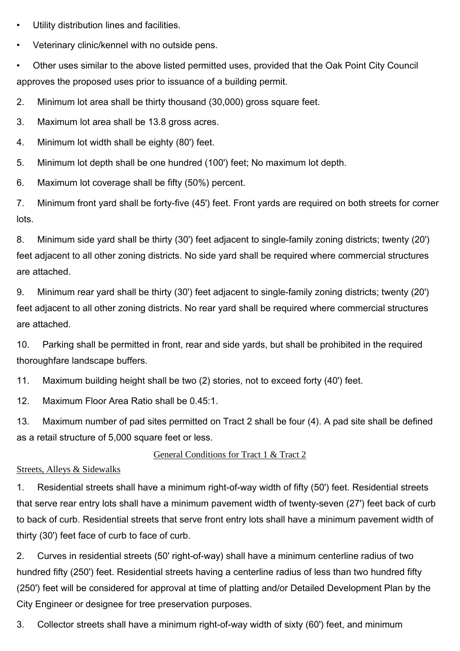- Utility distribution lines and facilities.
- Veterinary clinic/kennel with no outside pens.

• Other uses similar to the above listed permitted uses, provided that the Oak Point City Council approves the proposed uses prior to issuance of a building permit.

- 2. Minimum lot area shall be thirty thousand (30,000) gross square feet.
- 3. Maximum lot area shall be 13.8 gross acres.
- 4. Minimum lot width shall be eighty (80') feet.
- 5. Minimum lot depth shall be one hundred (100') feet; No maximum lot depth.
- 6. Maximum lot coverage shall be fifty (50%) percent.

7. Minimum front yard shall be forty-five (45') feet. Front yards are required on both streets for corner lots.

8. Minimum side yard shall be thirty (30') feet adjacent to single-family zoning districts; twenty (20') feet adjacent to all other zoning districts. No side yard shall be required where commercial structures are attached.

9. Minimum rear yard shall be thirty (30') feet adjacent to single-family zoning districts; twenty (20') feet adjacent to all other zoning districts. No rear yard shall be required where commercial structures are attached.

10. Parking shall be permitted in front, rear and side yards, but shall be prohibited in the required thoroughfare landscape buffers.

11. Maximum building height shall be two (2) stories, not to exceed forty (40') feet.

12. Maximum Floor Area Ratio shall be 0.45:1.

13. Maximum number of pad sites permitted on Tract 2 shall be four (4). A pad site shall be defined as a retail structure of 5,000 square feet or less.

#### General Conditions for Tract 1 & Tract 2

#### Streets, Alleys & Sidewalks

1. Residential streets shall have a minimum right-of-way width of fifty (50') feet. Residential streets that serve rear entry lots shall have a minimum pavement width of twenty-seven (27') feet back of curb to back of curb. Residential streets that serve front entry lots shall have a minimum pavement width of thirty (30') feet face of curb to face of curb.

2. Curves in residential streets (50' right-of-way) shall have a minimum centerline radius of two hundred fifty (250') feet. Residential streets having a centerline radius of less than two hundred fifty (250') feet will be considered for approval at time of platting and/or Detailed Development Plan by the City Engineer or designee for tree preservation purposes.

3. Collector streets shall have a minimum right-of-way width of sixty (60') feet, and minimum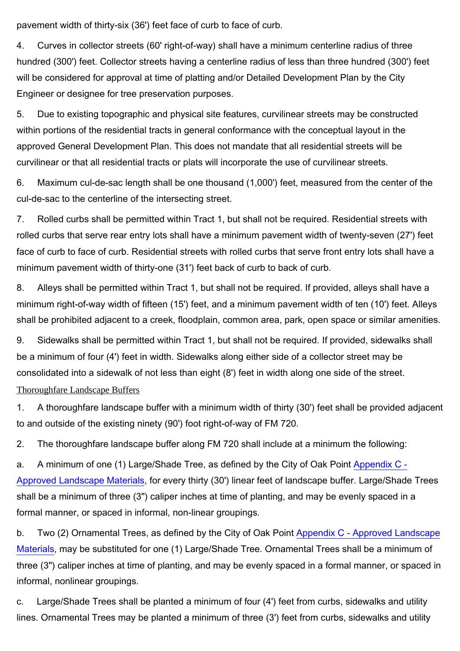pavement width of thirty-six (36') feet face of curb to face of curb.

4. Curves in collector streets (60' right-of-way) shall have a minimum centerline radius of three hundred (300') feet. Collector streets having a centerline radius of less than three hundred (300') feet will be considered for approval at time of platting and/or Detailed Development Plan by the City Engineer or designee for tree preservation purposes.

5. Due to existing topographic and physical site features, curvilinear streets may be constructed within portions of the residential tracts in general conformance with the conceptual layout in the approved General Development Plan. This does not mandate that all residential streets will be curvilinear or that all residential tracts or plats will incorporate the use of curvilinear streets.

6. Maximum cul-de-sac length shall be one thousand (1,000') feet, measured from the center of the cul-de-sac to the centerline of the intersecting street.

7. Rolled curbs shall be permitted within Tract 1, but shall not be required. Residential streets with rolled curbs that serve rear entry lots shall have a minimum pavement width of twenty-seven (27') feet face of curb to face of curb. Residential streets with rolled curbs that serve front entry lots shall have a minimum pavement width of thirty-one (31') feet back of curb to back of curb.

8. Alleys shall be permitted within Tract 1, but shall not be required. If provided, alleys shall have a minimum right-of-way width of fifteen (15') feet, and a minimum pavement width of ten (10') feet. Alleys shall be prohibited adjacent to a creek, floodplain, common area, park, open space or similar amenities.

9. Sidewalks shall be permitted within Tract 1, but shall not be required. If provided, sidewalks shall be a minimum of four (4') feet in width. Sidewalks along either side of a collector street may be consolidated into a sidewalk of not less than eight (8') feet in width along one side of the street. Thoroughfare Landscape Buffers

1. A thoroughfare landscape buffer with a minimum width of thirty (30') feet shall be provided adjacent to and outside of the existing ninety (90') foot right-of-way of FM 720.

2. The thoroughfare landscape buffer along FM 720 shall include at a minimum the following:

a. A minimum of one (1) Large/Shade Tree, as defined by the City of Oak Point Appendix C -Approved Landscape Materials, for every thirty (30') linear feet of landscape buffer. Large/Shade Trees shall be a minimum of three (3") caliper inches at time of planting, and may be evenly spaced in a formal manner, or spaced in informal, non-linear groupings.

b. Two (2) Ornamental Trees, as defined by the City of Oak Point Appendix C - Approved Landscape Materials, may be substituted for one (1) Large/Shade Tree. Ornamental Trees shall be a minimum of three (3") caliper inches at time of planting, and may be evenly spaced in a formal manner, or spaced in informal, nonlinear groupings.

c. Large/Shade Trees shall be planted a minimum of four (4') feet from curbs, sidewalks and utility lines. Ornamental Trees may be planted a minimum of three (3') feet from curbs, sidewalks and utility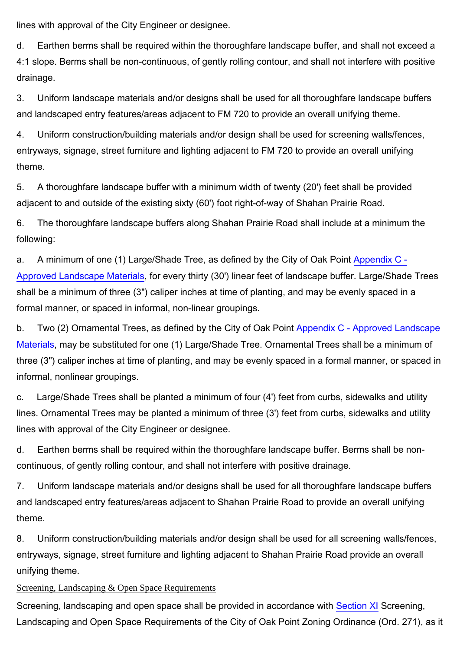lines with approval of the City Engineer or designee.

d. Earthen berms shall be required within the thoroughfare landscape buffer, and shall not exceed a 4:1 slope. Berms shall be non-continuous, of gently rolling contour, and shall not interfere with positive drainage.

3. Uniform landscape materials and/or designs shall be used for all thoroughfare landscape buffers and landscaped entry features/areas adjacent to FM 720 to provide an overall unifying theme.

4. Uniform construction/building materials and/or design shall be used for screening walls/fences, entryways, signage, street furniture and lighting adjacent to FM 720 to provide an overall unifying theme.

5. A thoroughfare landscape buffer with a minimum width of twenty (20') feet shall be provided adjacent to and outside of the existing sixty (60') foot right-of-way of Shahan Prairie Road.

6. The thoroughfare landscape buffers along Shahan Prairie Road shall include at a minimum the following:

a. A minimum of one (1) Large/Shade Tree, as defined by the City of Oak Point Appendix C -Approved Landscape Materials, for every thirty (30') linear feet of landscape buffer. Large/Shade Trees shall be a minimum of three (3") caliper inches at time of planting, and may be evenly spaced in a formal manner, or spaced in informal, non-linear groupings.

b. Two (2) Ornamental Trees, as defined by the City of Oak Point Appendix C - Approved Landscape Materials, may be substituted for one (1) Large/Shade Tree. Ornamental Trees shall be a minimum of three (3") caliper inches at time of planting, and may be evenly spaced in a formal manner, or spaced in informal, nonlinear groupings.

c. Large/Shade Trees shall be planted a minimum of four (4') feet from curbs, sidewalks and utility lines. Ornamental Trees may be planted a minimum of three (3') feet from curbs, sidewalks and utility lines with approval of the City Engineer or designee.

d. Earthen berms shall be required within the thoroughfare landscape buffer. Berms shall be noncontinuous, of gently rolling contour, and shall not interfere with positive drainage.

7. Uniform landscape materials and/or designs shall be used for all thoroughfare landscape buffers and landscaped entry features/areas adjacent to Shahan Prairie Road to provide an overall unifying theme.

8. Uniform construction/building materials and/or design shall be used for all screening walls/fences, entryways, signage, street furniture and lighting adjacent to Shahan Prairie Road provide an overall unifying theme.

Screening, Landscaping & Open Space Requirements

Screening, landscaping and open space shall be provided in accordance with Section XI Screening, Landscaping and Open Space Requirements of the City of Oak Point Zoning Ordinance (Ord. 271), as it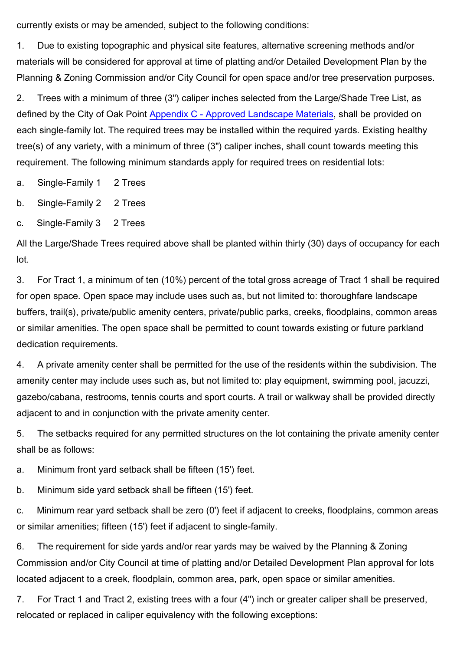currently exists or may be amended, subject to the following conditions:

1. Due to existing topographic and physical site features, alternative screening methods and/or materials will be considered for approval at time of platting and/or Detailed Development Plan by the Planning & Zoning Commission and/or City Council for open space and/or tree preservation purposes.

2. Trees with a minimum of three (3") caliper inches selected from the Large/Shade Tree List, as defined by the City of Oak Point Appendix C - Approved Landscape Materials, shall be provided on each single-family lot. The required trees may be installed within the required yards. Existing healthy tree(s) of any variety, with a minimum of three (3") caliper inches, shall count towards meeting this requirement. The following minimum standards apply for required trees on residential lots:

- a. Single-Family 1 2 Trees
- b. Single-Family 2 2 Trees
- c. Single-Family 3 2 Trees

All the Large/Shade Trees required above shall be planted within thirty (30) days of occupancy for each lot.

3. For Tract 1, a minimum of ten (10%) percent of the total gross acreage of Tract 1 shall be required for open space. Open space may include uses such as, but not limited to: thoroughfare landscape buffers, trail(s), private/public amenity centers, private/public parks, creeks, floodplains, common areas or similar amenities. The open space shall be permitted to count towards existing or future parkland dedication requirements.

4. A private amenity center shall be permitted for the use of the residents within the subdivision. The amenity center may include uses such as, but not limited to: play equipment, swimming pool, jacuzzi, gazebo/cabana, restrooms, tennis courts and sport courts. A trail or walkway shall be provided directly adjacent to and in conjunction with the private amenity center.

5. The setbacks required for any permitted structures on the lot containing the private amenity center shall be as follows:

a. Minimum front yard setback shall be fifteen (15') feet.

b. Minimum side yard setback shall be fifteen (15') feet.

c. Minimum rear yard setback shall be zero (0') feet if adjacent to creeks, floodplains, common areas or similar amenities; fifteen (15') feet if adjacent to single-family.

6. The requirement for side yards and/or rear yards may be waived by the Planning & Zoning Commission and/or City Council at time of platting and/or Detailed Development Plan approval for lots located adjacent to a creek, floodplain, common area, park, open space or similar amenities.

7. For Tract 1 and Tract 2, existing trees with a four (4") inch or greater caliper shall be preserved, relocated or replaced in caliper equivalency with the following exceptions: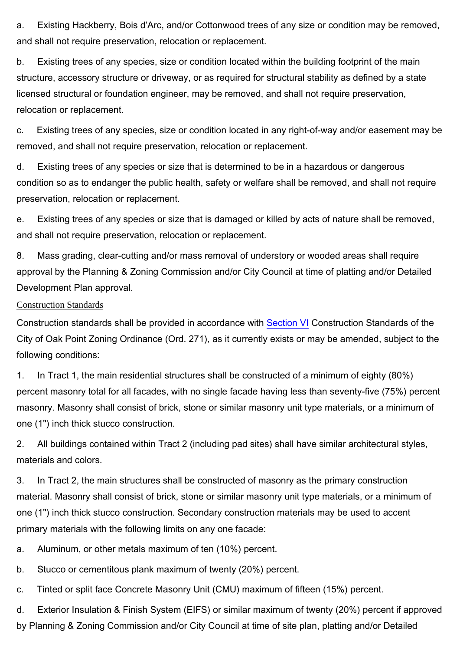a. Existing Hackberry, Bois d'Arc, and/or Cottonwood trees of any size or condition may be removed, and shall not require preservation, relocation or replacement.

b. Existing trees of any species, size or condition located within the building footprint of the main structure, accessory structure or driveway, or as required for structural stability as defined by a state licensed structural or foundation engineer, may be removed, and shall not require preservation, relocation or replacement.

c. Existing trees of any species, size or condition located in any right-of-way and/or easement may be removed, and shall not require preservation, relocation or replacement.

d. Existing trees of any species or size that is determined to be in a hazardous or dangerous condition so as to endanger the public health, safety or welfare shall be removed, and shall not require preservation, relocation or replacement.

e. Existing trees of any species or size that is damaged or killed by acts of nature shall be removed, and shall not require preservation, relocation or replacement.

8. Mass grading, clear-cutting and/or mass removal of understory or wooded areas shall require approval by the Planning & Zoning Commission and/or City Council at time of platting and/or Detailed Development Plan approval.

#### Construction Standards

Construction standards shall be provided in accordance with Section VI Construction Standards of the City of Oak Point Zoning Ordinance (Ord. 271), as it currently exists or may be amended, subject to the following conditions:

1. In Tract 1, the main residential structures shall be constructed of a minimum of eighty (80%) percent masonry total for all facades, with no single facade having less than seventy-five (75%) percent masonry. Masonry shall consist of brick, stone or similar masonry unit type materials, or a minimum of one (1") inch thick stucco construction.

2. All buildings contained within Tract 2 (including pad sites) shall have similar architectural styles, materials and colors.

3. In Tract 2, the main structures shall be constructed of masonry as the primary construction material. Masonry shall consist of brick, stone or similar masonry unit type materials, or a minimum of one (1") inch thick stucco construction. Secondary construction materials may be used to accent primary materials with the following limits on any one facade:

a. Aluminum, or other metals maximum of ten (10%) percent.

b. Stucco or cementitous plank maximum of twenty (20%) percent.

c. Tinted or split face Concrete Masonry Unit (CMU) maximum of fifteen (15%) percent.

d. Exterior Insulation & Finish System (EIFS) or similar maximum of twenty (20%) percent if approved by Planning & Zoning Commission and/or City Council at time of site plan, platting and/or Detailed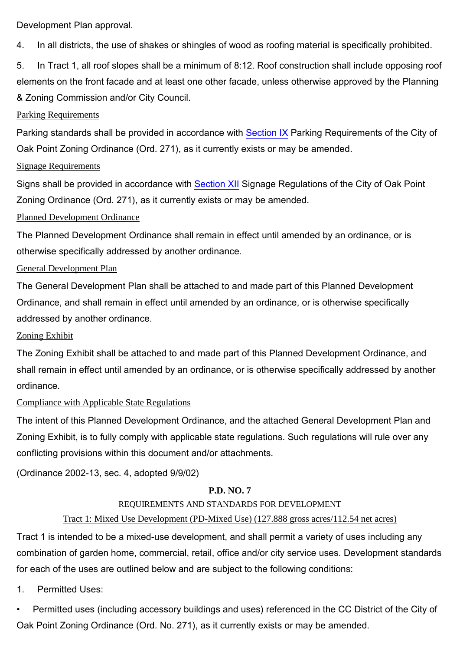Development Plan approval.

4. In all districts, the use of shakes or shingles of wood as roofing material is specifically prohibited.

5. In Tract 1, all roof slopes shall be a minimum of 8:12. Roof construction shall include opposing roof elements on the front facade and at least one other facade, unless otherwise approved by the Planning & Zoning Commission and/or City Council.

# Parking Requirements

Parking standards shall be provided in accordance with Section IX Parking Requirements of the City of Oak Point Zoning Ordinance (Ord. 271), as it currently exists or may be amended.

# Signage Requirements

Signs shall be provided in accordance with Section XII Signage Regulations of the City of Oak Point Zoning Ordinance (Ord. 271), as it currently exists or may be amended.

# Planned Development Ordinance

The Planned Development Ordinance shall remain in effect until amended by an ordinance, or is otherwise specifically addressed by another ordinance.

# General Development Plan

The General Development Plan shall be attached to and made part of this Planned Development Ordinance, and shall remain in effect until amended by an ordinance, or is otherwise specifically addressed by another ordinance.

# Zoning Exhibit

The Zoning Exhibit shall be attached to and made part of this Planned Development Ordinance, and shall remain in effect until amended by an ordinance, or is otherwise specifically addressed by another ordinance.

# Compliance with Applicable State Regulations

The intent of this Planned Development Ordinance, and the attached General Development Plan and Zoning Exhibit, is to fully comply with applicable state regulations. Such regulations will rule over any conflicting provisions within this document and/or attachments.

(Ordinance 2002-13, sec. 4, adopted 9/9/02)

# **P.D. NO. 7**

# REQUIREMENTS AND STANDARDS FOR DEVELOPMENT

# Tract 1: Mixed Use Development (PD-Mixed Use) (127.888 gross acres/112.54 net acres)

Tract 1 is intended to be a mixed-use development, and shall permit a variety of uses including any combination of garden home, commercial, retail, office and/or city service uses. Development standards for each of the uses are outlined below and are subject to the following conditions:

1. Permitted Uses:

• Permitted uses (including accessory buildings and uses) referenced in the CC District of the City of Oak Point Zoning Ordinance (Ord. No. 271), as it currently exists or may be amended.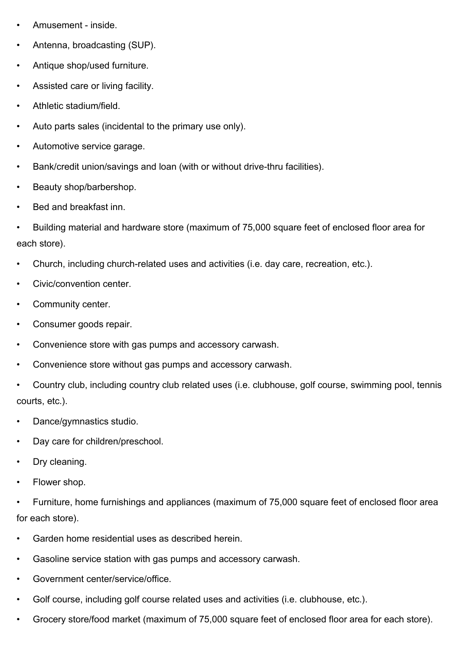- Amusement inside.
- Antenna, broadcasting (SUP).
- Antique shop/used furniture.
- Assisted care or living facility.
- Athletic stadium/field.
- Auto parts sales (incidental to the primary use only).
- Automotive service garage.
- Bank/credit union/savings and loan (with or without drive-thru facilities).
- Beauty shop/barbershop.
- Bed and breakfast inn.
- Building material and hardware store (maximum of 75,000 square feet of enclosed floor area for each store).
- Church, including church-related uses and activities (i.e. day care, recreation, etc.).
- Civic/convention center.
- Community center.
- Consumer goods repair.
- Convenience store with gas pumps and accessory carwash.
- Convenience store without gas pumps and accessory carwash.
- Country club, including country club related uses (i.e. clubhouse, golf course, swimming pool, tennis courts, etc.).
- Dance/gymnastics studio.
- Day care for children/preschool.
- Dry cleaning.
- Flower shop.

• Furniture, home furnishings and appliances (maximum of 75,000 square feet of enclosed floor area for each store).

- Garden home residential uses as described herein.
- Gasoline service station with gas pumps and accessory carwash.
- Government center/service/office.
- Golf course, including golf course related uses and activities (i.e. clubhouse, etc.).
- Grocery store/food market (maximum of 75,000 square feet of enclosed floor area for each store).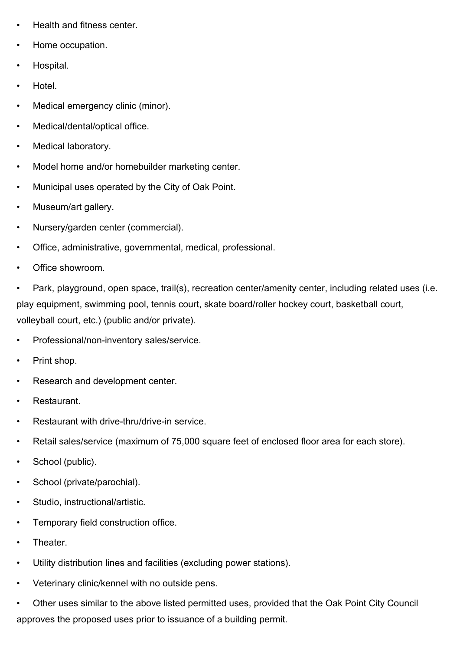- Health and fitness center.
- Home occupation.
- Hospital.
- Hotel.
- Medical emergency clinic (minor).
- Medical/dental/optical office.
- Medical laboratory.
- Model home and/or homebuilder marketing center.
- Municipal uses operated by the City of Oak Point.
- Museum/art gallery.
- Nursery/garden center (commercial).
- Office, administrative, governmental, medical, professional.
- Office showroom.

• Park, playground, open space, trail(s), recreation center/amenity center, including related uses (i.e. play equipment, swimming pool, tennis court, skate board/roller hockey court, basketball court, volleyball court, etc.) (public and/or private).

- Professional/non-inventory sales/service.
- Print shop.
- Research and development center.
- **Restaurant**
- Restaurant with drive-thru/drive-in service.
- Retail sales/service (maximum of 75,000 square feet of enclosed floor area for each store).
- School (public).
- School (private/parochial).
- Studio, instructional/artistic.
- Temporary field construction office.
- Theater.
- Utility distribution lines and facilities (excluding power stations).
- Veterinary clinic/kennel with no outside pens.
- Other uses similar to the above listed permitted uses, provided that the Oak Point City Council approves the proposed uses prior to issuance of a building permit.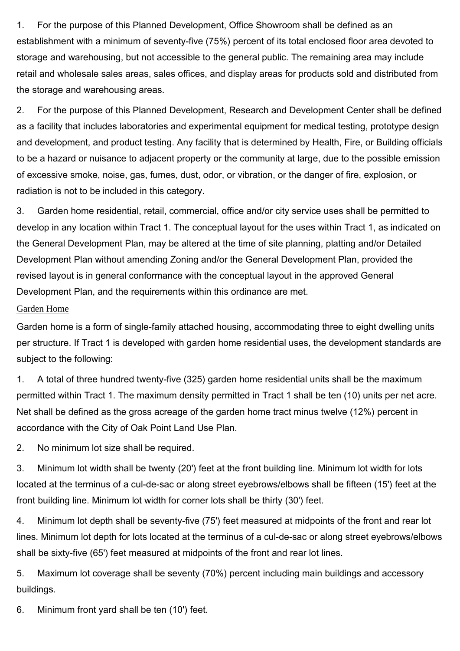1. For the purpose of this Planned Development, Office Showroom shall be defined as an establishment with a minimum of seventy-five (75%) percent of its total enclosed floor area devoted to storage and warehousing, but not accessible to the general public. The remaining area may include retail and wholesale sales areas, sales offices, and display areas for products sold and distributed from the storage and warehousing areas.

2. For the purpose of this Planned Development, Research and Development Center shall be defined as a facility that includes laboratories and experimental equipment for medical testing, prototype design and development, and product testing. Any facility that is determined by Health, Fire, or Building officials to be a hazard or nuisance to adjacent property or the community at large, due to the possible emission of excessive smoke, noise, gas, fumes, dust, odor, or vibration, or the danger of fire, explosion, or radiation is not to be included in this category.

3. Garden home residential, retail, commercial, office and/or city service uses shall be permitted to develop in any location within Tract 1. The conceptual layout for the uses within Tract 1, as indicated on the General Development Plan, may be altered at the time of site planning, platting and/or Detailed Development Plan without amending Zoning and/or the General Development Plan, provided the revised layout is in general conformance with the conceptual layout in the approved General Development Plan, and the requirements within this ordinance are met.

#### Garden Home

Garden home is a form of single-family attached housing, accommodating three to eight dwelling units per structure. If Tract 1 is developed with garden home residential uses, the development standards are subject to the following:

1. A total of three hundred twenty-five (325) garden home residential units shall be the maximum permitted within Tract 1. The maximum density permitted in Tract 1 shall be ten (10) units per net acre. Net shall be defined as the gross acreage of the garden home tract minus twelve (12%) percent in accordance with the City of Oak Point Land Use Plan.

2. No minimum lot size shall be required.

3. Minimum lot width shall be twenty (20') feet at the front building line. Minimum lot width for lots located at the terminus of a cul-de-sac or along street eyebrows/elbows shall be fifteen (15') feet at the front building line. Minimum lot width for corner lots shall be thirty (30') feet.

4. Minimum lot depth shall be seventy-five (75') feet measured at midpoints of the front and rear lot lines. Minimum lot depth for lots located at the terminus of a cul-de-sac or along street eyebrows/elbows shall be sixty-five (65') feet measured at midpoints of the front and rear lot lines.

5. Maximum lot coverage shall be seventy (70%) percent including main buildings and accessory buildings.

6. Minimum front yard shall be ten (10') feet.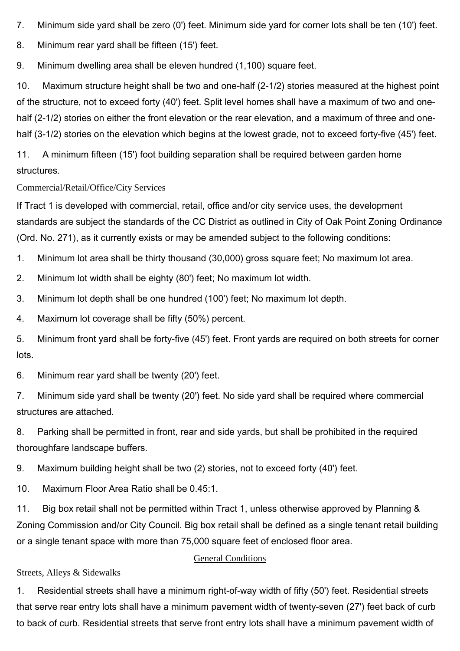7. Minimum side yard shall be zero (0') feet. Minimum side yard for corner lots shall be ten (10') feet.

8. Minimum rear yard shall be fifteen (15') feet.

9. Minimum dwelling area shall be eleven hundred (1,100) square feet.

10. Maximum structure height shall be two and one-half (2-1/2) stories measured at the highest point of the structure, not to exceed forty (40') feet. Split level homes shall have a maximum of two and onehalf (2-1/2) stories on either the front elevation or the rear elevation, and a maximum of three and onehalf (3-1/2) stories on the elevation which begins at the lowest grade, not to exceed forty-five (45') feet.

11. A minimum fifteen (15') foot building separation shall be required between garden home structures.

### Commercial/Retail/Office/City Services

If Tract 1 is developed with commercial, retail, office and/or city service uses, the development standards are subject the standards of the CC District as outlined in City of Oak Point Zoning Ordinance (Ord. No. 271), as it currently exists or may be amended subject to the following conditions:

1. Minimum lot area shall be thirty thousand (30,000) gross square feet; No maximum lot area.

2. Minimum lot width shall be eighty (80') feet; No maximum lot width.

3. Minimum lot depth shall be one hundred (100') feet; No maximum lot depth.

4. Maximum lot coverage shall be fifty (50%) percent.

5. Minimum front yard shall be forty-five (45') feet. Front yards are required on both streets for corner lots.

6. Minimum rear yard shall be twenty (20') feet.

7. Minimum side yard shall be twenty (20') feet. No side yard shall be required where commercial structures are attached.

8. Parking shall be permitted in front, rear and side yards, but shall be prohibited in the required thoroughfare landscape buffers.

9. Maximum building height shall be two (2) stories, not to exceed forty (40') feet.

10. Maximum Floor Area Ratio shall be 0.45:1.

11. Big box retail shall not be permitted within Tract 1, unless otherwise approved by Planning & Zoning Commission and/or City Council. Big box retail shall be defined as a single tenant retail building or a single tenant space with more than 75,000 square feet of enclosed floor area.

#### General Conditions

# Streets, Alleys & Sidewalks

1. Residential streets shall have a minimum right-of-way width of fifty (50') feet. Residential streets that serve rear entry lots shall have a minimum pavement width of twenty-seven (27') feet back of curb to back of curb. Residential streets that serve front entry lots shall have a minimum pavement width of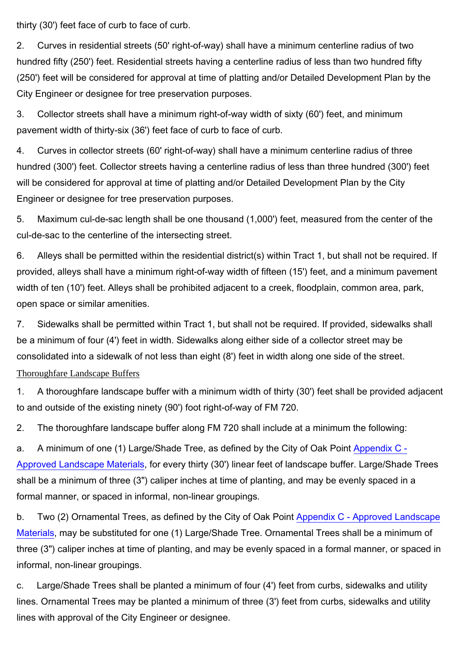thirty (30') feet face of curb to face of curb.

2. Curves in residential streets (50' right-of-way) shall have a minimum centerline radius of two hundred fifty (250') feet. Residential streets having a centerline radius of less than two hundred fifty (250') feet will be considered for approval at time of platting and/or Detailed Development Plan by the City Engineer or designee for tree preservation purposes.

3. Collector streets shall have a minimum right-of-way width of sixty (60') feet, and minimum pavement width of thirty-six (36') feet face of curb to face of curb.

4. Curves in collector streets (60' right-of-way) shall have a minimum centerline radius of three hundred (300') feet. Collector streets having a centerline radius of less than three hundred (300') feet will be considered for approval at time of platting and/or Detailed Development Plan by the City Engineer or designee for tree preservation purposes.

5. Maximum cul-de-sac length shall be one thousand (1,000') feet, measured from the center of the cul-de-sac to the centerline of the intersecting street.

6. Alleys shall be permitted within the residential district(s) within Tract 1, but shall not be required. If provided, alleys shall have a minimum right-of-way width of fifteen (15') feet, and a minimum pavement width of ten (10') feet. Alleys shall be prohibited adjacent to a creek, floodplain, common area, park, open space or similar amenities.

7. Sidewalks shall be permitted within Tract 1, but shall not be required. If provided, sidewalks shall be a minimum of four (4') feet in width. Sidewalks along either side of a collector street may be consolidated into a sidewalk of not less than eight (8') feet in width along one side of the street. Thoroughfare Landscape Buffers

1. A thoroughfare landscape buffer with a minimum width of thirty (30') feet shall be provided adjacent to and outside of the existing ninety (90') foot right-of-way of FM 720.

2. The thoroughfare landscape buffer along FM 720 shall include at a minimum the following:

a. A minimum of one (1) Large/Shade Tree, as defined by the City of Oak Point Appendix C - Approved Landscape Materials, for every thirty (30') linear feet of landscape buffer. Large/Shade Trees shall be a minimum of three (3") caliper inches at time of planting, and may be evenly spaced in a formal manner, or spaced in informal, non-linear groupings.

b. Two (2) Ornamental Trees, as defined by the City of Oak Point Appendix C - Approved Landscape Materials, may be substituted for one (1) Large/Shade Tree. Ornamental Trees shall be a minimum of three (3") caliper inches at time of planting, and may be evenly spaced in a formal manner, or spaced in informal, non-linear groupings.

c. Large/Shade Trees shall be planted a minimum of four (4') feet from curbs, sidewalks and utility lines. Ornamental Trees may be planted a minimum of three (3') feet from curbs, sidewalks and utility lines with approval of the City Engineer or designee.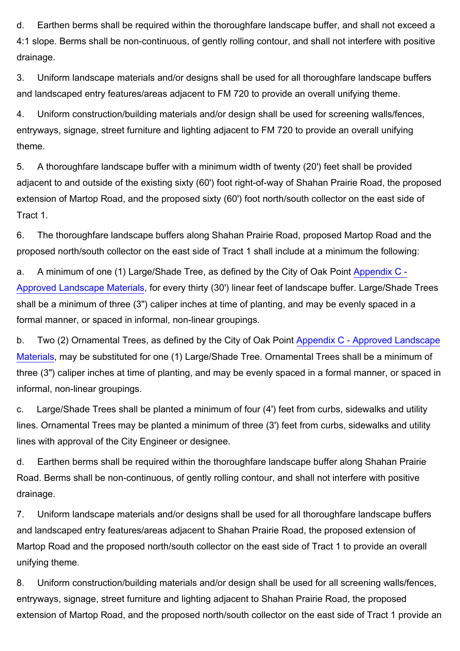d. Earthen berms shall be required within the thoroughfare landscape buffer, and shall not exceed a 4:1 slope. Berms shall be non-continuous, of gently rolling contour, and shall not interfere with positive drainage.

3. Uniform landscape materials and/or designs shall be used for all thoroughfare landscape buffers and landscaped entry features/areas adjacent to FM 720 to provide an overall unifying theme.

4. Uniform construction/building materials and/or design shall be used for screening walls/fences, entryways, signage, street furniture and lighting adjacent to FM 720 to provide an overall unifying theme.

5. A thoroughfare landscape buffer with a minimum width of twenty (20') feet shall be provided adjacent to and outside of the existing sixty (60') foot right-of-way of Shahan Prairie Road, the proposed extension of Martop Road, and the proposed sixty (60') foot north/south collector on the east side of Tract 1.

6. The thoroughfare landscape buffers along Shahan Prairie Road, proposed Martop Road and the proposed north/south collector on the east side of Tract 1 shall include at a minimum the following:

a. A minimum of one (1) Large/Shade Tree, as defined by the City of Oak Point Appendix C -Approved Landscape Materials, for every thirty (30') linear feet of landscape buffer. Large/Shade Trees shall be a minimum of three (3") caliper inches at time of planting, and may be evenly spaced in a formal manner, or spaced in informal, non-linear groupings.

b. Two (2) Ornamental Trees, as defined by the City of Oak Point Appendix C - Approved Landscape Materials, may be substituted for one (1) Large/Shade Tree. Ornamental Trees shall be a minimum of three (3") caliper inches at time of planting, and may be evenly spaced in a formal manner, or spaced in informal, non-linear groupings.

c. Large/Shade Trees shall be planted a minimum of four (4') feet from curbs, sidewalks and utility lines. Ornamental Trees may be planted a minimum of three (3') feet from curbs, sidewalks and utility lines with approval of the City Engineer or designee.

d. Earthen berms shall be required within the thoroughfare landscape buffer along Shahan Prairie Road. Berms shall be non-continuous, of gently rolling contour, and shall not interfere with positive drainage.

7. Uniform landscape materials and/or designs shall be used for all thoroughfare landscape buffers and landscaped entry features/areas adjacent to Shahan Prairie Road, the proposed extension of Martop Road and the proposed north/south collector on the east side of Tract 1 to provide an overall unifying theme.

8. Uniform construction/building materials and/or design shall be used for all screening walls/fences, entryways, signage, street furniture and lighting adjacent to Shahan Prairie Road, the proposed extension of Martop Road, and the proposed north/south collector on the east side of Tract 1 provide an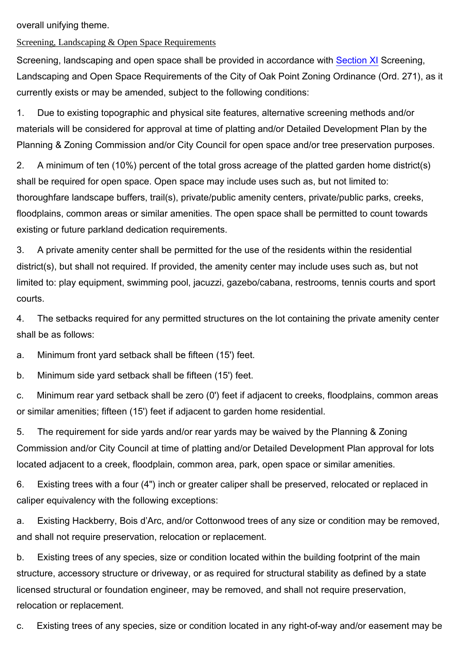overall unifying theme.

Screening, Landscaping & Open Space Requirements

Screening, landscaping and open space shall be provided in accordance with Section XI Screening, Landscaping and Open Space Requirements of the City of Oak Point Zoning Ordinance (Ord. 271), as it currently exists or may be amended, subject to the following conditions:

1. Due to existing topographic and physical site features, alternative screening methods and/or materials will be considered for approval at time of platting and/or Detailed Development Plan by the Planning & Zoning Commission and/or City Council for open space and/or tree preservation purposes.

2. A minimum of ten (10%) percent of the total gross acreage of the platted garden home district(s) shall be required for open space. Open space may include uses such as, but not limited to: thoroughfare landscape buffers, trail(s), private/public amenity centers, private/public parks, creeks, floodplains, common areas or similar amenities. The open space shall be permitted to count towards existing or future parkland dedication requirements.

3. A private amenity center shall be permitted for the use of the residents within the residential district(s), but shall not required. If provided, the amenity center may include uses such as, but not limited to: play equipment, swimming pool, jacuzzi, gazebo/cabana, restrooms, tennis courts and sport courts.

4. The setbacks required for any permitted structures on the lot containing the private amenity center shall be as follows:

a. Minimum front yard setback shall be fifteen (15') feet.

b. Minimum side yard setback shall be fifteen (15') feet.

c. Minimum rear yard setback shall be zero (0') feet if adjacent to creeks, floodplains, common areas or similar amenities; fifteen (15') feet if adjacent to garden home residential.

5. The requirement for side yards and/or rear yards may be waived by the Planning & Zoning Commission and/or City Council at time of platting and/or Detailed Development Plan approval for lots located adjacent to a creek, floodplain, common area, park, open space or similar amenities.

6. Existing trees with a four (4") inch or greater caliper shall be preserved, relocated or replaced in caliper equivalency with the following exceptions:

a. Existing Hackberry, Bois d'Arc, and/or Cottonwood trees of any size or condition may be removed, and shall not require preservation, relocation or replacement.

b. Existing trees of any species, size or condition located within the building footprint of the main structure, accessory structure or driveway, or as required for structural stability as defined by a state licensed structural or foundation engineer, may be removed, and shall not require preservation, relocation or replacement.

c. Existing trees of any species, size or condition located in any right-of-way and/or easement may be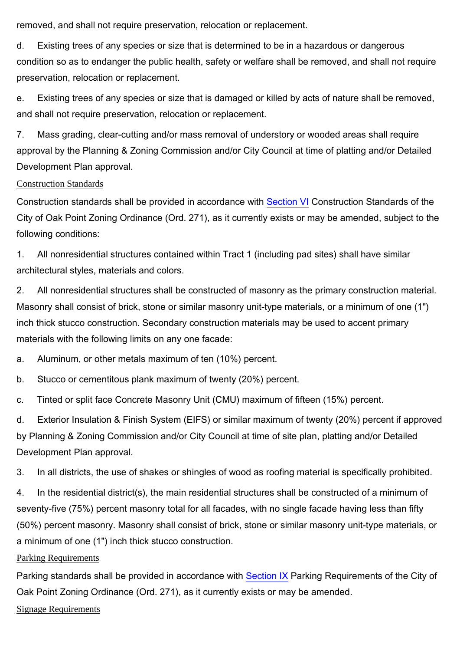removed, and shall not require preservation, relocation or replacement.

d. Existing trees of any species or size that is determined to be in a hazardous or dangerous condition so as to endanger the public health, safety or welfare shall be removed, and shall not require preservation, relocation or replacement.

e. Existing trees of any species or size that is damaged or killed by acts of nature shall be removed, and shall not require preservation, relocation or replacement.

7. Mass grading, clear-cutting and/or mass removal of understory or wooded areas shall require approval by the Planning & Zoning Commission and/or City Council at time of platting and/or Detailed Development Plan approval.

#### Construction Standards

Construction standards shall be provided in accordance with Section VI Construction Standards of the City of Oak Point Zoning Ordinance (Ord. 271), as it currently exists or may be amended, subject to the following conditions:

1. All nonresidential structures contained within Tract 1 (including pad sites) shall have similar architectural styles, materials and colors.

2. All nonresidential structures shall be constructed of masonry as the primary construction material. Masonry shall consist of brick, stone or similar masonry unit-type materials, or a minimum of one (1") inch thick stucco construction. Secondary construction materials may be used to accent primary materials with the following limits on any one facade:

a. Aluminum, or other metals maximum of ten (10%) percent.

b. Stucco or cementitous plank maximum of twenty (20%) percent.

c. Tinted or split face Concrete Masonry Unit (CMU) maximum of fifteen (15%) percent.

d. Exterior Insulation & Finish System (EIFS) or similar maximum of twenty (20%) percent if approved by Planning & Zoning Commission and/or City Council at time of site plan, platting and/or Detailed Development Plan approval.

3. In all districts, the use of shakes or shingles of wood as roofing material is specifically prohibited.

4. In the residential district(s), the main residential structures shall be constructed of a minimum of seventy-five (75%) percent masonry total for all facades, with no single facade having less than fifty (50%) percent masonry. Masonry shall consist of brick, stone or similar masonry unit-type materials, or a minimum of one (1") inch thick stucco construction.

#### Parking Requirements

Parking standards shall be provided in accordance with Section IX Parking Requirements of the City of Oak Point Zoning Ordinance (Ord. 271), as it currently exists or may be amended.

Signage Requirements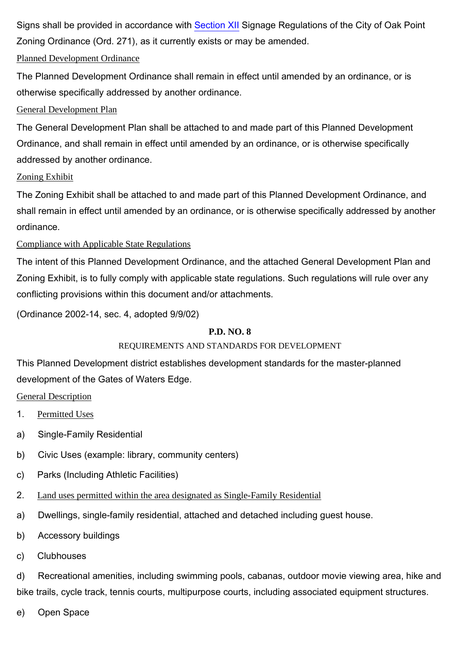Signs shall be provided in accordance with Section XII Signage Regulations of the City of Oak Point Zoning Ordinance (Ord. 271), as it currently exists or may be amended.

### Planned Development Ordinance

The Planned Development Ordinance shall remain in effect until amended by an ordinance, or is otherwise specifically addressed by another ordinance.

#### General Development Plan

The General Development Plan shall be attached to and made part of this Planned Development Ordinance, and shall remain in effect until amended by an ordinance, or is otherwise specifically addressed by another ordinance.

### Zoning Exhibit

The Zoning Exhibit shall be attached to and made part of this Planned Development Ordinance, and shall remain in effect until amended by an ordinance, or is otherwise specifically addressed by another ordinance.

### Compliance with Applicable State Regulations

The intent of this Planned Development Ordinance, and the attached General Development Plan and Zoning Exhibit, is to fully comply with applicable state regulations. Such regulations will rule over any conflicting provisions within this document and/or attachments.

(Ordinance 2002-14, sec. 4, adopted 9/9/02)

# **P.D. NO. 8**

# REQUIREMENTS AND STANDARDS FOR DEVELOPMENT

This Planned Development district establishes development standards for the master-planned development of the Gates of Waters Edge.

#### General Description

- 1. Permitted Uses
- a) Single-Family Residential
- b) Civic Uses (example: library, community centers)
- c) Parks (Including Athletic Facilities)
- 2. Land uses permitted within the area designated as Single-Family Residential
- a) Dwellings, single-family residential, attached and detached including guest house.
- b) Accessory buildings
- c) Clubhouses

d) Recreational amenities, including swimming pools, cabanas, outdoor movie viewing area, hike and bike trails, cycle track, tennis courts, multipurpose courts, including associated equipment structures.

e) Open Space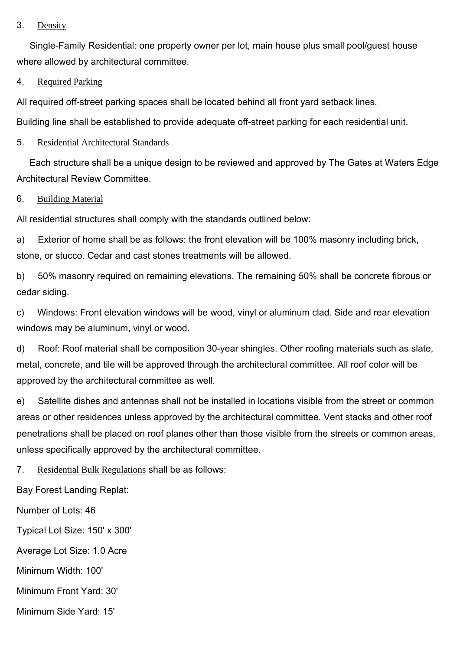#### 3. Density

Single-Family Residential: one property owner per lot, main house plus small pool/guest house where allowed by architectural committee.

#### 4. Required Parking

All required off-street parking spaces shall be located behind all front yard setback lines.

Building line shall be established to provide adequate off-street parking for each residential unit.

#### 5. Residential Architectural Standards

Each structure shall be a unique design to be reviewed and approved by The Gates at Waters Edge Architectural Review Committee.

#### 6. Building Material

All residential structures shall comply with the standards outlined below:

a) Exterior of home shall be as follows: the front elevation will be 100% masonry including brick, stone, or stucco. Cedar and cast stones treatments will be allowed.

b) 50% masonry required on remaining elevations. The remaining 50% shall be concrete fibrous or cedar siding.

c) Windows: Front elevation windows will be wood, vinyl or aluminum clad. Side and rear elevation windows may be aluminum, vinyl or wood.

d) Roof: Roof material shall be composition 30-year shingles. Other roofing materials such as slate, metal, concrete, and tile will be approved through the architectural committee. All roof color will be approved by the architectural committee as well.

e) Satellite dishes and antennas shall not be installed in locations visible from the street or common areas or other residences unless approved by the architectural committee. Vent stacks and other roof penetrations shall be placed on roof planes other than those visible from the streets or common areas, unless specifically approved by the architectural committee.

7. Residential Bulk Regulations shall be as follows:

Bay Forest Landing Replat:

Number of Lots: 46

Typical Lot Size: 150' x 300'

Average Lot Size: 1.0 Acre

- Minimum Width: 100'
- Minimum Front Yard: 30'
- Minimum Side Yard: 15'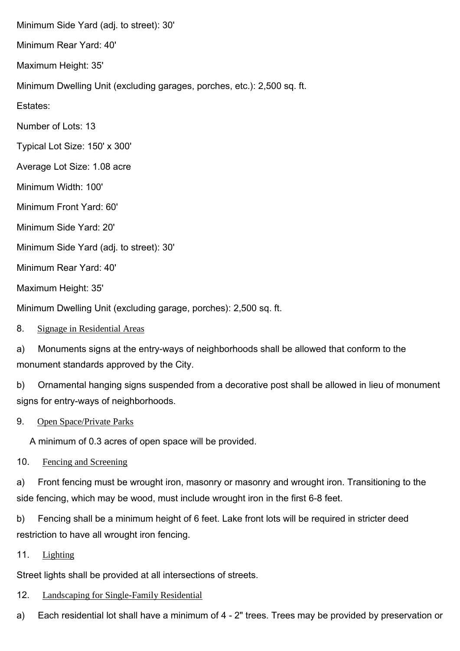Minimum Side Yard (adj. to street): 30' Minimum Rear Yard: 40' Maximum Height: 35' Minimum Dwelling Unit (excluding garages, porches, etc.): 2,500 sq. ft. Estates: Number of Lots: 13 Typical Lot Size: 150' x 300' Average Lot Size: 1.08 acre Minimum Width: 100' Minimum Front Yard: 60' Minimum Side Yard: 20' Minimum Side Yard (adj. to street): 30' Minimum Rear Yard: 40' Maximum Height: 35'

Minimum Dwelling Unit (excluding garage, porches): 2,500 sq. ft.

8. Signage in Residential Areas

a) Monuments signs at the entry-ways of neighborhoods shall be allowed that conform to the monument standards approved by the City.

b) Ornamental hanging signs suspended from a decorative post shall be allowed in lieu of monument signs for entry-ways of neighborhoods.

9. Open Space/Private Parks

A minimum of 0.3 acres of open space will be provided.

10. Fencing and Screening

a) Front fencing must be wrought iron, masonry or masonry and wrought iron. Transitioning to the side fencing, which may be wood, must include wrought iron in the first 6-8 feet.

b) Fencing shall be a minimum height of 6 feet. Lake front lots will be required in stricter deed restriction to have all wrought iron fencing.

11. Lighting

Street lights shall be provided at all intersections of streets.

- 12. Landscaping for Single-Family Residential
- a) Each residential lot shall have a minimum of 4 2" trees. Trees may be provided by preservation or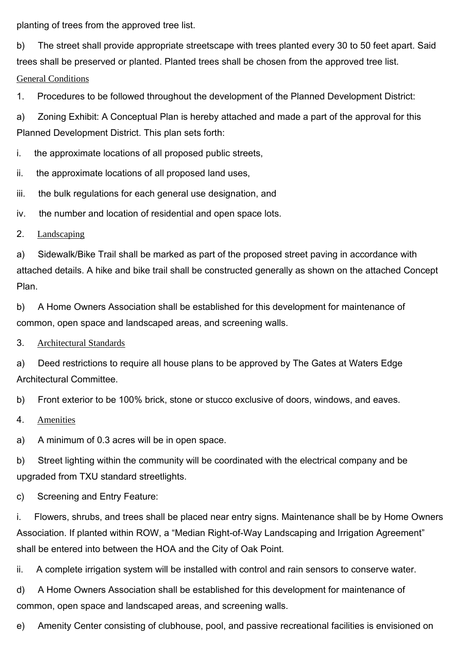planting of trees from the approved tree list.

b) The street shall provide appropriate streetscape with trees planted every 30 to 50 feet apart. Said trees shall be preserved or planted. Planted trees shall be chosen from the approved tree list. General Conditions

1. Procedures to be followed throughout the development of the Planned Development District:

a) Zoning Exhibit: A Conceptual Plan is hereby attached and made a part of the approval for this Planned Development District. This plan sets forth:

i. the approximate locations of all proposed public streets,

ii. the approximate locations of all proposed land uses,

iii. the bulk regulations for each general use designation, and

iv. the number and location of residential and open space lots.

2. Landscaping

a) Sidewalk/Bike Trail shall be marked as part of the proposed street paving in accordance with attached details. A hike and bike trail shall be constructed generally as shown on the attached Concept Plan.

b) A Home Owners Association shall be established for this development for maintenance of common, open space and landscaped areas, and screening walls.

3. Architectural Standards

a) Deed restrictions to require all house plans to be approved by The Gates at Waters Edge Architectural Committee.

b) Front exterior to be 100% brick, stone or stucco exclusive of doors, windows, and eaves.

4. Amenities

a) A minimum of 0.3 acres will be in open space.

b) Street lighting within the community will be coordinated with the electrical company and be upgraded from TXU standard streetlights.

c) Screening and Entry Feature:

i. Flowers, shrubs, and trees shall be placed near entry signs. Maintenance shall be by Home Owners Association. If planted within ROW, a "Median Right-of-Way Landscaping and Irrigation Agreement" shall be entered into between the HOA and the City of Oak Point.

ii. A complete irrigation system will be installed with control and rain sensors to conserve water.

d) A Home Owners Association shall be established for this development for maintenance of common, open space and landscaped areas, and screening walls.

e) Amenity Center consisting of clubhouse, pool, and passive recreational facilities is envisioned on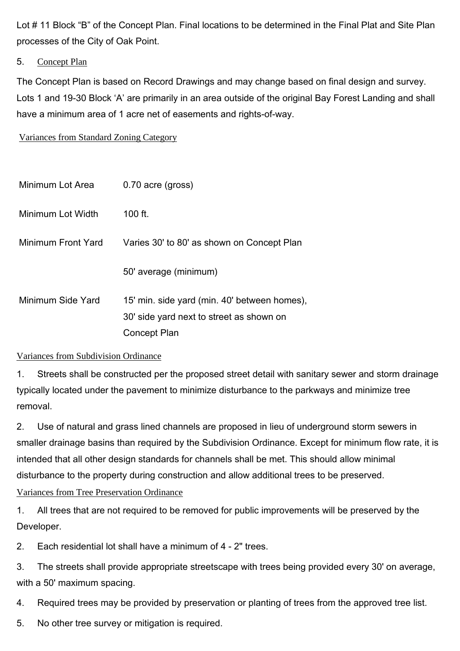Lot # 11 Block "B" of the Concept Plan. Final locations to be determined in the Final Plat and Site Plan processes of the City of Oak Point.

### 5. Concept Plan

The Concept Plan is based on Record Drawings and may change based on final design and survey. Lots 1 and 19-30 Block 'A' are primarily in an area outside of the original Bay Forest Landing and shall have a minimum area of 1 acre net of easements and rights-of-way.

Variances from Standard Zoning Category

| Minimum Lot Area   | 0.70 acre (gross)                                                                        |
|--------------------|------------------------------------------------------------------------------------------|
| Minimum Lot Width  | $100$ ft.                                                                                |
| Minimum Front Yard | Varies 30' to 80' as shown on Concept Plan                                               |
|                    | 50' average (minimum)                                                                    |
| Minimum Side Yard  | 15' min. side yard (min. 40' between homes),<br>30' side yard next to street as shown on |
|                    | Concept Plan                                                                             |

# Variances from Subdivision Ordinance

1. Streets shall be constructed per the proposed street detail with sanitary sewer and storm drainage typically located under the pavement to minimize disturbance to the parkways and minimize tree removal.

2. Use of natural and grass lined channels are proposed in lieu of underground storm sewers in smaller drainage basins than required by the Subdivision Ordinance. Except for minimum flow rate, it is intended that all other design standards for channels shall be met. This should allow minimal disturbance to the property during construction and allow additional trees to be preserved.

# Variances from Tree Preservation Ordinance

1. All trees that are not required to be removed for public improvements will be preserved by the Developer.

2. Each residential lot shall have a minimum of 4 - 2" trees.

3. The streets shall provide appropriate streetscape with trees being provided every 30' on average, with a 50' maximum spacing.

4. Required trees may be provided by preservation or planting of trees from the approved tree list.

5. No other tree survey or mitigation is required.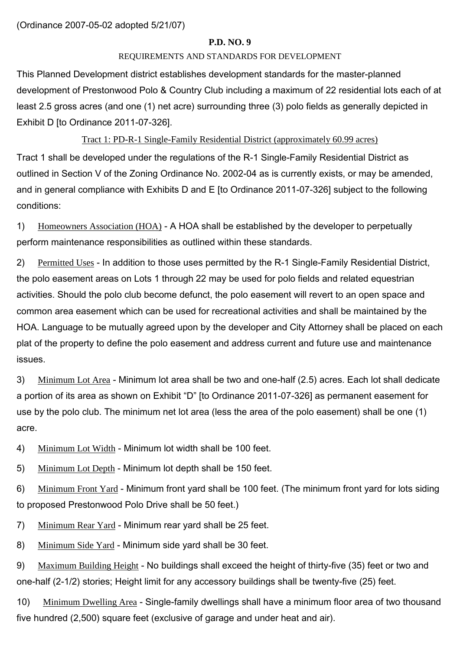#### **P.D. NO. 9**

#### REQUIREMENTS AND STANDARDS FOR DEVELOPMENT

This Planned Development district establishes development standards for the master-planned development of Prestonwood Polo & Country Club including a maximum of 22 residential lots each of at least 2.5 gross acres (and one (1) net acre) surrounding three (3) polo fields as generally depicted in Exhibit D [to Ordinance 2011-07-326].

#### Tract 1: PD-R-1 Single-Family Residential District (approximately 60.99 acres)

Tract 1 shall be developed under the regulations of the R-1 Single-Family Residential District as outlined in Section V of the Zoning Ordinance No. 2002-04 as is currently exists, or may be amended, and in general compliance with Exhibits D and E [to Ordinance 2011-07-326] subject to the following conditions:

1) Homeowners Association (HOA) - A HOA shall be established by the developer to perpetually perform maintenance responsibilities as outlined within these standards.

2) Permitted Uses - In addition to those uses permitted by the R-1 Single-Family Residential District, the polo easement areas on Lots 1 through 22 may be used for polo fields and related equestrian activities. Should the polo club become defunct, the polo easement will revert to an open space and common area easement which can be used for recreational activities and shall be maintained by the HOA. Language to be mutually agreed upon by the developer and City Attorney shall be placed on each plat of the property to define the polo easement and address current and future use and maintenance issues.

3) Minimum Lot Area - Minimum lot area shall be two and one-half (2.5) acres. Each lot shall dedicate a portion of its area as shown on Exhibit "D" [to Ordinance 2011-07-326] as permanent easement for use by the polo club. The minimum net lot area (less the area of the polo easement) shall be one (1) acre.

4) Minimum Lot Width - Minimum lot width shall be 100 feet.

5) Minimum Lot Depth - Minimum lot depth shall be 150 feet.

6) Minimum Front Yard - Minimum front yard shall be 100 feet. (The minimum front yard for lots siding to proposed Prestonwood Polo Drive shall be 50 feet.)

- 7) Minimum Rear Yard Minimum rear yard shall be 25 feet.
- 8) Minimum Side Yard Minimum side yard shall be 30 feet.

9) Maximum Building Height - No buildings shall exceed the height of thirty-five (35) feet or two and one-half (2-1/2) stories; Height limit for any accessory buildings shall be twenty-five (25) feet.

10) Minimum Dwelling Area - Single-family dwellings shall have a minimum floor area of two thousand five hundred (2,500) square feet (exclusive of garage and under heat and air).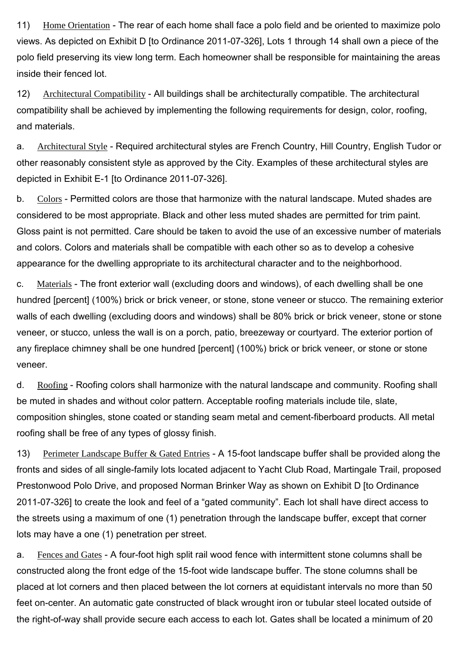11) Home Orientation - The rear of each home shall face a polo field and be oriented to maximize polo views. As depicted on Exhibit D [to Ordinance 2011-07-326], Lots 1 through 14 shall own a piece of the polo field preserving its view long term. Each homeowner shall be responsible for maintaining the areas inside their fenced lot.

12) Architectural Compatibility - All buildings shall be architecturally compatible. The architectural compatibility shall be achieved by implementing the following requirements for design, color, roofing, and materials.

a. Architectural Style - Required architectural styles are French Country, Hill Country, English Tudor or other reasonably consistent style as approved by the City. Examples of these architectural styles are depicted in Exhibit E-1 [to Ordinance 2011-07-326].

b. Colors - Permitted colors are those that harmonize with the natural landscape. Muted shades are considered to be most appropriate. Black and other less muted shades are permitted for trim paint. Gloss paint is not permitted. Care should be taken to avoid the use of an excessive number of materials and colors. Colors and materials shall be compatible with each other so as to develop a cohesive appearance for the dwelling appropriate to its architectural character and to the neighborhood.

c. Materials - The front exterior wall (excluding doors and windows), of each dwelling shall be one hundred [percent] (100%) brick or brick veneer, or stone, stone veneer or stucco. The remaining exterior walls of each dwelling (excluding doors and windows) shall be 80% brick or brick veneer, stone or stone veneer, or stucco, unless the wall is on a porch, patio, breezeway or courtyard. The exterior portion of any fireplace chimney shall be one hundred [percent] (100%) brick or brick veneer, or stone or stone veneer.

d. Roofing - Roofing colors shall harmonize with the natural landscape and community. Roofing shall be muted in shades and without color pattern. Acceptable roofing materials include tile, slate, composition shingles, stone coated or standing seam metal and cement-fiberboard products. All metal roofing shall be free of any types of glossy finish.

13) Perimeter Landscape Buffer & Gated Entries - A 15-foot landscape buffer shall be provided along the fronts and sides of all single-family lots located adjacent to Yacht Club Road, Martingale Trail, proposed Prestonwood Polo Drive, and proposed Norman Brinker Way as shown on Exhibit D [to Ordinance 2011-07-326] to create the look and feel of a "gated community". Each lot shall have direct access to the streets using a maximum of one (1) penetration through the landscape buffer, except that corner lots may have a one (1) penetration per street.

a. Fences and Gates - A four-foot high split rail wood fence with intermittent stone columns shall be constructed along the front edge of the 15-foot wide landscape buffer. The stone columns shall be placed at lot corners and then placed between the lot corners at equidistant intervals no more than 50 feet on-center. An automatic gate constructed of black wrought iron or tubular steel located outside of the right-of-way shall provide secure each access to each lot. Gates shall be located a minimum of 20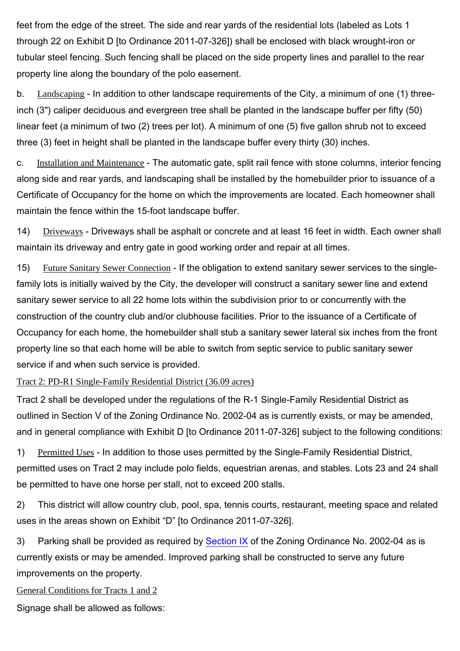feet from the edge of the street. The side and rear yards of the residential lots (labeled as Lots 1 through 22 on Exhibit D [to Ordinance 2011-07-326]) shall be enclosed with black wrought-iron or tubular steel fencing. Such fencing shall be placed on the side property lines and parallel to the rear property line along the boundary of the polo easement.

b. Landscaping - In addition to other landscape requirements of the City, a minimum of one (1) threeinch (3") caliper deciduous and evergreen tree shall be planted in the landscape buffer per fifty (50) linear feet (a minimum of two (2) trees per lot). A minimum of one (5) five gallon shrub not to exceed three (3) feet in height shall be planted in the landscape buffer every thirty (30) inches.

c. Installation and Maintenance - The automatic gate, split rail fence with stone columns, interior fencing along side and rear yards, and landscaping shall be installed by the homebuilder prior to issuance of a Certificate of Occupancy for the home on which the improvements are located. Each homeowner shall maintain the fence within the 15-foot landscape buffer.

14) Driveways - Driveways shall be asphalt or concrete and at least 16 feet in width. Each owner shall maintain its driveway and entry gate in good working order and repair at all times.

15) Future Sanitary Sewer Connection - If the obligation to extend sanitary sewer services to the singlefamily lots is initially waived by the City, the developer will construct a sanitary sewer line and extend sanitary sewer service to all 22 home lots within the subdivision prior to or concurrently with the construction of the country club and/or clubhouse facilities. Prior to the issuance of a Certificate of Occupancy for each home, the homebuilder shall stub a sanitary sewer lateral six inches from the front property line so that each home will be able to switch from septic service to public sanitary sewer service if and when such service is provided.

Tract 2: PD-R1 Single-Family Residential District (36.09 acres)

Tract 2 shall be developed under the regulations of the R-1 Single-Family Residential District as outlined in Section V of the Zoning Ordinance No. 2002-04 as is currently exists, or may be amended, and in general compliance with Exhibit D [to Ordinance 2011-07-326] subject to the following conditions:

1) Permitted Uses - In addition to those uses permitted by the Single-Family Residential District, permitted uses on Tract 2 may include polo fields, equestrian arenas, and stables. Lots 23 and 24 shall be permitted to have one horse per stall, not to exceed 200 stalls.

2) This district will allow country club, pool, spa, tennis courts, restaurant, meeting space and related uses in the areas shown on Exhibit "D" [to Ordinance 2011-07-326].

3) Parking shall be provided as required by Section IX of the Zoning Ordinance No. 2002-04 as is currently exists or may be amended. Improved parking shall be constructed to serve any future improvements on the property.

General Conditions for Tracts 1 and 2

Signage shall be allowed as follows: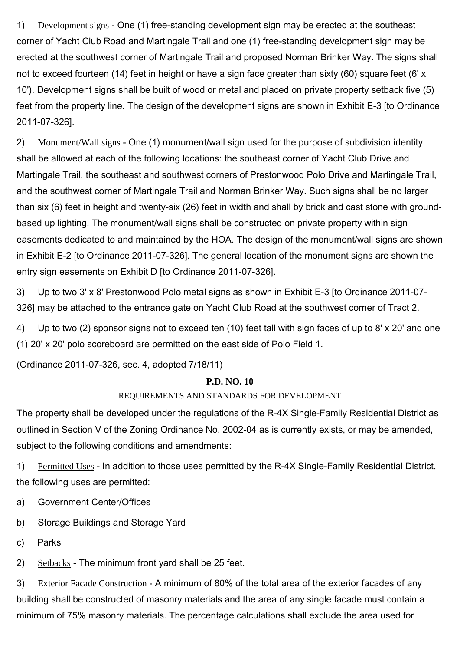1) Development signs - One (1) free-standing development sign may be erected at the southeast corner of Yacht Club Road and Martingale Trail and one (1) free-standing development sign may be erected at the southwest corner of Martingale Trail and proposed Norman Brinker Way. The signs shall not to exceed fourteen (14) feet in height or have a sign face greater than sixty (60) square feet (6' x 10'). Development signs shall be built of wood or metal and placed on private property setback five (5) feet from the property line. The design of the development signs are shown in Exhibit E-3 [to Ordinance 2011-07-326].

2) Monument/Wall signs - One (1) monument/wall sign used for the purpose of subdivision identity shall be allowed at each of the following locations: the southeast corner of Yacht Club Drive and Martingale Trail, the southeast and southwest corners of Prestonwood Polo Drive and Martingale Trail, and the southwest corner of Martingale Trail and Norman Brinker Way. Such signs shall be no larger than six (6) feet in height and twenty-six (26) feet in width and shall by brick and cast stone with groundbased up lighting. The monument/wall signs shall be constructed on private property within sign easements dedicated to and maintained by the HOA. The design of the monument/wall signs are shown in Exhibit E-2 [to Ordinance 2011-07-326]. The general location of the monument signs are shown the entry sign easements on Exhibit D [to Ordinance 2011-07-326].

3) Up to two 3' x 8' Prestonwood Polo metal signs as shown in Exhibit E-3 [to Ordinance 2011-07- 326] may be attached to the entrance gate on Yacht Club Road at the southwest corner of Tract 2.

4) Up to two (2) sponsor signs not to exceed ten (10) feet tall with sign faces of up to 8' x 20' and one (1) 20' x 20' polo scoreboard are permitted on the east side of Polo Field 1.

(Ordinance 2011-07-326, sec. 4, adopted 7/18/11)

### **P.D. NO. 10**

### REQUIREMENTS AND STANDARDS FOR DEVELOPMENT

The property shall be developed under the regulations of the R-4X Single-Family Residential District as outlined in Section V of the Zoning Ordinance No. 2002-04 as is currently exists, or may be amended, subject to the following conditions and amendments:

1) Permitted Uses - In addition to those uses permitted by the R-4X Single-Family Residential District, the following uses are permitted:

- a) Government Center/Offices
- b) Storage Buildings and Storage Yard
- c) Parks

2) Setbacks - The minimum front yard shall be 25 feet.

3) Exterior Facade Construction - A minimum of 80% of the total area of the exterior facades of any building shall be constructed of masonry materials and the area of any single facade must contain a minimum of 75% masonry materials. The percentage calculations shall exclude the area used for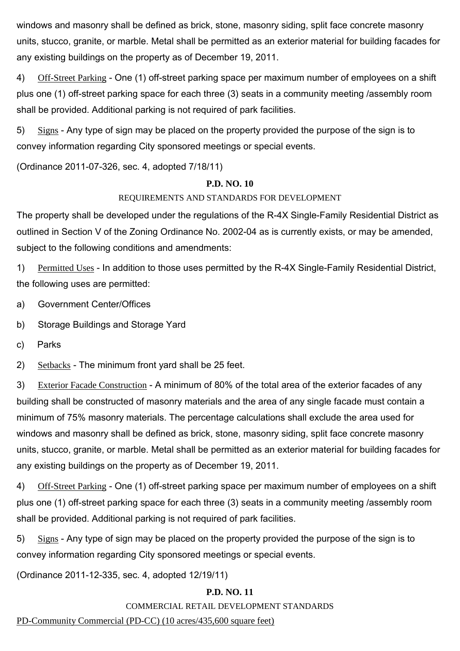windows and masonry shall be defined as brick, stone, masonry siding, split face concrete masonry units, stucco, granite, or marble. Metal shall be permitted as an exterior material for building facades for any existing buildings on the property as of December 19, 2011.

4) Off-Street Parking - One (1) off-street parking space per maximum number of employees on a shift plus one (1) off-street parking space for each three (3) seats in a community meeting /assembly room shall be provided. Additional parking is not required of park facilities.

5) Signs - Any type of sign may be placed on the property provided the purpose of the sign is to convey information regarding City sponsored meetings or special events.

(Ordinance 2011-07-326, sec. 4, adopted 7/18/11)

### **P.D. NO. 10**

## REQUIREMENTS AND STANDARDS FOR DEVELOPMENT

The property shall be developed under the regulations of the R-4X Single-Family Residential District as outlined in Section V of the Zoning Ordinance No. 2002-04 as is currently exists, or may be amended, subject to the following conditions and amendments:

1) Permitted Uses - In addition to those uses permitted by the R-4X Single-Family Residential District, the following uses are permitted:

- a) Government Center/Offices
- b) Storage Buildings and Storage Yard
- c) Parks

2) Setbacks - The minimum front yard shall be 25 feet.

3) Exterior Facade Construction - A minimum of 80% of the total area of the exterior facades of any building shall be constructed of masonry materials and the area of any single facade must contain a minimum of 75% masonry materials. The percentage calculations shall exclude the area used for windows and masonry shall be defined as brick, stone, masonry siding, split face concrete masonry units, stucco, granite, or marble. Metal shall be permitted as an exterior material for building facades for any existing buildings on the property as of December 19, 2011.

4) Off-Street Parking - One (1) off-street parking space per maximum number of employees on a shift plus one (1) off-street parking space for each three (3) seats in a community meeting /assembly room shall be provided. Additional parking is not required of park facilities.

5) Signs - Any type of sign may be placed on the property provided the purpose of the sign is to convey information regarding City sponsored meetings or special events.

(Ordinance 2011-12-335, sec. 4, adopted 12/19/11)

# **P.D. NO. 11**

## COMMERCIAL RETAIL DEVELOPMENT STANDARDS

PD-Community Commercial (PD-CC) (10 acres/435,600 square feet)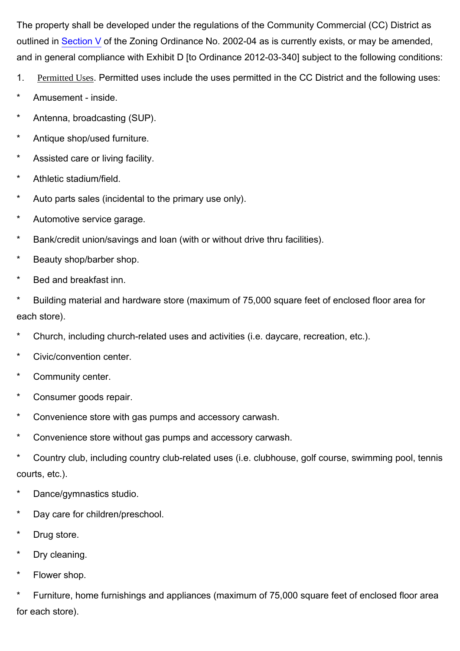The property shall be developed under the regulations of the Community Commercial (CC) District as outlined in Section V of the Zoning Ordinance No. 2002-04 as is currently exists, or may be amended, and in general compliance with Exhibit D [to Ordinance 2012-03-340] subject to the following conditions:

- 1. Permitted Uses. Permitted uses include the uses permitted in the CC District and the following uses:
- Amusement inside.
- Antenna, broadcasting (SUP).
- \* Antique shop/used furniture.
- \* Assisted care or living facility.
- \* Athletic stadium/field.
- \* Auto parts sales (incidental to the primary use only).
- \* Automotive service garage.
- \* Bank/credit union/savings and loan (with or without drive thru facilities).
- Beauty shop/barber shop.
- \* Bed and breakfast inn.
- \* Building material and hardware store (maximum of 75,000 square feet of enclosed floor area for each store).
- Church, including church-related uses and activities (i.e. daycare, recreation, etc.).
- \* Civic/convention center.
- \* Community center.
- \* Consumer goods repair.
- \* Convenience store with gas pumps and accessory carwash.
- \* Convenience store without gas pumps and accessory carwash.
- \* Country club, including country club-related uses (i.e. clubhouse, golf course, swimming pool, tennis courts, etc.).
- Dance/gymnastics studio.
- \* Day care for children/preschool.
- Drug store.
- \* Dry cleaning.
- Flower shop.

Furniture, home furnishings and appliances (maximum of 75,000 square feet of enclosed floor area for each store).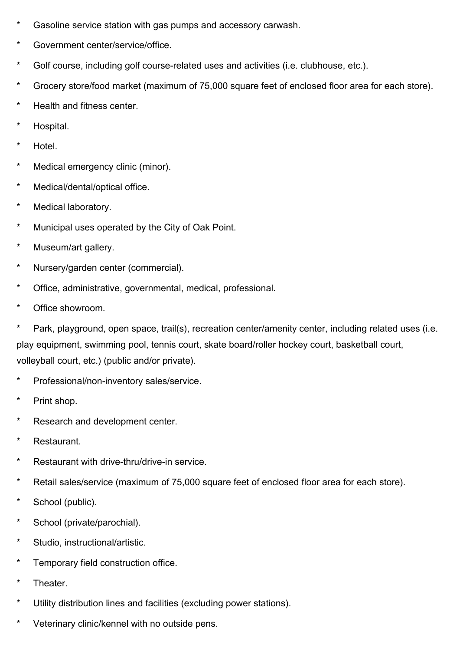- \* Gasoline service station with gas pumps and accessory carwash.
- Government center/service/office.
- Golf course, including golf course-related uses and activities (i.e. clubhouse, etc.).
- Grocery store/food market (maximum of 75,000 square feet of enclosed floor area for each store).
- Health and fitness center.
- Hospital.
- Hotel.
- Medical emergency clinic (minor).
- Medical/dental/optical office.
- Medical laboratory.
- Municipal uses operated by the City of Oak Point.
- Museum/art gallery.
- \* Nursery/garden center (commercial).
- Office, administrative, governmental, medical, professional.
- Office showroom.

\* Park, playground, open space, trail(s), recreation center/amenity center, including related uses (i.e. play equipment, swimming pool, tennis court, skate board/roller hockey court, basketball court, volleyball court, etc.) (public and/or private).

- \* Professional/non-inventory sales/service.
- Print shop.
- Research and development center.
- Restaurant.
- Restaurant with drive-thru/drive-in service.
- Retail sales/service (maximum of 75,000 square feet of enclosed floor area for each store).
- School (public).
- School (private/parochial).
- \* Studio, instructional/artistic.
- Temporary field construction office.
- Theater.
- Utility distribution lines and facilities (excluding power stations).
- Veterinary clinic/kennel with no outside pens.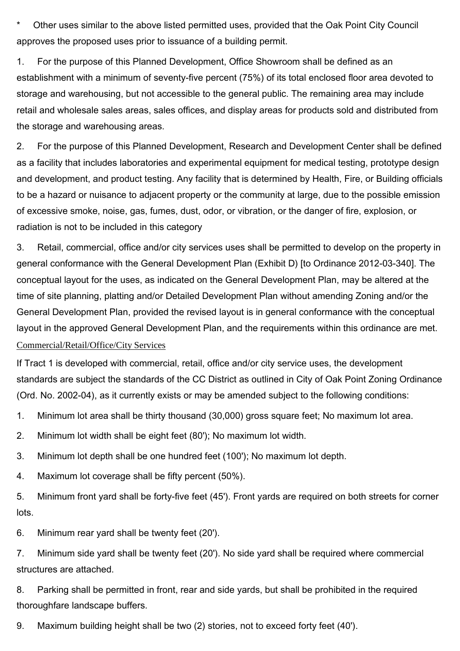\* Other uses similar to the above listed permitted uses, provided that the Oak Point City Council approves the proposed uses prior to issuance of a building permit.

1. For the purpose of this Planned Development, Office Showroom shall be defined as an establishment with a minimum of seventy-five percent (75%) of its total enclosed floor area devoted to storage and warehousing, but not accessible to the general public. The remaining area may include retail and wholesale sales areas, sales offices, and display areas for products sold and distributed from the storage and warehousing areas.

2. For the purpose of this Planned Development, Research and Development Center shall be defined as a facility that includes laboratories and experimental equipment for medical testing, prototype design and development, and product testing. Any facility that is determined by Health, Fire, or Building officials to be a hazard or nuisance to adjacent property or the community at large, due to the possible emission of excessive smoke, noise, gas, fumes, dust, odor, or vibration, or the danger of fire, explosion, or radiation is not to be included in this category

3. Retail, commercial, office and/or city services uses shall be permitted to develop on the property in general conformance with the General Development Plan (Exhibit D) [to Ordinance 2012-03-340]. The conceptual layout for the uses, as indicated on the General Development Plan, may be altered at the time of site planning, platting and/or Detailed Development Plan without amending Zoning and/or the General Development Plan, provided the revised layout is in general conformance with the conceptual layout in the approved General Development Plan, and the requirements within this ordinance are met. Commercial/Retail/Office/City Services

If Tract 1 is developed with commercial, retail, office and/or city service uses, the development standards are subject the standards of the CC District as outlined in City of Oak Point Zoning Ordinance (Ord. No. 2002-04), as it currently exists or may be amended subject to the following conditions:

- 1. Minimum lot area shall be thirty thousand (30,000) gross square feet; No maximum lot area.
- 2. Minimum lot width shall be eight feet (80'); No maximum lot width.
- 3. Minimum lot depth shall be one hundred feet (100'); No maximum lot depth.
- 4. Maximum lot coverage shall be fifty percent (50%).

5. Minimum front yard shall be forty-five feet (45'). Front yards are required on both streets for corner lots.

6. Minimum rear yard shall be twenty feet (20').

7. Minimum side yard shall be twenty feet (20'). No side yard shall be required where commercial structures are attached.

8. Parking shall be permitted in front, rear and side yards, but shall be prohibited in the required thoroughfare landscape buffers.

9. Maximum building height shall be two (2) stories, not to exceed forty feet (40').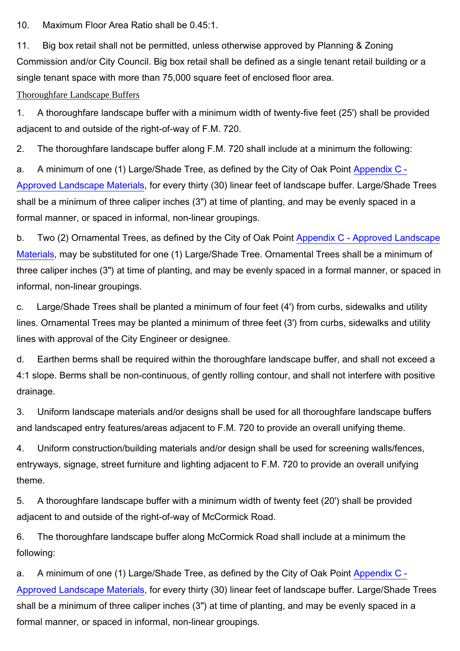10. Maximum Floor Area Ratio shall be 0.45:1.

11. Big box retail shall not be permitted, unless otherwise approved by Planning & Zoning Commission and/or City Council. Big box retail shall be defined as a single tenant retail building or a single tenant space with more than 75,000 square feet of enclosed floor area.

Thoroughfare Landscape Buffers

1. A thoroughfare landscape buffer with a minimum width of twenty-five feet (25') shall be provided adjacent to and outside of the right-of-way of F.M. 720.

2. The thoroughfare landscape buffer along F.M. 720 shall include at a minimum the following:

a. A minimum of one (1) Large/Shade Tree, as defined by the City of Oak Point Appendix C -Approved Landscape Materials, for every thirty (30) linear feet of landscape buffer. Large/Shade Trees shall be a minimum of three caliper inches (3") at time of planting, and may be evenly spaced in a formal manner, or spaced in informal, non-linear groupings.

b. Two (2) Ornamental Trees, as defined by the City of Oak Point Appendix C - Approved Landscape Materials, may be substituted for one (1) Large/Shade Tree. Ornamental Trees shall be a minimum of three caliper inches (3") at time of planting, and may be evenly spaced in a formal manner, or spaced in informal, non-linear groupings.

c. Large/Shade Trees shall be planted a minimum of four feet (4') from curbs, sidewalks and utility lines. Ornamental Trees may be planted a minimum of three feet (3') from curbs, sidewalks and utility lines with approval of the City Engineer or designee.

d. Earthen berms shall be required within the thoroughfare landscape buffer, and shall not exceed a 4:1 slope. Berms shall be non-continuous, of gently rolling contour, and shall not interfere with positive drainage.

3. Uniform landscape materials and/or designs shall be used for all thoroughfare landscape buffers and landscaped entry features/areas adjacent to F.M. 720 to provide an overall unifying theme.

4. Uniform construction/building materials and/or design shall be used for screening walls/fences, entryways, signage, street furniture and lighting adjacent to F.M. 720 to provide an overall unifying theme.

5. A thoroughfare landscape buffer with a minimum width of twenty feet (20') shall be provided adjacent to and outside of the right-of-way of McCormick Road.

6. The thoroughfare landscape buffer along McCormick Road shall include at a minimum the following:

a. A minimum of one (1) Large/Shade Tree, as defined by the City of Oak Point Appendix C -Approved Landscape Materials, for every thirty (30) linear feet of landscape buffer. Large/Shade Trees shall be a minimum of three caliper inches (3") at time of planting, and may be evenly spaced in a formal manner, or spaced in informal, non-linear groupings.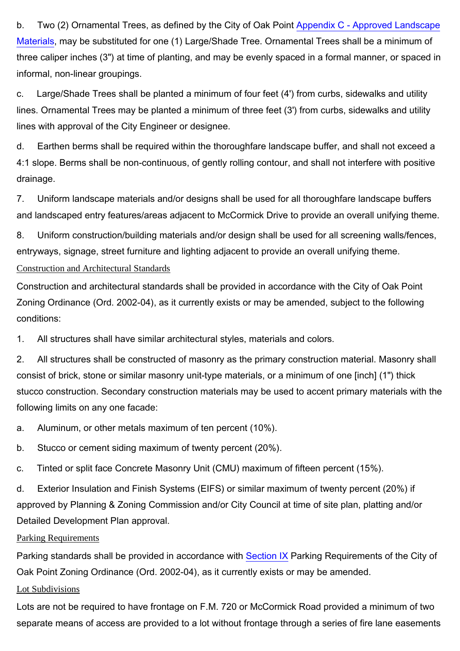b. Two (2) Ornamental Trees, as defined by the City of Oak Point Appendix C - Approved Landscape Materials, may be substituted for one (1) Large/Shade Tree. Ornamental Trees shall be a minimum of three caliper inches (3") at time of planting, and may be evenly spaced in a formal manner, or spaced in informal, non-linear groupings.

c. Large/Shade Trees shall be planted a minimum of four feet (4') from curbs, sidewalks and utility lines. Ornamental Trees may be planted a minimum of three feet (3') from curbs, sidewalks and utility lines with approval of the City Engineer or designee.

d. Earthen berms shall be required within the thoroughfare landscape buffer, and shall not exceed a 4:1 slope. Berms shall be non-continuous, of gently rolling contour, and shall not interfere with positive drainage.

7. Uniform landscape materials and/or designs shall be used for all thoroughfare landscape buffers and landscaped entry features/areas adjacent to McCormick Drive to provide an overall unifying theme.

8. Uniform construction/building materials and/or design shall be used for all screening walls/fences, entryways, signage, street furniture and lighting adjacent to provide an overall unifying theme. Construction and Architectural Standards

Construction and architectural standards shall be provided in accordance with the City of Oak Point Zoning Ordinance (Ord. 2002-04), as it currently exists or may be amended, subject to the following conditions:

1. All structures shall have similar architectural styles, materials and colors.

2. All structures shall be constructed of masonry as the primary construction material. Masonry shall consist of brick, stone or similar masonry unit-type materials, or a minimum of one [inch] (1") thick stucco construction. Secondary construction materials may be used to accent primary materials with the following limits on any one facade:

a. Aluminum, or other metals maximum of ten percent (10%).

b. Stucco or cement siding maximum of twenty percent (20%).

c. Tinted or split face Concrete Masonry Unit (CMU) maximum of fifteen percent (15%).

d. Exterior Insulation and Finish Systems (EIFS) or similar maximum of twenty percent (20%) if approved by Planning & Zoning Commission and/or City Council at time of site plan, platting and/or Detailed Development Plan approval.

## Parking Requirements

Parking standards shall be provided in accordance with Section IX Parking Requirements of the City of Oak Point Zoning Ordinance (Ord. 2002-04), as it currently exists or may be amended.

## Lot Subdivisions

Lots are not be required to have frontage on F.M. 720 or McCormick Road provided a minimum of two separate means of access are provided to a lot without frontage through a series of fire lane easements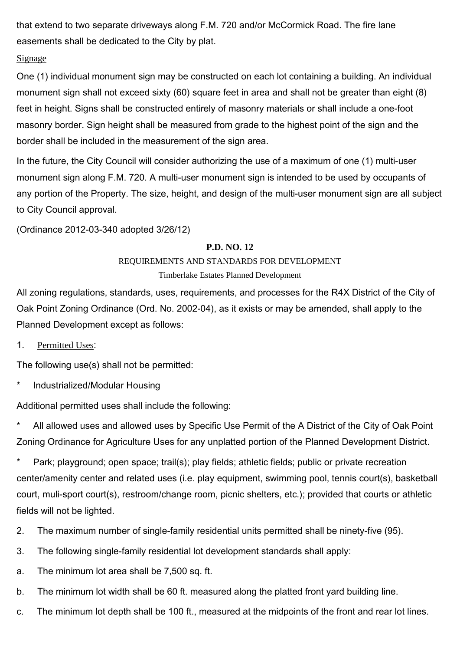that extend to two separate driveways along F.M. 720 and/or McCormick Road. The fire lane easements shall be dedicated to the City by plat.

# Signage

One (1) individual monument sign may be constructed on each lot containing a building. An individual monument sign shall not exceed sixty (60) square feet in area and shall not be greater than eight (8) feet in height. Signs shall be constructed entirely of masonry materials or shall include a one-foot masonry border. Sign height shall be measured from grade to the highest point of the sign and the border shall be included in the measurement of the sign area.

In the future, the City Council will consider authorizing the use of a maximum of one (1) multi-user monument sign along F.M. 720. A multi-user monument sign is intended to be used by occupants of any portion of the Property. The size, height, and design of the multi-user monument sign are all subject to City Council approval.

(Ordinance 2012-03-340 adopted 3/26/12)

# **P.D. NO. 12**

# REQUIREMENTS AND STANDARDS FOR DEVELOPMENT Timberlake Estates Planned Development

All zoning regulations, standards, uses, requirements, and processes for the R4X District of the City of Oak Point Zoning Ordinance (Ord. No. 2002-04), as it exists or may be amended, shall apply to the Planned Development except as follows:

1. Permitted Uses:

The following use(s) shall not be permitted:

Industrialized/Modular Housing

Additional permitted uses shall include the following:

\* All allowed uses and allowed uses by Specific Use Permit of the A District of the City of Oak Point Zoning Ordinance for Agriculture Uses for any unplatted portion of the Planned Development District.

\* Park; playground; open space; trail(s); play fields; athletic fields; public or private recreation center/amenity center and related uses (i.e. play equipment, swimming pool, tennis court(s), basketball court, muli-sport court(s), restroom/change room, picnic shelters, etc.); provided that courts or athletic fields will not be lighted.

- 2. The maximum number of single-family residential units permitted shall be ninety-five (95).
- 3. The following single-family residential lot development standards shall apply:
- a. The minimum lot area shall be 7,500 sq. ft.
- b. The minimum lot width shall be 60 ft. measured along the platted front yard building line.
- c. The minimum lot depth shall be 100 ft., measured at the midpoints of the front and rear lot lines.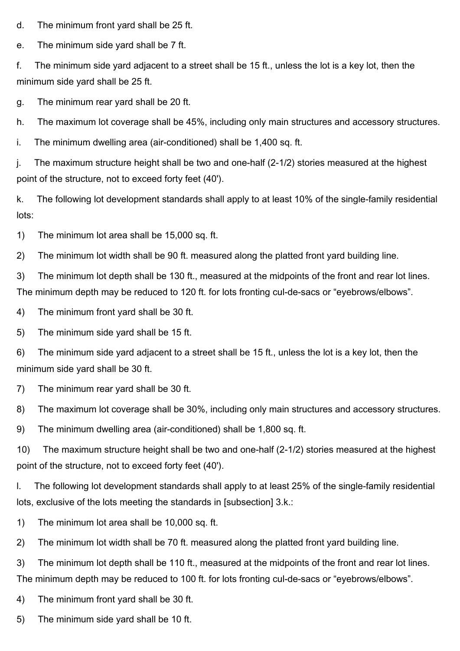d. The minimum front yard shall be 25 ft.

e. The minimum side yard shall be 7 ft.

f. The minimum side yard adjacent to a street shall be 15 ft., unless the lot is a key lot, then the minimum side yard shall be 25 ft.

g. The minimum rear yard shall be 20 ft.

h. The maximum lot coverage shall be 45%, including only main structures and accessory structures.

i. The minimum dwelling area (air-conditioned) shall be 1,400 sq. ft.

j. The maximum structure height shall be two and one-half (2-1/2) stories measured at the highest point of the structure, not to exceed forty feet (40').

k. The following lot development standards shall apply to at least 10% of the single-family residential lots:

1) The minimum lot area shall be 15,000 sq. ft.

2) The minimum lot width shall be 90 ft. measured along the platted front yard building line.

3) The minimum lot depth shall be 130 ft., measured at the midpoints of the front and rear lot lines. The minimum depth may be reduced to 120 ft. for lots fronting cul-de-sacs or "eyebrows/elbows".

4) The minimum front yard shall be 30 ft.

5) The minimum side yard shall be 15 ft.

6) The minimum side yard adjacent to a street shall be 15 ft., unless the lot is a key lot, then the minimum side yard shall be 30 ft.

7) The minimum rear yard shall be 30 ft.

8) The maximum lot coverage shall be 30%, including only main structures and accessory structures.

9) The minimum dwelling area (air-conditioned) shall be 1,800 sq. ft.

10) The maximum structure height shall be two and one-half (2-1/2) stories measured at the highest point of the structure, not to exceed forty feet (40').

l. The following lot development standards shall apply to at least 25% of the single-family residential lots, exclusive of the lots meeting the standards in [subsection] 3.k.:

1) The minimum lot area shall be 10,000 sq. ft.

2) The minimum lot width shall be 70 ft. measured along the platted front yard building line.

3) The minimum lot depth shall be 110 ft., measured at the midpoints of the front and rear lot lines. The minimum depth may be reduced to 100 ft. for lots fronting cul-de-sacs or "eyebrows/elbows".

4) The minimum front yard shall be 30 ft.

5) The minimum side yard shall be 10 ft.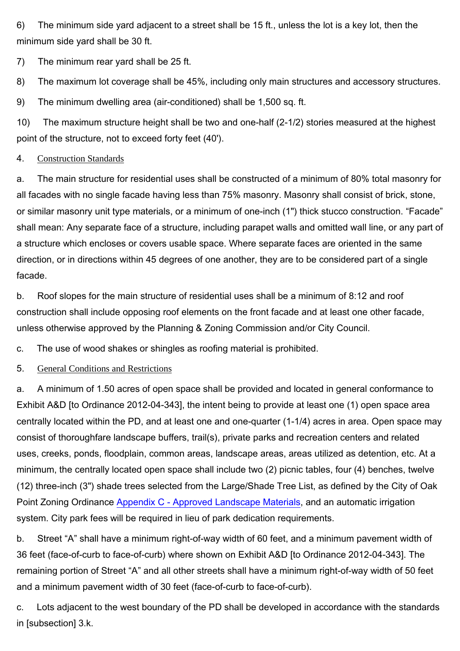6) The minimum side yard adjacent to a street shall be 15 ft., unless the lot is a key lot, then the minimum side yard shall be 30 ft.

7) The minimum rear yard shall be 25 ft.

8) The maximum lot coverage shall be 45%, including only main structures and accessory structures.

9) The minimum dwelling area (air-conditioned) shall be 1,500 sq. ft.

10) The maximum structure height shall be two and one-half (2-1/2) stories measured at the highest point of the structure, not to exceed forty feet (40').

# 4. Construction Standards

a. The main structure for residential uses shall be constructed of a minimum of 80% total masonry for all facades with no single facade having less than 75% masonry. Masonry shall consist of brick, stone, or similar masonry unit type materials, or a minimum of one-inch (1") thick stucco construction. "Facade" shall mean: Any separate face of a structure, including parapet walls and omitted wall line, or any part of a structure which encloses or covers usable space. Where separate faces are oriented in the same direction, or in directions within 45 degrees of one another, they are to be considered part of a single facade.

b. Roof slopes for the main structure of residential uses shall be a minimum of 8:12 and roof construction shall include opposing roof elements on the front facade and at least one other facade, unless otherwise approved by the Planning & Zoning Commission and/or City Council.

c. The use of wood shakes or shingles as roofing material is prohibited.

# 5. General Conditions and Restrictions

a. A minimum of 1.50 acres of open space shall be provided and located in general conformance to Exhibit A&D [to Ordinance 2012-04-343], the intent being to provide at least one (1) open space area centrally located within the PD, and at least one and one-quarter (1-1/4) acres in area. Open space may consist of thoroughfare landscape buffers, trail(s), private parks and recreation centers and related uses, creeks, ponds, floodplain, common areas, landscape areas, areas utilized as detention, etc. At a minimum, the centrally located open space shall include two (2) picnic tables, four (4) benches, twelve (12) three-inch (3") shade trees selected from the Large/Shade Tree List, as defined by the City of Oak Point Zoning Ordinance Appendix C - Approved Landscape Materials, and an automatic irrigation system. City park fees will be required in lieu of park dedication requirements.

b. Street "A" shall have a minimum right-of-way width of 60 feet, and a minimum pavement width of 36 feet (face-of-curb to face-of-curb) where shown on Exhibit A&D [to Ordinance 2012-04-343]. The remaining portion of Street "A" and all other streets shall have a minimum right-of-way width of 50 feet and a minimum pavement width of 30 feet (face-of-curb to face-of-curb).

c. Lots adjacent to the west boundary of the PD shall be developed in accordance with the standards in [subsection] 3.k.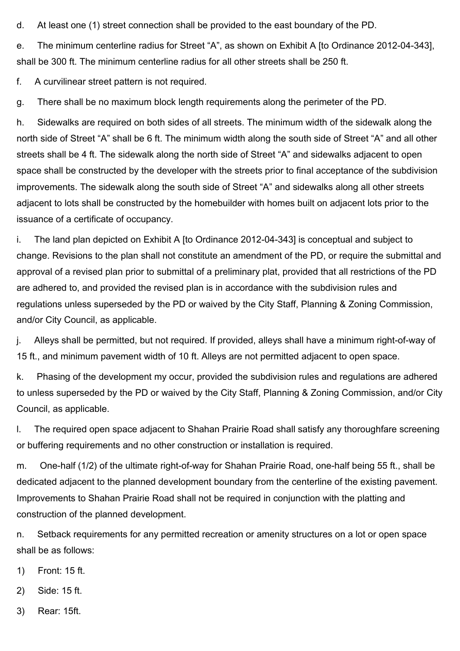d. At least one (1) street connection shall be provided to the east boundary of the PD.

e. The minimum centerline radius for Street "A", as shown on Exhibit A [to Ordinance 2012-04-343], shall be 300 ft. The minimum centerline radius for all other streets shall be 250 ft.

f. A curvilinear street pattern is not required.

g. There shall be no maximum block length requirements along the perimeter of the PD.

h. Sidewalks are required on both sides of all streets. The minimum width of the sidewalk along the north side of Street "A" shall be 6 ft. The minimum width along the south side of Street "A" and all other streets shall be 4 ft. The sidewalk along the north side of Street "A" and sidewalks adjacent to open space shall be constructed by the developer with the streets prior to final acceptance of the subdivision improvements. The sidewalk along the south side of Street "A" and sidewalks along all other streets adjacent to lots shall be constructed by the homebuilder with homes built on adjacent lots prior to the issuance of a certificate of occupancy.

i. The land plan depicted on Exhibit A [to Ordinance 2012-04-343] is conceptual and subject to change. Revisions to the plan shall not constitute an amendment of the PD, or require the submittal and approval of a revised plan prior to submittal of a preliminary plat, provided that all restrictions of the PD are adhered to, and provided the revised plan is in accordance with the subdivision rules and regulations unless superseded by the PD or waived by the City Staff, Planning & Zoning Commission, and/or City Council, as applicable.

j. Alleys shall be permitted, but not required. If provided, alleys shall have a minimum right-of-way of 15 ft., and minimum pavement width of 10 ft. Alleys are not permitted adjacent to open space.

k. Phasing of the development my occur, provided the subdivision rules and regulations are adhered to unless superseded by the PD or waived by the City Staff, Planning & Zoning Commission, and/or City Council, as applicable.

l. The required open space adjacent to Shahan Prairie Road shall satisfy any thoroughfare screening or buffering requirements and no other construction or installation is required.

m. One-half (1/2) of the ultimate right-of-way for Shahan Prairie Road, one-half being 55 ft., shall be dedicated adjacent to the planned development boundary from the centerline of the existing pavement. Improvements to Shahan Prairie Road shall not be required in conjunction with the platting and construction of the planned development.

n. Setback requirements for any permitted recreation or amenity structures on a lot or open space shall be as follows:

- 1) Front: 15 ft.
- 2) Side: 15 ft.
- 3) Rear: 15ft.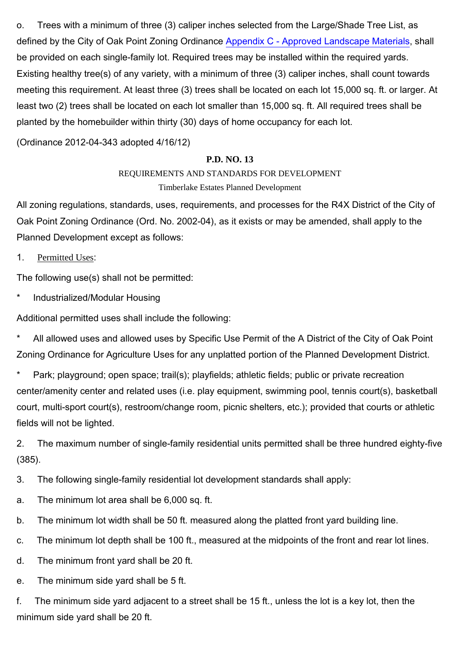o. Trees with a minimum of three (3) caliper inches selected from the Large/Shade Tree List, as defined by the City of Oak Point Zoning Ordinance Appendix C - Approved Landscape Materials, shall be provided on each single-family lot. Required trees may be installed within the required yards. Existing healthy tree(s) of any variety, with a minimum of three (3) caliper inches, shall count towards meeting this requirement. At least three (3) trees shall be located on each lot 15,000 sq. ft. or larger. At least two (2) trees shall be located on each lot smaller than 15,000 sq. ft. All required trees shall be planted by the homebuilder within thirty (30) days of home occupancy for each lot.

(Ordinance 2012-04-343 adopted 4/16/12)

## **P.D. NO. 13**

## REQUIREMENTS AND STANDARDS FOR DEVELOPMENT Timberlake Estates Planned Development

All zoning regulations, standards, uses, requirements, and processes for the R4X District of the City of Oak Point Zoning Ordinance (Ord. No. 2002-04), as it exists or may be amended, shall apply to the Planned Development except as follows:

1. Permitted Uses:

The following use(s) shall not be permitted:

Industrialized/Modular Housing

Additional permitted uses shall include the following:

\* All allowed uses and allowed uses by Specific Use Permit of the A District of the City of Oak Point Zoning Ordinance for Agriculture Uses for any unplatted portion of the Planned Development District.

Park; playground; open space; trail(s); playfields; athletic fields; public or private recreation center/amenity center and related uses (i.e. play equipment, swimming pool, tennis court(s), basketball court, multi-sport court(s), restroom/change room, picnic shelters, etc.); provided that courts or athletic fields will not be lighted.

2. The maximum number of single-family residential units permitted shall be three hundred eighty-five (385).

3. The following single-family residential lot development standards shall apply:

- a. The minimum lot area shall be 6,000 sq. ft.
- b. The minimum lot width shall be 50 ft. measured along the platted front yard building line.
- c. The minimum lot depth shall be 100 ft., measured at the midpoints of the front and rear lot lines.
- d. The minimum front yard shall be 20 ft.
- e. The minimum side yard shall be 5 ft.

f. The minimum side yard adjacent to a street shall be 15 ft., unless the lot is a key lot, then the minimum side yard shall be 20 ft.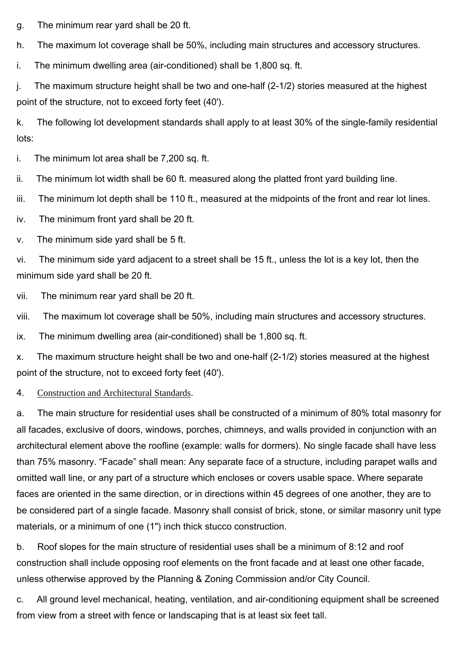g. The minimum rear yard shall be 20 ft.

h. The maximum lot coverage shall be 50%, including main structures and accessory structures.

i. The minimum dwelling area (air-conditioned) shall be 1,800 sq. ft.

j. The maximum structure height shall be two and one-half (2-1/2) stories measured at the highest point of the structure, not to exceed forty feet (40').

k. The following lot development standards shall apply to at least 30% of the single-family residential lots:

i. The minimum lot area shall be 7,200 sq. ft.

ii. The minimum lot width shall be 60 ft. measured along the platted front yard building line.

iii. The minimum lot depth shall be 110 ft., measured at the midpoints of the front and rear lot lines.

iv. The minimum front yard shall be 20 ft.

v. The minimum side yard shall be 5 ft.

vi. The minimum side yard adjacent to a street shall be 15 ft., unless the lot is a key lot, then the minimum side yard shall be 20 ft.

vii. The minimum rear yard shall be 20 ft.

viii. The maximum lot coverage shall be 50%, including main structures and accessory structures.

ix. The minimum dwelling area (air-conditioned) shall be 1,800 sq. ft.

x. The maximum structure height shall be two and one-half (2-1/2) stories measured at the highest point of the structure, not to exceed forty feet (40').

4. Construction and Architectural Standards.

a. The main structure for residential uses shall be constructed of a minimum of 80% total masonry for all facades, exclusive of doors, windows, porches, chimneys, and walls provided in conjunction with an architectural element above the roofline (example: walls for dormers). No single facade shall have less than 75% masonry. "Facade" shall mean: Any separate face of a structure, including parapet walls and omitted wall line, or any part of a structure which encloses or covers usable space. Where separate faces are oriented in the same direction, or in directions within 45 degrees of one another, they are to be considered part of a single facade. Masonry shall consist of brick, stone, or similar masonry unit type materials, or a minimum of one (1") inch thick stucco construction.

b. Roof slopes for the main structure of residential uses shall be a minimum of 8:12 and roof construction shall include opposing roof elements on the front facade and at least one other facade, unless otherwise approved by the Planning & Zoning Commission and/or City Council.

c. All ground level mechanical, heating, ventilation, and air-conditioning equipment shall be screened from view from a street with fence or landscaping that is at least six feet tall.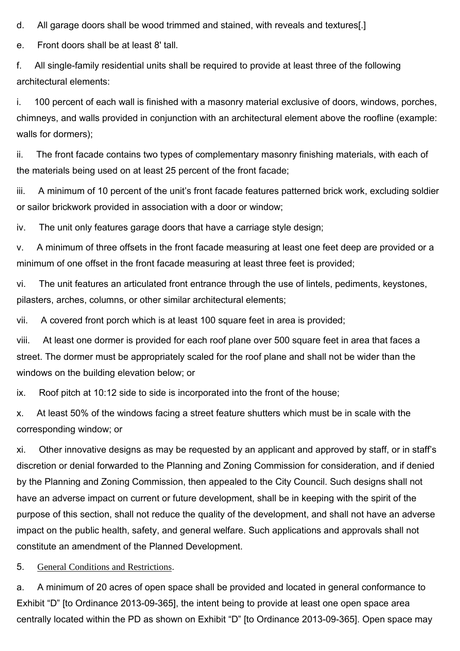d. All garage doors shall be wood trimmed and stained, with reveals and textures[.]

e. Front doors shall be at least 8' tall.

f. All single-family residential units shall be required to provide at least three of the following architectural elements:

i. 100 percent of each wall is finished with a masonry material exclusive of doors, windows, porches, chimneys, and walls provided in conjunction with an architectural element above the roofline (example: walls for dormers);

ii. The front facade contains two types of complementary masonry finishing materials, with each of the materials being used on at least 25 percent of the front facade;

iii. A minimum of 10 percent of the unit's front facade features patterned brick work, excluding soldier or sailor brickwork provided in association with a door or window;

iv. The unit only features garage doors that have a carriage style design;

v. A minimum of three offsets in the front facade measuring at least one feet deep are provided or a minimum of one offset in the front facade measuring at least three feet is provided;

vi. The unit features an articulated front entrance through the use of lintels, pediments, keystones, pilasters, arches, columns, or other similar architectural elements;

vii. A covered front porch which is at least 100 square feet in area is provided;

viii. At least one dormer is provided for each roof plane over 500 square feet in area that faces a street. The dormer must be appropriately scaled for the roof plane and shall not be wider than the windows on the building elevation below; or

ix. Roof pitch at 10:12 side to side is incorporated into the front of the house;

x. At least 50% of the windows facing a street feature shutters which must be in scale with the corresponding window; or

xi. Other innovative designs as may be requested by an applicant and approved by staff, or in staff's discretion or denial forwarded to the Planning and Zoning Commission for consideration, and if denied by the Planning and Zoning Commission, then appealed to the City Council. Such designs shall not have an adverse impact on current or future development, shall be in keeping with the spirit of the purpose of this section, shall not reduce the quality of the development, and shall not have an adverse impact on the public health, safety, and general welfare. Such applications and approvals shall not constitute an amendment of the Planned Development.

5. General Conditions and Restrictions.

a. A minimum of 20 acres of open space shall be provided and located in general conformance to Exhibit "D" [to Ordinance 2013-09-365], the intent being to provide at least one open space area centrally located within the PD as shown on Exhibit "D" [to Ordinance 2013-09-365]. Open space may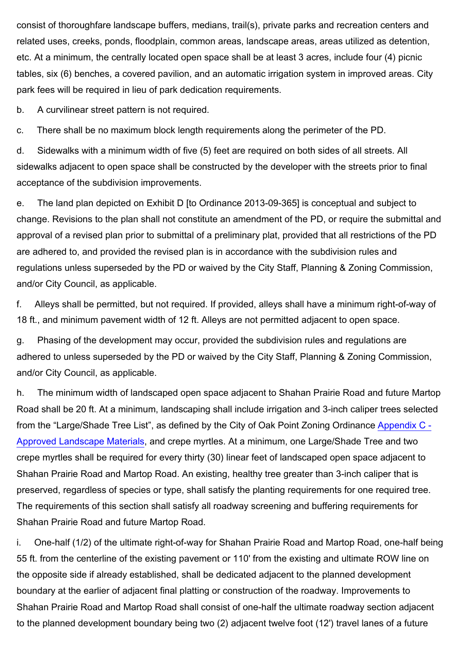consist of thoroughfare landscape buffers, medians, trail(s), private parks and recreation centers and related uses, creeks, ponds, floodplain, common areas, landscape areas, areas utilized as detention, etc. At a minimum, the centrally located open space shall be at least 3 acres, include four (4) picnic tables, six (6) benches, a covered pavilion, and an automatic irrigation system in improved areas. City park fees will be required in lieu of park dedication requirements.

b. A curvilinear street pattern is not required.

c. There shall be no maximum block length requirements along the perimeter of the PD.

d. Sidewalks with a minimum width of five (5) feet are required on both sides of all streets. All sidewalks adjacent to open space shall be constructed by the developer with the streets prior to final acceptance of the subdivision improvements.

e. The land plan depicted on Exhibit D [to Ordinance 2013-09-365] is conceptual and subject to change. Revisions to the plan shall not constitute an amendment of the PD, or require the submittal and approval of a revised plan prior to submittal of a preliminary plat, provided that all restrictions of the PD are adhered to, and provided the revised plan is in accordance with the subdivision rules and regulations unless superseded by the PD or waived by the City Staff, Planning & Zoning Commission, and/or City Council, as applicable.

f. Alleys shall be permitted, but not required. If provided, alleys shall have a minimum right-of-way of 18 ft., and minimum pavement width of 12 ft. Alleys are not permitted adjacent to open space.

g. Phasing of the development may occur, provided the subdivision rules and regulations are adhered to unless superseded by the PD or waived by the City Staff, Planning & Zoning Commission, and/or City Council, as applicable.

h. The minimum width of landscaped open space adjacent to Shahan Prairie Road and future Martop Road shall be 20 ft. At a minimum, landscaping shall include irrigation and 3-inch caliper trees selected from the "Large/Shade Tree List", as defined by the City of Oak Point Zoning Ordinance Appendix C - Approved Landscape Materials, and crepe myrtles. At a minimum, one Large/Shade Tree and two crepe myrtles shall be required for every thirty (30) linear feet of landscaped open space adjacent to Shahan Prairie Road and Martop Road. An existing, healthy tree greater than 3-inch caliper that is preserved, regardless of species or type, shall satisfy the planting requirements for one required tree. The requirements of this section shall satisfy all roadway screening and buffering requirements for Shahan Prairie Road and future Martop Road.

i. One-half (1/2) of the ultimate right-of-way for Shahan Prairie Road and Martop Road, one-half being 55 ft. from the centerline of the existing pavement or 110' from the existing and ultimate ROW line on the opposite side if already established, shall be dedicated adjacent to the planned development boundary at the earlier of adjacent final platting or construction of the roadway. Improvements to Shahan Prairie Road and Martop Road shall consist of one-half the ultimate roadway section adjacent to the planned development boundary being two (2) adjacent twelve foot (12') travel lanes of a future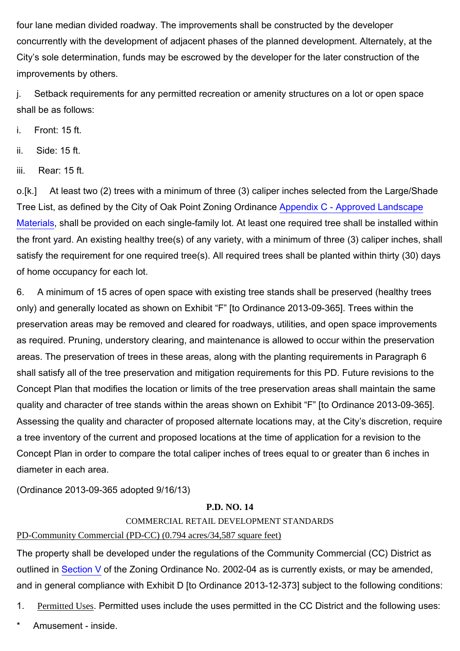four lane median divided roadway. The improvements shall be constructed by the developer concurrently with the development of adjacent phases of the planned development. Alternately, at the City's sole determination, funds may be escrowed by the developer for the later construction of the improvements by others.

j. Setback requirements for any permitted recreation or amenity structures on a lot or open space shall be as follows:

i. Front: 15 ft.

ii. Side: 15 ft.

iii. Rear: 15 ft.

o.[k.] At least two (2) trees with a minimum of three (3) caliper inches selected from the Large/Shade Tree List, as defined by the City of Oak Point Zoning Ordinance Appendix C - Approved Landscape Materials, shall be provided on each single-family lot. At least one required tree shall be installed within the front yard. An existing healthy tree(s) of any variety, with a minimum of three (3) caliper inches, shall satisfy the requirement for one required tree(s). All required trees shall be planted within thirty (30) days of home occupancy for each lot.

6. A minimum of 15 acres of open space with existing tree stands shall be preserved (healthy trees only) and generally located as shown on Exhibit "F" [to Ordinance 2013-09-365]. Trees within the preservation areas may be removed and cleared for roadways, utilities, and open space improvements as required. Pruning, understory clearing, and maintenance is allowed to occur within the preservation areas. The preservation of trees in these areas, along with the planting requirements in Paragraph 6 shall satisfy all of the tree preservation and mitigation requirements for this PD. Future revisions to the Concept Plan that modifies the location or limits of the tree preservation areas shall maintain the same quality and character of tree stands within the areas shown on Exhibit "F" [to Ordinance 2013-09-365]. Assessing the quality and character of proposed alternate locations may, at the City's discretion, require a tree inventory of the current and proposed locations at the time of application for a revision to the Concept Plan in order to compare the total caliper inches of trees equal to or greater than 6 inches in diameter in each area.

(Ordinance 2013-09-365 adopted 9/16/13)

### **P.D. NO. 14**

### COMMERCIAL RETAIL DEVELOPMENT STANDARDS

## PD-Community Commercial (PD-CC) (0.794 acres/34,587 square feet)

The property shall be developed under the regulations of the Community Commercial (CC) District as outlined in Section V of the Zoning Ordinance No. 2002-04 as is currently exists, or may be amended, and in general compliance with Exhibit D [to Ordinance 2013-12-373] subject to the following conditions:

1. Permitted Uses. Permitted uses include the uses permitted in the CC District and the following uses:

Amusement - inside.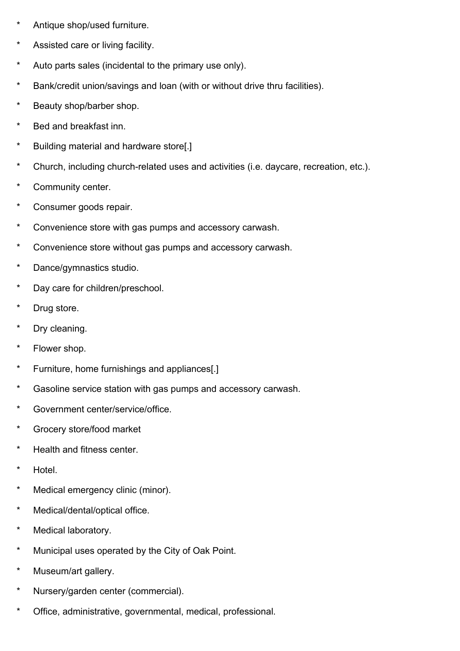- \* Antique shop/used furniture.
- Assisted care or living facility.
- Auto parts sales (incidental to the primary use only).
- Bank/credit union/savings and loan (with or without drive thru facilities).
- Beauty shop/barber shop.
- Bed and breakfast inn.
- \* Building material and hardware store[.]
- Church, including church-related uses and activities (i.e. daycare, recreation, etc.).
- Community center.
- \* Consumer goods repair.
- Convenience store with gas pumps and accessory carwash.
- \* Convenience store without gas pumps and accessory carwash.
- \* Dance/gymnastics studio.
- Day care for children/preschool.
- Drug store.
- Dry cleaning.
- Flower shop.
- Furniture, home furnishings and appliances[.]
- \* Gasoline service station with gas pumps and accessory carwash.
- \* Government center/service/office.
- Grocery store/food market
- Health and fitness center.
- \* Hotel.
- Medical emergency clinic (minor).
- \* Medical/dental/optical office.
- \* Medical laboratory.
- Municipal uses operated by the City of Oak Point.
- Museum/art gallery.
- Nursery/garden center (commercial).
- Office, administrative, governmental, medical, professional.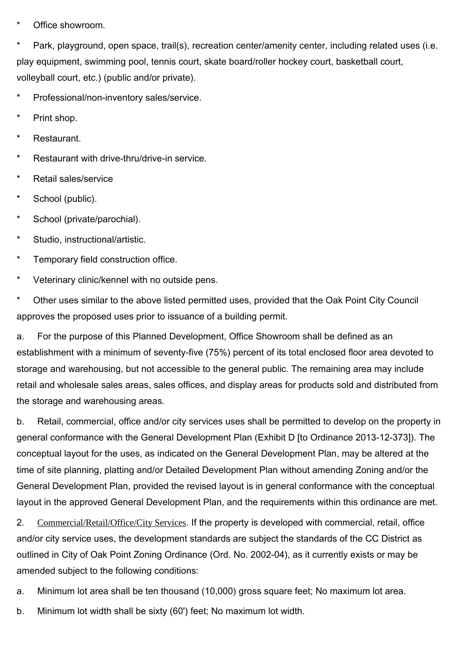\* Office showroom.

Park, playground, open space, trail(s), recreation center/amenity center, including related uses (i.e. play equipment, swimming pool, tennis court, skate board/roller hockey court, basketball court, volleyball court, etc.) (public and/or private).

- Professional/non-inventory sales/service.
- Print shop.
- Restaurant.
- Restaurant with drive-thru/drive-in service.
- Retail sales/service
- School (public).
- School (private/parochial).
- Studio, instructional/artistic.
- Temporary field construction office.
- Veterinary clinic/kennel with no outside pens.

\* Other uses similar to the above listed permitted uses, provided that the Oak Point City Council approves the proposed uses prior to issuance of a building permit.

a. For the purpose of this Planned Development, Office Showroom shall be defined as an establishment with a minimum of seventy-five (75%) percent of its total enclosed floor area devoted to storage and warehousing, but not accessible to the general public. The remaining area may include retail and wholesale sales areas, sales offices, and display areas for products sold and distributed from the storage and warehousing areas.

b. Retail, commercial, office and/or city services uses shall be permitted to develop on the property in general conformance with the General Development Plan (Exhibit D [to Ordinance 2013-12-373]). The conceptual layout for the uses, as indicated on the General Development Plan, may be altered at the time of site planning, platting and/or Detailed Development Plan without amending Zoning and/or the General Development Plan, provided the revised layout is in general conformance with the conceptual layout in the approved General Development Plan, and the requirements within this ordinance are met.

2. Commercial/Retail/Office/City Services. If the property is developed with commercial, retail, office and/or city service uses, the development standards are subject the standards of the CC District as outlined in City of Oak Point Zoning Ordinance (Ord. No. 2002-04), as it currently exists or may be amended subject to the following conditions:

a. Minimum lot area shall be ten thousand (10,000) gross square feet; No maximum lot area.

b. Minimum lot width shall be sixty (60') feet; No maximum lot width.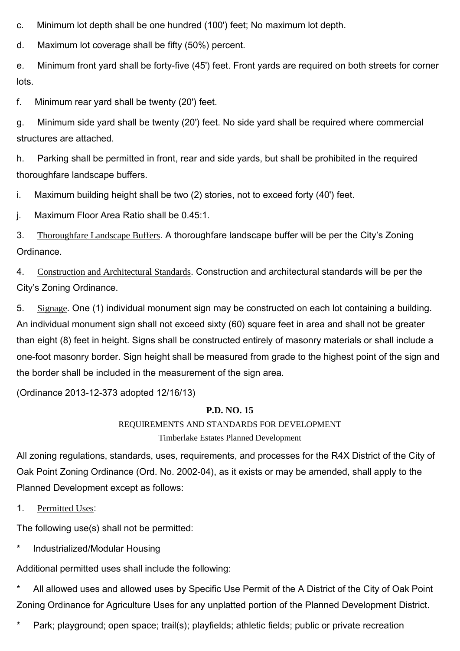c. Minimum lot depth shall be one hundred (100') feet; No maximum lot depth.

d. Maximum lot coverage shall be fifty (50%) percent.

e. Minimum front yard shall be forty-five (45') feet. Front yards are required on both streets for corner lots.

f. Minimum rear yard shall be twenty (20') feet.

g. Minimum side yard shall be twenty (20') feet. No side yard shall be required where commercial structures are attached.

h. Parking shall be permitted in front, rear and side yards, but shall be prohibited in the required thoroughfare landscape buffers.

i. Maximum building height shall be two (2) stories, not to exceed forty (40') feet.

j. Maximum Floor Area Ratio shall be 0.45:1.

3. Thoroughfare Landscape Buffers. A thoroughfare landscape buffer will be per the City's Zoning Ordinance.

4. Construction and Architectural Standards. Construction and architectural standards will be per the City's Zoning Ordinance.

5. Signage. One (1) individual monument sign may be constructed on each lot containing a building. An individual monument sign shall not exceed sixty (60) square feet in area and shall not be greater than eight (8) feet in height. Signs shall be constructed entirely of masonry materials or shall include a one-foot masonry border. Sign height shall be measured from grade to the highest point of the sign and the border shall be included in the measurement of the sign area.

(Ordinance 2013-12-373 adopted 12/16/13)

# **P.D. NO. 15**

# REQUIREMENTS AND STANDARDS FOR DEVELOPMENT

## Timberlake Estates Planned Development

All zoning regulations, standards, uses, requirements, and processes for the R4X District of the City of Oak Point Zoning Ordinance (Ord. No. 2002-04), as it exists or may be amended, shall apply to the Planned Development except as follows:

1. Permitted Uses:

The following use(s) shall not be permitted:

Industrialized/Modular Housing

Additional permitted uses shall include the following:

\* All allowed uses and allowed uses by Specific Use Permit of the A District of the City of Oak Point Zoning Ordinance for Agriculture Uses for any unplatted portion of the Planned Development District.

Park; playground; open space; trail(s); playfields; athletic fields; public or private recreation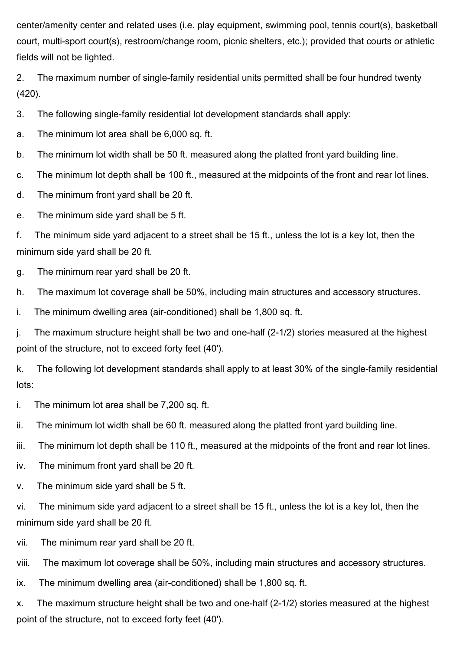center/amenity center and related uses (i.e. play equipment, swimming pool, tennis court(s), basketball court, multi-sport court(s), restroom/change room, picnic shelters, etc.); provided that courts or athletic fields will not be lighted.

2. The maximum number of single-family residential units permitted shall be four hundred twenty (420).

3. The following single-family residential lot development standards shall apply:

a. The minimum lot area shall be 6,000 sq. ft.

b. The minimum lot width shall be 50 ft. measured along the platted front yard building line.

c. The minimum lot depth shall be 100 ft., measured at the midpoints of the front and rear lot lines.

d. The minimum front yard shall be 20 ft.

e. The minimum side yard shall be 5 ft.

f. The minimum side yard adjacent to a street shall be 15 ft., unless the lot is a key lot, then the minimum side yard shall be 20 ft.

g. The minimum rear yard shall be 20 ft.

h. The maximum lot coverage shall be 50%, including main structures and accessory structures.

i. The minimum dwelling area (air-conditioned) shall be 1,800 sq. ft.

j. The maximum structure height shall be two and one-half (2-1/2) stories measured at the highest point of the structure, not to exceed forty feet (40').

k. The following lot development standards shall apply to at least 30% of the single-family residential lots:

i. The minimum lot area shall be 7,200 sq. ft.

ii. The minimum lot width shall be 60 ft. measured along the platted front yard building line.

iii. The minimum lot depth shall be 110 ft., measured at the midpoints of the front and rear lot lines.

iv. The minimum front yard shall be 20 ft.

v. The minimum side yard shall be 5 ft.

vi. The minimum side yard adjacent to a street shall be 15 ft., unless the lot is a key lot, then the minimum side yard shall be 20 ft.

vii. The minimum rear yard shall be 20 ft.

viii. The maximum lot coverage shall be 50%, including main structures and accessory structures.

ix. The minimum dwelling area (air-conditioned) shall be 1,800 sq. ft.

x. The maximum structure height shall be two and one-half (2-1/2) stories measured at the highest point of the structure, not to exceed forty feet (40').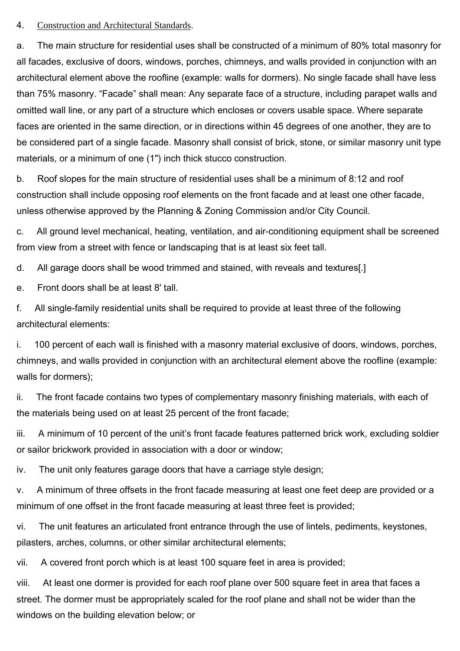### 4. Construction and Architectural Standards.

a. The main structure for residential uses shall be constructed of a minimum of 80% total masonry for all facades, exclusive of doors, windows, porches, chimneys, and walls provided in conjunction with an architectural element above the roofline (example: walls for dormers). No single facade shall have less than 75% masonry. "Facade" shall mean: Any separate face of a structure, including parapet walls and omitted wall line, or any part of a structure which encloses or covers usable space. Where separate faces are oriented in the same direction, or in directions within 45 degrees of one another, they are to be considered part of a single facade. Masonry shall consist of brick, stone, or similar masonry unit type materials, or a minimum of one (1") inch thick stucco construction.

b. Roof slopes for the main structure of residential uses shall be a minimum of 8:12 and roof construction shall include opposing roof elements on the front facade and at least one other facade, unless otherwise approved by the Planning & Zoning Commission and/or City Council.

c. All ground level mechanical, heating, ventilation, and air-conditioning equipment shall be screened from view from a street with fence or landscaping that is at least six feet tall.

d. All garage doors shall be wood trimmed and stained, with reveals and textures[.]

e. Front doors shall be at least 8' tall.

f. All single-family residential units shall be required to provide at least three of the following architectural elements:

i. 100 percent of each wall is finished with a masonry material exclusive of doors, windows, porches, chimneys, and walls provided in conjunction with an architectural element above the roofline (example: walls for dormers);

ii. The front facade contains two types of complementary masonry finishing materials, with each of the materials being used on at least 25 percent of the front facade;

iii. A minimum of 10 percent of the unit's front facade features patterned brick work, excluding soldier or sailor brickwork provided in association with a door or window;

iv. The unit only features garage doors that have a carriage style design;

v. A minimum of three offsets in the front facade measuring at least one feet deep are provided or a minimum of one offset in the front facade measuring at least three feet is provided;

vi. The unit features an articulated front entrance through the use of lintels, pediments, keystones, pilasters, arches, columns, or other similar architectural elements;

vii. A covered front porch which is at least 100 square feet in area is provided;

viii. At least one dormer is provided for each roof plane over 500 square feet in area that faces a street. The dormer must be appropriately scaled for the roof plane and shall not be wider than the windows on the building elevation below; or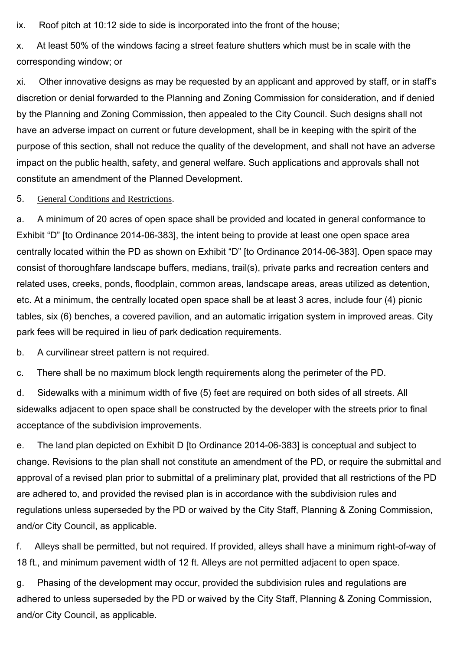ix. Roof pitch at 10:12 side to side is incorporated into the front of the house;

x. At least 50% of the windows facing a street feature shutters which must be in scale with the corresponding window; or

xi. Other innovative designs as may be requested by an applicant and approved by staff, or in staff's discretion or denial forwarded to the Planning and Zoning Commission for consideration, and if denied by the Planning and Zoning Commission, then appealed to the City Council. Such designs shall not have an adverse impact on current or future development, shall be in keeping with the spirit of the purpose of this section, shall not reduce the quality of the development, and shall not have an adverse impact on the public health, safety, and general welfare. Such applications and approvals shall not constitute an amendment of the Planned Development.

### 5. General Conditions and Restrictions.

a. A minimum of 20 acres of open space shall be provided and located in general conformance to Exhibit "D" [to Ordinance 2014-06-383], the intent being to provide at least one open space area centrally located within the PD as shown on Exhibit "D" [to Ordinance 2014-06-383]. Open space may consist of thoroughfare landscape buffers, medians, trail(s), private parks and recreation centers and related uses, creeks, ponds, floodplain, common areas, landscape areas, areas utilized as detention, etc. At a minimum, the centrally located open space shall be at least 3 acres, include four (4) picnic tables, six (6) benches, a covered pavilion, and an automatic irrigation system in improved areas. City park fees will be required in lieu of park dedication requirements.

b. A curvilinear street pattern is not required.

c. There shall be no maximum block length requirements along the perimeter of the PD.

d. Sidewalks with a minimum width of five (5) feet are required on both sides of all streets. All sidewalks adjacent to open space shall be constructed by the developer with the streets prior to final acceptance of the subdivision improvements.

e. The land plan depicted on Exhibit D [to Ordinance 2014-06-383] is conceptual and subject to change. Revisions to the plan shall not constitute an amendment of the PD, or require the submittal and approval of a revised plan prior to submittal of a preliminary plat, provided that all restrictions of the PD are adhered to, and provided the revised plan is in accordance with the subdivision rules and regulations unless superseded by the PD or waived by the City Staff, Planning & Zoning Commission, and/or City Council, as applicable.

f. Alleys shall be permitted, but not required. If provided, alleys shall have a minimum right-of-way of 18 ft., and minimum pavement width of 12 ft. Alleys are not permitted adjacent to open space.

g. Phasing of the development may occur, provided the subdivision rules and regulations are adhered to unless superseded by the PD or waived by the City Staff, Planning & Zoning Commission, and/or City Council, as applicable.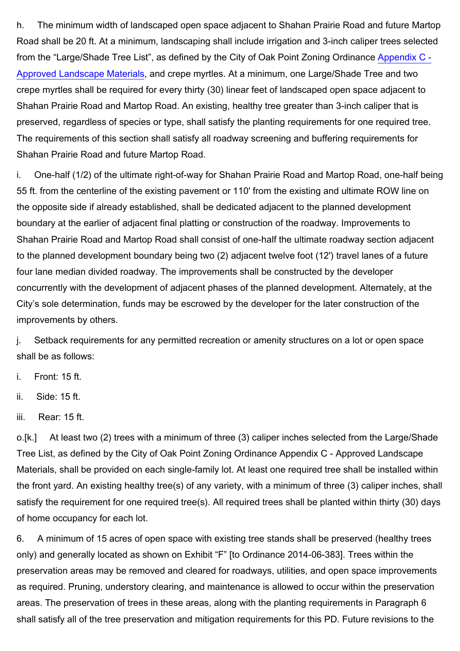h. The minimum width of landscaped open space adjacent to Shahan Prairie Road and future Martop Road shall be 20 ft. At a minimum, landscaping shall include irrigation and 3-inch caliper trees selected from the "Large/Shade Tree List", as defined by the City of Oak Point Zoning Ordinance Appendix C - Approved Landscape Materials, and crepe myrtles. At a minimum, one Large/Shade Tree and two crepe myrtles shall be required for every thirty (30) linear feet of landscaped open space adjacent to Shahan Prairie Road and Martop Road. An existing, healthy tree greater than 3-inch caliper that is preserved, regardless of species or type, shall satisfy the planting requirements for one required tree. The requirements of this section shall satisfy all roadway screening and buffering requirements for Shahan Prairie Road and future Martop Road.

i. One-half (1/2) of the ultimate right-of-way for Shahan Prairie Road and Martop Road, one-half being 55 ft. from the centerline of the existing pavement or 110' from the existing and ultimate ROW line on the opposite side if already established, shall be dedicated adjacent to the planned development boundary at the earlier of adjacent final platting or construction of the roadway. Improvements to Shahan Prairie Road and Martop Road shall consist of one-half the ultimate roadway section adjacent to the planned development boundary being two (2) adjacent twelve foot (12') travel lanes of a future four lane median divided roadway. The improvements shall be constructed by the developer concurrently with the development of adjacent phases of the planned development. Alternately, at the City's sole determination, funds may be escrowed by the developer for the later construction of the improvements by others.

j. Setback requirements for any permitted recreation or amenity structures on a lot or open space shall be as follows:

i. Front: 15 ft.

ii. Side: 15 ft.

iii. Rear: 15 ft.

o.[k.] At least two (2) trees with a minimum of three (3) caliper inches selected from the Large/Shade Tree List, as defined by the City of Oak Point Zoning Ordinance Appendix C - Approved Landscape Materials, shall be provided on each single-family lot. At least one required tree shall be installed within the front yard. An existing healthy tree(s) of any variety, with a minimum of three (3) caliper inches, shall satisfy the requirement for one required tree(s). All required trees shall be planted within thirty (30) days of home occupancy for each lot.

6. A minimum of 15 acres of open space with existing tree stands shall be preserved (healthy trees only) and generally located as shown on Exhibit "F" [to Ordinance 2014-06-383]. Trees within the preservation areas may be removed and cleared for roadways, utilities, and open space improvements as required. Pruning, understory clearing, and maintenance is allowed to occur within the preservation areas. The preservation of trees in these areas, along with the planting requirements in Paragraph 6 shall satisfy all of the tree preservation and mitigation requirements for this PD. Future revisions to the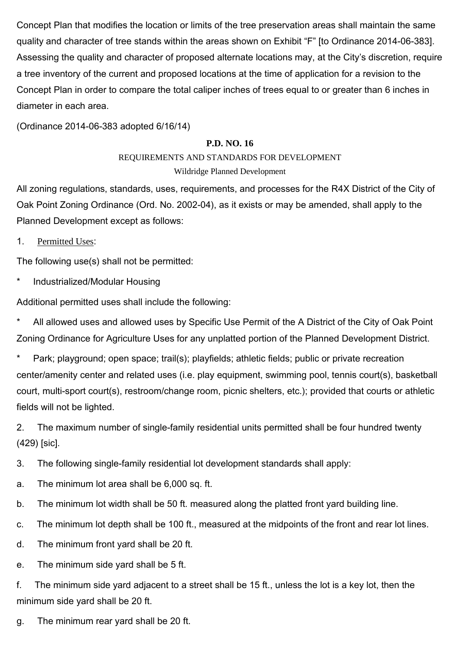Concept Plan that modifies the location or limits of the tree preservation areas shall maintain the same quality and character of tree stands within the areas shown on Exhibit "F" [to Ordinance 2014-06-383]. Assessing the quality and character of proposed alternate locations may, at the City's discretion, require a tree inventory of the current and proposed locations at the time of application for a revision to the Concept Plan in order to compare the total caliper inches of trees equal to or greater than 6 inches in diameter in each area.

(Ordinance 2014-06-383 adopted 6/16/14)

## **P.D. NO. 16**

## REQUIREMENTS AND STANDARDS FOR DEVELOPMENT

## Wildridge Planned Development

All zoning regulations, standards, uses, requirements, and processes for the R4X District of the City of Oak Point Zoning Ordinance (Ord. No. 2002-04), as it exists or may be amended, shall apply to the Planned Development except as follows:

1. Permitted Uses:

The following use(s) shall not be permitted:

Industrialized/Modular Housing

Additional permitted uses shall include the following:

\* All allowed uses and allowed uses by Specific Use Permit of the A District of the City of Oak Point Zoning Ordinance for Agriculture Uses for any unplatted portion of the Planned Development District.

\* Park; playground; open space; trail(s); playfields; athletic fields; public or private recreation center/amenity center and related uses (i.e. play equipment, swimming pool, tennis court(s), basketball court, multi-sport court(s), restroom/change room, picnic shelters, etc.); provided that courts or athletic fields will not be lighted.

2. The maximum number of single-family residential units permitted shall be four hundred twenty (429) [sic].

- 3. The following single-family residential lot development standards shall apply:
- a. The minimum lot area shall be 6,000 sq. ft.
- b. The minimum lot width shall be 50 ft. measured along the platted front yard building line.
- c. The minimum lot depth shall be 100 ft., measured at the midpoints of the front and rear lot lines.
- d. The minimum front yard shall be 20 ft.
- e. The minimum side yard shall be 5 ft.

f. The minimum side yard adjacent to a street shall be 15 ft., unless the lot is a key lot, then the minimum side yard shall be 20 ft.

g. The minimum rear yard shall be 20 ft.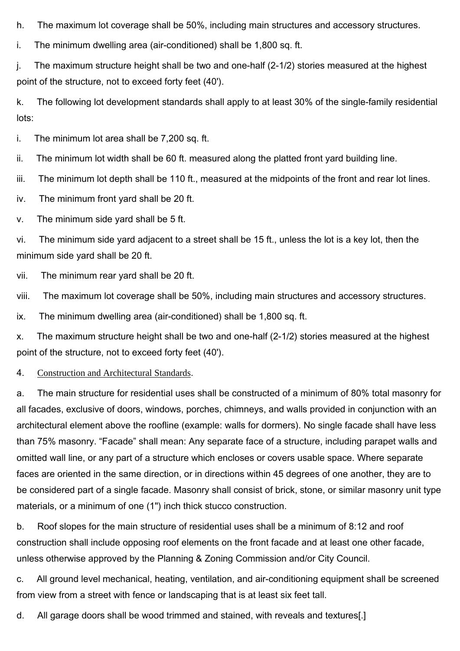h. The maximum lot coverage shall be 50%, including main structures and accessory structures.

i. The minimum dwelling area (air-conditioned) shall be 1,800 sq. ft.

j. The maximum structure height shall be two and one-half (2-1/2) stories measured at the highest point of the structure, not to exceed forty feet (40').

k. The following lot development standards shall apply to at least 30% of the single-family residential lots:

i. The minimum lot area shall be 7,200 sq. ft.

ii. The minimum lot width shall be 60 ft. measured along the platted front yard building line.

iii. The minimum lot depth shall be 110 ft., measured at the midpoints of the front and rear lot lines.

iv. The minimum front yard shall be 20 ft.

v. The minimum side yard shall be 5 ft.

vi. The minimum side yard adjacent to a street shall be 15 ft., unless the lot is a key lot, then the minimum side yard shall be 20 ft.

vii. The minimum rear yard shall be 20 ft.

viii. The maximum lot coverage shall be 50%, including main structures and accessory structures.

ix. The minimum dwelling area (air-conditioned) shall be 1,800 sq. ft.

x. The maximum structure height shall be two and one-half (2-1/2) stories measured at the highest point of the structure, not to exceed forty feet (40').

## 4. Construction and Architectural Standards.

a. The main structure for residential uses shall be constructed of a minimum of 80% total masonry for all facades, exclusive of doors, windows, porches, chimneys, and walls provided in conjunction with an architectural element above the roofline (example: walls for dormers). No single facade shall have less than 75% masonry. "Facade" shall mean: Any separate face of a structure, including parapet walls and omitted wall line, or any part of a structure which encloses or covers usable space. Where separate faces are oriented in the same direction, or in directions within 45 degrees of one another, they are to be considered part of a single facade. Masonry shall consist of brick, stone, or similar masonry unit type materials, or a minimum of one (1") inch thick stucco construction.

b. Roof slopes for the main structure of residential uses shall be a minimum of 8:12 and roof construction shall include opposing roof elements on the front facade and at least one other facade, unless otherwise approved by the Planning & Zoning Commission and/or City Council.

c. All ground level mechanical, heating, ventilation, and air-conditioning equipment shall be screened from view from a street with fence or landscaping that is at least six feet tall.

d. All garage doors shall be wood trimmed and stained, with reveals and textures[.]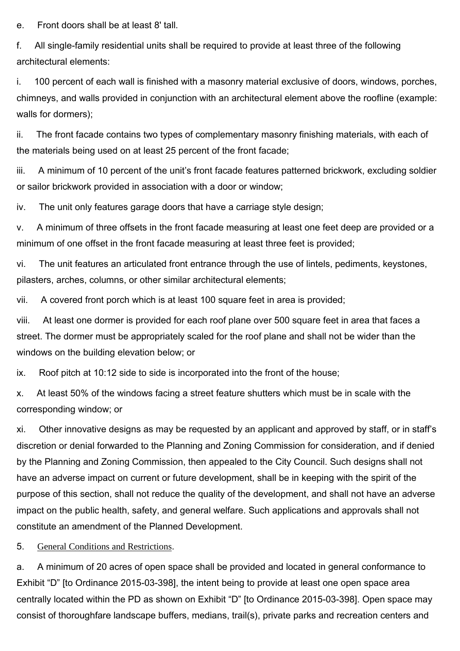e. Front doors shall be at least 8' tall.

f. All single-family residential units shall be required to provide at least three of the following architectural elements:

i. 100 percent of each wall is finished with a masonry material exclusive of doors, windows, porches, chimneys, and walls provided in conjunction with an architectural element above the roofline (example: walls for dormers);

ii. The front facade contains two types of complementary masonry finishing materials, with each of the materials being used on at least 25 percent of the front facade;

iii. A minimum of 10 percent of the unit's front facade features patterned brickwork, excluding soldier or sailor brickwork provided in association with a door or window;

iv. The unit only features garage doors that have a carriage style design;

v. A minimum of three offsets in the front facade measuring at least one feet deep are provided or a minimum of one offset in the front facade measuring at least three feet is provided;

vi. The unit features an articulated front entrance through the use of lintels, pediments, keystones, pilasters, arches, columns, or other similar architectural elements;

vii. A covered front porch which is at least 100 square feet in area is provided;

viii. At least one dormer is provided for each roof plane over 500 square feet in area that faces a street. The dormer must be appropriately scaled for the roof plane and shall not be wider than the windows on the building elevation below; or

ix. Roof pitch at 10:12 side to side is incorporated into the front of the house;

x. At least 50% of the windows facing a street feature shutters which must be in scale with the corresponding window; or

xi. Other innovative designs as may be requested by an applicant and approved by staff, or in staff's discretion or denial forwarded to the Planning and Zoning Commission for consideration, and if denied by the Planning and Zoning Commission, then appealed to the City Council. Such designs shall not have an adverse impact on current or future development, shall be in keeping with the spirit of the purpose of this section, shall not reduce the quality of the development, and shall not have an adverse impact on the public health, safety, and general welfare. Such applications and approvals shall not constitute an amendment of the Planned Development.

5. General Conditions and Restrictions.

a. A minimum of 20 acres of open space shall be provided and located in general conformance to Exhibit "D" [to Ordinance 2015-03-398], the intent being to provide at least one open space area centrally located within the PD as shown on Exhibit "D" [to Ordinance 2015-03-398]. Open space may consist of thoroughfare landscape buffers, medians, trail(s), private parks and recreation centers and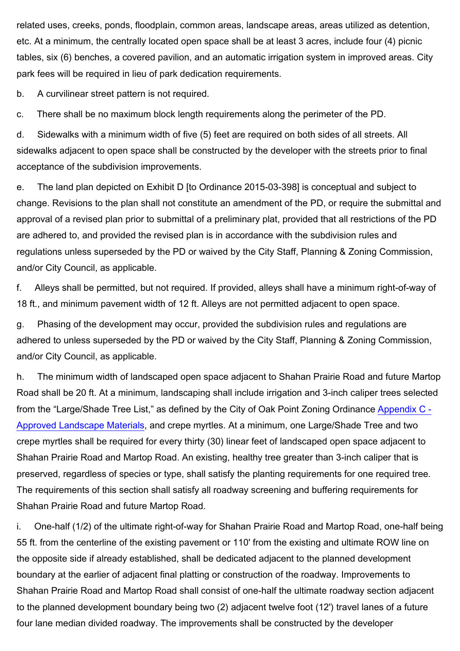related uses, creeks, ponds, floodplain, common areas, landscape areas, areas utilized as detention, etc. At a minimum, the centrally located open space shall be at least 3 acres, include four (4) picnic tables, six (6) benches, a covered pavilion, and an automatic irrigation system in improved areas. City park fees will be required in lieu of park dedication requirements.

b. A curvilinear street pattern is not required.

c. There shall be no maximum block length requirements along the perimeter of the PD.

d. Sidewalks with a minimum width of five (5) feet are required on both sides of all streets. All sidewalks adjacent to open space shall be constructed by the developer with the streets prior to final acceptance of the subdivision improvements.

e. The land plan depicted on Exhibit D [to Ordinance 2015-03-398] is conceptual and subject to change. Revisions to the plan shall not constitute an amendment of the PD, or require the submittal and approval of a revised plan prior to submittal of a preliminary plat, provided that all restrictions of the PD are adhered to, and provided the revised plan is in accordance with the subdivision rules and regulations unless superseded by the PD or waived by the City Staff, Planning & Zoning Commission, and/or City Council, as applicable.

f. Alleys shall be permitted, but not required. If provided, alleys shall have a minimum right-of-way of 18 ft., and minimum pavement width of 12 ft. Alleys are not permitted adjacent to open space.

g. Phasing of the development may occur, provided the subdivision rules and regulations are adhered to unless superseded by the PD or waived by the City Staff, Planning & Zoning Commission, and/or City Council, as applicable.

h. The minimum width of landscaped open space adjacent to Shahan Prairie Road and future Martop Road shall be 20 ft. At a minimum, landscaping shall include irrigation and 3-inch caliper trees selected from the "Large/Shade Tree List," as defined by the City of Oak Point Zoning Ordinance Appendix C - Approved Landscape Materials, and crepe myrtles. At a minimum, one Large/Shade Tree and two crepe myrtles shall be required for every thirty (30) linear feet of landscaped open space adjacent to Shahan Prairie Road and Martop Road. An existing, healthy tree greater than 3-inch caliper that is preserved, regardless of species or type, shall satisfy the planting requirements for one required tree. The requirements of this section shall satisfy all roadway screening and buffering requirements for Shahan Prairie Road and future Martop Road.

i. One-half (1/2) of the ultimate right-of-way for Shahan Prairie Road and Martop Road, one-half being 55 ft. from the centerline of the existing pavement or 110' from the existing and ultimate ROW line on the opposite side if already established, shall be dedicated adjacent to the planned development boundary at the earlier of adjacent final platting or construction of the roadway. Improvements to Shahan Prairie Road and Martop Road shall consist of one-half the ultimate roadway section adjacent to the planned development boundary being two (2) adjacent twelve foot (12') travel lanes of a future four lane median divided roadway. The improvements shall be constructed by the developer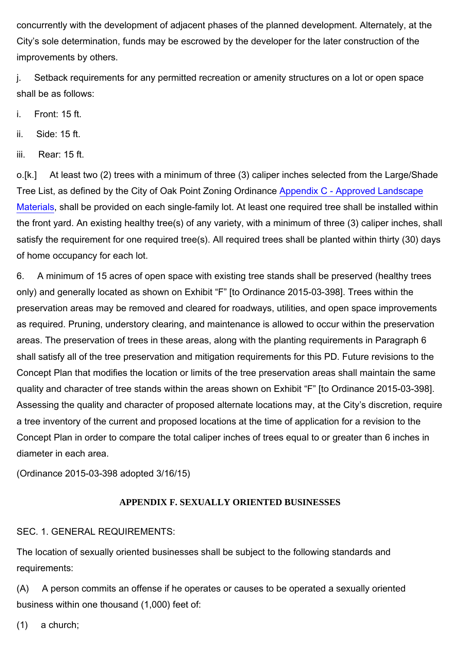concurrently with the development of adjacent phases of the planned development. Alternately, at the City's sole determination, funds may be escrowed by the developer for the later construction of the improvements by others.

j. Setback requirements for any permitted recreation or amenity structures on a lot or open space shall be as follows:

- i. Front: 15 ft.
- ii. Side: 15 ft.
- iii. Rear: 15 ft.

o.[k.] At least two (2) trees with a minimum of three (3) caliper inches selected from the Large/Shade Tree List, as defined by the City of Oak Point Zoning Ordinance Appendix C - Approved Landscape Materials, shall be provided on each single-family lot. At least one required tree shall be installed within the front yard. An existing healthy tree(s) of any variety, with a minimum of three (3) caliper inches, shall satisfy the requirement for one required tree(s). All required trees shall be planted within thirty (30) days of home occupancy for each lot.

6. A minimum of 15 acres of open space with existing tree stands shall be preserved (healthy trees only) and generally located as shown on Exhibit "F" [to Ordinance 2015-03-398]. Trees within the preservation areas may be removed and cleared for roadways, utilities, and open space improvements as required. Pruning, understory clearing, and maintenance is allowed to occur within the preservation areas. The preservation of trees in these areas, along with the planting requirements in Paragraph 6 shall satisfy all of the tree preservation and mitigation requirements for this PD. Future revisions to the Concept Plan that modifies the location or limits of the tree preservation areas shall maintain the same quality and character of tree stands within the areas shown on Exhibit "F" [to Ordinance 2015-03-398]. Assessing the quality and character of proposed alternate locations may, at the City's discretion, require a tree inventory of the current and proposed locations at the time of application for a revision to the Concept Plan in order to compare the total caliper inches of trees equal to or greater than 6 inches in diameter in each area.

(Ordinance 2015-03-398 adopted 3/16/15)

## **APPENDIX F. SEXUALLY ORIENTED BUSINESSES**

## SEC. 1. GENERAL REQUIREMENTS:

The location of sexually oriented businesses shall be subject to the following standards and requirements:

(A) A person commits an offense if he operates or causes to be operated a sexually oriented business within one thousand (1,000) feet of:

(1) a church;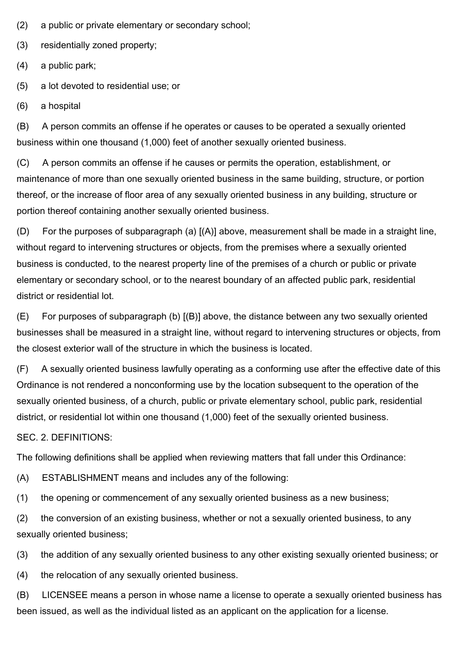- (2) a public or private elementary or secondary school;
- (3) residentially zoned property;
- (4) a public park;
- (5) a lot devoted to residential use; or
- (6) a hospital

(B) A person commits an offense if he operates or causes to be operated a sexually oriented business within one thousand (1,000) feet of another sexually oriented business.

(C) A person commits an offense if he causes or permits the operation, establishment, or maintenance of more than one sexually oriented business in the same building, structure, or portion thereof, or the increase of floor area of any sexually oriented business in any building, structure or portion thereof containing another sexually oriented business.

(D) For the purposes of subparagraph (a) [(A)] above, measurement shall be made in a straight line, without regard to intervening structures or objects, from the premises where a sexually oriented business is conducted, to the nearest property line of the premises of a church or public or private elementary or secondary school, or to the nearest boundary of an affected public park, residential district or residential lot.

(E) For purposes of subparagraph (b) [(B)] above, the distance between any two sexually oriented businesses shall be measured in a straight line, without regard to intervening structures or objects, from the closest exterior wall of the structure in which the business is located.

(F) A sexually oriented business lawfully operating as a conforming use after the effective date of this Ordinance is not rendered a nonconforming use by the location subsequent to the operation of the sexually oriented business, of a church, public or private elementary school, public park, residential district, or residential lot within one thousand (1,000) feet of the sexually oriented business.

## SEC. 2. DEFINITIONS:

The following definitions shall be applied when reviewing matters that fall under this Ordinance:

- (A) ESTABLISHMENT means and includes any of the following:
- (1) the opening or commencement of any sexually oriented business as a new business;

(2) the conversion of an existing business, whether or not a sexually oriented business, to any sexually oriented business;

(3) the addition of any sexually oriented business to any other existing sexually oriented business; or

(4) the relocation of any sexually oriented business.

(B) LICENSEE means a person in whose name a license to operate a sexually oriented business has been issued, as well as the individual listed as an applicant on the application for a license.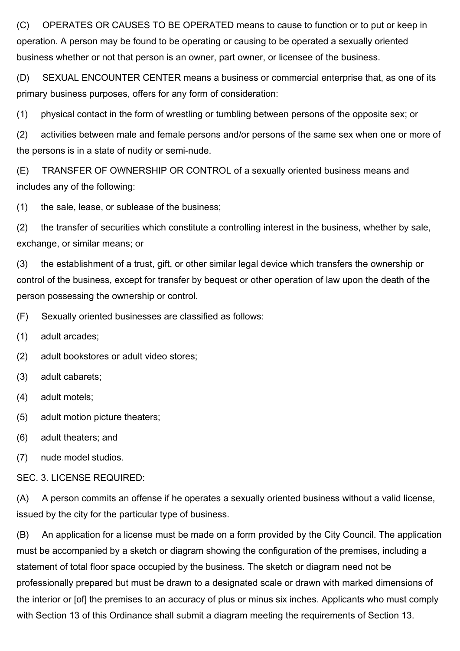(C) OPERATES OR CAUSES TO BE OPERATED means to cause to function or to put or keep in operation. A person may be found to be operating or causing to be operated a sexually oriented business whether or not that person is an owner, part owner, or licensee of the business.

(D) SEXUAL ENCOUNTER CENTER means a business or commercial enterprise that, as one of its primary business purposes, offers for any form of consideration:

(1) physical contact in the form of wrestling or tumbling between persons of the opposite sex; or

(2) activities between male and female persons and/or persons of the same sex when one or more of the persons is in a state of nudity or semi-nude.

(E) TRANSFER OF OWNERSHIP OR CONTROL of a sexually oriented business means and includes any of the following:

(1) the sale, lease, or sublease of the business;

(2) the transfer of securities which constitute a controlling interest in the business, whether by sale, exchange, or similar means; or

(3) the establishment of a trust, gift, or other similar legal device which transfers the ownership or control of the business, except for transfer by bequest or other operation of law upon the death of the person possessing the ownership or control.

(F) Sexually oriented businesses are classified as follows:

(1) adult arcades;

(2) adult bookstores or adult video stores;

- (3) adult cabarets;
- (4) adult motels;
- (5) adult motion picture theaters;
- (6) adult theaters; and
- (7) nude model studios.

## SEC. 3. LICENSE REQUIRED:

(A) A person commits an offense if he operates a sexually oriented business without a valid license, issued by the city for the particular type of business.

(B) An application for a license must be made on a form provided by the City Council. The application must be accompanied by a sketch or diagram showing the configuration of the premises, including a statement of total floor space occupied by the business. The sketch or diagram need not be professionally prepared but must be drawn to a designated scale or drawn with marked dimensions of the interior or [of] the premises to an accuracy of plus or minus six inches. Applicants who must comply with Section 13 of this Ordinance shall submit a diagram meeting the requirements of Section 13.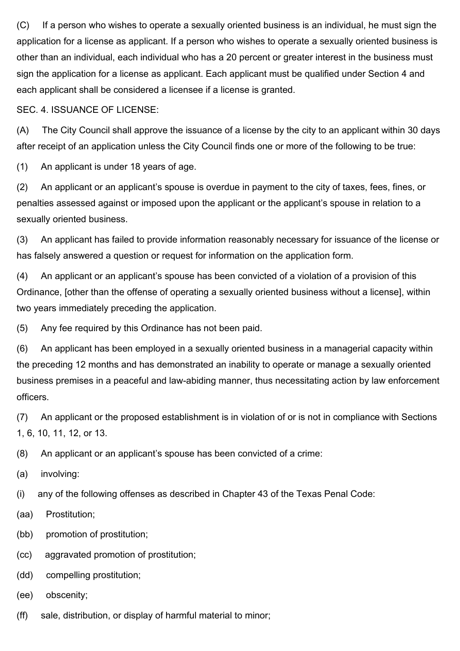(C) If a person who wishes to operate a sexually oriented business is an individual, he must sign the application for a license as applicant. If a person who wishes to operate a sexually oriented business is other than an individual, each individual who has a 20 percent or greater interest in the business must sign the application for a license as applicant. Each applicant must be qualified under Section 4 and each applicant shall be considered a licensee if a license is granted.

## SEC. 4. ISSUANCE OF LICENSE:

(A) The City Council shall approve the issuance of a license by the city to an applicant within 30 days after receipt of an application unless the City Council finds one or more of the following to be true:

(1) An applicant is under 18 years of age.

(2) An applicant or an applicant's spouse is overdue in payment to the city of taxes, fees, fines, or penalties assessed against or imposed upon the applicant or the applicant's spouse in relation to a sexually oriented business.

(3) An applicant has failed to provide information reasonably necessary for issuance of the license or has falsely answered a question or request for information on the application form.

(4) An applicant or an applicant's spouse has been convicted of a violation of a provision of this Ordinance, [other than the offense of operating a sexually oriented business without a license], within two years immediately preceding the application.

(5) Any fee required by this Ordinance has not been paid.

(6) An applicant has been employed in a sexually oriented business in a managerial capacity within the preceding 12 months and has demonstrated an inability to operate or manage a sexually oriented business premises in a peaceful and law-abiding manner, thus necessitating action by law enforcement officers.

(7) An applicant or the proposed establishment is in violation of or is not in compliance with Sections 1, 6, 10, 11, 12, or 13.

(8) An applicant or an applicant's spouse has been convicted of a crime:

(a) involving:

(i) any of the following offenses as described in Chapter 43 of the Texas Penal Code:

- (aa) Prostitution;
- (bb) promotion of prostitution;
- (cc) aggravated promotion of prostitution;
- (dd) compelling prostitution;
- (ee) obscenity;
- (ff) sale, distribution, or display of harmful material to minor;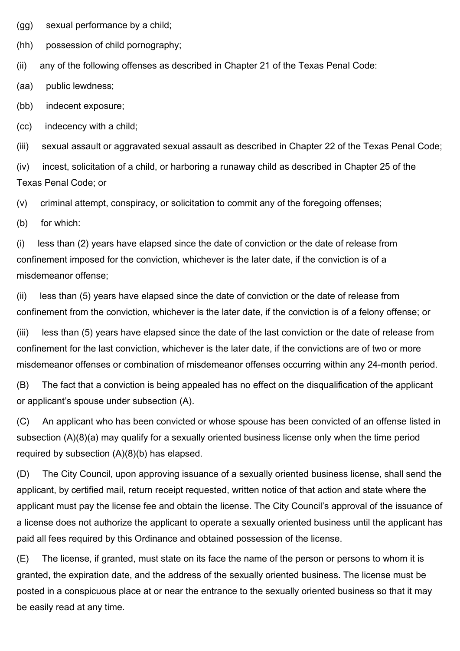(gg) sexual performance by a child;

(hh) possession of child pornography;

(ii) any of the following offenses as described in Chapter 21 of the Texas Penal Code:

(aa) public lewdness;

(bb) indecent exposure;

(cc) indecency with a child;

(iii) sexual assault or aggravated sexual assault as described in Chapter 22 of the Texas Penal Code;

(iv) incest, solicitation of a child, or harboring a runaway child as described in Chapter 25 of the Texas Penal Code; or

(v) criminal attempt, conspiracy, or solicitation to commit any of the foregoing offenses;

(b) for which:

(i) less than (2) years have elapsed since the date of conviction or the date of release from confinement imposed for the conviction, whichever is the later date, if the conviction is of a misdemeanor offense;

(ii) less than (5) years have elapsed since the date of conviction or the date of release from confinement from the conviction, whichever is the later date, if the conviction is of a felony offense; or

(iii) less than (5) years have elapsed since the date of the last conviction or the date of release from confinement for the last conviction, whichever is the later date, if the convictions are of two or more misdemeanor offenses or combination of misdemeanor offenses occurring within any 24-month period.

(B) The fact that a conviction is being appealed has no effect on the disqualification of the applicant or applicant's spouse under subsection (A).

(C) An applicant who has been convicted or whose spouse has been convicted of an offense listed in subsection (A)(8)(a) may qualify for a sexually oriented business license only when the time period required by subsection (A)(8)(b) has elapsed.

(D) The City Council, upon approving issuance of a sexually oriented business license, shall send the applicant, by certified mail, return receipt requested, written notice of that action and state where the applicant must pay the license fee and obtain the license. The City Council's approval of the issuance of a license does not authorize the applicant to operate a sexually oriented business until the applicant has paid all fees required by this Ordinance and obtained possession of the license.

(E) The license, if granted, must state on its face the name of the person or persons to whom it is granted, the expiration date, and the address of the sexually oriented business. The license must be posted in a conspicuous place at or near the entrance to the sexually oriented business so that it may be easily read at any time.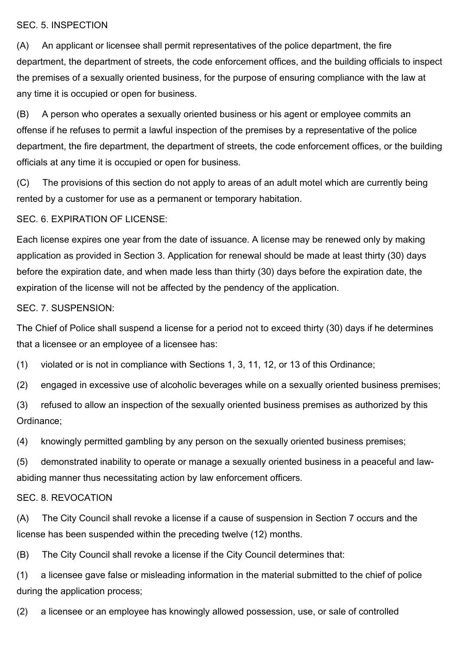### SEC. 5. INSPECTION

(A) An applicant or licensee shall permit representatives of the police department, the fire department, the department of streets, the code enforcement offices, and the building officials to inspect the premises of a sexually oriented business, for the purpose of ensuring compliance with the law at any time it is occupied or open for business.

(B) A person who operates a sexually oriented business or his agent or employee commits an offense if he refuses to permit a lawful inspection of the premises by a representative of the police department, the fire department, the department of streets, the code enforcement offices, or the building officials at any time it is occupied or open for business.

(C) The provisions of this section do not apply to areas of an adult motel which are currently being rented by a customer for use as a permanent or temporary habitation.

SEC. 6. EXPIRATION OF LICENSE:

Each license expires one year from the date of issuance. A license may be renewed only by making application as provided in Section 3. Application for renewal should be made at least thirty (30) days before the expiration date, and when made less than thirty (30) days before the expiration date, the expiration of the license will not be affected by the pendency of the application.

SEC. 7. SUSPENSION:

The Chief of Police shall suspend a license for a period not to exceed thirty (30) days if he determines that a licensee or an employee of a licensee has:

(1) violated or is not in compliance with Sections 1, 3, 11, 12, or 13 of this Ordinance;

(2) engaged in excessive use of alcoholic beverages while on a sexually oriented business premises;

(3) refused to allow an inspection of the sexually oriented business premises as authorized by this Ordinance;

(4) knowingly permitted gambling by any person on the sexually oriented business premises;

(5) demonstrated inability to operate or manage a sexually oriented business in a peaceful and lawabiding manner thus necessitating action by law enforcement officers.

### SEC. 8. REVOCATION

(A) The City Council shall revoke a license if a cause of suspension in Section 7 occurs and the license has been suspended within the preceding twelve (12) months.

(B) The City Council shall revoke a license if the City Council determines that:

(1) a licensee gave false or misleading information in the material submitted to the chief of police during the application process;

(2) a licensee or an employee has knowingly allowed possession, use, or sale of controlled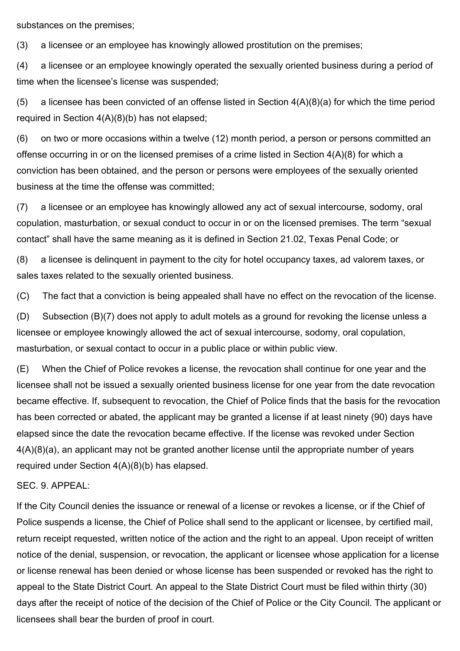substances on the premises;

(3) a licensee or an employee has knowingly allowed prostitution on the premises;

(4) a licensee or an employee knowingly operated the sexually oriented business during a period of time when the licensee's license was suspended;

(5) a licensee has been convicted of an offense listed in Section  $4(A)(8)(a)$  for which the time period required in Section 4(A)(8)(b) has not elapsed;

(6) on two or more occasions within a twelve (12) month period, a person or persons committed an offense occurring in or on the licensed premises of a crime listed in Section 4(A)(8) for which a conviction has been obtained, and the person or persons were employees of the sexually oriented business at the time the offense was committed;

(7) a licensee or an employee has knowingly allowed any act of sexual intercourse, sodomy, oral copulation, masturbation, or sexual conduct to occur in or on the licensed premises. The term "sexual contact" shall have the same meaning as it is defined in Section 21.02, Texas Penal Code; or

(8) a licensee is delinquent in payment to the city for hotel occupancy taxes, ad valorem taxes, or sales taxes related to the sexually oriented business.

(C) The fact that a conviction is being appealed shall have no effect on the revocation of the license.

(D) Subsection (B)(7) does not apply to adult motels as a ground for revoking the license unless a licensee or employee knowingly allowed the act of sexual intercourse, sodomy, oral copulation, masturbation, or sexual contact to occur in a public place or within public view.

(E) When the Chief of Police revokes a license, the revocation shall continue for one year and the licensee shall not be issued a sexually oriented business license for one year from the date revocation became effective. If, subsequent to revocation, the Chief of Police finds that the basis for the revocation has been corrected or abated, the applicant may be granted a license if at least ninety (90) days have elapsed since the date the revocation became effective. If the license was revoked under Section 4(A)(8)(a), an applicant may not be granted another license until the appropriate number of years required under Section 4(A)(8)(b) has elapsed.

## SEC. 9. APPEAL:

If the City Council denies the issuance or renewal of a license or revokes a license, or if the Chief of Police suspends a license, the Chief of Police shall send to the applicant or licensee, by certified mail, return receipt requested, written notice of the action and the right to an appeal. Upon receipt of written notice of the denial, suspension, or revocation, the applicant or licensee whose application for a license or license renewal has been denied or whose license has been suspended or revoked has the right to appeal to the State District Court. An appeal to the State District Court must be filed within thirty (30) days after the receipt of notice of the decision of the Chief of Police or the City Council. The applicant or licensees shall bear the burden of proof in court.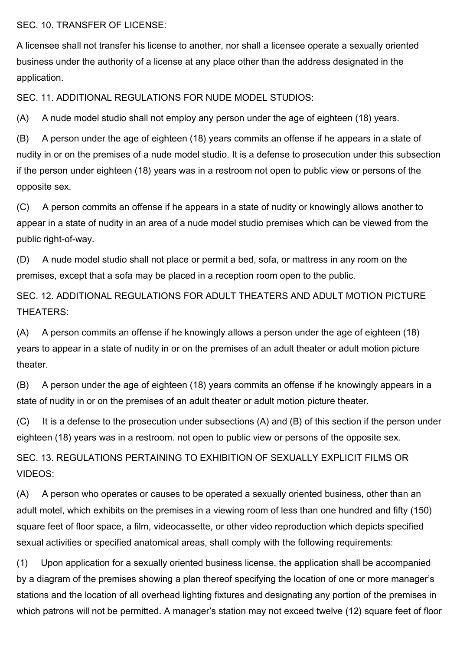#### SEC. 10. TRANSFER OF LICENSE:

A licensee shall not transfer his license to another, nor shall a licensee operate a sexually oriented business under the authority of a license at any place other than the address designated in the application.

SEC. 11. ADDITIONAL REGULATIONS FOR NUDE MODEL STUDIOS:

(A) A nude model studio shall not employ any person under the age of eighteen (18) years.

(B) A person under the age of eighteen (18) years commits an offense if he appears in a state of nudity in or on the premises of a nude model studio. It is a defense to prosecution under this subsection if the person under eighteen (18) years was in a restroom not open to public view or persons of the opposite sex.

(C) A person commits an offense if he appears in a state of nudity or knowingly allows another to appear in a state of nudity in an area of a nude model studio premises which can be viewed from the public right-of-way.

(D) A nude model studio shall not place or permit a bed, sofa, or mattress in any room on the premises, except that a sofa may be placed in a reception room open to the public.

SEC. 12. ADDITIONAL REGULATIONS FOR ADULT THEATERS AND ADULT MOTION PICTURE THEATERS:

(A) A person commits an offense if he knowingly allows a person under the age of eighteen (18) years to appear in a state of nudity in or on the premises of an adult theater or adult motion picture theater.

(B) A person under the age of eighteen (18) years commits an offense if he knowingly appears in a state of nudity in or on the premises of an adult theater or adult motion picture theater.

(C) It is a defense to the prosecution under subsections (A) and (B) of this section if the person under eighteen (18) years was in a restroom. not open to public view or persons of the opposite sex.

SEC. 13. REGULATIONS PERTAINING TO EXHIBITION OF SEXUALLY EXPLICIT FILMS OR VIDEOS:

(A) A person who operates or causes to be operated a sexually oriented business, other than an adult motel, which exhibits on the premises in a viewing room of less than one hundred and fifty (150) square feet of floor space, a film, videocassette, or other video reproduction which depicts specified sexual activities or specified anatomical areas, shall comply with the following requirements:

(1) Upon application for a sexually oriented business license, the application shall be accompanied by a diagram of the premises showing a plan thereof specifying the location of one or more manager's stations and the location of all overhead lighting fixtures and designating any portion of the premises in which patrons will not be permitted. A manager's station may not exceed twelve (12) square feet of floor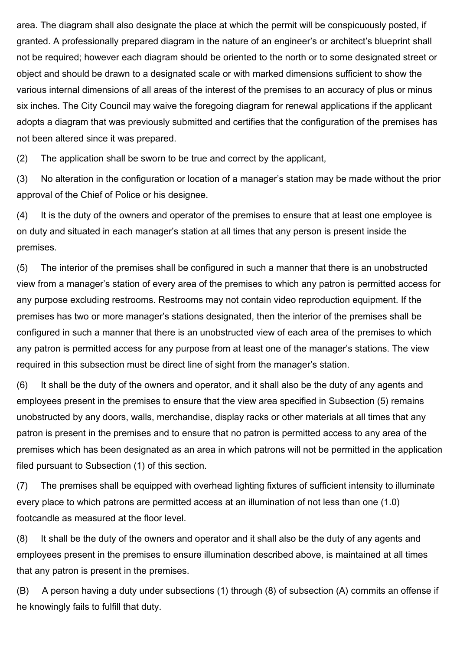area. The diagram shall also designate the place at which the permit will be conspicuously posted, if granted. A professionally prepared diagram in the nature of an engineer's or architect's blueprint shall not be required; however each diagram should be oriented to the north or to some designated street or object and should be drawn to a designated scale or with marked dimensions sufficient to show the various internal dimensions of all areas of the interest of the premises to an accuracy of plus or minus six inches. The City Council may waive the foregoing diagram for renewal applications if the applicant adopts a diagram that was previously submitted and certifies that the configuration of the premises has not been altered since it was prepared.

(2) The application shall be sworn to be true and correct by the applicant,

(3) No alteration in the configuration or location of a manager's station may be made without the prior approval of the Chief of Police or his designee.

(4) It is the duty of the owners and operator of the premises to ensure that at least one employee is on duty and situated in each manager's station at all times that any person is present inside the premises.

(5) The interior of the premises shall be configured in such a manner that there is an unobstructed view from a manager's station of every area of the premises to which any patron is permitted access for any purpose excluding restrooms. Restrooms may not contain video reproduction equipment. If the premises has two or more manager's stations designated, then the interior of the premises shall be configured in such a manner that there is an unobstructed view of each area of the premises to which any patron is permitted access for any purpose from at least one of the manager's stations. The view required in this subsection must be direct line of sight from the manager's station.

(6) It shall be the duty of the owners and operator, and it shall also be the duty of any agents and employees present in the premises to ensure that the view area specified in Subsection (5) remains unobstructed by any doors, walls, merchandise, display racks or other materials at all times that any patron is present in the premises and to ensure that no patron is permitted access to any area of the premises which has been designated as an area in which patrons will not be permitted in the application filed pursuant to Subsection (1) of this section.

(7) The premises shall be equipped with overhead lighting fixtures of sufficient intensity to illuminate every place to which patrons are permitted access at an illumination of not less than one (1.0) footcandle as measured at the floor level.

(8) It shall be the duty of the owners and operator and it shall also be the duty of any agents and employees present in the premises to ensure illumination described above, is maintained at all times that any patron is present in the premises.

(B) A person having a duty under subsections (1) through (8) of subsection (A) commits an offense if he knowingly fails to fulfill that duty.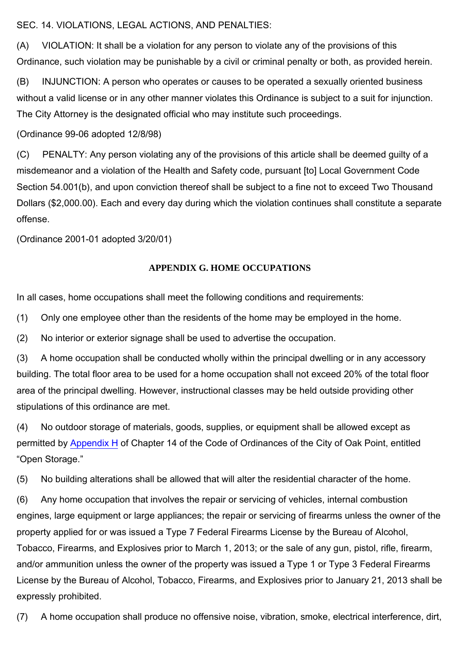# SEC. 14. VIOLATIONS, LEGAL ACTIONS, AND PENALTIES:

(A) VIOLATION: It shall be a violation for any person to violate any of the provisions of this Ordinance, such violation may be punishable by a civil or criminal penalty or both, as provided herein.

(B) INJUNCTION: A person who operates or causes to be operated a sexually oriented business without a valid license or in any other manner violates this Ordinance is subject to a suit for injunction. The City Attorney is the designated official who may institute such proceedings.

(Ordinance 99-06 adopted 12/8/98)

(C) PENALTY: Any person violating any of the provisions of this article shall be deemed guilty of a misdemeanor and a violation of the Health and Safety code, pursuant [to] Local Government Code Section 54.001(b), and upon conviction thereof shall be subject to a fine not to exceed Two Thousand Dollars (\$2,000.00). Each and every day during which the violation continues shall constitute a separate offense.

(Ordinance 2001-01 adopted 3/20/01)

# **APPENDIX G. HOME OCCUPATIONS**

In all cases, home occupations shall meet the following conditions and requirements:

(1) Only one employee other than the residents of the home may be employed in the home.

(2) No interior or exterior signage shall be used to advertise the occupation.

(3) A home occupation shall be conducted wholly within the principal dwelling or in any accessory building. The total floor area to be used for a home occupation shall not exceed 20% of the total floor area of the principal dwelling. However, instructional classes may be held outside providing other stipulations of this ordinance are met.

(4) No outdoor storage of materials, goods, supplies, or equipment shall be allowed except as permitted by Appendix H of Chapter 14 of the Code of Ordinances of the City of Oak Point, entitled "Open Storage."

(5) No building alterations shall be allowed that will alter the residential character of the home.

(6) Any home occupation that involves the repair or servicing of vehicles, internal combustion engines, large equipment or large appliances; the repair or servicing of firearms unless the owner of the property applied for or was issued a Type 7 Federal Firearms License by the Bureau of Alcohol, Tobacco, Firearms, and Explosives prior to March 1, 2013; or the sale of any gun, pistol, rifle, firearm, and/or ammunition unless the owner of the property was issued a Type 1 or Type 3 Federal Firearms License by the Bureau of Alcohol, Tobacco, Firearms, and Explosives prior to January 21, 2013 shall be expressly prohibited.

(7) A home occupation shall produce no offensive noise, vibration, smoke, electrical interference, dirt,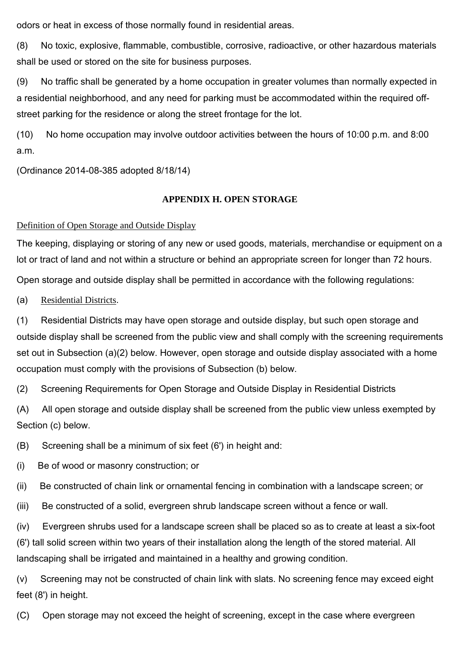odors or heat in excess of those normally found in residential areas.

(8) No toxic, explosive, flammable, combustible, corrosive, radioactive, or other hazardous materials shall be used or stored on the site for business purposes.

(9) No traffic shall be generated by a home occupation in greater volumes than normally expected in a residential neighborhood, and any need for parking must be accommodated within the required offstreet parking for the residence or along the street frontage for the lot.

(10) No home occupation may involve outdoor activities between the hours of 10:00 p.m. and 8:00 a.m.

(Ordinance 2014-08-385 adopted 8/18/14)

## **APPENDIX H. OPEN STORAGE**

## Definition of Open Storage and Outside Display

The keeping, displaying or storing of any new or used goods, materials, merchandise or equipment on a lot or tract of land and not within a structure or behind an appropriate screen for longer than 72 hours. Open storage and outside display shall be permitted in accordance with the following regulations:

(a) Residential Districts.

(1) Residential Districts may have open storage and outside display, but such open storage and outside display shall be screened from the public view and shall comply with the screening requirements set out in Subsection (a)(2) below. However, open storage and outside display associated with a home occupation must comply with the provisions of Subsection (b) below.

(2) Screening Requirements for Open Storage and Outside Display in Residential Districts

(A) All open storage and outside display shall be screened from the public view unless exempted by Section (c) below.

(B) Screening shall be a minimum of six feet (6') in height and:

(i) Be of wood or masonry construction; or

(ii) Be constructed of chain link or ornamental fencing in combination with a landscape screen; or

(iii) Be constructed of a solid, evergreen shrub landscape screen without a fence or wall.

(iv) Evergreen shrubs used for a landscape screen shall be placed so as to create at least a six-foot (6') tall solid screen within two years of their installation along the length of the stored material. All landscaping shall be irrigated and maintained in a healthy and growing condition.

(v) Screening may not be constructed of chain link with slats. No screening fence may exceed eight feet (8') in height.

(C) Open storage may not exceed the height of screening, except in the case where evergreen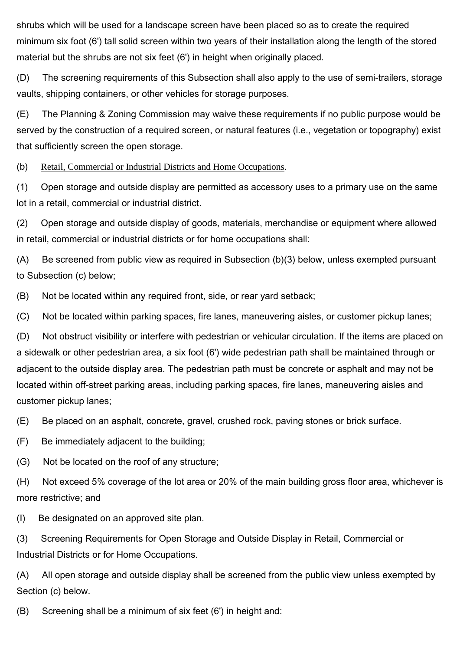shrubs which will be used for a landscape screen have been placed so as to create the required minimum six foot (6') tall solid screen within two years of their installation along the length of the stored material but the shrubs are not six feet (6') in height when originally placed.

(D) The screening requirements of this Subsection shall also apply to the use of semi-trailers, storage vaults, shipping containers, or other vehicles for storage purposes.

(E) The Planning & Zoning Commission may waive these requirements if no public purpose would be served by the construction of a required screen, or natural features (i.e., vegetation or topography) exist that sufficiently screen the open storage.

(b) Retail, Commercial or Industrial Districts and Home Occupations.

(1) Open storage and outside display are permitted as accessory uses to a primary use on the same lot in a retail, commercial or industrial district.

(2) Open storage and outside display of goods, materials, merchandise or equipment where allowed in retail, commercial or industrial districts or for home occupations shall:

(A) Be screened from public view as required in Subsection (b)(3) below, unless exempted pursuant to Subsection (c) below;

(B) Not be located within any required front, side, or rear yard setback;

(C) Not be located within parking spaces, fire lanes, maneuvering aisles, or customer pickup lanes;

(D) Not obstruct visibility or interfere with pedestrian or vehicular circulation. If the items are placed on a sidewalk or other pedestrian area, a six foot (6') wide pedestrian path shall be maintained through or adjacent to the outside display area. The pedestrian path must be concrete or asphalt and may not be located within off-street parking areas, including parking spaces, fire lanes, maneuvering aisles and customer pickup lanes;

(E) Be placed on an asphalt, concrete, gravel, crushed rock, paving stones or brick surface.

(F) Be immediately adjacent to the building;

(G) Not be located on the roof of any structure;

(H) Not exceed 5% coverage of the lot area or 20% of the main building gross floor area, whichever is more restrictive; and

(I) Be designated on an approved site plan.

(3) Screening Requirements for Open Storage and Outside Display in Retail, Commercial or Industrial Districts or for Home Occupations.

(A) All open storage and outside display shall be screened from the public view unless exempted by Section (c) below.

(B) Screening shall be a minimum of six feet (6') in height and: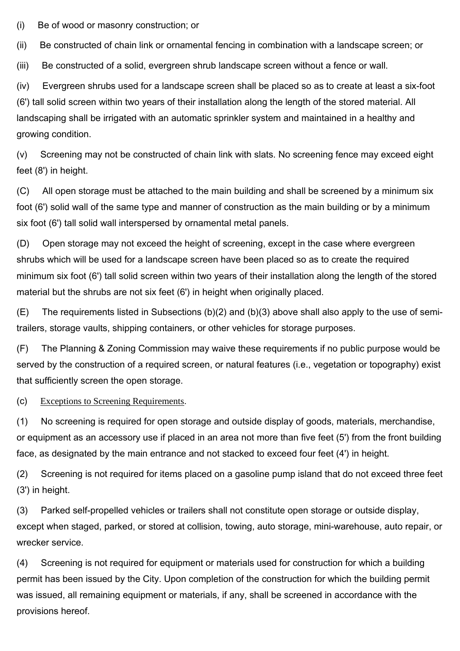(i) Be of wood or masonry construction; or

(ii) Be constructed of chain link or ornamental fencing in combination with a landscape screen; or

(iii) Be constructed of a solid, evergreen shrub landscape screen without a fence or wall.

(iv) Evergreen shrubs used for a landscape screen shall be placed so as to create at least a six-foot (6') tall solid screen within two years of their installation along the length of the stored material. All landscaping shall be irrigated with an automatic sprinkler system and maintained in a healthy and growing condition.

(v) Screening may not be constructed of chain link with slats. No screening fence may exceed eight feet (8') in height.

(C) All open storage must be attached to the main building and shall be screened by a minimum six foot (6') solid wall of the same type and manner of construction as the main building or by a minimum six foot (6') tall solid wall interspersed by ornamental metal panels.

(D) Open storage may not exceed the height of screening, except in the case where evergreen shrubs which will be used for a landscape screen have been placed so as to create the required minimum six foot (6') tall solid screen within two years of their installation along the length of the stored material but the shrubs are not six feet (6') in height when originally placed.

(E) The requirements listed in Subsections (b)(2) and (b)(3) above shall also apply to the use of semitrailers, storage vaults, shipping containers, or other vehicles for storage purposes.

(F) The Planning & Zoning Commission may waive these requirements if no public purpose would be served by the construction of a required screen, or natural features (i.e., vegetation or topography) exist that sufficiently screen the open storage.

## (c) Exceptions to Screening Requirements.

(1) No screening is required for open storage and outside display of goods, materials, merchandise, or equipment as an accessory use if placed in an area not more than five feet (5') from the front building face, as designated by the main entrance and not stacked to exceed four feet (4') in height.

(2) Screening is not required for items placed on a gasoline pump island that do not exceed three feet (3') in height.

(3) Parked self-propelled vehicles or trailers shall not constitute open storage or outside display, except when staged, parked, or stored at collision, towing, auto storage, mini-warehouse, auto repair, or wrecker service.

(4) Screening is not required for equipment or materials used for construction for which a building permit has been issued by the City. Upon completion of the construction for which the building permit was issued, all remaining equipment or materials, if any, shall be screened in accordance with the provisions hereof.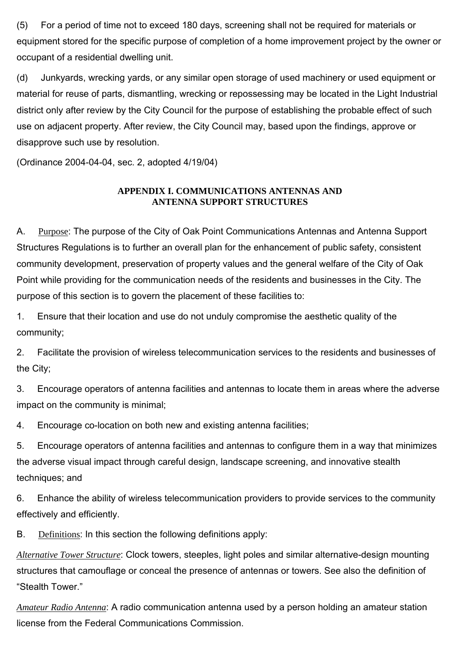(5) For a period of time not to exceed 180 days, screening shall not be required for materials or equipment stored for the specific purpose of completion of a home improvement project by the owner or occupant of a residential dwelling unit.

(d) Junkyards, wrecking yards, or any similar open storage of used machinery or used equipment or material for reuse of parts, dismantling, wrecking or repossessing may be located in the Light Industrial district only after review by the City Council for the purpose of establishing the probable effect of such use on adjacent property. After review, the City Council may, based upon the findings, approve or disapprove such use by resolution.

(Ordinance 2004-04-04, sec. 2, adopted 4/19/04)

### **APPENDIX I. COMMUNICATIONS ANTENNAS AND ANTENNA SUPPORT STRUCTURES**

A. Purpose: The purpose of the City of Oak Point Communications Antennas and Antenna Support Structures Regulations is to further an overall plan for the enhancement of public safety, consistent community development, preservation of property values and the general welfare of the City of Oak Point while providing for the communication needs of the residents and businesses in the City. The purpose of this section is to govern the placement of these facilities to:

1. Ensure that their location and use do not unduly compromise the aesthetic quality of the community;

2. Facilitate the provision of wireless telecommunication services to the residents and businesses of the City;

3. Encourage operators of antenna facilities and antennas to locate them in areas where the adverse impact on the community is minimal;

4. Encourage co-location on both new and existing antenna facilities;

5. Encourage operators of antenna facilities and antennas to configure them in a way that minimizes the adverse visual impact through careful design, landscape screening, and innovative stealth techniques; and

6. Enhance the ability of wireless telecommunication providers to provide services to the community effectively and efficiently.

B. Definitions: In this section the following definitions apply:

*Alternative Tower Structure*: Clock towers, steeples, light poles and similar alternative-design mounting structures that camouflage or conceal the presence of antennas or towers. See also the definition of "Stealth Tower."

*Amateur Radio Antenna*: A radio communication antenna used by a person holding an amateur station license from the Federal Communications Commission.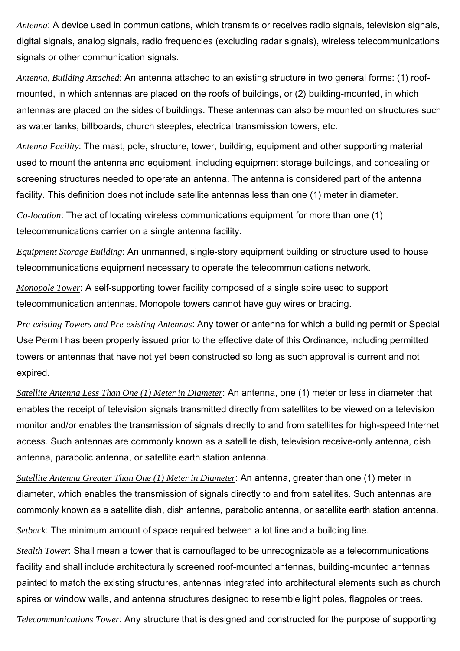*Antenna*: A device used in communications, which transmits or receives radio signals, television signals, digital signals, analog signals, radio frequencies (excluding radar signals), wireless telecommunications signals or other communication signals.

*Antenna, Building Attached*: An antenna attached to an existing structure in two general forms: (1) roofmounted, in which antennas are placed on the roofs of buildings, or (2) building-mounted, in which antennas are placed on the sides of buildings. These antennas can also be mounted on structures such as water tanks, billboards, church steeples, electrical transmission towers, etc.

*Antenna Facility*: The mast, pole, structure, tower, building, equipment and other supporting material used to mount the antenna and equipment, including equipment storage buildings, and concealing or screening structures needed to operate an antenna. The antenna is considered part of the antenna facility. This definition does not include satellite antennas less than one (1) meter in diameter.

*Co-location*: The act of locating wireless communications equipment for more than one (1) telecommunications carrier on a single antenna facility.

*Equipment Storage Building*: An unmanned, single-story equipment building or structure used to house telecommunications equipment necessary to operate the telecommunications network.

*Monopole Tower*: A self-supporting tower facility composed of a single spire used to support telecommunication antennas. Monopole towers cannot have guy wires or bracing.

*Pre-existing Towers and Pre-existing Antennas*: Any tower or antenna for which a building permit or Special Use Permit has been properly issued prior to the effective date of this Ordinance, including permitted towers or antennas that have not yet been constructed so long as such approval is current and not expired.

*Satellite Antenna Less Than One (1) Meter in Diameter*: An antenna, one (1) meter or less in diameter that enables the receipt of television signals transmitted directly from satellites to be viewed on a television monitor and/or enables the transmission of signals directly to and from satellites for high-speed Internet access. Such antennas are commonly known as a satellite dish, television receive-only antenna, dish antenna, parabolic antenna, or satellite earth station antenna.

*Satellite Antenna Greater Than One (1) Meter in Diameter*: An antenna, greater than one (1) meter in diameter, which enables the transmission of signals directly to and from satellites. Such antennas are commonly known as a satellite dish, dish antenna, parabolic antenna, or satellite earth station antenna.

*Setback*: The minimum amount of space required between a lot line and a building line.

*Stealth Tower*: Shall mean a tower that is camouflaged to be unrecognizable as a telecommunications facility and shall include architecturally screened roof-mounted antennas, building-mounted antennas painted to match the existing structures, antennas integrated into architectural elements such as church spires or window walls, and antenna structures designed to resemble light poles, flagpoles or trees.

*Telecommunications Tower*: Any structure that is designed and constructed for the purpose of supporting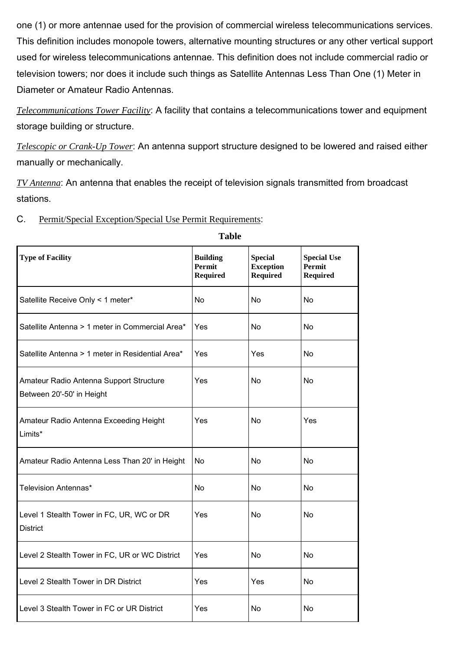one (1) or more antennae used for the provision of commercial wireless telecommunications services. This definition includes monopole towers, alternative mounting structures or any other vertical support used for wireless telecommunications antennae. This definition does not include commercial radio or television towers; nor does it include such things as Satellite Antennas Less Than One (1) Meter in Diameter or Amateur Radio Antennas.

*Telecommunications Tower Facility*: A facility that contains a telecommunications tower and equipment storage building or structure.

*Telescopic or Crank-Up Tower*: An antenna support structure designed to be lowered and raised either manually or mechanically.

*TV Antenna*: An antenna that enables the receipt of television signals transmitted from broadcast stations.

C. Permit/Special Exception/Special Use Permit Requirements:

| <b>Type of Facility</b>                                              | <b>Building</b><br>Permit<br><b>Required</b> | <b>Special</b><br><b>Exception</b><br><b>Required</b> | <b>Special Use</b><br><b>Permit</b><br><b>Required</b> |
|----------------------------------------------------------------------|----------------------------------------------|-------------------------------------------------------|--------------------------------------------------------|
| Satellite Receive Only < 1 meter*                                    | No                                           | No                                                    | No                                                     |
| Satellite Antenna > 1 meter in Commercial Area*                      | Yes                                          | No.                                                   | No                                                     |
| Satellite Antenna > 1 meter in Residential Area*                     | Yes                                          | Yes                                                   | No                                                     |
| Amateur Radio Antenna Support Structure<br>Between 20'-50' in Height | Yes                                          | No                                                    | No                                                     |
| Amateur Radio Antenna Exceeding Height<br>Limits*                    | Yes                                          | No                                                    | Yes                                                    |
| Amateur Radio Antenna Less Than 20' in Height                        | No                                           | No                                                    | No                                                     |
| Television Antennas*                                                 | No                                           | No                                                    | No                                                     |
| Level 1 Stealth Tower in FC, UR, WC or DR<br><b>District</b>         | Yes                                          | No                                                    | No                                                     |
| Level 2 Stealth Tower in FC, UR or WC District                       | Yes                                          | No                                                    | No                                                     |
| Level 2 Stealth Tower in DR District                                 | Yes                                          | Yes                                                   | No                                                     |
| Level 3 Stealth Tower in FC or UR District                           | Yes                                          | No                                                    | No                                                     |

**Table**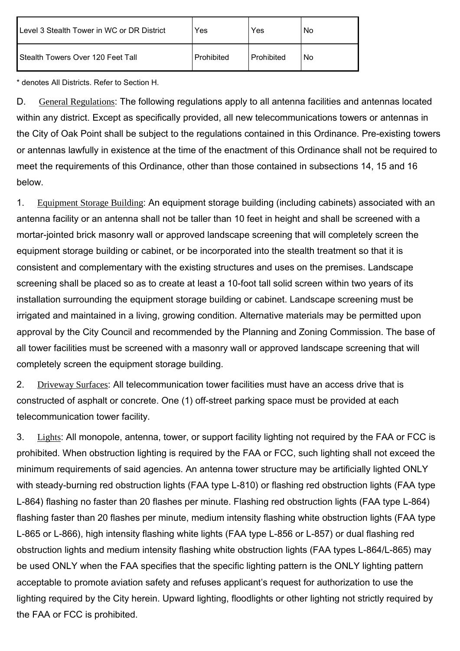| Level 3 Stealth Tower in WC or DR District | Yes        | Yes        | No. |
|--------------------------------------------|------------|------------|-----|
| Stealth Towers Over 120 Feet Tall          | Prohibited | Prohibited | No  |

\* denotes All Districts. Refer to Section H.

D. General Regulations: The following regulations apply to all antenna facilities and antennas located within any district. Except as specifically provided, all new telecommunications towers or antennas in the City of Oak Point shall be subject to the regulations contained in this Ordinance. Pre-existing towers or antennas lawfully in existence at the time of the enactment of this Ordinance shall not be required to meet the requirements of this Ordinance, other than those contained in subsections 14, 15 and 16 below.

1. Equipment Storage Building: An equipment storage building (including cabinets) associated with an antenna facility or an antenna shall not be taller than 10 feet in height and shall be screened with a mortar-jointed brick masonry wall or approved landscape screening that will completely screen the equipment storage building or cabinet, or be incorporated into the stealth treatment so that it is consistent and complementary with the existing structures and uses on the premises. Landscape screening shall be placed so as to create at least a 10-foot tall solid screen within two years of its installation surrounding the equipment storage building or cabinet. Landscape screening must be irrigated and maintained in a living, growing condition. Alternative materials may be permitted upon approval by the City Council and recommended by the Planning and Zoning Commission. The base of all tower facilities must be screened with a masonry wall or approved landscape screening that will completely screen the equipment storage building.

2. Driveway Surfaces: All telecommunication tower facilities must have an access drive that is constructed of asphalt or concrete. One (1) off-street parking space must be provided at each telecommunication tower facility.

3. Lights: All monopole, antenna, tower, or support facility lighting not required by the FAA or FCC is prohibited. When obstruction lighting is required by the FAA or FCC, such lighting shall not exceed the minimum requirements of said agencies. An antenna tower structure may be artificially lighted ONLY with steady-burning red obstruction lights (FAA type L-810) or flashing red obstruction lights (FAA type L-864) flashing no faster than 20 flashes per minute. Flashing red obstruction lights (FAA type L-864) flashing faster than 20 flashes per minute, medium intensity flashing white obstruction lights (FAA type L-865 or L-866), high intensity flashing white lights (FAA type L-856 or L-857) or dual flashing red obstruction lights and medium intensity flashing white obstruction lights (FAA types L-864/L-865) may be used ONLY when the FAA specifies that the specific lighting pattern is the ONLY lighting pattern acceptable to promote aviation safety and refuses applicant's request for authorization to use the lighting required by the City herein. Upward lighting, floodlights or other lighting not strictly required by the FAA or FCC is prohibited.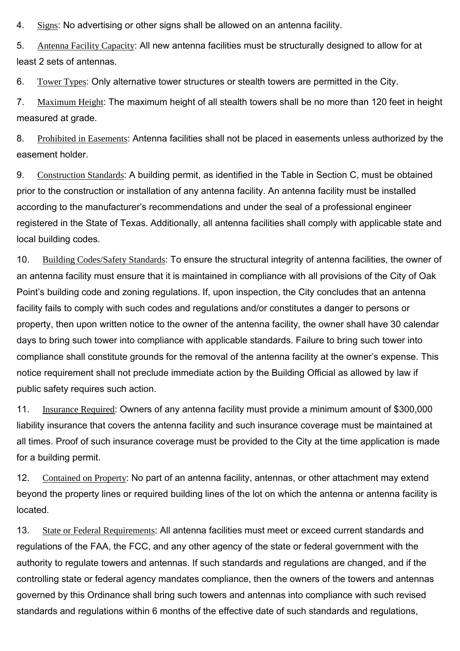4. Signs: No advertising or other signs shall be allowed on an antenna facility.

5. Antenna Facility Capacity: All new antenna facilities must be structurally designed to allow for at least 2 sets of antennas.

6. Tower Types: Only alternative tower structures or stealth towers are permitted in the City.

7. Maximum Height: The maximum height of all stealth towers shall be no more than 120 feet in height measured at grade.

8. Prohibited in Easements: Antenna facilities shall not be placed in easements unless authorized by the easement holder.

9. Construction Standards: A building permit, as identified in the Table in Section C, must be obtained prior to the construction or installation of any antenna facility. An antenna facility must be installed according to the manufacturer's recommendations and under the seal of a professional engineer registered in the State of Texas. Additionally, all antenna facilities shall comply with applicable state and local building codes.

10. Building Codes/Safety Standards: To ensure the structural integrity of antenna facilities, the owner of an antenna facility must ensure that it is maintained in compliance with all provisions of the City of Oak Point's building code and zoning regulations. If, upon inspection, the City concludes that an antenna facility fails to comply with such codes and regulations and/or constitutes a danger to persons or property, then upon written notice to the owner of the antenna facility, the owner shall have 30 calendar days to bring such tower into compliance with applicable standards. Failure to bring such tower into compliance shall constitute grounds for the removal of the antenna facility at the owner's expense. This notice requirement shall not preclude immediate action by the Building Official as allowed by law if public safety requires such action.

11. Insurance Required: Owners of any antenna facility must provide a minimum amount of \$300,000 liability insurance that covers the antenna facility and such insurance coverage must be maintained at all times. Proof of such insurance coverage must be provided to the City at the time application is made for a building permit.

12. Contained on Property: No part of an antenna facility, antennas, or other attachment may extend beyond the property lines or required building lines of the lot on which the antenna or antenna facility is located.

13. State or Federal Requirements: All antenna facilities must meet or exceed current standards and regulations of the FAA, the FCC, and any other agency of the state or federal government with the authority to regulate towers and antennas. If such standards and regulations are changed, and if the controlling state or federal agency mandates compliance, then the owners of the towers and antennas governed by this Ordinance shall bring such towers and antennas into compliance with such revised standards and regulations within 6 months of the effective date of such standards and regulations,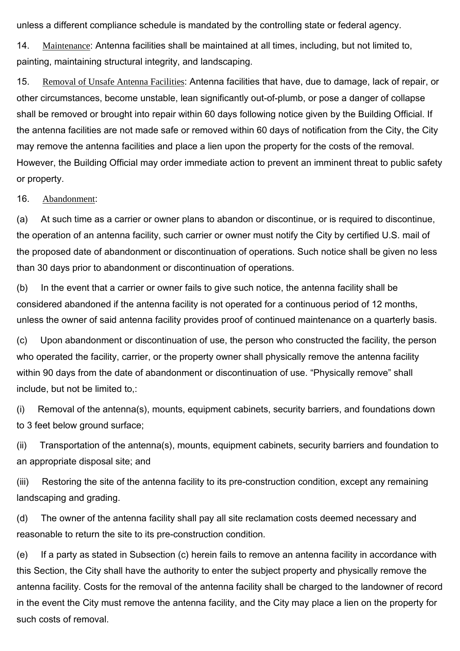unless a different compliance schedule is mandated by the controlling state or federal agency.

14. Maintenance: Antenna facilities shall be maintained at all times, including, but not limited to, painting, maintaining structural integrity, and landscaping.

15. Removal of Unsafe Antenna Facilities: Antenna facilities that have, due to damage, lack of repair, or other circumstances, become unstable, lean significantly out-of-plumb, or pose a danger of collapse shall be removed or brought into repair within 60 days following notice given by the Building Official. If the antenna facilities are not made safe or removed within 60 days of notification from the City, the City may remove the antenna facilities and place a lien upon the property for the costs of the removal. However, the Building Official may order immediate action to prevent an imminent threat to public safety or property.

#### 16. Abandonment:

(a) At such time as a carrier or owner plans to abandon or discontinue, or is required to discontinue, the operation of an antenna facility, such carrier or owner must notify the City by certified U.S. mail of the proposed date of abandonment or discontinuation of operations. Such notice shall be given no less than 30 days prior to abandonment or discontinuation of operations.

(b) In the event that a carrier or owner fails to give such notice, the antenna facility shall be considered abandoned if the antenna facility is not operated for a continuous period of 12 months, unless the owner of said antenna facility provides proof of continued maintenance on a quarterly basis.

(c) Upon abandonment or discontinuation of use, the person who constructed the facility, the person who operated the facility, carrier, or the property owner shall physically remove the antenna facility within 90 days from the date of abandonment or discontinuation of use. "Physically remove" shall include, but not be limited to,:

(i) Removal of the antenna(s), mounts, equipment cabinets, security barriers, and foundations down to 3 feet below ground surface;

(ii) Transportation of the antenna(s), mounts, equipment cabinets, security barriers and foundation to an appropriate disposal site; and

(iii) Restoring the site of the antenna facility to its pre-construction condition, except any remaining landscaping and grading.

(d) The owner of the antenna facility shall pay all site reclamation costs deemed necessary and reasonable to return the site to its pre-construction condition.

(e) If a party as stated in Subsection (c) herein fails to remove an antenna facility in accordance with this Section, the City shall have the authority to enter the subject property and physically remove the antenna facility. Costs for the removal of the antenna facility shall be charged to the landowner of record in the event the City must remove the antenna facility, and the City may place a lien on the property for such costs of removal.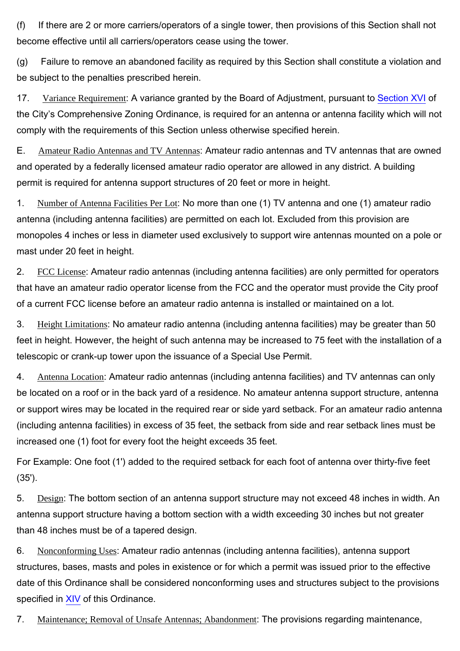(f) If there are 2 or more carriers/operators of a single tower, then provisions of this Section shall not become effective until all carriers/operators cease using the tower.

(g) Failure to remove an abandoned facility as required by this Section shall constitute a violation and be subject to the penalties prescribed herein.

17. Variance Requirement: A variance granted by the Board of Adjustment, pursuant to Section XVI of the City's Comprehensive Zoning Ordinance, is required for an antenna or antenna facility which will not comply with the requirements of this Section unless otherwise specified herein.

E. Amateur Radio Antennas and TV Antennas: Amateur radio antennas and TV antennas that are owned and operated by a federally licensed amateur radio operator are allowed in any district. A building permit is required for antenna support structures of 20 feet or more in height.

1. Number of Antenna Facilities Per Lot: No more than one (1) TV antenna and one (1) amateur radio antenna (including antenna facilities) are permitted on each lot. Excluded from this provision are monopoles 4 inches or less in diameter used exclusively to support wire antennas mounted on a pole or mast under 20 feet in height.

2. FCC License: Amateur radio antennas (including antenna facilities) are only permitted for operators that have an amateur radio operator license from the FCC and the operator must provide the City proof of a current FCC license before an amateur radio antenna is installed or maintained on a lot.

3. Height Limitations: No amateur radio antenna (including antenna facilities) may be greater than 50 feet in height. However, the height of such antenna may be increased to 75 feet with the installation of a telescopic or crank-up tower upon the issuance of a Special Use Permit.

4. Antenna Location: Amateur radio antennas (including antenna facilities) and TV antennas can only be located on a roof or in the back yard of a residence. No amateur antenna support structure, antenna or support wires may be located in the required rear or side yard setback. For an amateur radio antenna (including antenna facilities) in excess of 35 feet, the setback from side and rear setback lines must be increased one (1) foot for every foot the height exceeds 35 feet.

For Example: One foot (1') added to the required setback for each foot of antenna over thirty-five feet (35').

5. Design: The bottom section of an antenna support structure may not exceed 48 inches in width. An antenna support structure having a bottom section with a width exceeding 30 inches but not greater than 48 inches must be of a tapered design.

6. Nonconforming Uses: Amateur radio antennas (including antenna facilities), antenna support structures, bases, masts and poles in existence or for which a permit was issued prior to the effective date of this Ordinance shall be considered nonconforming uses and structures subject to the provisions specified in XIV of this Ordinance.

7. Maintenance; Removal of Unsafe Antennas; Abandonment: The provisions regarding maintenance,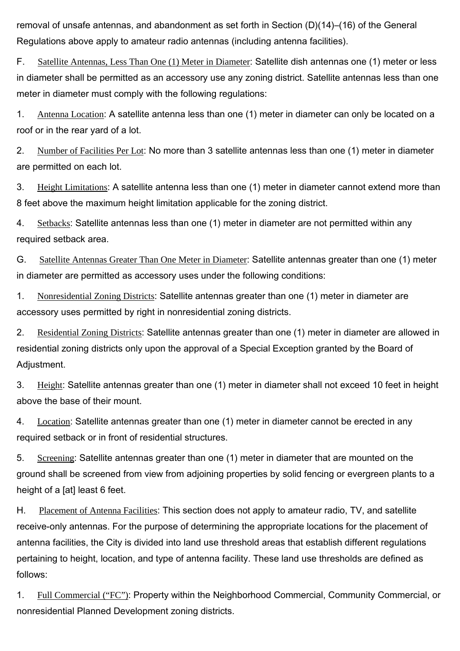removal of unsafe antennas, and abandonment as set forth in Section (D)(14)–(16) of the General Regulations above apply to amateur radio antennas (including antenna facilities).

F. Satellite Antennas, Less Than One (1) Meter in Diameter: Satellite dish antennas one (1) meter or less in diameter shall be permitted as an accessory use any zoning district. Satellite antennas less than one meter in diameter must comply with the following regulations:

1. Antenna Location: A satellite antenna less than one (1) meter in diameter can only be located on a roof or in the rear yard of a lot.

2. Number of Facilities Per Lot: No more than 3 satellite antennas less than one (1) meter in diameter are permitted on each lot.

3. Height Limitations: A satellite antenna less than one (1) meter in diameter cannot extend more than 8 feet above the maximum height limitation applicable for the zoning district.

4. Setbacks: Satellite antennas less than one (1) meter in diameter are not permitted within any required setback area.

G. Satellite Antennas Greater Than One Meter in Diameter: Satellite antennas greater than one (1) meter in diameter are permitted as accessory uses under the following conditions:

1. Nonresidential Zoning Districts: Satellite antennas greater than one (1) meter in diameter are accessory uses permitted by right in nonresidential zoning districts.

2. Residential Zoning Districts: Satellite antennas greater than one (1) meter in diameter are allowed in residential zoning districts only upon the approval of a Special Exception granted by the Board of Adjustment.

3. Height: Satellite antennas greater than one (1) meter in diameter shall not exceed 10 feet in height above the base of their mount.

4. Location: Satellite antennas greater than one (1) meter in diameter cannot be erected in any required setback or in front of residential structures.

5. Screening: Satellite antennas greater than one (1) meter in diameter that are mounted on the ground shall be screened from view from adjoining properties by solid fencing or evergreen plants to a height of a [at] least 6 feet.

H. Placement of Antenna Facilities: This section does not apply to amateur radio, TV, and satellite receive-only antennas. For the purpose of determining the appropriate locations for the placement of antenna facilities, the City is divided into land use threshold areas that establish different regulations pertaining to height, location, and type of antenna facility. These land use thresholds are defined as follows:

1. Full Commercial ("FC"): Property within the Neighborhood Commercial, Community Commercial, or nonresidential Planned Development zoning districts.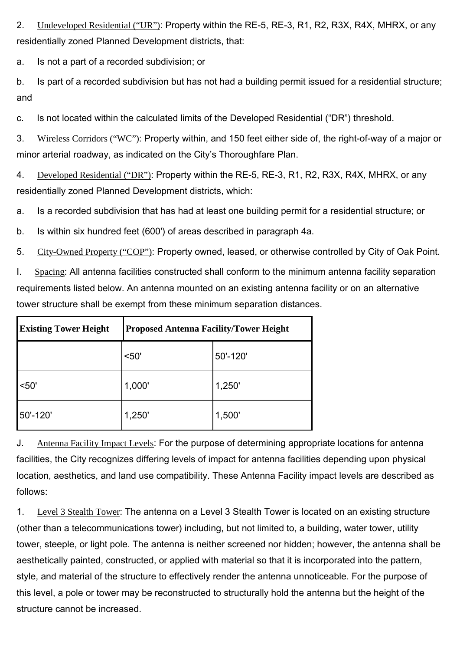2. Undeveloped Residential ("UR"): Property within the RE-5, RE-3, R1, R2, R3X, R4X, MHRX, or any residentially zoned Planned Development districts, that:

a. Is not a part of a recorded subdivision; or

b. Is part of a recorded subdivision but has not had a building permit issued for a residential structure; and

c. Is not located within the calculated limits of the Developed Residential ("DR") threshold.

3. Wireless Corridors ("WC"): Property within, and 150 feet either side of, the right-of-way of a major or minor arterial roadway, as indicated on the City's Thoroughfare Plan.

4. Developed Residential ("DR"): Property within the RE-5, RE-3, R1, R2, R3X, R4X, MHRX, or any residentially zoned Planned Development districts, which:

a. Is a recorded subdivision that has had at least one building permit for a residential structure; or

b. Is within six hundred feet (600') of areas described in paragraph 4a.

5. City-Owned Property ("COP"): Property owned, leased, or otherwise controlled by City of Oak Point.

I. Spacing: All antenna facilities constructed shall conform to the minimum antenna facility separation requirements listed below. An antenna mounted on an existing antenna facility or on an alternative tower structure shall be exempt from these minimum separation distances.

| <b>Existing Tower Height</b> | <b>Proposed Antenna Facility/Tower Height</b> |          |  |
|------------------------------|-----------------------------------------------|----------|--|
|                              | 50'                                           | 50'-120' |  |
| 50'                          | 1,000'                                        | 1,250'   |  |
| 50'-120'                     | 1,250'                                        | 1,500'   |  |

J. Antenna Facility Impact Levels: For the purpose of determining appropriate locations for antenna facilities, the City recognizes differing levels of impact for antenna facilities depending upon physical location, aesthetics, and land use compatibility. These Antenna Facility impact levels are described as follows:

1. Level 3 Stealth Tower: The antenna on a Level 3 Stealth Tower is located on an existing structure (other than a telecommunications tower) including, but not limited to, a building, water tower, utility tower, steeple, or light pole. The antenna is neither screened nor hidden; however, the antenna shall be aesthetically painted, constructed, or applied with material so that it is incorporated into the pattern, style, and material of the structure to effectively render the antenna unnoticeable. For the purpose of this level, a pole or tower may be reconstructed to structurally hold the antenna but the height of the structure cannot be increased.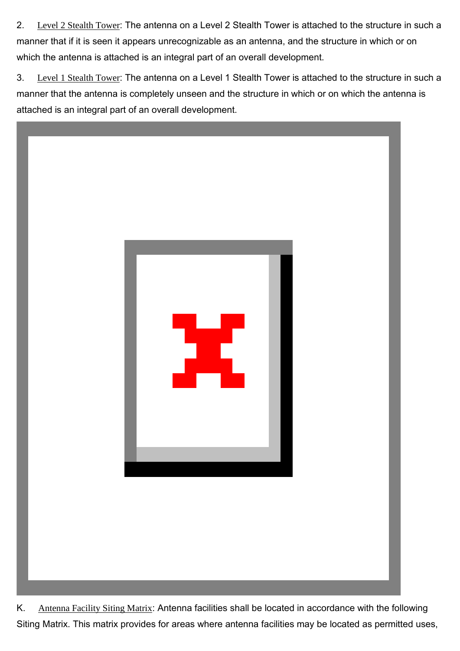2. Level 2 Stealth Tower: The antenna on a Level 2 Stealth Tower is attached to the structure in such a manner that if it is seen it appears unrecognizable as an antenna, and the structure in which or on which the antenna is attached is an integral part of an overall development.

3. Level 1 Stealth Tower: The antenna on a Level 1 Stealth Tower is attached to the structure in such a manner that the antenna is completely unseen and the structure in which or on which the antenna is attached is an integral part of an overall development.



K. Antenna Facility Siting Matrix: Antenna facilities shall be located in accordance with the following Siting Matrix. This matrix provides for areas where antenna facilities may be located as permitted uses,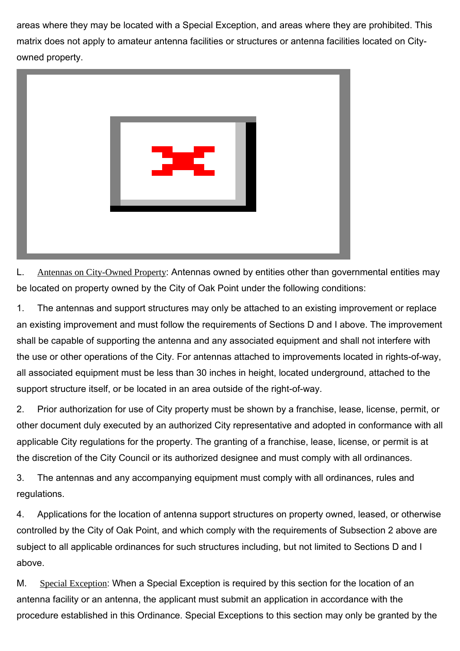areas where they may be located with a Special Exception, and areas where they are prohibited. This matrix does not apply to amateur antenna facilities or structures or antenna facilities located on Cityowned property.



L. Antennas on City-Owned Property: Antennas owned by entities other than governmental entities may be located on property owned by the City of Oak Point under the following conditions:

1. The antennas and support structures may only be attached to an existing improvement or replace an existing improvement and must follow the requirements of Sections D and I above. The improvement shall be capable of supporting the antenna and any associated equipment and shall not interfere with the use or other operations of the City. For antennas attached to improvements located in rights-of-way, all associated equipment must be less than 30 inches in height, located underground, attached to the support structure itself, or be located in an area outside of the right-of-way.

2. Prior authorization for use of City property must be shown by a franchise, lease, license, permit, or other document duly executed by an authorized City representative and adopted in conformance with all applicable City regulations for the property. The granting of a franchise, lease, license, or permit is at the discretion of the City Council or its authorized designee and must comply with all ordinances.

3. The antennas and any accompanying equipment must comply with all ordinances, rules and regulations.

4. Applications for the location of antenna support structures on property owned, leased, or otherwise controlled by the City of Oak Point, and which comply with the requirements of Subsection 2 above are subject to all applicable ordinances for such structures including, but not limited to Sections D and I above.

M. Special Exception: When a Special Exception is required by this section for the location of an antenna facility or an antenna, the applicant must submit an application in accordance with the procedure established in this Ordinance. Special Exceptions to this section may only be granted by the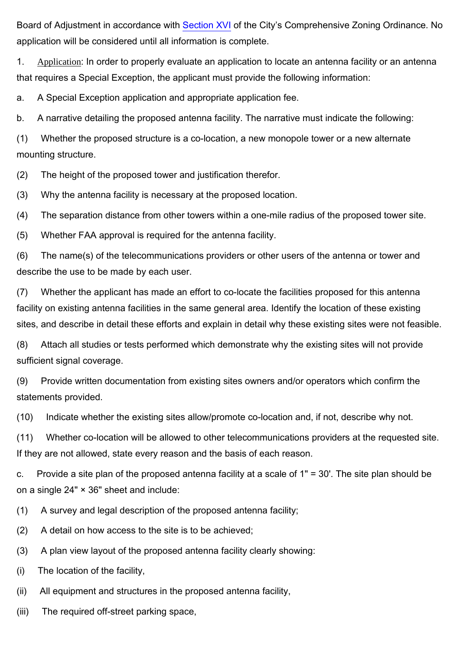Board of Adjustment in accordance with Section XVI of the City's Comprehensive Zoning Ordinance. No application will be considered until all information is complete.

1. Application: In order to properly evaluate an application to locate an antenna facility or an antenna that requires a Special Exception, the applicant must provide the following information:

a. A Special Exception application and appropriate application fee.

b. A narrative detailing the proposed antenna facility. The narrative must indicate the following:

(1) Whether the proposed structure is a co-location, a new monopole tower or a new alternate mounting structure.

(2) The height of the proposed tower and justification therefor.

(3) Why the antenna facility is necessary at the proposed location.

(4) The separation distance from other towers within a one-mile radius of the proposed tower site.

(5) Whether FAA approval is required for the antenna facility.

(6) The name(s) of the telecommunications providers or other users of the antenna or tower and describe the use to be made by each user.

(7) Whether the applicant has made an effort to co-locate the facilities proposed for this antenna facility on existing antenna facilities in the same general area. Identify the location of these existing sites, and describe in detail these efforts and explain in detail why these existing sites were not feasible.

(8) Attach all studies or tests performed which demonstrate why the existing sites will not provide sufficient signal coverage.

(9) Provide written documentation from existing sites owners and/or operators which confirm the statements provided.

(10) Indicate whether the existing sites allow/promote co-location and, if not, describe why not.

(11) Whether co-location will be allowed to other telecommunications providers at the requested site. If they are not allowed, state every reason and the basis of each reason.

c. Provide a site plan of the proposed antenna facility at a scale of 1" = 30'. The site plan should be on a single 24" × 36" sheet and include:

- (1) A survey and legal description of the proposed antenna facility;
- (2) A detail on how access to the site is to be achieved;
- (3) A plan view layout of the proposed antenna facility clearly showing:

(i) The location of the facility,

- (ii) All equipment and structures in the proposed antenna facility,
- (iii) The required off-street parking space,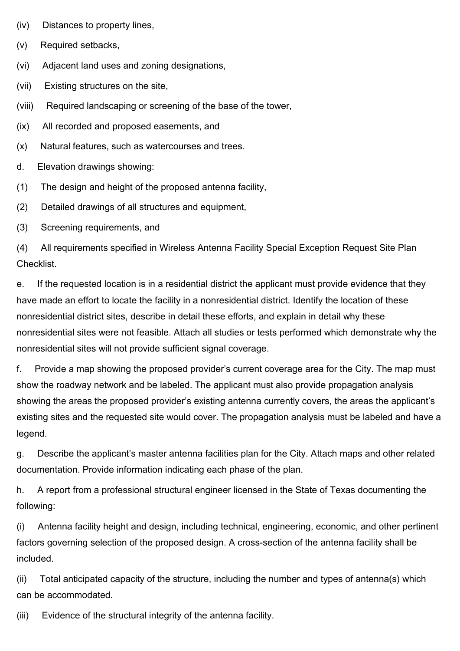- (iv) Distances to property lines,
- (v) Required setbacks,
- (vi) Adjacent land uses and zoning designations,
- (vii) Existing structures on the site,
- (viii) Required landscaping or screening of the base of the tower,
- (ix) All recorded and proposed easements, and
- (x) Natural features, such as watercourses and trees.
- d. Elevation drawings showing:
- (1) The design and height of the proposed antenna facility,
- (2) Detailed drawings of all structures and equipment,
- (3) Screening requirements, and

(4) All requirements specified in Wireless Antenna Facility Special Exception Request Site Plan Checklist.

e. If the requested location is in a residential district the applicant must provide evidence that they have made an effort to locate the facility in a nonresidential district. Identify the location of these nonresidential district sites, describe in detail these efforts, and explain in detail why these nonresidential sites were not feasible. Attach all studies or tests performed which demonstrate why the nonresidential sites will not provide sufficient signal coverage.

f. Provide a map showing the proposed provider's current coverage area for the City. The map must show the roadway network and be labeled. The applicant must also provide propagation analysis showing the areas the proposed provider's existing antenna currently covers, the areas the applicant's existing sites and the requested site would cover. The propagation analysis must be labeled and have a legend.

g. Describe the applicant's master antenna facilities plan for the City. Attach maps and other related documentation. Provide information indicating each phase of the plan.

h. A report from a professional structural engineer licensed in the State of Texas documenting the following:

(i) Antenna facility height and design, including technical, engineering, economic, and other pertinent factors governing selection of the proposed design. A cross-section of the antenna facility shall be included.

(ii) Total anticipated capacity of the structure, including the number and types of antenna(s) which can be accommodated.

(iii) Evidence of the structural integrity of the antenna facility.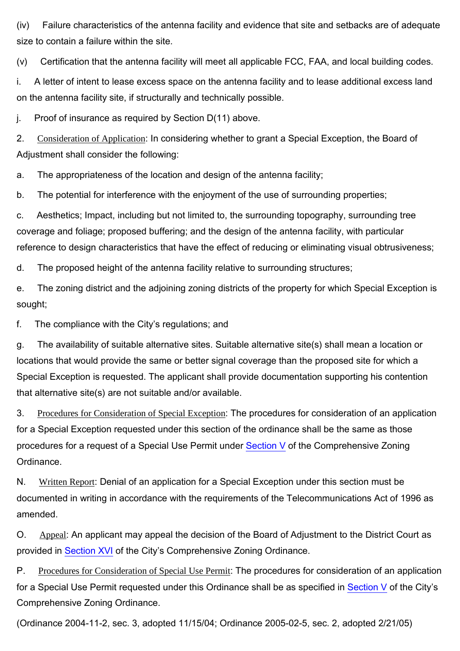(iv) Failure characteristics of the antenna facility and evidence that site and setbacks are of adequate size to contain a failure within the site.

(v) Certification that the antenna facility will meet all applicable FCC, FAA, and local building codes.

i. A letter of intent to lease excess space on the antenna facility and to lease additional excess land on the antenna facility site, if structurally and technically possible.

j. Proof of insurance as required by Section D(11) above.

2. Consideration of Application: In considering whether to grant a Special Exception, the Board of Adjustment shall consider the following:

a. The appropriateness of the location and design of the antenna facility;

b. The potential for interference with the enjoyment of the use of surrounding properties;

c. Aesthetics; Impact, including but not limited to, the surrounding topography, surrounding tree coverage and foliage; proposed buffering; and the design of the antenna facility, with particular reference to design characteristics that have the effect of reducing or eliminating visual obtrusiveness;

d. The proposed height of the antenna facility relative to surrounding structures;

e. The zoning district and the adjoining zoning districts of the property for which Special Exception is sought;

f. The compliance with the City's regulations; and

g. The availability of suitable alternative sites. Suitable alternative site(s) shall mean a location or locations that would provide the same or better signal coverage than the proposed site for which a Special Exception is requested. The applicant shall provide documentation supporting his contention that alternative site(s) are not suitable and/or available.

3. Procedures for Consideration of Special Exception: The procedures for consideration of an application for a Special Exception requested under this section of the ordinance shall be the same as those procedures for a request of a Special Use Permit under Section V of the Comprehensive Zoning Ordinance.

N. Written Report: Denial of an application for a Special Exception under this section must be documented in writing in accordance with the requirements of the Telecommunications Act of 1996 as amended.

O. Appeal: An applicant may appeal the decision of the Board of Adjustment to the District Court as provided in Section XVI of the City's Comprehensive Zoning Ordinance.

P. Procedures for Consideration of Special Use Permit: The procedures for consideration of an application for a Special Use Permit requested under this Ordinance shall be as specified in Section V of the City's Comprehensive Zoning Ordinance.

(Ordinance 2004-11-2, sec. 3, adopted 11/15/04; Ordinance 2005-02-5, sec. 2, adopted 2/21/05)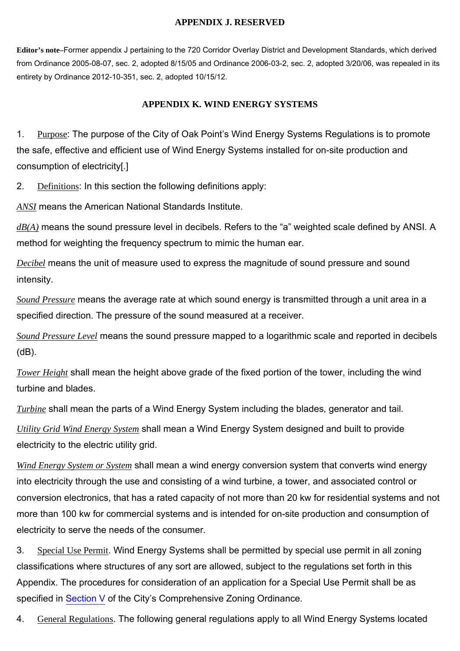#### **APPENDIX J. RESERVED**

**Editor's note–**Former appendix J pertaining to the 720 Corridor Overlay District and Development Standards, which derived from Ordinance 2005-08-07, sec. 2, adopted 8/15/05 and Ordinance 2006-03-2, sec. 2, adopted 3/20/06, was repealed in its entirety by Ordinance 2012-10-351, sec. 2, adopted 10/15/12.

# **APPENDIX K. WIND ENERGY SYSTEMS**

1. Purpose: The purpose of the City of Oak Point's Wind Energy Systems Regulations is to promote the safe, effective and efficient use of Wind Energy Systems installed for on-site production and consumption of electricity[.]

2. Definitions: In this section the following definitions apply:

*ANSI* means the American National Standards Institute.

dB(A) means the sound pressure level in decibels. Refers to the "a" weighted scale defined by ANSI. A method for weighting the frequency spectrum to mimic the human ear.

*Decibel* means the unit of measure used to express the magnitude of sound pressure and sound intensity.

*Sound Pressure* means the average rate at which sound energy is transmitted through a unit area in a specified direction. The pressure of the sound measured at a receiver.

*Sound Pressure Level* means the sound pressure mapped to a logarithmic scale and reported in decibels (dB).

*Tower Height* shall mean the height above grade of the fixed portion of the tower, including the wind turbine and blades.

*Turbine* shall mean the parts of a Wind Energy System including the blades, generator and tail.

*Utility Grid Wind Energy System* shall mean a Wind Energy System designed and built to provide electricity to the electric utility grid.

*Wind Energy System or System* shall mean a wind energy conversion system that converts wind energy into electricity through the use and consisting of a wind turbine, a tower, and associated control or conversion electronics, that has a rated capacity of not more than 20 kw for residential systems and not more than 100 kw for commercial systems and is intended for on-site production and consumption of electricity to serve the needs of the consumer.

3. Special Use Permit. Wind Energy Systems shall be permitted by special use permit in all zoning classifications where structures of any sort are allowed, subject to the regulations set forth in this Appendix. The procedures for consideration of an application for a Special Use Permit shall be as specified in Section V of the City's Comprehensive Zoning Ordinance.

4. General Regulations. The following general regulations apply to all Wind Energy Systems located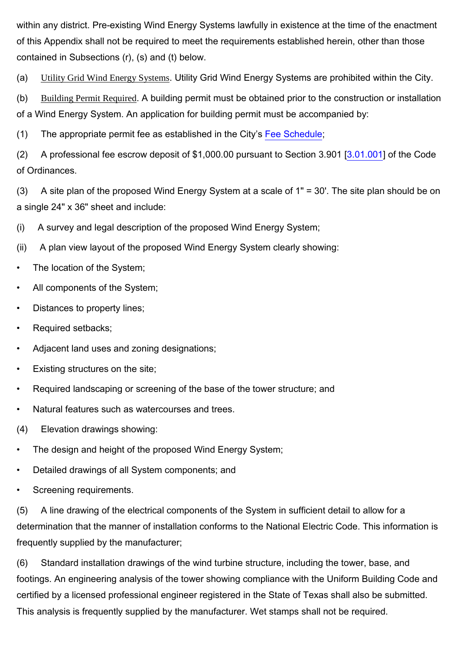within any district. Pre-existing Wind Energy Systems lawfully in existence at the time of the enactment of this Appendix shall not be required to meet the requirements established herein, other than those contained in Subsections (r), (s) and (t) below.

(a) Utility Grid Wind Energy Systems. Utility Grid Wind Energy Systems are prohibited within the City.

(b) Building Permit Required. A building permit must be obtained prior to the construction or installation of a Wind Energy System. An application for building permit must be accompanied by:

(1) The appropriate permit fee as established in the City's Fee Schedule;

(2) A professional fee escrow deposit of \$1,000.00 pursuant to Section 3.901 [3.01.001] of the Code of Ordinances.

(3) A site plan of the proposed Wind Energy System at a scale of 1" = 30'. The site plan should be on a single 24" x 36" sheet and include:

(i) A survey and legal description of the proposed Wind Energy System;

- (ii) A plan view layout of the proposed Wind Energy System clearly showing:
- The location of the System;
- All components of the System;
- Distances to property lines;
- Required setbacks;
- Adjacent land uses and zoning designations;
- Existing structures on the site;
- Required landscaping or screening of the base of the tower structure; and
- Natural features such as watercourses and trees.
- (4) Elevation drawings showing:
- The design and height of the proposed Wind Energy System;
- Detailed drawings of all System components; and
- Screening requirements.

(5) A line drawing of the electrical components of the System in sufficient detail to allow for a determination that the manner of installation conforms to the National Electric Code. This information is frequently supplied by the manufacturer;

(6) Standard installation drawings of the wind turbine structure, including the tower, base, and footings. An engineering analysis of the tower showing compliance with the Uniform Building Code and certified by a licensed professional engineer registered in the State of Texas shall also be submitted. This analysis is frequently supplied by the manufacturer. Wet stamps shall not be required.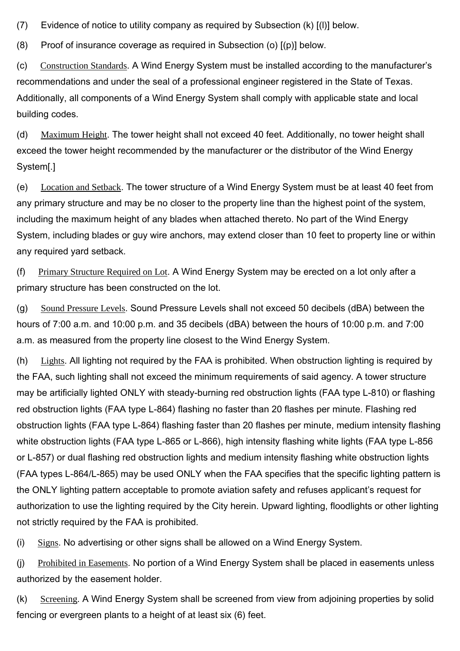(7) Evidence of notice to utility company as required by Subsection (k) [(l)] below.

(8) Proof of insurance coverage as required in Subsection (o)  $[(p)]$  below.

(c) Construction Standards. A Wind Energy System must be installed according to the manufacturer's recommendations and under the seal of a professional engineer registered in the State of Texas. Additionally, all components of a Wind Energy System shall comply with applicable state and local building codes.

(d) Maximum Height. The tower height shall not exceed 40 feet. Additionally, no tower height shall exceed the tower height recommended by the manufacturer or the distributor of the Wind Energy System[.]

(e) Location and Setback. The tower structure of a Wind Energy System must be at least 40 feet from any primary structure and may be no closer to the property line than the highest point of the system, including the maximum height of any blades when attached thereto. No part of the Wind Energy System, including blades or guy wire anchors, may extend closer than 10 feet to property line or within any required yard setback.

(f) Primary Structure Required on Lot. A Wind Energy System may be erected on a lot only after a primary structure has been constructed on the lot.

(g) Sound Pressure Levels. Sound Pressure Levels shall not exceed 50 decibels (dBA) between the hours of 7:00 a.m. and 10:00 p.m. and 35 decibels (dBA) between the hours of 10:00 p.m. and 7:00 a.m. as measured from the property line closest to the Wind Energy System.

(h) Lights. All lighting not required by the FAA is prohibited. When obstruction lighting is required by the FAA, such lighting shall not exceed the minimum requirements of said agency. A tower structure may be artificially lighted ONLY with steady-burning red obstruction lights (FAA type L-810) or flashing red obstruction lights (FAA type L-864) flashing no faster than 20 flashes per minute. Flashing red obstruction lights (FAA type L-864) flashing faster than 20 flashes per minute, medium intensity flashing white obstruction lights (FAA type L-865 or L-866), high intensity flashing white lights (FAA type L-856 or L-857) or dual flashing red obstruction lights and medium intensity flashing white obstruction lights (FAA types L-864/L-865) may be used ONLY when the FAA specifies that the specific lighting pattern is the ONLY lighting pattern acceptable to promote aviation safety and refuses applicant's request for authorization to use the lighting required by the City herein. Upward lighting, floodlights or other lighting not strictly required by the FAA is prohibited.

(i) Signs. No advertising or other signs shall be allowed on a Wind Energy System.

(j) Prohibited in Easements. No portion of a Wind Energy System shall be placed in easements unless authorized by the easement holder.

(k) Screening. A Wind Energy System shall be screened from view from adjoining properties by solid fencing or evergreen plants to a height of at least six (6) feet.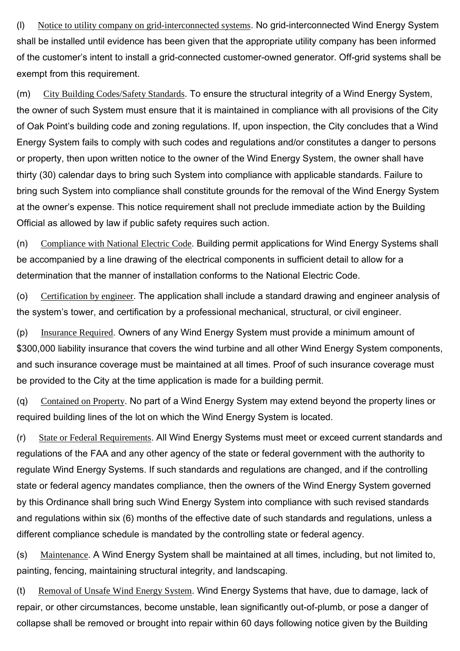(l) Notice to utility company on grid-interconnected systems. No grid-interconnected Wind Energy System shall be installed until evidence has been given that the appropriate utility company has been informed of the customer's intent to install a grid-connected customer-owned generator. Off-grid systems shall be exempt from this requirement.

(m) City Building Codes/Safety Standards. To ensure the structural integrity of a Wind Energy System, the owner of such System must ensure that it is maintained in compliance with all provisions of the City of Oak Point's building code and zoning regulations. If, upon inspection, the City concludes that a Wind Energy System fails to comply with such codes and regulations and/or constitutes a danger to persons or property, then upon written notice to the owner of the Wind Energy System, the owner shall have thirty (30) calendar days to bring such System into compliance with applicable standards. Failure to bring such System into compliance shall constitute grounds for the removal of the Wind Energy System at the owner's expense. This notice requirement shall not preclude immediate action by the Building Official as allowed by law if public safety requires such action.

(n) Compliance with National Electric Code. Building permit applications for Wind Energy Systems shall be accompanied by a line drawing of the electrical components in sufficient detail to allow for a determination that the manner of installation conforms to the National Electric Code.

(o) Certification by engineer. The application shall include a standard drawing and engineer analysis of the system's tower, and certification by a professional mechanical, structural, or civil engineer.

(p) Insurance Required. Owners of any Wind Energy System must provide a minimum amount of \$300,000 liability insurance that covers the wind turbine and all other Wind Energy System components, and such insurance coverage must be maintained at all times. Proof of such insurance coverage must be provided to the City at the time application is made for a building permit.

(q) Contained on Property. No part of a Wind Energy System may extend beyond the property lines or required building lines of the lot on which the Wind Energy System is located.

(r) State or Federal Requirements. All Wind Energy Systems must meet or exceed current standards and regulations of the FAA and any other agency of the state or federal government with the authority to regulate Wind Energy Systems. If such standards and regulations are changed, and if the controlling state or federal agency mandates compliance, then the owners of the Wind Energy System governed by this Ordinance shall bring such Wind Energy System into compliance with such revised standards and regulations within six (6) months of the effective date of such standards and regulations, unless a different compliance schedule is mandated by the controlling state or federal agency.

(s) Maintenance. A Wind Energy System shall be maintained at all times, including, but not limited to, painting, fencing, maintaining structural integrity, and landscaping.

(t) Removal of Unsafe Wind Energy System. Wind Energy Systems that have, due to damage, lack of repair, or other circumstances, become unstable, lean significantly out-of-plumb, or pose a danger of collapse shall be removed or brought into repair within 60 days following notice given by the Building